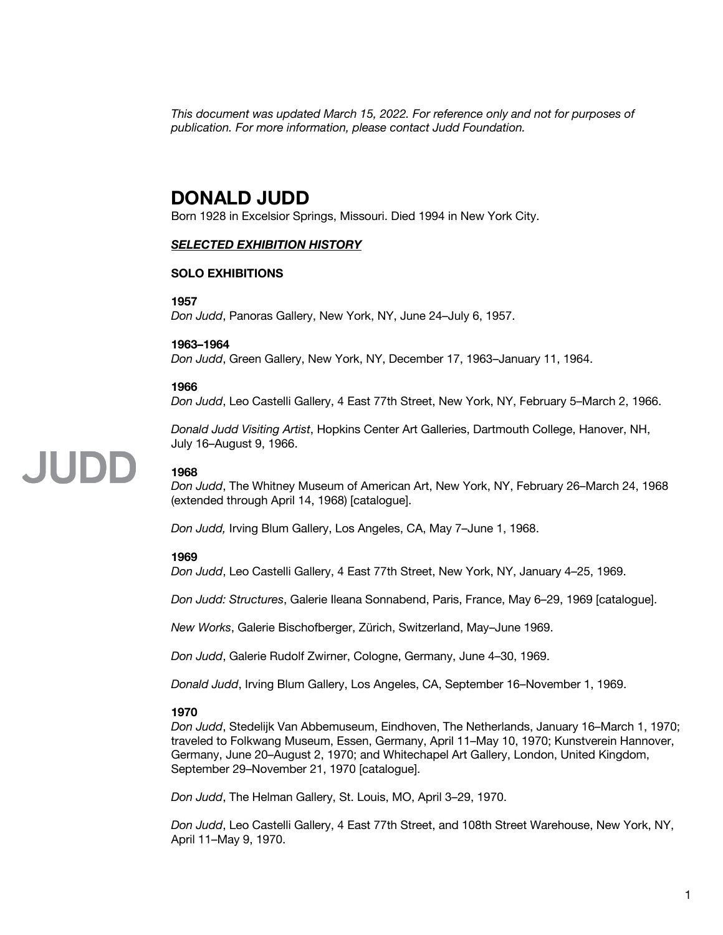*This document was updated March 15, 2022. For reference only and not for purposes of publication. For more information, please contact Judd Foundation.*

### **DONALD JUDD**

Born 1928 in Excelsior Springs, Missouri. Died 1994 in New York City.

#### *SELECTED EXHIBITION HISTORY*

#### **SOLO EXHIBITIONS**

#### **1957**

*Don Judd*, Panoras Gallery, New York, NY, June 24–July 6, 1957.

#### **1963–1964**

*Don Judd*, Green Gallery, New York, NY, December 17, 1963–January 11, 1964.

#### **1966**

*Don Judd*, Leo Castelli Gallery, 4 East 77th Street, New York, NY, February 5–March 2, 1966.

*Donald Judd Visiting Artist*, Hopkins Center Art Galleries, Dartmouth College, Hanover, NH, July 16–August 9, 1966.

### **1968**

JUDD

*Don Judd*, The Whitney Museum of American Art, New York, NY, February 26–March 24, 1968 (extended through April 14, 1968) [catalogue].

*Don Judd,* Irving Blum Gallery, Los Angeles, CA, May 7–June 1, 1968.

#### **1969**

*Don Judd*, Leo Castelli Gallery, 4 East 77th Street, New York, NY, January 4–25, 1969.

*Don Judd: Structures*, Galerie Ileana Sonnabend, Paris, France, May 6–29, 1969 [catalogue].

*New Works*, Galerie Bischofberger, Zürich, Switzerland, May–June 1969.

*Don Judd*, Galerie Rudolf Zwirner, Cologne, Germany, June 4–30, 1969.

*Donald Judd*, Irving Blum Gallery, Los Angeles, CA, September 16–November 1, 1969.

#### **1970**

*Don Judd*, Stedelijk Van Abbemuseum, Eindhoven, The Netherlands, January 16–March 1, 1970; traveled to Folkwang Museum, Essen, Germany, April 11–May 10, 1970; Kunstverein Hannover, Germany, June 20–August 2, 1970; and Whitechapel Art Gallery, London, United Kingdom, September 29–November 21, 1970 [catalogue].

*Don Judd*, The Helman Gallery, St. Louis, MO, April 3–29, 1970.

*Don Judd*, Leo Castelli Gallery, 4 East 77th Street, and 108th Street Warehouse, New York, NY, April 11–May 9, 1970.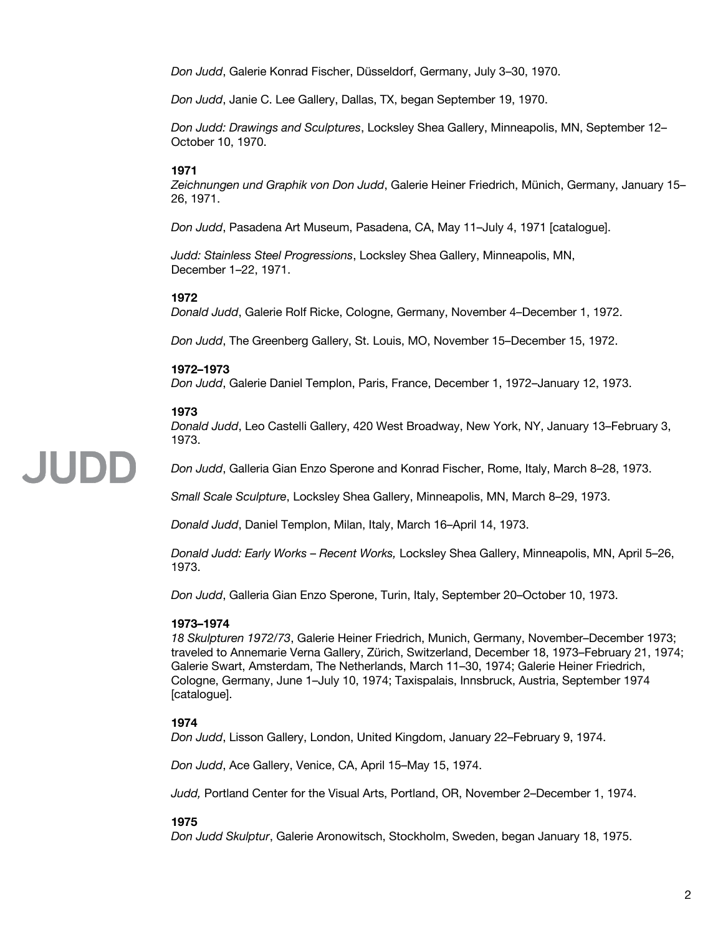*Don Judd*, Galerie Konrad Fischer, Düsseldorf, Germany, July 3–30, 1970.

*Don Judd*, Janie C. Lee Gallery, Dallas, TX, began September 19, 1970.

*Don Judd: Drawings and Sculptures*, Locksley Shea Gallery, Minneapolis, MN, September 12– October 10, 1970.

#### **1971**

*Zeichnungen und Graphik von Don Judd*, Galerie Heiner Friedrich, Münich, Germany, January 15– 26, 1971.

*Don Judd*, Pasadena Art Museum, Pasadena, CA, May 11–July 4, 1971 [catalogue].

*Judd: Stainless Steel Progressions*, Locksley Shea Gallery, Minneapolis, MN, December 1–22, 1971.

#### **1972**

*Donald Judd*, Galerie Rolf Ricke, Cologne, Germany, November 4–December 1, 1972.

*Don Judd*, The Greenberg Gallery, St. Louis, MO, November 15–December 15, 1972.

#### **1972–1973**

*Don Judd*, Galerie Daniel Templon, Paris, France, December 1, 1972–January 12, 1973.

#### **1973**

JUDD

*Donald Judd*, Leo Castelli Gallery, 420 West Broadway, New York, NY, January 13–February 3, 1973.

*Don Judd*, Galleria Gian Enzo Sperone and Konrad Fischer, Rome, Italy, March 8–28, 1973.

*Small Scale Sculpture*, Locksley Shea Gallery, Minneapolis, MN, March 8–29, 1973.

*Donald Judd*, Daniel Templon, Milan, Italy, March 16–April 14, 1973.

*Donald Judd: Early Works* – *Recent Works,* Locksley Shea Gallery, Minneapolis, MN, April 5–26, 1973.

*Don Judd*, Galleria Gian Enzo Sperone, Turin, Italy, September 20–October 10, 1973.

#### **1973–1974**

*18 Skulpturen 1972/73*, Galerie Heiner Friedrich, Munich, Germany, November–December 1973; traveled to Annemarie Verna Gallery, Zürich, Switzerland, December 18, 1973–February 21, 1974; Galerie Swart, Amsterdam, The Netherlands, March 11–30, 1974; Galerie Heiner Friedrich, Cologne, Germany, June 1–July 10, 1974; Taxispalais, Innsbruck, Austria, September 1974 [catalogue].

#### **1974**

*Don Judd*, Lisson Gallery, London, United Kingdom, January 22–February 9, 1974.

*Don Judd*, Ace Gallery, Venice, CA, April 15–May 15, 1974.

*Judd,* Portland Center for the Visual Arts, Portland, OR, November 2–December 1, 1974.

#### **1975**

*Don Judd Skulptur*, Galerie Aronowitsch, Stockholm, Sweden, began January 18, 1975.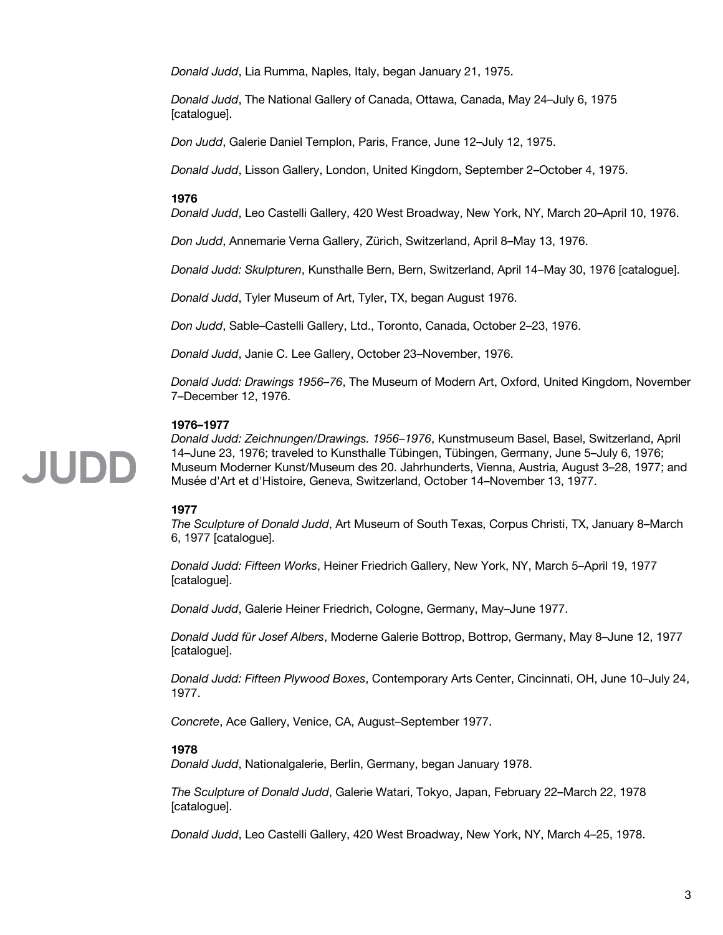*Donald Judd*, Lia Rumma, Naples, Italy, began January 21, 1975.

*Donald Judd*, The National Gallery of Canada, Ottawa, Canada, May 24–July 6, 1975 [catalogue].

*Don Judd*, Galerie Daniel Templon, Paris, France, June 12–July 12, 1975.

*Donald Judd*, Lisson Gallery, London, United Kingdom, September 2–October 4, 1975.

#### **1976**

*Donald Judd*, Leo Castelli Gallery, 420 West Broadway, New York, NY, March 20–April 10, 1976.

*Don Judd*, Annemarie Verna Gallery, Zürich, Switzerland, April 8–May 13, 1976.

*Donald Judd: Skulpturen*, Kunsthalle Bern, Bern, Switzerland, April 14–May 30, 1976 [catalogue].

*Donald Judd*, Tyler Museum of Art, Tyler, TX, began August 1976.

*Don Judd*, Sable–Castelli Gallery, Ltd., Toronto, Canada, October 2–23, 1976.

*Donald Judd*, Janie C. Lee Gallery, October 23–November, 1976.

*Donald Judd: Drawings 1956–76*, The Museum of Modern Art, Oxford, United Kingdom, November 7–December 12, 1976.

#### **1976–1977**

*Donald Judd: Zeichnungen/Drawings. 1956–1976*, Kunstmuseum Basel, Basel, Switzerland, April 14–June 23, 1976; traveled to Kunsthalle Tübingen, Tübingen, Germany, June 5–July 6, 1976; Museum Moderner Kunst/Museum des 20. Jahrhunderts, Vienna, Austria, August 3–28, 1977; and Musée d'Art et d'Histoire, Geneva, Switzerland, October 14–November 13, 1977.

#### **1977**

*The Sculpture of Donald Judd*, Art Museum of South Texas, Corpus Christi, TX, January 8–March 6, 1977 [catalogue].

*Donald Judd: Fifteen Works*, Heiner Friedrich Gallery, New York, NY, March 5–April 19, 1977 [catalogue].

*Donald Judd*, Galerie Heiner Friedrich, Cologne, Germany, May–June 1977.

*Donald Judd für Josef Albers*, Moderne Galerie Bottrop, Bottrop, Germany, May 8–June 12, 1977 [catalogue].

*Donald Judd: Fifteen Plywood Boxes*, Contemporary Arts Center, Cincinnati, OH, June 10–July 24, 1977.

*Concrete*, Ace Gallery, Venice, CA, August–September 1977.

#### **1978**

*Donald Judd*, Nationalgalerie, Berlin, Germany, began January 1978.

*The Sculpture of Donald Judd*, Galerie Watari, Tokyo, Japan, February 22–March 22, 1978 [catalogue].

*Donald Judd*, Leo Castelli Gallery, 420 West Broadway, New York, NY, March 4–25, 1978.

JUDD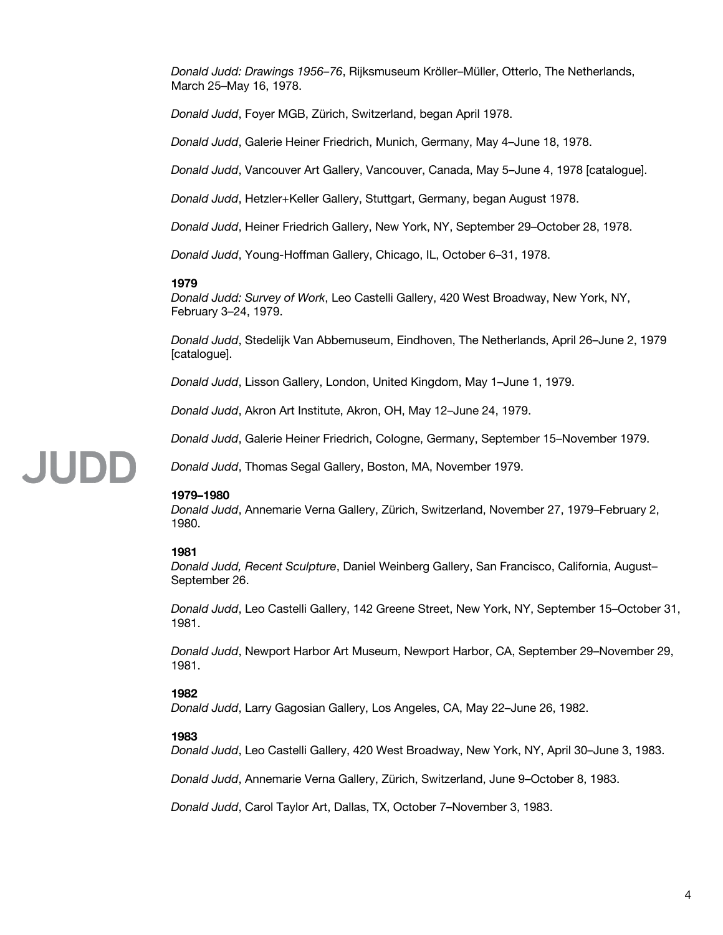*Donald Judd: Drawings 1956–76*, Rijksmuseum Kröller–Müller, Otterlo, The Netherlands, March 25–May 16, 1978.

*Donald Judd*, Foyer MGB, Zürich, Switzerland, began April 1978.

*Donald Judd*, Galerie Heiner Friedrich, Munich, Germany, May 4–June 18, 1978.

*Donald Judd*, Vancouver Art Gallery, Vancouver, Canada, May 5–June 4, 1978 [catalogue].

*Donald Judd*, Hetzler+Keller Gallery, Stuttgart, Germany, began August 1978.

*Donald Judd*, Heiner Friedrich Gallery, New York, NY, September 29–October 28, 1978.

*Donald Judd*, Young-Hoffman Gallery, Chicago, IL, October 6–31, 1978.

#### **1979**

*Donald Judd: Survey of Work*, Leo Castelli Gallery, 420 West Broadway, New York, NY, February 3–24, 1979.

*Donald Judd*, Stedelijk Van Abbemuseum, Eindhoven, The Netherlands, April 26–June 2, 1979 [catalogue].

*Donald Judd*, Lisson Gallery, London, United Kingdom, May 1–June 1, 1979.

*Donald Judd*, Akron Art Institute, Akron, OH, May 12–June 24, 1979.

*Donald Judd*, Thomas Segal Gallery, Boston, MA, November 1979.

*Donald Judd*, Galerie Heiner Friedrich, Cologne, Germany, September 15–November 1979.

### JUDD

#### **1979–1980**

*Donald Judd*, Annemarie Verna Gallery, Zürich, Switzerland, November 27, 1979–February 2, 1980.

#### **1981**

*Donald Judd, Recent Sculpture*, Daniel Weinberg Gallery, San Francisco, California, August– September 26.

*Donald Judd*, Leo Castelli Gallery, 142 Greene Street, New York, NY, September 15–October 31, 1981.

*Donald Judd*, Newport Harbor Art Museum, Newport Harbor, CA, September 29–November 29, 1981.

#### **1982**

*Donald Judd*, Larry Gagosian Gallery, Los Angeles, CA, May 22–June 26, 1982.

#### **1983**

*Donald Judd*, Leo Castelli Gallery, 420 West Broadway, New York, NY, April 30–June 3, 1983.

*Donald Judd*, Annemarie Verna Gallery, Zürich, Switzerland, June 9–October 8, 1983.

*Donald Judd*, Carol Taylor Art, Dallas, TX, October 7–November 3, 1983.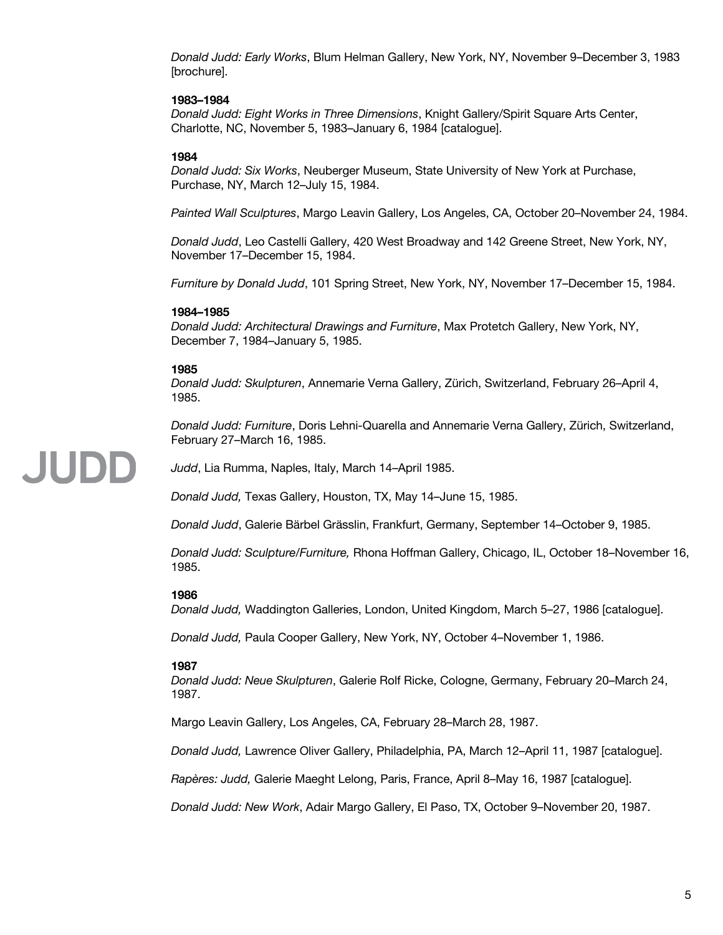*Donald Judd: Early Works*, Blum Helman Gallery, New York, NY, November 9–December 3, 1983 [brochure].

#### **1983–1984**

*Donald Judd: Eight Works in Three Dimensions*, Knight Gallery/Spirit Square Arts Center, Charlotte, NC, November 5, 1983–January 6, 1984 [catalogue].

#### **1984**

*Donald Judd: Six Works*, Neuberger Museum, State University of New York at Purchase, Purchase, NY, March 12–July 15, 1984.

*Painted Wall Sculptures*, Margo Leavin Gallery, Los Angeles, CA, October 20–November 24, 1984.

*Donald Judd*, Leo Castelli Gallery, 420 West Broadway and 142 Greene Street, New York, NY, November 17–December 15, 1984.

*Furniture by Donald Judd*, 101 Spring Street, New York, NY, November 17–December 15, 1984.

#### **1984–1985**

*Donald Judd: Architectural Drawings and Furniture*, Max Protetch Gallery, New York, NY, December 7, 1984–January 5, 1985.

#### **1985**

JUDD

*Donald Judd: Skulpturen*, Annemarie Verna Gallery, Zürich, Switzerland, February 26–April 4, 1985.

*Donald Judd: Furniture*, Doris Lehni-Quarella and Annemarie Verna Gallery, Zürich, Switzerland, February 27–March 16, 1985.

*Judd*, Lia Rumma, Naples, Italy, March 14–April 1985.

*Donald Judd,* Texas Gallery, Houston, TX, May 14–June 15, 1985.

*Donald Judd*, Galerie Bärbel Grässlin, Frankfurt, Germany, September 14–October 9, 1985.

*Donald Judd: Sculpture/Furniture,* Rhona Hoffman Gallery, Chicago, IL, October 18–November 16, 1985.

#### **1986**

*Donald Judd,* Waddington Galleries, London, United Kingdom, March 5–27, 1986 [catalogue].

*Donald Judd,* Paula Cooper Gallery, New York, NY, October 4–November 1, 1986.

#### **1987**

*Donald Judd: Neue Skulpturen*, Galerie Rolf Ricke, Cologne, Germany, February 20–March 24, 1987.

Margo Leavin Gallery, Los Angeles, CA, February 28–March 28, 1987.

*Donald Judd,* Lawrence Oliver Gallery, Philadelphia, PA, March 12–April 11, 1987 [catalogue].

*Rapères: Judd,* Galerie Maeght Lelong, Paris, France, April 8–May 16, 1987 [catalogue].

*Donald Judd: New Work*, Adair Margo Gallery, El Paso, TX, October 9–November 20, 1987.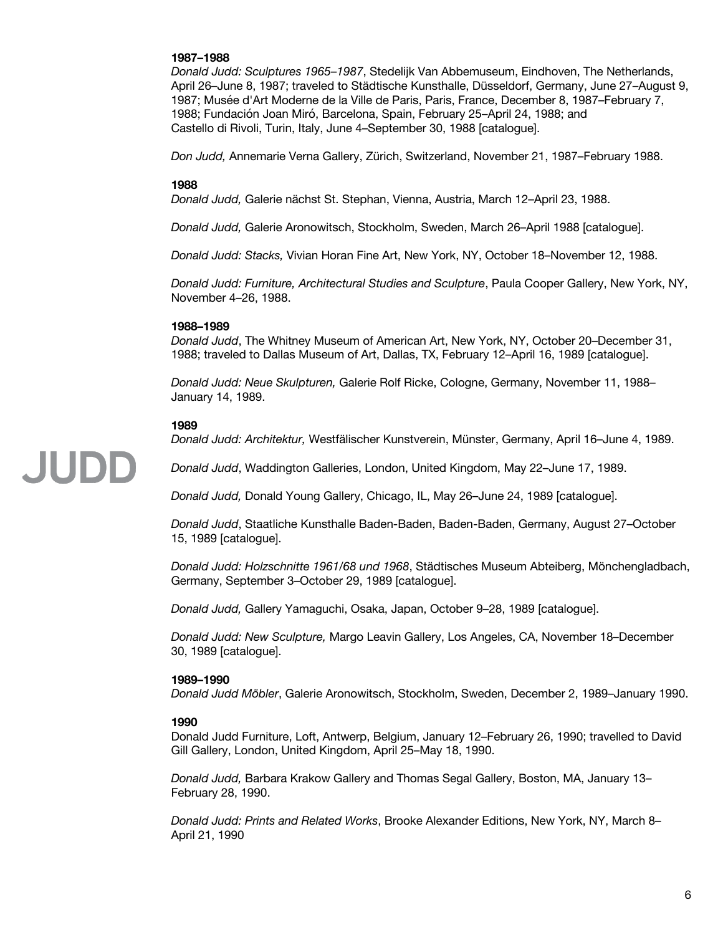#### **1987–1988**

*Donald Judd: Sculptures 1965–1987*, Stedelijk Van Abbemuseum, Eindhoven, The Netherlands, April 26–June 8, 1987; traveled to Städtische Kunsthalle, Düsseldorf, Germany, June 27–August 9, 1987; Musée d'Art Moderne de la Ville de Paris, Paris, France, December 8, 1987–February 7, 1988; Fundación Joan Miró, Barcelona, Spain, February 25–April 24, 1988; and Castello di Rivoli, Turin, Italy, June 4–September 30, 1988 [catalogue].

*Don Judd,* Annemarie Verna Gallery, Zürich, Switzerland, November 21, 1987–February 1988.

#### **1988**

*Donald Judd,* Galerie nächst St. Stephan, Vienna, Austria, March 12–April 23, 1988.

*Donald Judd,* Galerie Aronowitsch, Stockholm, Sweden, March 26–April 1988 [catalogue].

*Donald Judd: Stacks,* Vivian Horan Fine Art, New York, NY, October 18–November 12, 1988.

*Donald Judd: Furniture, Architectural Studies and Sculpture*, Paula Cooper Gallery, New York, NY, November 4–26, 1988.

#### **1988–1989**

*Donald Judd*, The Whitney Museum of American Art, New York, NY, October 20–December 31, 1988; traveled to Dallas Museum of Art, Dallas, TX, February 12–April 16, 1989 [catalogue].

*Donald Judd: Neue Skulpturen,* Galerie Rolf Ricke, Cologne, Germany, November 11, 1988– January 14, 1989.

#### **1989**

JUDD

*Donald Judd: Architektur,* Westfälischer Kunstverein, Münster, Germany, April 16–June 4, 1989.

*Donald Judd*, Waddington Galleries, London, United Kingdom, May 22–June 17, 1989.

*Donald Judd,* Donald Young Gallery, Chicago, IL, May 26–June 24, 1989 [catalogue].

*Donald Judd*, Staatliche Kunsthalle Baden-Baden, Baden-Baden, Germany, August 27–October 15, 1989 [catalogue].

*Donald Judd: Holzschnitte 1961/68 und 1968*, Städtisches Museum Abteiberg, Mönchengladbach, Germany, September 3–October 29, 1989 [catalogue].

*Donald Judd,* Gallery Yamaguchi, Osaka, Japan, October 9–28, 1989 [catalogue].

*Donald Judd: New Sculpture,* Margo Leavin Gallery, Los Angeles, CA, November 18–December 30, 1989 [catalogue].

#### **1989–1990**

*Donald Judd Möbler*, Galerie Aronowitsch, Stockholm, Sweden, December 2, 1989–January 1990.

#### **1990**

Donald Judd Furniture, Loft, Antwerp, Belgium, January 12–February 26, 1990; travelled to David Gill Gallery, London, United Kingdom, April 25–May 18, 1990.

*Donald Judd,* Barbara Krakow Gallery and Thomas Segal Gallery, Boston, MA, January 13– February 28, 1990.

*Donald Judd: Prints and Related Works*, Brooke Alexander Editions, New York, NY, March 8– April 21, 1990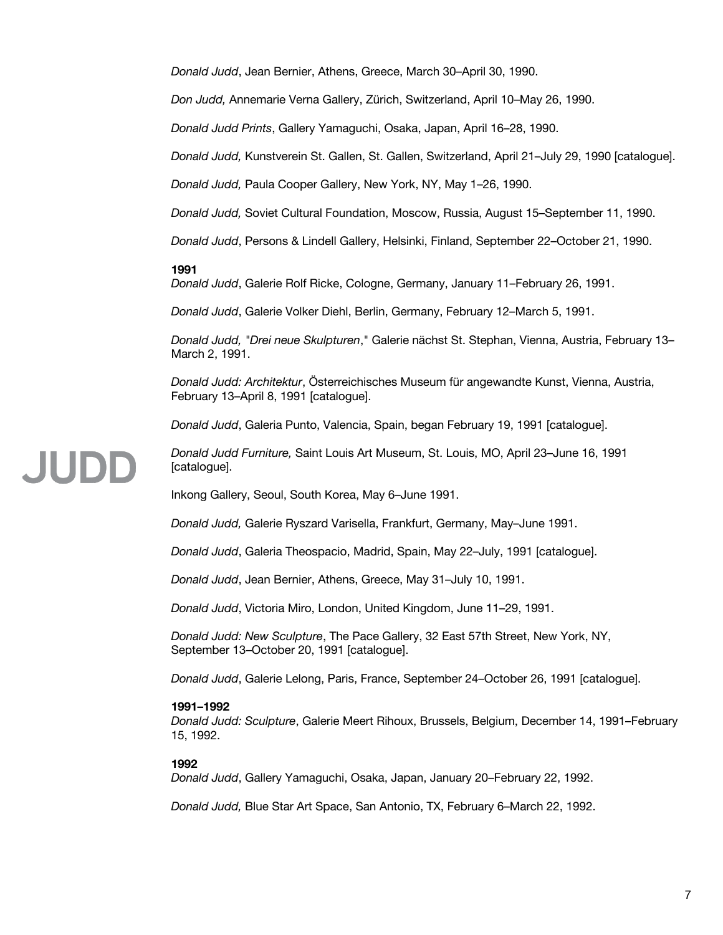*Donald Judd*, Jean Bernier, Athens, Greece, March 30–April 30, 1990.

*Don Judd,* Annemarie Verna Gallery, Zürich, Switzerland, April 10–May 26, 1990.

*Donald Judd Prints*, Gallery Yamaguchi, Osaka, Japan, April 16–28, 1990.

*Donald Judd,* Kunstverein St. Gallen, St. Gallen, Switzerland, April 21–July 29, 1990 [catalogue].

*Donald Judd,* Paula Cooper Gallery, New York, NY, May 1–26, 1990.

*Donald Judd,* Soviet Cultural Foundation, Moscow, Russia, August 15–September 11, 1990.

*Donald Judd*, Persons & Lindell Gallery, Helsinki, Finland, September 22–October 21, 1990.

#### **1991**

**JUDE** 

*Donald Judd*, Galerie Rolf Ricke, Cologne, Germany, January 11–February 26, 1991.

*Donald Judd*, Galerie Volker Diehl, Berlin, Germany, February 12–March 5, 1991.

*Donald Judd, "Drei neue Skulpturen*," Galerie nächst St. Stephan, Vienna, Austria, February 13– March 2, 1991.

*Donald Judd: Architektur*, Österreichisches Museum für angewandte Kunst, Vienna, Austria, February 13–April 8, 1991 [catalogue].

*Donald Judd*, Galeria Punto, Valencia, Spain, began February 19, 1991 [catalogue].

*Donald Judd Furniture,* Saint Louis Art Museum, St. Louis, MO, April 23–June 16, 1991 [catalogue].

Inkong Gallery, Seoul, South Korea, May 6–June 1991.

*Donald Judd,* Galerie Ryszard Varisella, Frankfurt, Germany, May–June 1991.

*Donald Judd*, Galeria Theospacio, Madrid, Spain, May 22–July, 1991 [catalogue].

*Donald Judd*, Jean Bernier, Athens, Greece, May 31–July 10, 1991.

*Donald Judd*, Victoria Miro, London, United Kingdom, June 11–29, 1991.

*Donald Judd: New Sculpture*, The Pace Gallery, 32 East 57th Street, New York, NY, September 13–October 20, 1991 [catalogue].

*Donald Judd*, Galerie Lelong, Paris, France, September 24–October 26, 1991 [catalogue].

#### **1991–1992**

*Donald Judd: Sculpture*, Galerie Meert Rihoux, Brussels, Belgium, December 14, 1991–February 15, 1992.

#### **1992**

*Donald Judd*, Gallery Yamaguchi, Osaka, Japan, January 20–February 22, 1992.

*Donald Judd,* Blue Star Art Space, San Antonio, TX, February 6–March 22, 1992.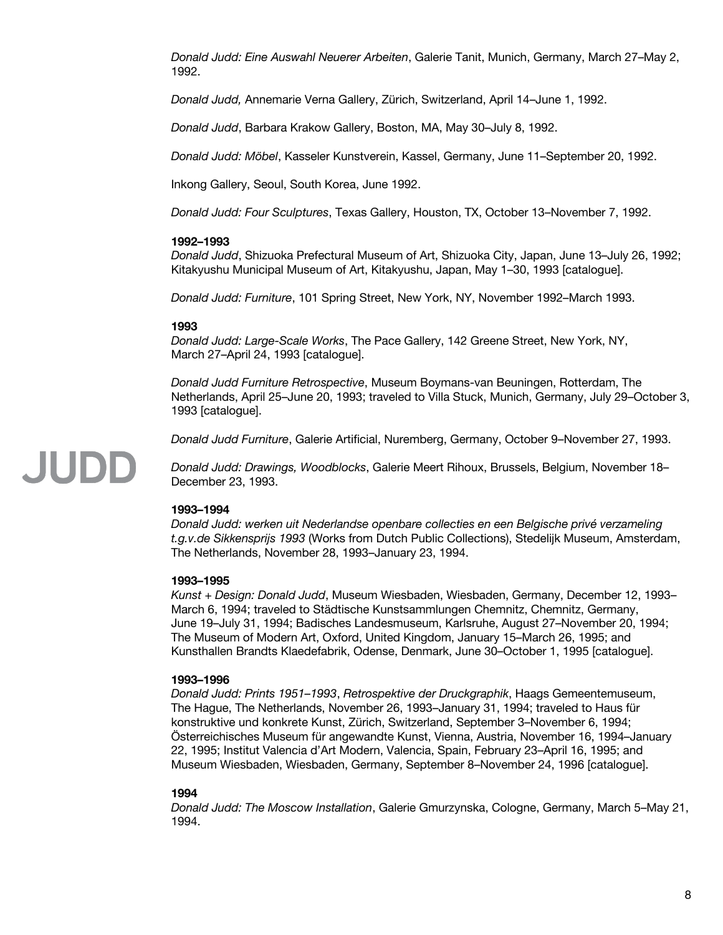*Donald Judd: Eine Auswahl Neuerer Arbeiten*, Galerie Tanit, Munich, Germany, March 27–May 2, 1992.

*Donald Judd,* Annemarie Verna Gallery, Zürich, Switzerland, April 14–June 1, 1992.

*Donald Judd*, Barbara Krakow Gallery, Boston, MA, May 30–July 8, 1992.

*Donald Judd: Möbel*, Kasseler Kunstverein, Kassel, Germany, June 11–September 20, 1992.

Inkong Gallery, Seoul, South Korea, June 1992.

*Donald Judd: Four Sculptures*, Texas Gallery, Houston, TX, October 13–November 7, 1992.

#### **1992–1993**

*Donald Judd*, Shizuoka Prefectural Museum of Art, Shizuoka City, Japan, June 13–July 26, 1992; Kitakyushu Municipal Museum of Art, Kitakyushu, Japan, May 1–30, 1993 [catalogue].

*Donald Judd: Furniture*, 101 Spring Street, New York, NY, November 1992–March 1993.

#### **1993**

*Donald Judd: Large-Scale Works*, The Pace Gallery, 142 Greene Street, New York, NY, March 27–April 24, 1993 [catalogue].

*Donald Judd Furniture Retrospective*, Museum Boymans-van Beuningen, Rotterdam, The Netherlands, April 25–June 20, 1993; traveled to Villa Stuck, Munich, Germany, July 29–October 3, 1993 [catalogue].

*Donald Judd Furniture*, Galerie Artificial, Nuremberg, Germany, October 9–November 27, 1993.

*Donald Judd: Drawings, Woodblocks*, Galerie Meert Rihoux, Brussels, Belgium, November 18– December 23, 1993.

#### **1993–1994**

JUDD

*Donald Judd: werken uit Nederlandse openbare collecties en een Belgische privé verzameling t.g.v.de Sikkensprijs 1993* (Works from Dutch Public Collections), Stedelijk Museum, Amsterdam, The Netherlands, November 28, 1993–January 23, 1994.

#### **1993–1995**

*Kunst + Design: Donald Judd*, Museum Wiesbaden, Wiesbaden, Germany, December 12, 1993– March 6, 1994; traveled to Städtische Kunstsammlungen Chemnitz, Chemnitz, Germany, June 19–July 31, 1994; Badisches Landesmuseum, Karlsruhe, August 27–November 20, 1994; The Museum of Modern Art, Oxford, United Kingdom, January 15–March 26, 1995; and Kunsthallen Brandts Klaedefabrik, Odense, Denmark, June 30–October 1, 1995 [catalogue].

#### **1993–1996**

*Donald Judd: Prints 1951–1993*, *Retrospektive der Druckgraphik*, Haags Gemeentemuseum, The Hague, The Netherlands, November 26, 1993–January 31, 1994; traveled to Haus für konstruktive und konkrete Kunst, Zürich, Switzerland, September 3–November 6, 1994; Österreichisches Museum für angewandte Kunst, Vienna, Austria, November 16, 1994–January 22, 1995; Institut Valencia d'Art Modern, Valencia, Spain, February 23–April 16, 1995; and Museum Wiesbaden, Wiesbaden, Germany, September 8–November 24, 1996 [catalogue].

#### **1994**

*Donald Judd: The Moscow Installation*, Galerie Gmurzynska, Cologne, Germany, March 5–May 21, 1994.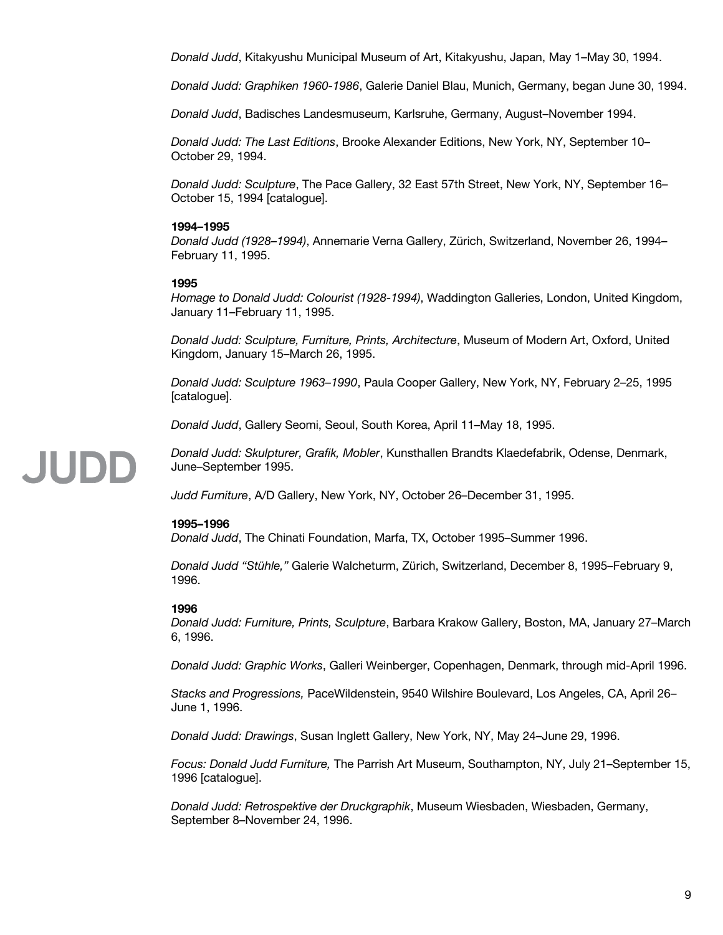*Donald Judd*, Kitakyushu Municipal Museum of Art, Kitakyushu, Japan, May 1–May 30, 1994.

*Donald Judd: Graphiken 1960-1986*, Galerie Daniel Blau, Munich, Germany, began June 30, 1994.

*Donald Judd*, Badisches Landesmuseum, Karlsruhe, Germany, August–November 1994.

*Donald Judd: The Last Editions*, Brooke Alexander Editions, New York, NY, September 10– October 29, 1994.

*Donald Judd: Sculpture*, The Pace Gallery, 32 East 57th Street, New York, NY, September 16– October 15, 1994 [catalogue].

#### **1994–1995**

*Donald Judd (1928–1994)*, Annemarie Verna Gallery, Zürich, Switzerland, November 26, 1994– February 11, 1995.

#### **1995**

*Homage to Donald Judd: Colourist (1928-1994)*, Waddington Galleries, London, United Kingdom, January 11–February 11, 1995.

*Donald Judd: Sculpture, Furniture, Prints, Architecture*, Museum of Modern Art, Oxford, United Kingdom, January 15–March 26, 1995.

*Donald Judd: Sculpture 1963–1990*, Paula Cooper Gallery, New York, NY, February 2–25, 1995 [catalogue].

*Donald Judd*, Gallery Seomi, Seoul, South Korea, April 11–May 18, 1995.

*Donald Judd: Skulpturer, Grafik, Mobler*, Kunsthallen Brandts Klaedefabrik, Odense, Denmark, June–September 1995.

*Judd Furniture*, A/D Gallery, New York, NY, October 26–December 31, 1995.

#### **1995–1996**

**JUDD** 

*Donald Judd*, The Chinati Foundation, Marfa, TX, October 1995–Summer 1996.

*Donald Judd "Stühle,"* Galerie Walcheturm, Zürich, Switzerland, December 8, 1995–February 9, 1996.

#### **1996**

*Donald Judd: Furniture, Prints, Sculpture*, Barbara Krakow Gallery, Boston, MA, January 27–March 6, 1996.

*Donald Judd: Graphic Works*, Galleri Weinberger, Copenhagen, Denmark, through mid-April 1996.

*Stacks and Progressions,* PaceWildenstein, 9540 Wilshire Boulevard, Los Angeles, CA, April 26– June 1, 1996.

*Donald Judd: Drawings*, Susan Inglett Gallery, New York, NY, May 24–June 29, 1996.

*Focus: Donald Judd Furniture,* The Parrish Art Museum, Southampton, NY, July 21–September 15, 1996 [catalogue].

*Donald Judd: Retrospektive der Druckgraphik*, Museum Wiesbaden, Wiesbaden, Germany, September 8–November 24, 1996.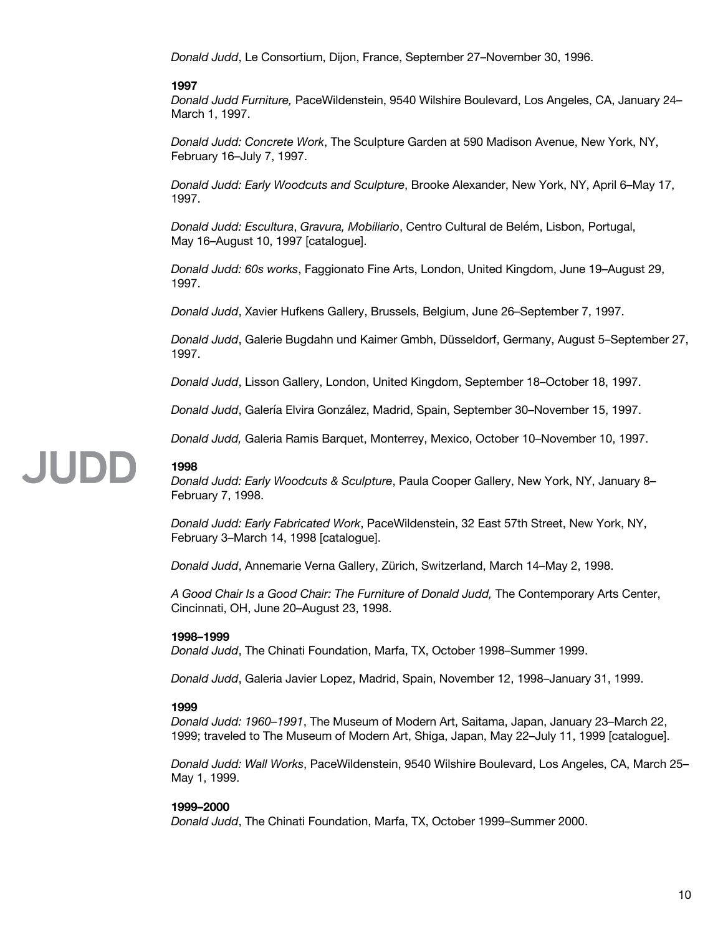*Donald Judd*, Le Consortium, Dijon, France, September 27–November 30, 1996.

#### **1997**

*Donald Judd Furniture,* PaceWildenstein, 9540 Wilshire Boulevard, Los Angeles, CA, January 24– March 1, 1997.

*Donald Judd: Concrete Work*, The Sculpture Garden at 590 Madison Avenue, New York, NY, February 16–July 7, 1997.

*Donald Judd: Early Woodcuts and Sculpture*, Brooke Alexander, New York, NY, April 6–May 17, 1997.

*Donald Judd: Escultura*, *Gravura, Mobiliario*, Centro Cultural de Belém, Lisbon, Portugal, May 16–August 10, 1997 [catalogue].

*Donald Judd: 60s works*, Faggionato Fine Arts, London, United Kingdom, June 19–August 29, 1997.

*Donald Judd*, Xavier Hufkens Gallery, Brussels, Belgium, June 26–September 7, 1997.

*Donald Judd*, Galerie Bugdahn und Kaimer Gmbh, Düsseldorf, Germany, August 5–September 27, 1997.

*Donald Judd*, Lisson Gallery, London, United Kingdom, September 18–October 18, 1997.

*Donald Judd*, Galería Elvira González, Madrid, Spain, September 30–November 15, 1997.

*Donald Judd,* Galeria Ramis Barquet, Monterrey, Mexico, October 10–November 10, 1997.

### **JUDD**

*Donald Judd: Early Woodcuts & Sculpture*, Paula Cooper Gallery, New York, NY, January 8– February 7, 1998.

*Donald Judd: Early Fabricated Work*, PaceWildenstein, 32 East 57th Street, New York, NY, February 3–March 14, 1998 [catalogue].

*Donald Judd*, Annemarie Verna Gallery, Zürich, Switzerland, March 14–May 2, 1998.

*A Good Chair Is a Good Chair: The Furniture of Donald Judd,* The Contemporary Arts Center, Cincinnati, OH, June 20–August 23, 1998.

#### **1998–1999**

*Donald Judd*, The Chinati Foundation, Marfa, TX, October 1998–Summer 1999.

*Donald Judd*, Galeria Javier Lopez, Madrid, Spain, November 12, 1998–January 31, 1999.

#### **1999**

**1998**

*Donald Judd: 1960–1991*, The Museum of Modern Art, Saitama, Japan, January 23–March 22, 1999; traveled to The Museum of Modern Art, Shiga, Japan, May 22–July 11, 1999 [catalogue].

*Donald Judd: Wall Works*, PaceWildenstein, 9540 Wilshire Boulevard, Los Angeles, CA, March 25– May 1, 1999.

#### **1999–2000**

*Donald Judd*, The Chinati Foundation, Marfa, TX, October 1999–Summer 2000.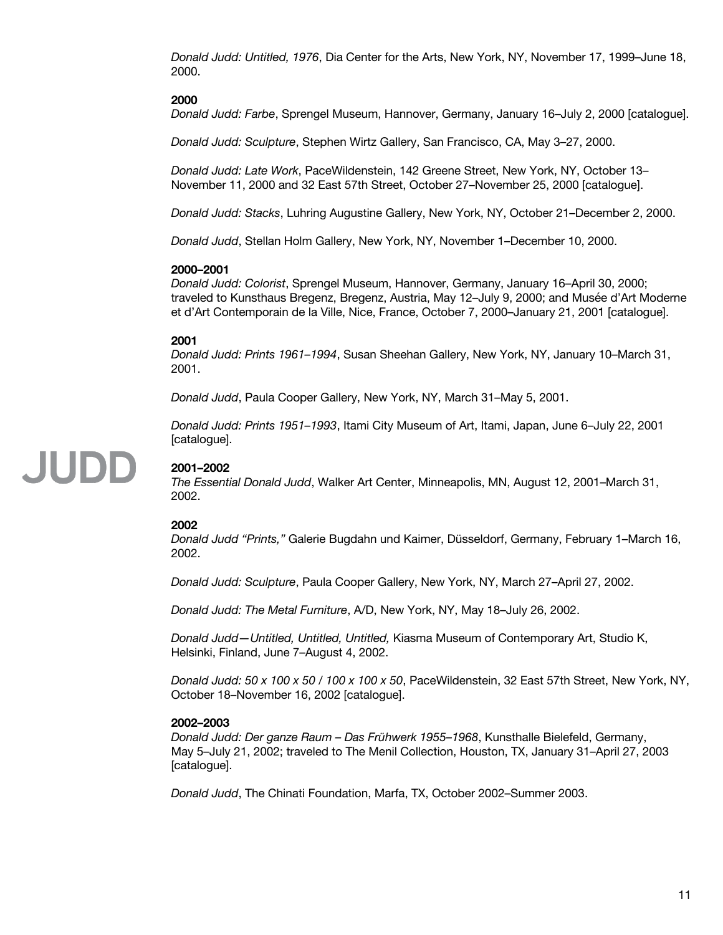*Donald Judd: Untitled, 1976*, Dia Center for the Arts, New York, NY, November 17, 1999–June 18, 2000.

#### **2000**

*Donald Judd: Farbe*, Sprengel Museum, Hannover, Germany, January 16–July 2, 2000 [catalogue].

*Donald Judd: Sculpture*, Stephen Wirtz Gallery, San Francisco, CA, May 3–27, 2000.

*Donald Judd: Late Work*, PaceWildenstein, 142 Greene Street, New York, NY, October 13– November 11, 2000 and 32 East 57th Street, October 27–November 25, 2000 [catalogue].

*Donald Judd: Stacks*, Luhring Augustine Gallery, New York, NY, October 21–December 2, 2000.

*Donald Judd*, Stellan Holm Gallery, New York, NY, November 1–December 10, 2000.

#### **2000–2001**

*Donald Judd: Colorist*, Sprengel Museum, Hannover, Germany, January 16–April 30, 2000; traveled to Kunsthaus Bregenz, Bregenz, Austria, May 12–July 9, 2000; and Musée d'Art Moderne et d'Art Contemporain de la Ville, Nice, France, October 7, 2000–January 21, 2001 [catalogue].

#### **2001**

*Donald Judd: Prints 1961–1994*, Susan Sheehan Gallery, New York, NY, January 10–March 31, 2001.

*Donald Judd*, Paula Cooper Gallery, New York, NY, March 31–May 5, 2001.

*Donald Judd: Prints 1951–1993*, Itami City Museum of Art, Itami, Japan, June 6–July 22, 2001 [catalogue].

## JUDD

#### **2001–2002**

*The Essential Donald Judd*, Walker Art Center, Minneapolis, MN, August 12, 2001–March 31, 2002.

#### **2002**

*Donald Judd "Prints,"* Galerie Bugdahn und Kaimer, Düsseldorf, Germany, February 1–March 16, 2002.

*Donald Judd: Sculpture*, Paula Cooper Gallery, New York, NY, March 27–April 27, 2002.

*Donald Judd: The Metal Furniture*, A/D, New York, NY, May 18–July 26, 2002.

*Donald Judd—Untitled, Untitled, Untitled,* Kiasma Museum of Contemporary Art, Studio K, Helsinki, Finland, June 7–August 4, 2002.

*Donald Judd: 50 x 100 x 50 / 100 x 100 x 50*, PaceWildenstein, 32 East 57th Street, New York, NY, October 18–November 16, 2002 [catalogue].

#### **2002–2003**

*Donald Judd: Der ganze Raum – Das Frühwerk 1955–1968*, Kunsthalle Bielefeld, Germany, May 5–July 21, 2002; traveled to The Menil Collection, Houston, TX, January 31–April 27, 2003 [catalogue].

*Donald Judd*, The Chinati Foundation, Marfa, TX, October 2002–Summer 2003.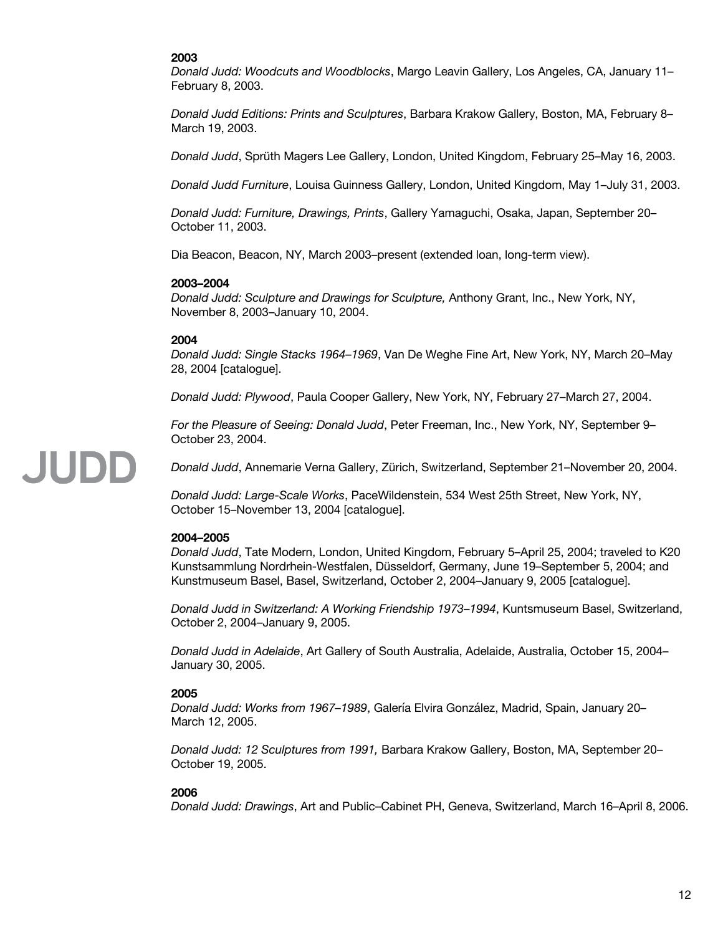#### **2003**

*Donald Judd: Woodcuts and Woodblocks*, Margo Leavin Gallery, Los Angeles, CA, January 11– February 8, 2003.

*Donald Judd Editions: Prints and Sculptures*, Barbara Krakow Gallery, Boston, MA, February 8– March 19, 2003.

*Donald Judd*, Sprüth Magers Lee Gallery, London, United Kingdom, February 25–May 16, 2003.

*Donald Judd Furniture*, Louisa Guinness Gallery, London, United Kingdom, May 1–July 31, 2003.

*Donald Judd: Furniture, Drawings, Prints*, Gallery Yamaguchi, Osaka, Japan, September 20– October 11, 2003.

Dia Beacon, Beacon, NY, March 2003–present (extended loan, long-term view).

#### **2003–2004**

*Donald Judd: Sculpture and Drawings for Sculpture,* Anthony Grant, Inc., New York, NY, November 8, 2003–January 10, 2004.

#### **2004**

JUDD

*Donald Judd: Single Stacks 1964–1969*, Van De Weghe Fine Art, New York, NY, March 20–May 28, 2004 [catalogue].

*Donald Judd: Plywood*, Paula Cooper Gallery, New York, NY, February 27–March 27, 2004.

*For the Pleasure of Seeing: Donald Judd*, Peter Freeman, Inc., New York, NY, September 9– October 23, 2004.

*Donald Judd*, Annemarie Verna Gallery, Zürich, Switzerland, September 21–November 20, 2004.

*Donald Judd: Large-Scale Works*, PaceWildenstein, 534 West 25th Street, New York, NY, October 15–November 13, 2004 [catalogue].

#### **2004–2005**

*Donald Judd*, Tate Modern, London, United Kingdom, February 5–April 25, 2004; traveled to K20 Kunstsammlung Nordrhein-Westfalen, Düsseldorf, Germany, June 19–September 5, 2004; and Kunstmuseum Basel, Basel, Switzerland, October 2, 2004–January 9, 2005 [catalogue].

*Donald Judd in Switzerland: A Working Friendship 1973–1994*, Kuntsmuseum Basel, Switzerland, October 2, 2004–January 9, 2005.

*Donald Judd in Adelaide*, Art Gallery of South Australia, Adelaide, Australia, October 15, 2004– January 30, 2005.

#### **2005**

*Donald Judd: Works from 1967–1989*, Galería Elvira González, Madrid, Spain, January 20– March 12, 2005.

*Donald Judd: 12 Sculptures from 1991,* Barbara Krakow Gallery, Boston, MA, September 20– October 19, 2005.

#### **2006**

*Donald Judd: Drawings*, Art and Public–Cabinet PH, Geneva, Switzerland, March 16–April 8, 2006.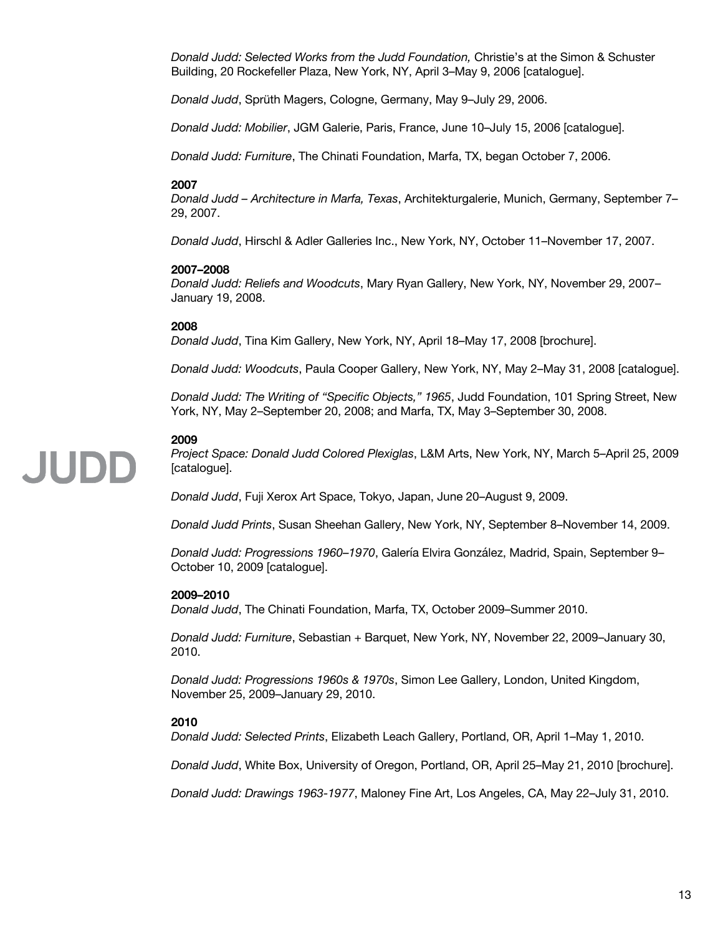*Donald Judd: Selected Works from the Judd Foundation,* Christie's at the Simon & Schuster Building, 20 Rockefeller Plaza, New York, NY, April 3–May 9, 2006 [catalogue].

*Donald Judd*, Sprüth Magers, Cologne, Germany, May 9–July 29, 2006.

*Donald Judd: Mobilier*, JGM Galerie, Paris, France, June 10–July 15, 2006 [catalogue].

*Donald Judd: Furniture*, The Chinati Foundation, Marfa, TX, began October 7, 2006.

#### **2007**

*Donald Judd – Architecture in Marfa, Texas*, Architekturgalerie, Munich, Germany, September 7– 29, 2007.

*Donald Judd*, Hirschl & Adler Galleries Inc., New York, NY, October 11–November 17, 2007.

#### **2007–2008**

*Donald Judd: Reliefs and Woodcuts*, Mary Ryan Gallery, New York, NY, November 29, 2007– January 19, 2008.

#### **2008**

*Donald Judd*, Tina Kim Gallery, New York, NY, April 18–May 17, 2008 [brochure].

*Donald Judd: Woodcuts*, Paula Cooper Gallery, New York, NY, May 2–May 31, 2008 [catalogue].

*Donald Judd: The Writing of "Specific Objects," 1965*, Judd Foundation, 101 Spring Street, New York, NY, May 2–September 20, 2008; and Marfa, TX, May 3–September 30, 2008.

#### **2009**

**JUDD** 

*Project Space: Donald Judd Colored Plexiglas*, L&M Arts, New York, NY, March 5–April 25, 2009 [catalogue].

*Donald Judd*, Fuji Xerox Art Space, Tokyo, Japan, June 20–August 9, 2009.

*Donald Judd Prints*, Susan Sheehan Gallery, New York, NY, September 8–November 14, 2009.

*Donald Judd: Progressions 1960–1970*, Galería Elvira González, Madrid, Spain, September 9– October 10, 2009 [catalogue].

#### **2009–2010**

*Donald Judd*, The Chinati Foundation, Marfa, TX, October 2009–Summer 2010.

*Donald Judd: Furniture*, Sebastian + Barquet, New York, NY, November 22, 2009–January 30, 2010.

*Donald Judd: Progressions 1960s & 1970s*, Simon Lee Gallery, London, United Kingdom, November 25, 2009–January 29, 2010.

#### **2010**

*Donald Judd: Selected Prints*, Elizabeth Leach Gallery, Portland, OR, April 1–May 1, 2010.

*Donald Judd*, White Box, University of Oregon, Portland, OR, April 25–May 21, 2010 [brochure].

*Donald Judd: Drawings 1963-1977*, Maloney Fine Art, Los Angeles, CA, May 22–July 31, 2010.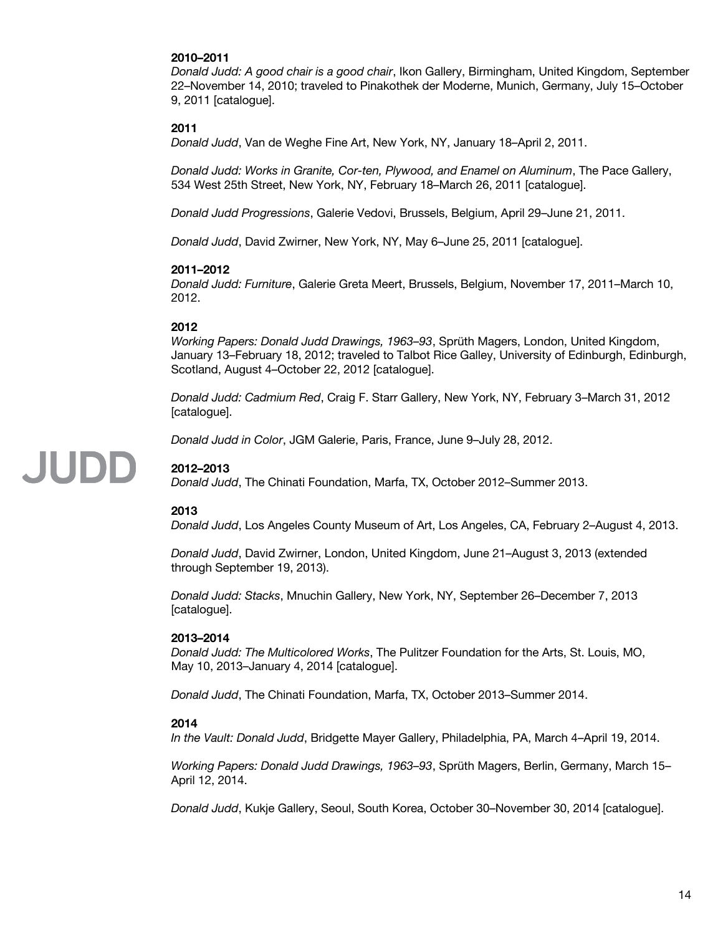#### **2010–2011**

*Donald Judd: A good chair is a good chair*, Ikon Gallery, Birmingham, United Kingdom, September 22–November 14, 2010; traveled to Pinakothek der Moderne, Munich, Germany, July 15–October 9, 2011 [catalogue].

#### **2011**

*Donald Judd*, Van de Weghe Fine Art, New York, NY, January 18–April 2, 2011.

*Donald Judd: Works in Granite, Cor-ten, Plywood, and Enamel on Aluminum*, The Pace Gallery, 534 West 25th Street, New York, NY, February 18–March 26, 2011 [catalogue].

*Donald Judd Progressions*, Galerie Vedovi, Brussels, Belgium, April 29–June 21, 2011.

*Donald Judd*, David Zwirner, New York, NY, May 6–June 25, 2011 [catalogue].

#### **2011–2012**

*Donald Judd: Furniture*, Galerie Greta Meert, Brussels, Belgium, November 17, 2011–March 10, 2012.

#### **2012**

*Working Papers: Donald Judd Drawings, 1963–93*, Sprüth Magers, London, United Kingdom, January 13–February 18, 2012; traveled to Talbot Rice Galley, University of Edinburgh, Edinburgh, Scotland, August 4–October 22, 2012 [catalogue].

*Donald Judd: Cadmium Red*, Craig F. Starr Gallery, New York, NY, February 3–March 31, 2012 [catalogue].

*Donald Judd in Color*, JGM Galerie, Paris, France, June 9–July 28, 2012.

#### **2012–2013**

**JUDD** 

*Donald Judd*, The Chinati Foundation, Marfa, TX, October 2012–Summer 2013.

#### **2013**

*Donald Judd*, Los Angeles County Museum of Art, Los Angeles, CA, February 2–August 4, 2013.

*Donald Judd*, David Zwirner, London, United Kingdom, June 21–August 3, 2013 (extended through September 19, 2013).

*Donald Judd: Stacks*, Mnuchin Gallery, New York, NY, September 26–December 7, 2013 [catalogue].

#### **2013–2014**

*Donald Judd: The Multicolored Works*, The Pulitzer Foundation for the Arts, St. Louis, MO, May 10, 2013–January 4, 2014 [catalogue].

*Donald Judd*, The Chinati Foundation, Marfa, TX, October 2013–Summer 2014.

#### **2014**

*In the Vault: Donald Judd*, Bridgette Mayer Gallery, Philadelphia, PA, March 4–April 19, 2014.

*Working Papers: Donald Judd Drawings, 1963–93*, Sprüth Magers, Berlin, Germany, March 15– April 12, 2014.

*Donald Judd*, Kukje Gallery, Seoul, South Korea, October 30–November 30, 2014 [catalogue].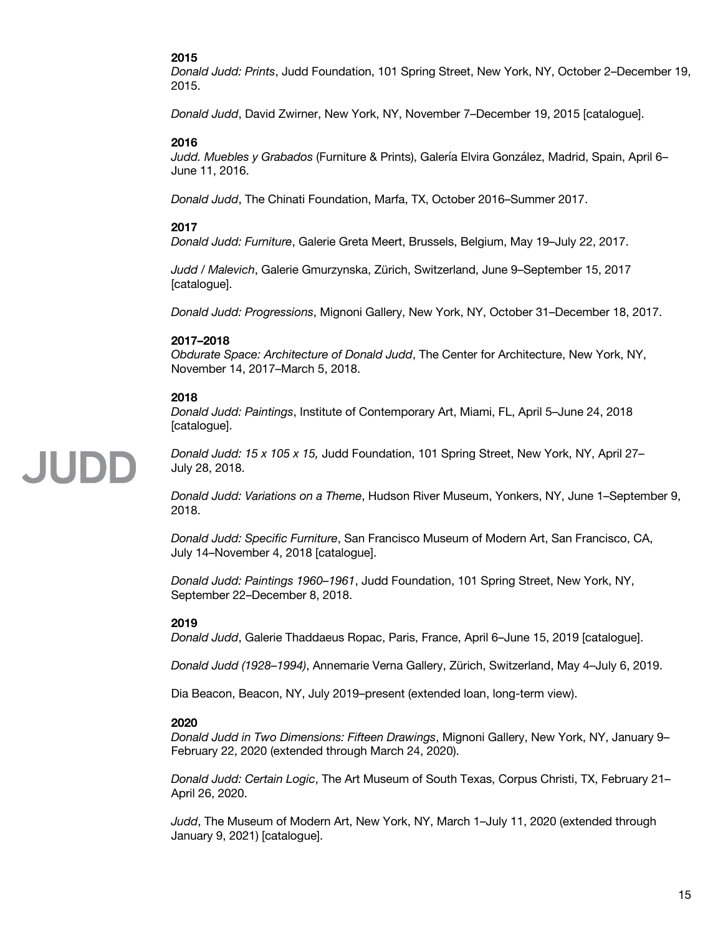#### **2015**

*Donald Judd: Prints*, Judd Foundation, 101 Spring Street, New York, NY, October 2–December 19, 2015.

*Donald Judd*, David Zwirner, New York, NY, November 7–December 19, 2015 [catalogue].

#### **2016**

*Judd. Muebles y Grabados* (Furniture & Prints), Galería Elvira González, Madrid, Spain, April 6– June 11, 2016.

*Donald Judd*, The Chinati Foundation, Marfa, TX, October 2016–Summer 2017.

#### **2017**

*Donald Judd: Furniture*, Galerie Greta Meert, Brussels, Belgium, May 19–July 22, 2017.

*Judd / Malevich*, Galerie Gmurzynska, Zürich, Switzerland, June 9–September 15, 2017 [catalogue].

*Donald Judd: Progressions*, Mignoni Gallery, New York, NY, October 31–December 18, 2017.

#### **2017–2018**

*Obdurate Space: Architecture of Donald Judd*, The Center for Architecture, New York, NY, November 14, 2017–March 5, 2018.

#### **2018**

*Donald Judd: Paintings*, Institute of Contemporary Art, Miami, FL, April 5–June 24, 2018 [catalogue].

## **JUDD**

*Donald Judd: 15 x 105 x 15,* Judd Foundation, 101 Spring Street, New York, NY, April 27– July 28, 2018.

*Donald Judd: Variations on a Theme*, Hudson River Museum, Yonkers, NY, June 1–September 9, 2018.

*Donald Judd: Specific Furniture*, San Francisco Museum of Modern Art, San Francisco, CA, July 14–November 4, 2018 [catalogue].

*Donald Judd: Paintings 1960–1961*, Judd Foundation, 101 Spring Street, New York, NY, September 22–December 8, 2018.

#### **2019**

*Donald Judd*, Galerie Thaddaeus Ropac, Paris, France, April 6–June 15, 2019 [catalogue].

*Donald Judd (1928–1994)*, Annemarie Verna Gallery, Zürich, Switzerland, May 4–July 6, 2019.

Dia Beacon, Beacon, NY, July 2019–present (extended loan, long-term view).

#### **2020**

*Donald Judd in Two Dimensions: Fifteen Drawings*, Mignoni Gallery, New York, NY, January 9– February 22, 2020 (extended through March 24, 2020).

*Donald Judd: Certain Logic*, The Art Museum of South Texas, Corpus Christi, TX, February 21– April 26, 2020.

*Judd*, The Museum of Modern Art, New York, NY, March 1–July 11, 2020 (extended through January 9, 2021) [catalogue].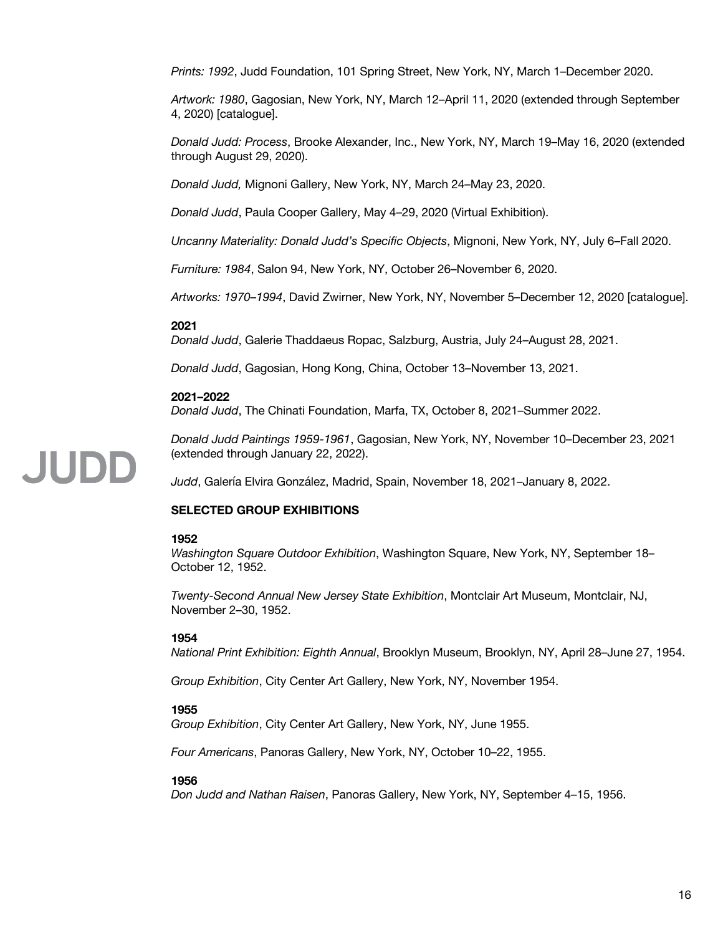*Prints: 1992*, Judd Foundation, 101 Spring Street, New York, NY, March 1–December 2020.

*Artwork: 1980*, Gagosian, New York, NY, March 12–April 11, 2020 (extended through September 4, 2020) [catalogue].

*Donald Judd: Process*, Brooke Alexander, Inc., New York, NY, March 19–May 16, 2020 (extended through August 29, 2020).

*Donald Judd,* Mignoni Gallery, New York, NY, March 24–May 23, 2020.

*Donald Judd*, Paula Cooper Gallery, May 4–29, 2020 (Virtual Exhibition).

*Uncanny Materiality: Donald Judd's Specific Objects*, Mignoni, New York, NY, July 6–Fall 2020.

*Furniture: 1984*, Salon 94, New York, NY, October 26–November 6, 2020.

*Artworks: 1970–1994*, David Zwirner, New York, NY, November 5–December 12, 2020 [catalogue].

#### **2021**

*Donald Judd*, Galerie Thaddaeus Ropac, Salzburg, Austria, July 24–August 28, 2021.

*Donald Judd*, Gagosian, Hong Kong, China, October 13–November 13, 2021.

#### **2021–2022**

*Donald Judd*, The Chinati Foundation, Marfa, TX, October 8, 2021–Summer 2022.

*Donald Judd Paintings 1959-1961*, Gagosian, New York, NY, November 10–December 23, 2021 (extended through January 22, 2022).

*Judd*, Galería Elvira González, Madrid, Spain, November 18, 2021–January 8, 2022.

#### **SELECTED GROUP EXHIBITIONS**

#### **1952**

JUDD

*Washington Square Outdoor Exhibition*, Washington Square, New York, NY, September 18– October 12, 1952.

*Twenty-Second Annual New Jersey State Exhibition*, Montclair Art Museum, Montclair, NJ, November 2–30, 1952.

#### **1954**

*National Print Exhibition: Eighth Annual*, Brooklyn Museum, Brooklyn, NY, April 28–June 27, 1954.

*Group Exhibition*, City Center Art Gallery, New York, NY, November 1954.

#### **1955**

*Group Exhibition*, City Center Art Gallery, New York, NY, June 1955.

*Four Americans*, Panoras Gallery, New York, NY, October 10–22, 1955.

#### **1956**

*Don Judd and Nathan Raisen*, Panoras Gallery, New York, NY, September 4–15, 1956.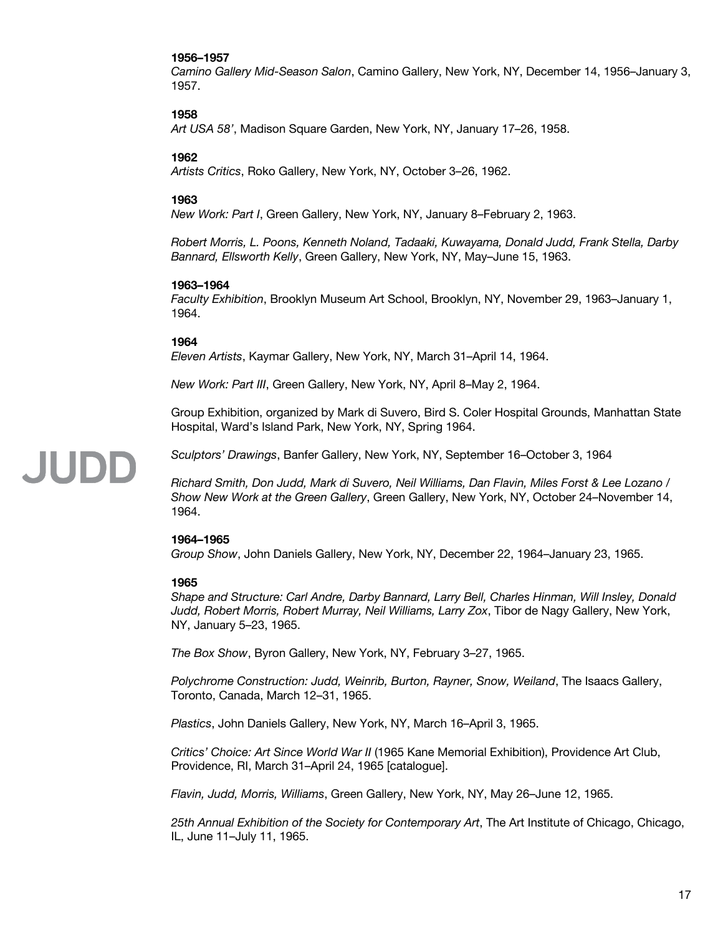#### **1956–1957**

*Camino Gallery Mid-Season Salon*, Camino Gallery, New York, NY, December 14, 1956–January 3, 1957.

#### **1958**

*Art USA 58'*, Madison Square Garden, New York, NY, January 17–26, 1958.

#### **1962**

*Artists Critics*, Roko Gallery, New York, NY, October 3–26, 1962.

#### **1963**

*New Work: Part I*, Green Gallery, New York, NY, January 8–February 2, 1963.

*Robert Morris, L. Poons, Kenneth Noland, Tadaaki, Kuwayama, Donald Judd, Frank Stella, Darby Bannard, Ellsworth Kelly*, Green Gallery, New York, NY, May–June 15, 1963.

#### **1963–1964**

*Faculty Exhibition*, Brooklyn Museum Art School, Brooklyn, NY, November 29, 1963–January 1, 1964.

#### **1964**

*Eleven Artists*, Kaymar Gallery, New York, NY, March 31–April 14, 1964.

*New Work: Part III*, Green Gallery, New York, NY, April 8–May 2, 1964.

Group Exhibition, organized by Mark di Suvero, Bird S. Coler Hospital Grounds, Manhattan State Hospital, Ward's Island Park, New York, NY, Spring 1964.

### **JUDE**

*Sculptors' Drawings*, Banfer Gallery, New York, NY, September 16–October 3, 1964

*Richard Smith, Don Judd, Mark di Suvero, Neil Williams, Dan Flavin, Miles Forst & Lee Lozano / Show New Work at the Green Gallery*, Green Gallery, New York, NY, October 24–November 14, 1964.

#### **1964–1965**

*Group Show*, John Daniels Gallery, New York, NY, December 22, 1964–January 23, 1965.

#### **1965**

*Shape and Structure: Carl Andre, Darby Bannard, Larry Bell, Charles Hinman, Will Insley, Donald Judd, Robert Morris, Robert Murray, Neil Williams, Larry Zox*, Tibor de Nagy Gallery, New York, NY, January 5–23, 1965.

*The Box Show*, Byron Gallery, New York, NY, February 3–27, 1965.

*Polychrome Construction: Judd, Weinrib, Burton, Rayner, Snow, Weiland*, The Isaacs Gallery, Toronto, Canada, March 12–31, 1965.

*Plastics*, John Daniels Gallery, New York, NY, March 16–April 3, 1965.

*Critics' Choice: Art Since World War II* (1965 Kane Memorial Exhibition), Providence Art Club, Providence, RI, March 31–April 24, 1965 [catalogue].

*Flavin, Judd, Morris, Williams*, Green Gallery, New York, NY, May 26–June 12, 1965.

*25th Annual Exhibition of the Society for Contemporary Art*, The Art Institute of Chicago, Chicago, IL, June 11–July 11, 1965.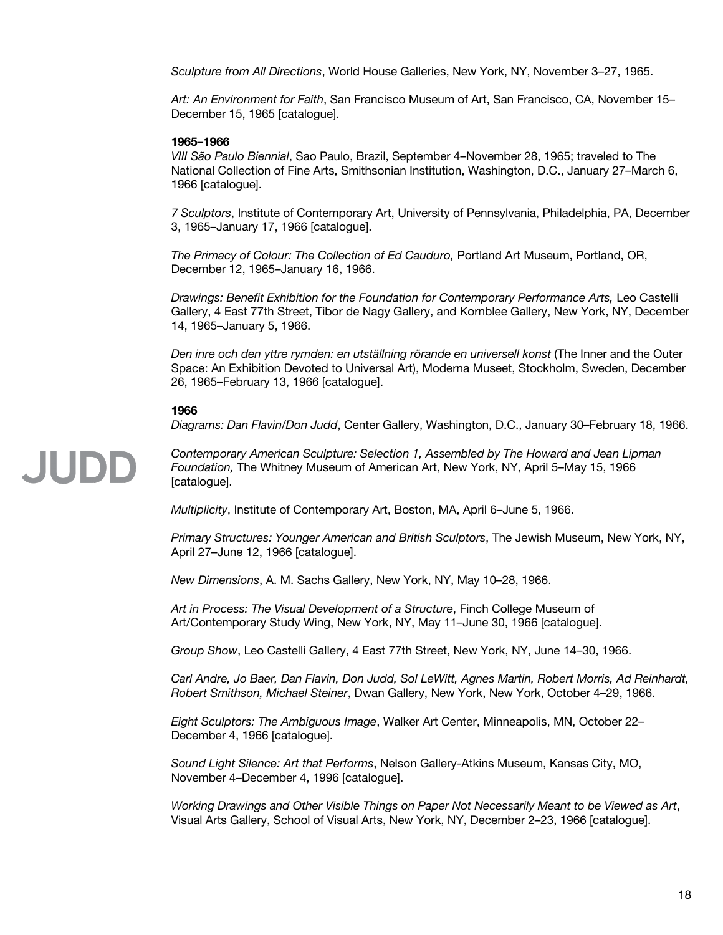*Sculpture from All Directions*, World House Galleries, New York, NY, November 3–27, 1965.

*Art: An Environment for Faith*, San Francisco Museum of Art, San Francisco, CA, November 15– December 15, 1965 [catalogue].

#### **1965–1966**

*VIII São Paulo Biennial*, Sao Paulo, Brazil, September 4–November 28, 1965; traveled to The National Collection of Fine Arts, Smithsonian Institution, Washington, D.C., January 27–March 6, 1966 [catalogue].

*7 Sculptors*, Institute of Contemporary Art, University of Pennsylvania, Philadelphia, PA, December 3, 1965–January 17, 1966 [catalogue].

*The Primacy of Colour: The Collection of Ed Cauduro,* Portland Art Museum, Portland, OR, December 12, 1965–January 16, 1966.

*Drawings: Benefit Exhibition for the Foundation for Contemporary Performance Arts,* Leo Castelli Gallery, 4 East 77th Street, Tibor de Nagy Gallery, and Kornblee Gallery, New York, NY, December 14, 1965–January 5, 1966.

*Den inre och den yttre rymden: en utställning rörande en universell konst* (The Inner and the Outer Space: An Exhibition Devoted to Universal Art), Moderna Museet, Stockholm, Sweden, December 26, 1965–February 13, 1966 [catalogue].

#### **1966**

*Diagrams: Dan Flavin/Don Judd*, Center Gallery, Washington, D.C., January 30–February 18, 1966.

*Contemporary American Sculpture: Selection 1, Assembled by The Howard and Jean Lipman*  **JUDD** *Foundation,* The Whitney Museum of American Art, New York, NY, April 5–May 15, 1966 [catalogue].

*Multiplicity*, Institute of Contemporary Art, Boston, MA, April 6–June 5, 1966.

*Primary Structures: Younger American and British Sculptors*, The Jewish Museum, New York, NY, April 27–June 12, 1966 [catalogue].

*New Dimensions*, A. M. Sachs Gallery, New York, NY, May 10–28, 1966.

*Art in Process: The Visual Development of a Structure*, Finch College Museum of Art/Contemporary Study Wing, New York, NY, May 11–June 30, 1966 [catalogue].

*Group Show*, Leo Castelli Gallery, 4 East 77th Street, New York, NY, June 14–30, 1966.

*Carl Andre, Jo Baer, Dan Flavin, Don Judd, Sol LeWitt, Agnes Martin, Robert Morris, Ad Reinhardt, Robert Smithson, Michael Steiner*, Dwan Gallery, New York, New York, October 4–29, 1966.

*Eight Sculptors: The Ambiguous Image*, Walker Art Center, Minneapolis, MN, October 22– December 4, 1966 [catalogue].

*Sound Light Silence: Art that Performs*, Nelson Gallery-Atkins Museum, Kansas City, MO, November 4–December 4, 1996 [catalogue].

*Working Drawings and Other Visible Things on Paper Not Necessarily Meant to be Viewed as Art*, Visual Arts Gallery, School of Visual Arts, New York, NY, December 2–23, 1966 [catalogue].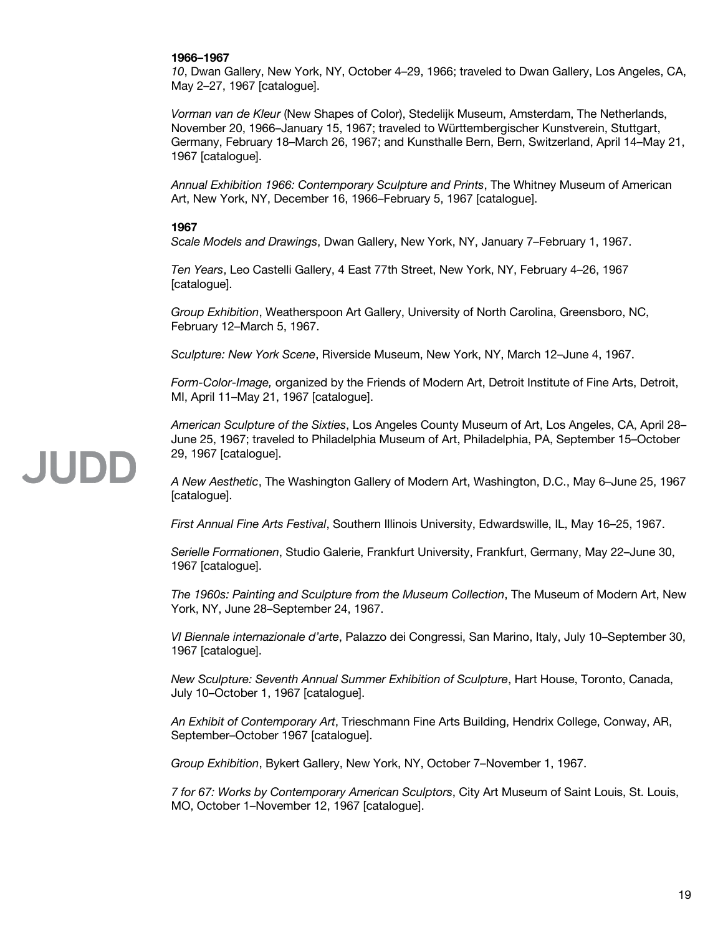#### **1966–1967**

*10*, Dwan Gallery, New York, NY, October 4–29, 1966; traveled to Dwan Gallery, Los Angeles, CA, May 2–27, 1967 [catalogue].

*Vorman van de Kleur* (New Shapes of Color), Stedelijk Museum, Amsterdam, The Netherlands, November 20, 1966–January 15, 1967; traveled to Württembergischer Kunstverein, Stuttgart, Germany, February 18–March 26, 1967; and Kunsthalle Bern, Bern, Switzerland, April 14–May 21, 1967 [catalogue].

*Annual Exhibition 1966: Contemporary Sculpture and Prints*, The Whitney Museum of American Art, New York, NY, December 16, 1966–February 5, 1967 [catalogue].

#### **1967**

*Scale Models and Drawings*, Dwan Gallery, New York, NY, January 7–February 1, 1967.

*Ten Years*, Leo Castelli Gallery, 4 East 77th Street, New York, NY, February 4–26, 1967 [catalogue].

*Group Exhibition*, Weatherspoon Art Gallery, University of North Carolina, Greensboro, NC, February 12–March 5, 1967.

*Sculpture: New York Scene*, Riverside Museum, New York, NY, March 12–June 4, 1967.

*Form-Color-Image,* organized by the Friends of Modern Art, Detroit Institute of Fine Arts, Detroit, MI, April 11–May 21, 1967 [catalogue].

*American Sculpture of the Sixties*, Los Angeles County Museum of Art, Los Angeles, CA, April 28– June 25, 1967; traveled to Philadelphia Museum of Art, Philadelphia, PA, September 15–October 29, 1967 [catalogue].

*A New Aesthetic*, The Washington Gallery of Modern Art, Washington, D.C., May 6–June 25, 1967 [catalogue].

*First Annual Fine Arts Festival*, Southern Illinois University, Edwardswille, IL, May 16–25, 1967.

*Serielle Formationen*, Studio Galerie, Frankfurt University, Frankfurt, Germany, May 22–June 30, 1967 [catalogue].

*The 1960s: Painting and Sculpture from the Museum Collection*, The Museum of Modern Art, New York, NY, June 28–September 24, 1967.

*VI Biennale internazionale d'arte*, Palazzo dei Congressi, San Marino, Italy, July 10–September 30, 1967 [catalogue].

*New Sculpture: Seventh Annual Summer Exhibition of Sculpture*, Hart House, Toronto, Canada, July 10–October 1, 1967 [catalogue].

*An Exhibit of Contemporary Art*, Trieschmann Fine Arts Building, Hendrix College, Conway, AR, September–October 1967 [catalogue].

*Group Exhibition*, Bykert Gallery, New York, NY, October 7–November 1, 1967.

*7 for 67: Works by Contemporary American Sculptors*, City Art Museum of Saint Louis, St. Louis, MO, October 1–November 12, 1967 [catalogue].

### **JUDE**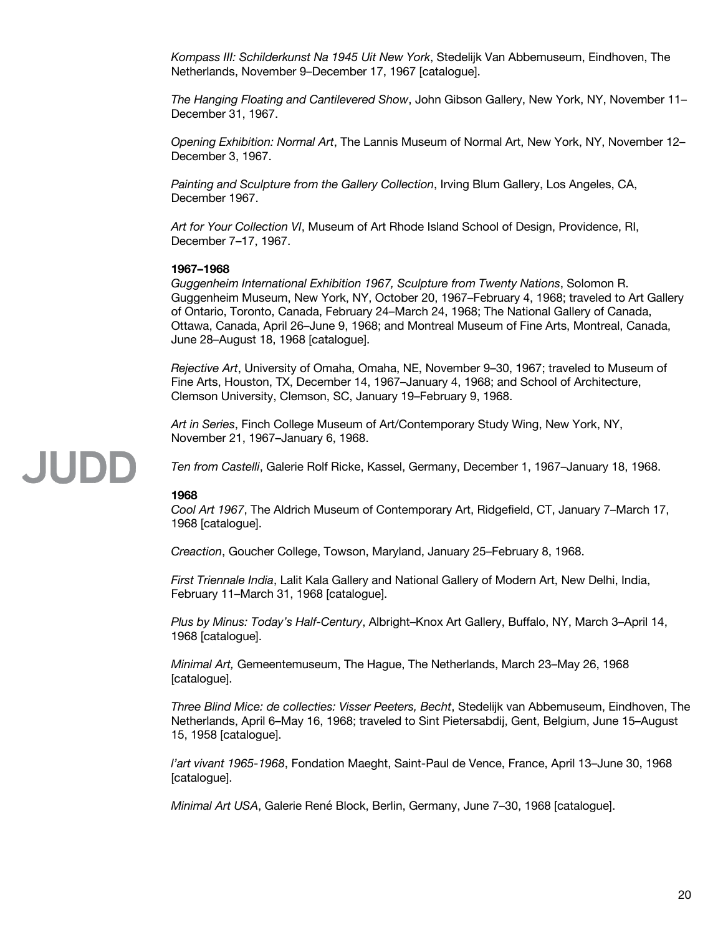*Kompass III: Schilderkunst Na 1945 Uit New York*, Stedelijk Van Abbemuseum, Eindhoven, The Netherlands, November 9–December 17, 1967 [catalogue].

*The Hanging Floating and Cantilevered Show*, John Gibson Gallery, New York, NY, November 11– December 31, 1967.

*Opening Exhibition: Normal Art*, The Lannis Museum of Normal Art, New York, NY, November 12– December 3, 1967.

*Painting and Sculpture from the Gallery Collection*, Irving Blum Gallery, Los Angeles, CA, December 1967.

*Art for Your Collection VI*, Museum of Art Rhode Island School of Design, Providence, RI, December 7–17, 1967.

#### **1967–1968**

*Guggenheim International Exhibition 1967, Sculpture from Twenty Nations*, Solomon R. Guggenheim Museum, New York, NY, October 20, 1967–February 4, 1968; traveled to Art Gallery of Ontario, Toronto, Canada, February 24–March 24, 1968; The National Gallery of Canada, Ottawa, Canada, April 26–June 9, 1968; and Montreal Museum of Fine Arts, Montreal, Canada, June 28–August 18, 1968 [catalogue].

*Rejective Art*, University of Omaha, Omaha, NE, November 9–30, 1967; traveled to Museum of Fine Arts, Houston, TX, December 14, 1967–January 4, 1968; and School of Architecture, Clemson University, Clemson, SC, January 19–February 9, 1968.

*Art in Series*, Finch College Museum of Art/Contemporary Study Wing, New York, NY, November 21, 1967–January 6, 1968.

### JUDD

*Ten from Castelli*, Galerie Rolf Ricke, Kassel, Germany, December 1, 1967–January 18, 1968.

#### **1968**

*Cool Art 1967*, The Aldrich Museum of Contemporary Art, Ridgefield, CT, January 7–March 17, 1968 [catalogue].

*Creaction*, Goucher College, Towson, Maryland, January 25–February 8, 1968.

*First Triennale India*, Lalit Kala Gallery and National Gallery of Modern Art, New Delhi, India, February 11–March 31, 1968 [catalogue].

*Plus by Minus: Today's Half-Century*, Albright–Knox Art Gallery, Buffalo, NY, March 3–April 14, 1968 [catalogue].

*Minimal Art,* Gemeentemuseum, The Hague, The Netherlands, March 23–May 26, 1968 [catalogue].

*Three Blind Mice: de collecties: Visser Peeters, Becht*, Stedelijk van Abbemuseum, Eindhoven, The Netherlands, April 6–May 16, 1968; traveled to Sint Pietersabdij, Gent, Belgium, June 15–August 15, 1958 [catalogue].

*l'art vivant 1965-1968*, Fondation Maeght, Saint-Paul de Vence, France, April 13–June 30, 1968 [catalogue].

*Minimal Art USA*, Galerie René Block, Berlin, Germany, June 7–30, 1968 [catalogue].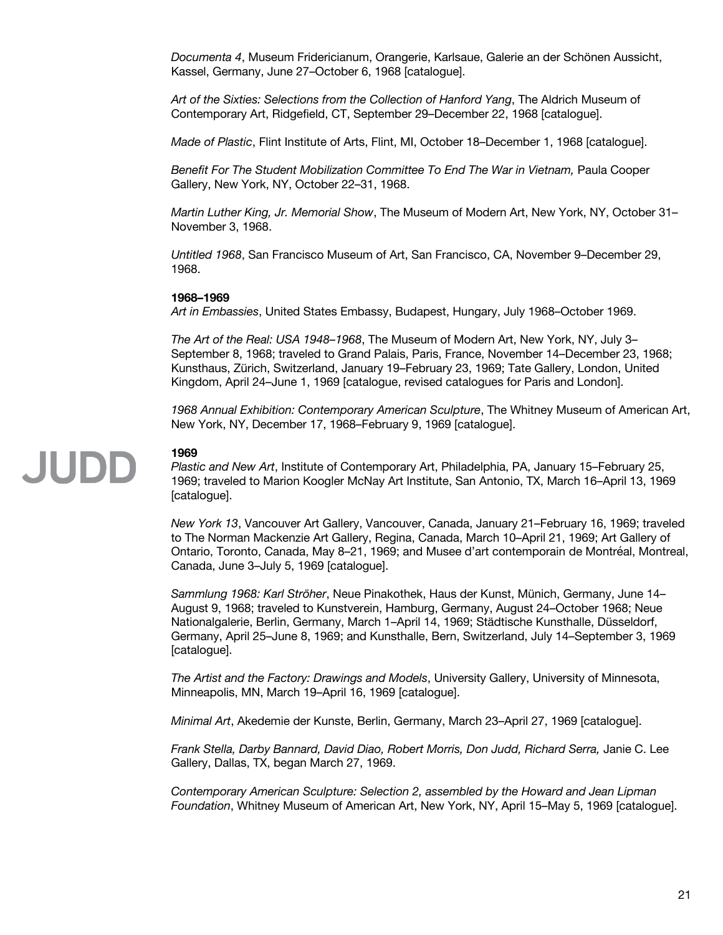*Documenta 4*, Museum Fridericianum, Orangerie, Karlsaue, Galerie an der Schönen Aussicht, Kassel, Germany, June 27–October 6, 1968 [catalogue].

*Art of the Sixties: Selections from the Collection of Hanford Yang*, The Aldrich Museum of Contemporary Art, Ridgefield, CT, September 29–December 22, 1968 [catalogue].

*Made of Plastic*, Flint Institute of Arts, Flint, MI, October 18–December 1, 1968 [catalogue].

*Benefit For The Student Mobilization Committee To End The War in Vietnam, Paula Cooper* Gallery, New York, NY, October 22–31, 1968.

*Martin Luther King, Jr. Memorial Show*, The Museum of Modern Art, New York, NY, October 31– November 3, 1968.

*Untitled 1968*, San Francisco Museum of Art, San Francisco, CA, November 9–December 29, 1968.

#### **1968–1969**

*Art in Embassies*, United States Embassy, Budapest, Hungary, July 1968–October 1969.

*The Art of the Real: USA 1948–1968*, The Museum of Modern Art, New York, NY, July 3– September 8, 1968; traveled to Grand Palais, Paris, France, November 14–December 23, 1968; Kunsthaus, Zürich, Switzerland, January 19–February 23, 1969; Tate Gallery, London, United Kingdom, April 24–June 1, 1969 [catalogue, revised catalogues for Paris and London].

*1968 Annual Exhibition: Contemporary American Sculpture*, The Whitney Museum of American Art, New York, NY, December 17, 1968–February 9, 1969 [catalogue].

## JUDD

#### **1969**

*Plastic and New Art*, Institute of Contemporary Art, Philadelphia, PA, January 15–February 25, 1969; traveled to Marion Koogler McNay Art Institute, San Antonio, TX, March 16–April 13, 1969 [catalogue].

*New York 13*, Vancouver Art Gallery, Vancouver, Canada, January 21–February 16, 1969; traveled to The Norman Mackenzie Art Gallery, Regina, Canada, March 10–April 21, 1969; Art Gallery of Ontario, Toronto, Canada, May 8–21, 1969; and Musee d'art contemporain de Montréal, Montreal, Canada, June 3–July 5, 1969 [catalogue].

*Sammlung 1968: Karl Ströher*, Neue Pinakothek, Haus der Kunst, Münich, Germany, June 14– August 9, 1968; traveled to Kunstverein, Hamburg, Germany, August 24–October 1968; Neue Nationalgalerie, Berlin, Germany, March 1–April 14, 1969; Städtische Kunsthalle, Düsseldorf, Germany, April 25–June 8, 1969; and Kunsthalle, Bern, Switzerland, July 14–September 3, 1969 [catalogue].

*The Artist and the Factory: Drawings and Models*, University Gallery, University of Minnesota, Minneapolis, MN, March 19–April 16, 1969 [catalogue].

*Minimal Art*, Akedemie der Kunste, Berlin, Germany, March 23–April 27, 1969 [catalogue].

*Frank Stella, Darby Bannard, David Diao, Robert Morris, Don Judd, Richard Serra,* Janie C. Lee Gallery, Dallas, TX, began March 27, 1969.

*Contemporary American Sculpture: Selection 2, assembled by the Howard and Jean Lipman Foundation*, Whitney Museum of American Art, New York, NY, April 15–May 5, 1969 [catalogue].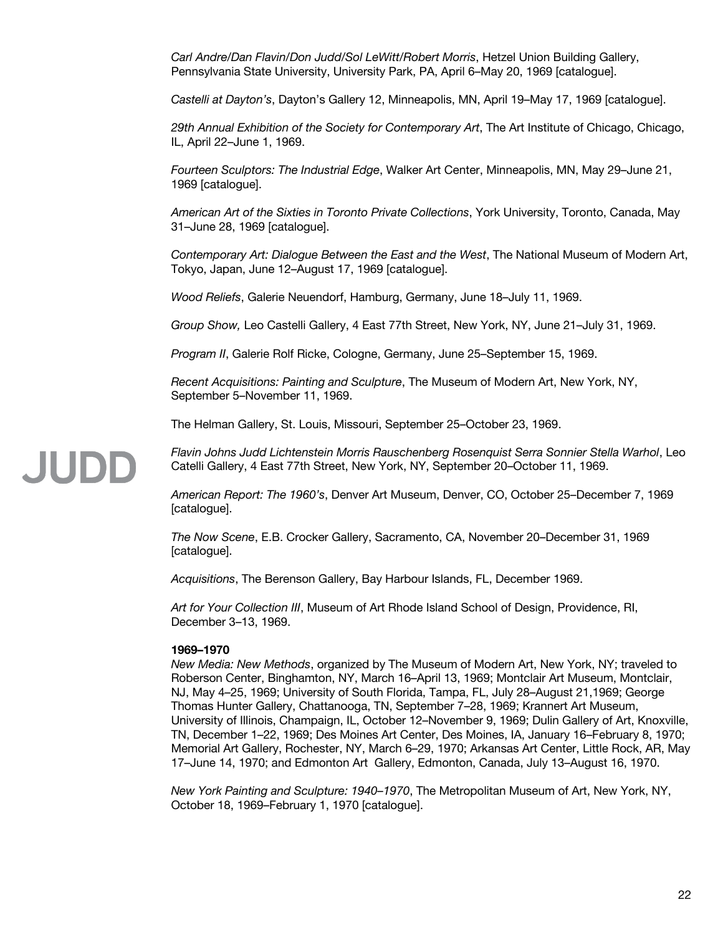*Carl Andre/Dan Flavin/Don Judd/Sol LeWitt/Robert Morris*, Hetzel Union Building Gallery, Pennsylvania State University, University Park, PA, April 6–May 20, 1969 [catalogue].

*Castelli at Dayton's*, Dayton's Gallery 12, Minneapolis, MN, April 19–May 17, 1969 [catalogue].

*29th Annual Exhibition of the Society for Contemporary Art*, The Art Institute of Chicago, Chicago, IL, April 22–June 1, 1969.

*Fourteen Sculptors: The Industrial Edge*, Walker Art Center, Minneapolis, MN, May 29–June 21, 1969 [catalogue].

*American Art of the Sixties in Toronto Private Collections*, York University, Toronto, Canada, May 31–June 28, 1969 [catalogue].

*Contemporary Art: Dialogue Between the East and the West*, The National Museum of Modern Art, Tokyo, Japan, June 12–August 17, 1969 [catalogue].

*Wood Reliefs*, Galerie Neuendorf, Hamburg, Germany, June 18–July 11, 1969.

*Group Show,* Leo Castelli Gallery, 4 East 77th Street, New York, NY, June 21–July 31, 1969.

*Program II*, Galerie Rolf Ricke, Cologne, Germany, June 25–September 15, 1969.

*Recent Acquisitions: Painting and Sculpture*, The Museum of Modern Art, New York, NY, September 5–November 11, 1969.

The Helman Gallery, St. Louis, Missouri, September 25–October 23, 1969.

*Flavin Johns Judd Lichtenstein Morris Rauschenberg Rosenquist Serra Sonnier Stella Warhol*, Leo Catelli Gallery, 4 East 77th Street, New York, NY, September 20–October 11, 1969.

*American Report: The 1960's*, Denver Art Museum, Denver, CO, October 25–December 7, 1969 [catalogue].

*The Now Scene*, E.B. Crocker Gallery, Sacramento, CA, November 20–December 31, 1969 [catalogue].

*Acquisitions*, The Berenson Gallery, Bay Harbour Islands, FL, December 1969.

*Art for Your Collection III*, Museum of Art Rhode Island School of Design, Providence, RI, December 3–13, 1969.

#### **1969–1970**

JUDD

*New Media: New Methods*, organized by The Museum of Modern Art, New York, NY; traveled to Roberson Center, Binghamton, NY, March 16–April 13, 1969; Montclair Art Museum, Montclair, NJ, May 4–25, 1969; University of South Florida, Tampa, FL, July 28–August 21,1969; George Thomas Hunter Gallery, Chattanooga, TN, September 7–28, 1969; Krannert Art Museum, University of Illinois, Champaign, IL, October 12–November 9, 1969; Dulin Gallery of Art, Knoxville, TN, December 1–22, 1969; Des Moines Art Center, Des Moines, IA, January 16–February 8, 1970; Memorial Art Gallery, Rochester, NY, March 6–29, 1970; Arkansas Art Center, Little Rock, AR, May 17–June 14, 1970; and Edmonton Art Gallery, Edmonton, Canada, July 13–August 16, 1970.

*New York Painting and Sculpture: 1940–1970*, The Metropolitan Museum of Art, New York, NY, October 18, 1969–February 1, 1970 [catalogue].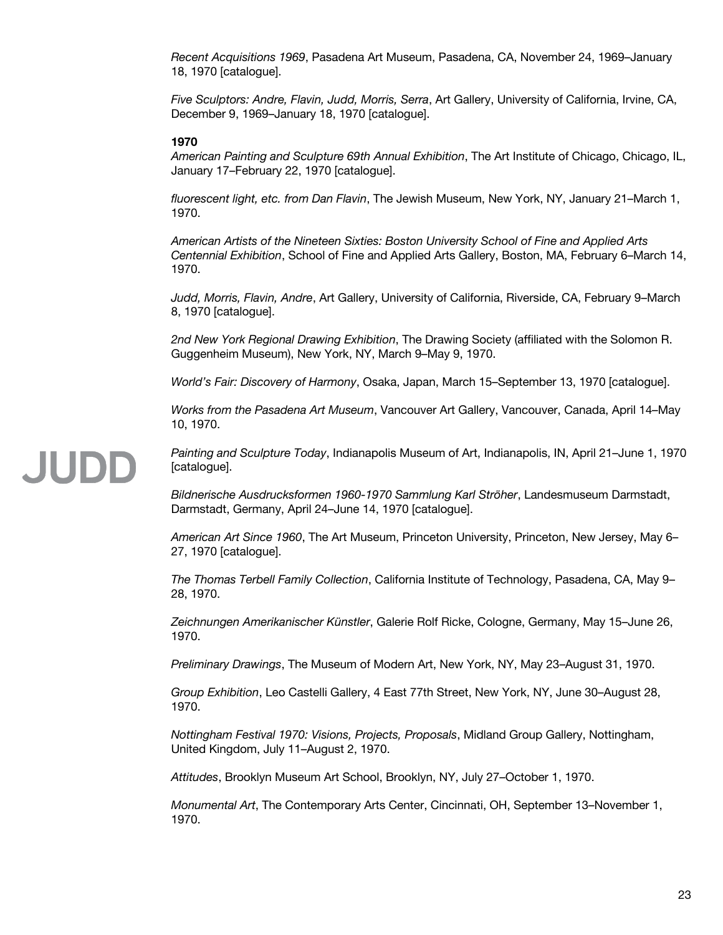*Recent Acquisitions 1969*, Pasadena Art Museum, Pasadena, CA, November 24, 1969–January 18, 1970 [catalogue].

*Five Sculptors: Andre, Flavin, Judd, Morris, Serra*, Art Gallery, University of California, Irvine, CA, December 9, 1969–January 18, 1970 [catalogue].

#### **1970**

*American Painting and Sculpture 69th Annual Exhibition*, The Art Institute of Chicago, Chicago, IL, January 17–February 22, 1970 [catalogue].

*fluorescent light, etc. from Dan Flavin*, The Jewish Museum, New York, NY, January 21–March 1, 1970.

*American Artists of the Nineteen Sixties: Boston University School of Fine and Applied Arts Centennial Exhibition*, School of Fine and Applied Arts Gallery, Boston, MA, February 6–March 14, 1970.

*Judd, Morris, Flavin, Andre*, Art Gallery, University of California, Riverside, CA, February 9–March 8, 1970 [catalogue].

*2nd New York Regional Drawing Exhibition*, The Drawing Society (affiliated with the Solomon R. Guggenheim Museum), New York, NY, March 9–May 9, 1970.

*World's Fair: Discovery of Harmony*, Osaka, Japan, March 15–September 13, 1970 [catalogue].

*Works from the Pasadena Art Museum*, Vancouver Art Gallery, Vancouver, Canada, April 14–May 10, 1970.

## **JUDE**

*Painting and Sculpture Today*, Indianapolis Museum of Art, Indianapolis, IN, April 21–June 1, 1970 [catalogue].

*Bildnerische Ausdrucksformen 1960-1970 Sammlung Karl Ströher*, Landesmuseum Darmstadt, Darmstadt, Germany, April 24–June 14, 1970 [catalogue].

*American Art Since 1960*, The Art Museum, Princeton University, Princeton, New Jersey, May 6– 27, 1970 [catalogue].

*The Thomas Terbell Family Collection*, California Institute of Technology, Pasadena, CA, May 9– 28, 1970.

*Zeichnungen Amerikanischer Künstler*, Galerie Rolf Ricke, Cologne, Germany, May 15–June 26, 1970.

*Preliminary Drawings*, The Museum of Modern Art, New York, NY, May 23–August 31, 1970.

*Group Exhibition*, Leo Castelli Gallery, 4 East 77th Street, New York, NY, June 30–August 28, 1970.

*Nottingham Festival 1970: Visions, Projects, Proposals*, Midland Group Gallery, Nottingham, United Kingdom, July 11–August 2, 1970.

*Attitudes*, Brooklyn Museum Art School, Brooklyn, NY, July 27–October 1, 1970.

*Monumental Art*, The Contemporary Arts Center, Cincinnati, OH, September 13–November 1, 1970.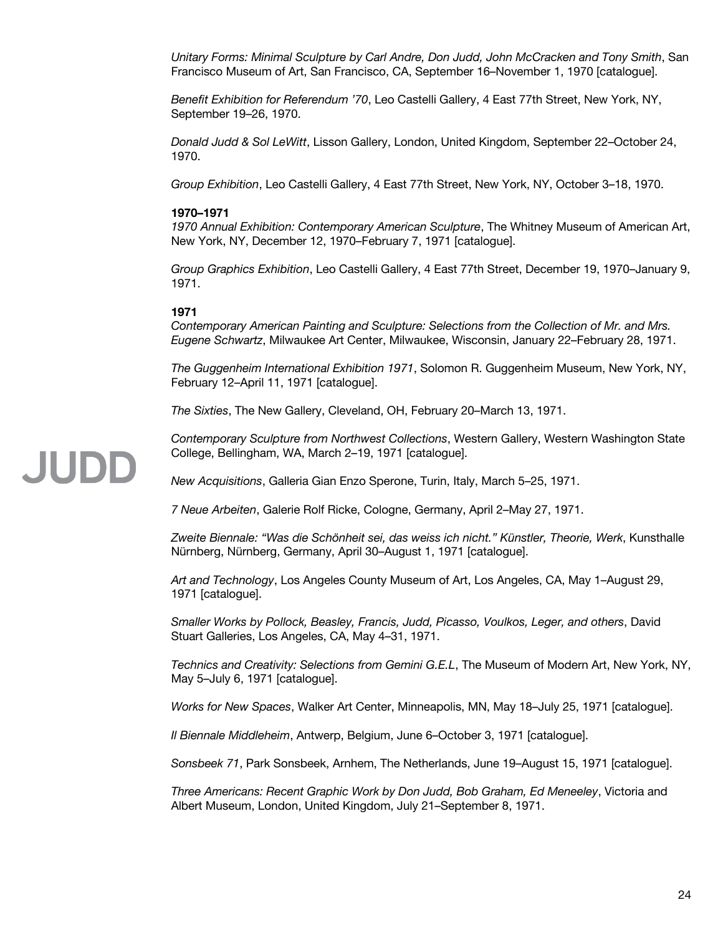*Unitary Forms: Minimal Sculpture by Carl Andre, Don Judd, John McCracken and Tony Smith*, San Francisco Museum of Art, San Francisco, CA, September 16–November 1, 1970 [catalogue].

*Benefit Exhibition for Referendum '70*, Leo Castelli Gallery, 4 East 77th Street, New York, NY, September 19–26, 1970.

*Donald Judd & Sol LeWitt*, Lisson Gallery, London, United Kingdom, September 22–October 24, 1970.

*Group Exhibition*, Leo Castelli Gallery, 4 East 77th Street, New York, NY, October 3–18, 1970.

#### **1970–1971**

*1970 Annual Exhibition: Contemporary American Sculpture*, The Whitney Museum of American Art, New York, NY, December 12, 1970–February 7, 1971 [catalogue].

*Group Graphics Exhibition*, Leo Castelli Gallery, 4 East 77th Street, December 19, 1970–January 9, 1971.

#### **1971**

*Contemporary American Painting and Sculpture: Selections from the Collection of Mr. and Mrs. Eugene Schwartz*, Milwaukee Art Center, Milwaukee, Wisconsin, January 22–February 28, 1971.

*The Guggenheim International Exhibition 1971*, Solomon R. Guggenheim Museum, New York, NY, February 12–April 11, 1971 [catalogue].

*The Sixties*, The New Gallery, Cleveland, OH, February 20–March 13, 1971.

*Contemporary Sculpture from Northwest Collections*, Western Gallery, Western Washington State College, Bellingham, WA, March 2–19, 1971 [catalogue].

*New Acquisitions*, Galleria Gian Enzo Sperone, Turin, Italy, March 5–25, 1971.

*7 Neue Arbeiten*, Galerie Rolf Ricke, Cologne, Germany, April 2–May 27, 1971.

*Zweite Biennale: "Was die Schönheit sei, das weiss ich nicht." Künstler, Theorie, Werk*, Kunsthalle Nürnberg, Nürnberg, Germany, April 30–August 1, 1971 [catalogue].

*Art and Technology*, Los Angeles County Museum of Art, Los Angeles, CA, May 1–August 29, 1971 [catalogue].

*Smaller Works by Pollock, Beasley, Francis, Judd, Picasso, Voulkos, Leger, and others*, David Stuart Galleries, Los Angeles, CA, May 4–31, 1971.

*Technics and Creativity: Selections from Gemini G.E.L*, The Museum of Modern Art, New York, NY, May 5–July 6, 1971 [catalogue].

*Works for New Spaces*, Walker Art Center, Minneapolis, MN, May 18–July 25, 1971 [catalogue].

*Il Biennale Middleheim*, Antwerp, Belgium, June 6–October 3, 1971 [catalogue].

*Sonsbeek 71*, Park Sonsbeek, Arnhem, The Netherlands, June 19–August 15, 1971 [catalogue].

*Three Americans: Recent Graphic Work by Don Judd, Bob Graham, Ed Meneeley*, Victoria and Albert Museum, London, United Kingdom, July 21–September 8, 1971.

### **JUDD**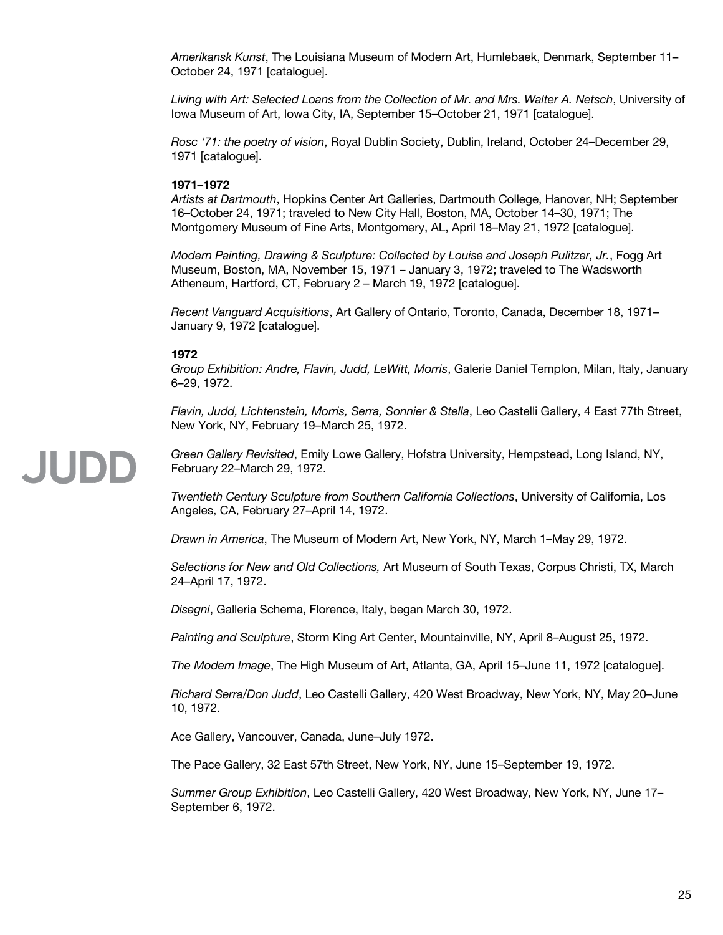*Amerikansk Kunst*, The Louisiana Museum of Modern Art, Humlebaek, Denmark, September 11– October 24, 1971 [catalogue].

*Living with Art: Selected Loans from the Collection of Mr. and Mrs. Walter A. Netsch*, University of Iowa Museum of Art, Iowa City, IA, September 15–October 21, 1971 [catalogue].

*Rosc '71: the poetry of vision*, Royal Dublin Society, Dublin, Ireland, October 24–December 29, 1971 [catalogue].

#### **1971–1972**

*Artists at Dartmouth*, Hopkins Center Art Galleries, Dartmouth College, Hanover, NH; September 16–October 24, 1971; traveled to New City Hall, Boston, MA, October 14–30, 1971; The Montgomery Museum of Fine Arts, Montgomery, AL, April 18–May 21, 1972 [catalogue].

*Modern Painting, Drawing & Sculpture: Collected by Louise and Joseph Pulitzer, Jr.*, Fogg Art Museum, Boston, MA, November 15, 1971 – January 3, 1972; traveled to The Wadsworth Atheneum, Hartford, CT, February 2 – March 19, 1972 [catalogue].

*Recent Vanguard Acquisitions*, Art Gallery of Ontario, Toronto, Canada, December 18, 1971– January 9, 1972 [catalogue].

#### **1972**

JUDD

*Group Exhibition: Andre, Flavin, Judd, LeWitt, Morris*, Galerie Daniel Templon, Milan, Italy, January 6–29, 1972.

*Flavin, Judd, Lichtenstein, Morris, Serra, Sonnier & Stella*, Leo Castelli Gallery, 4 East 77th Street, New York, NY, February 19–March 25, 1972.

*Green Gallery Revisited*, Emily Lowe Gallery, Hofstra University, Hempstead, Long Island, NY, February 22–March 29, 1972.

*Twentieth Century Sculpture from Southern California Collections*, University of California, Los Angeles, CA, February 27–April 14, 1972.

*Drawn in America*, The Museum of Modern Art, New York, NY, March 1–May 29, 1972.

*Selections for New and Old Collections,* Art Museum of South Texas, Corpus Christi, TX, March 24–April 17, 1972.

*Disegni*, Galleria Schema, Florence, Italy, began March 30, 1972.

*Painting and Sculpture*, Storm King Art Center, Mountainville, NY, April 8–August 25, 1972.

*The Modern Image*, The High Museum of Art, Atlanta, GA, April 15–June 11, 1972 [catalogue].

*Richard Serra/Don Judd*, Leo Castelli Gallery, 420 West Broadway, New York, NY, May 20–June 10, 1972.

Ace Gallery, Vancouver, Canada, June–July 1972.

The Pace Gallery, 32 East 57th Street, New York, NY, June 15–September 19, 1972.

*Summer Group Exhibition*, Leo Castelli Gallery, 420 West Broadway, New York, NY, June 17– September 6, 1972.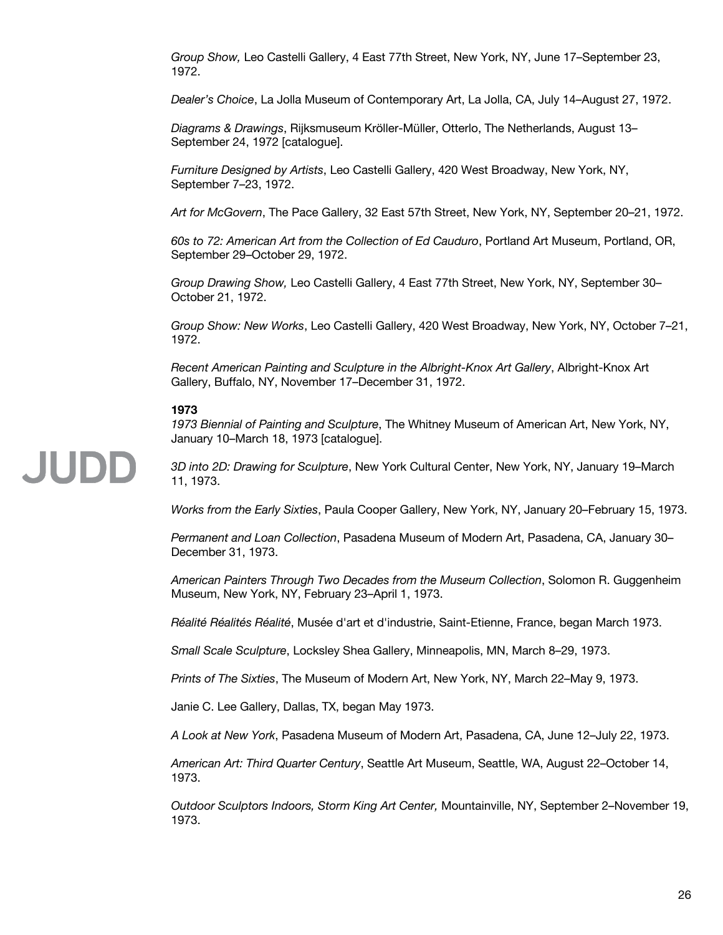*Group Show,* Leo Castelli Gallery, 4 East 77th Street, New York, NY, June 17–September 23, 1972.

*Dealer's Choice*, La Jolla Museum of Contemporary Art, La Jolla, CA, July 14–August 27, 1972.

*Diagrams & Drawings*, Rijksmuseum Kröller-Müller, Otterlo, The Netherlands, August 13– September 24, 1972 [catalogue].

*Furniture Designed by Artists*, Leo Castelli Gallery, 420 West Broadway, New York, NY, September 7–23, 1972.

*Art for McGovern*, The Pace Gallery, 32 East 57th Street, New York, NY, September 20–21, 1972.

*60s to 72: American Art from the Collection of Ed Cauduro*, Portland Art Museum, Portland, OR, September 29–October 29, 1972.

*Group Drawing Show,* Leo Castelli Gallery, 4 East 77th Street, New York, NY, September 30– October 21, 1972.

*Group Show: New Works*, Leo Castelli Gallery, 420 West Broadway, New York, NY, October 7–21, 1972.

*Recent American Painting and Sculpture in the Albright-Knox Art Gallery*, Albright-Knox Art Gallery, Buffalo, NY, November 17–December 31, 1972.

#### **1973**

JUDD

*1973 Biennial of Painting and Sculpture*, The Whitney Museum of American Art, New York, NY, January 10–March 18, 1973 [catalogue].

*3D into 2D: Drawing for Sculpture*, New York Cultural Center, New York, NY, January 19–March 11, 1973.

*Works from the Early Sixties*, Paula Cooper Gallery, New York, NY, January 20–February 15, 1973.

*Permanent and Loan Collection*, Pasadena Museum of Modern Art, Pasadena, CA, January 30– December 31, 1973.

*American Painters Through Two Decades from the Museum Collection*, Solomon R. Guggenheim Museum, New York, NY, February 23–April 1, 1973.

*Réalité Réalités Réalité*, Musée d'art et d'industrie, Saint-Etienne, France, began March 1973.

*Small Scale Sculpture*, Locksley Shea Gallery, Minneapolis, MN, March 8–29, 1973.

*Prints of The Sixties*, The Museum of Modern Art, New York, NY, March 22–May 9, 1973.

Janie C. Lee Gallery, Dallas, TX, began May 1973.

*A Look at New York*, Pasadena Museum of Modern Art, Pasadena, CA, June 12–July 22, 1973.

*American Art: Third Quarter Century*, Seattle Art Museum, Seattle, WA, August 22–October 14, 1973.

*Outdoor Sculptors Indoors, Storm King Art Center,* Mountainville, NY, September 2–November 19, 1973.

#### 26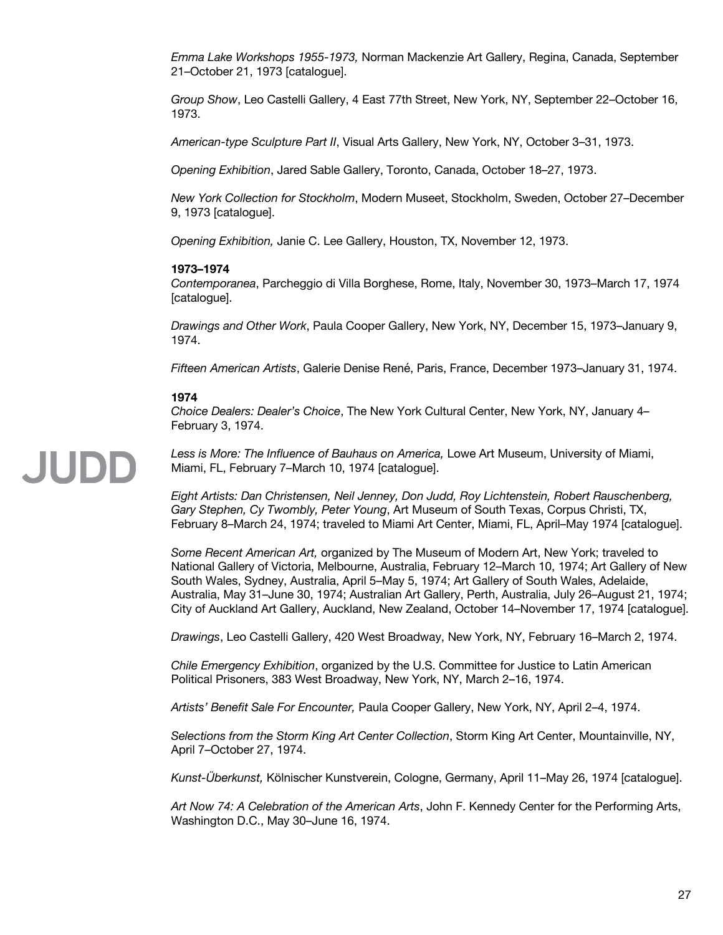*Emma Lake Workshops 1955-1973,* Norman Mackenzie Art Gallery, Regina, Canada, September 21–October 21, 1973 [catalogue].

*Group Show*, Leo Castelli Gallery, 4 East 77th Street, New York, NY, September 22–October 16, 1973.

*American-type Sculpture Part II*, Visual Arts Gallery, New York, NY, October 3–31, 1973.

*Opening Exhibition*, Jared Sable Gallery, Toronto, Canada, October 18–27, 1973.

*New York Collection for Stockholm*, Modern Museet, Stockholm, Sweden, October 27–December 9, 1973 [catalogue].

*Opening Exhibition,* Janie C. Lee Gallery, Houston, TX, November 12, 1973.

#### **1973–1974**

*Contemporanea*, Parcheggio di Villa Borghese, Rome, Italy, November 30, 1973–March 17, 1974 [catalogue].

*Drawings and Other Work*, Paula Cooper Gallery, New York, NY, December 15, 1973–January 9, 1974.

*Fifteen American Artists*, Galerie Denise René, Paris, France, December 1973–January 31, 1974.

#### **1974**

*Choice Dealers: Dealer's Choice*, The New York Cultural Center, New York, NY, January 4– February 3, 1974.

## JUDD

*Less is More: The Influence of Bauhaus on America,* Lowe Art Museum, University of Miami, Miami, FL, February 7–March 10, 1974 [catalogue].

*Eight Artists: Dan Christensen, Neil Jenney, Don Judd, Roy Lichtenstein, Robert Rauschenberg, Gary Stephen, Cy Twombly, Peter Young*, Art Museum of South Texas, Corpus Christi, TX, February 8–March 24, 1974; traveled to Miami Art Center, Miami, FL, April–May 1974 [catalogue].

*Some Recent American Art,* organized by The Museum of Modern Art, New York; traveled to National Gallery of Victoria, Melbourne, Australia, February 12–March 10, 1974; Art Gallery of New South Wales, Sydney, Australia, April 5–May 5, 1974; Art Gallery of South Wales, Adelaide, Australia, May 31–June 30, 1974; Australian Art Gallery, Perth, Australia, July 26–August 21, 1974; City of Auckland Art Gallery, Auckland, New Zealand, October 14–November 17, 1974 [catalogue].

*Drawings*, Leo Castelli Gallery, 420 West Broadway, New York, NY, February 16–March 2, 1974.

*Chile Emergency Exhibition*, organized by the U.S. Committee for Justice to Latin American Political Prisoners, 383 West Broadway, New York, NY, March 2–16, 1974.

*Artists' Benefit Sale For Encounter,* Paula Cooper Gallery, New York, NY, April 2–4, 1974.

*Selections from the Storm King Art Center Collection*, Storm King Art Center, Mountainville, NY, April 7–October 27, 1974.

*Kunst-Überkunst,* Kölnischer Kunstverein, Cologne, Germany, April 11–May 26, 1974 [catalogue].

*Art Now 74: A Celebration of the American Arts*, John F. Kennedy Center for the Performing Arts, Washington D.C., May 30–June 16, 1974.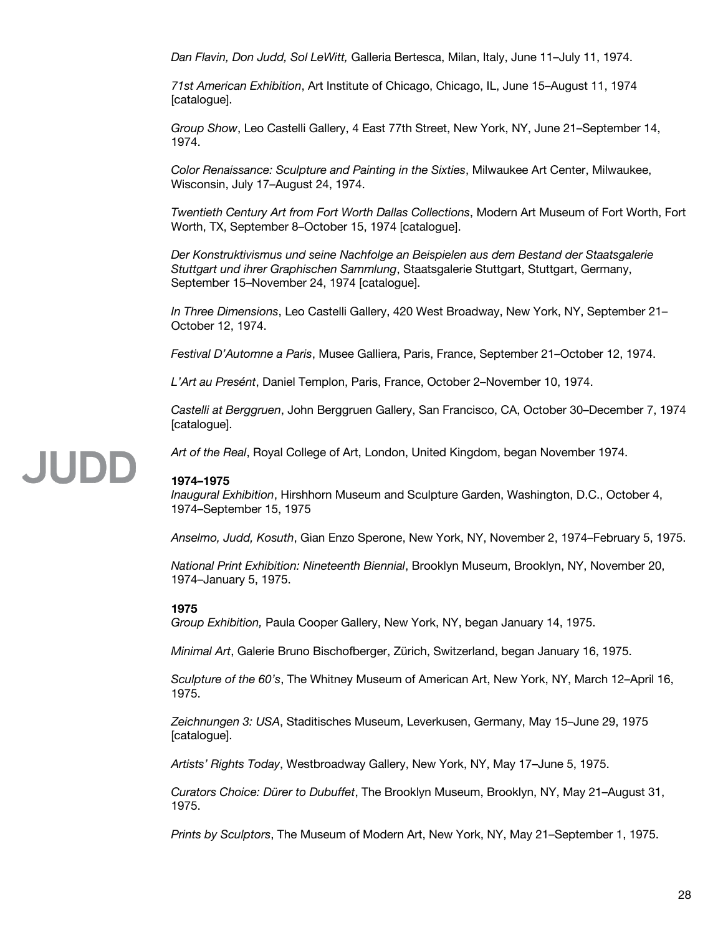*Dan Flavin, Don Judd, Sol LeWitt,* Galleria Bertesca, Milan, Italy, June 11–July 11, 1974.

*71st American Exhibition*, Art Institute of Chicago, Chicago, IL, June 15–August 11, 1974 [catalogue].

*Group Show*, Leo Castelli Gallery, 4 East 77th Street, New York, NY, June 21–September 14, 1974.

*Color Renaissance: Sculpture and Painting in the Sixties*, Milwaukee Art Center, Milwaukee, Wisconsin, July 17–August 24, 1974.

*Twentieth Century Art from Fort Worth Dallas Collections*, Modern Art Museum of Fort Worth, Fort Worth, TX, September 8–October 15, 1974 [catalogue].

*Der Konstruktivismus und seine Nachfolge an Beispielen aus dem Bestand der Staatsgalerie Stuttgart und ihrer Graphischen Sammlung*, Staatsgalerie Stuttgart, Stuttgart, Germany, September 15–November 24, 1974 [catalogue].

*In Three Dimensions*, Leo Castelli Gallery, 420 West Broadway, New York, NY, September 21– October 12, 1974.

*Festival D'Automne a Paris*, Musee Galliera, Paris, France, September 21–October 12, 1974.

*L'Art au Presént*, Daniel Templon, Paris, France, October 2–November 10, 1974.

*Castelli at Berggruen*, John Berggruen Gallery, San Francisco, CA, October 30–December 7, 1974 [catalogue].

# **JUDD**

*Art of the Real*, Royal College of Art, London, United Kingdom, began November 1974.

#### **1974–1975**

*Inaugural Exhibition*, Hirshhorn Museum and Sculpture Garden, Washington, D.C., October 4, 1974–September 15, 1975

*Anselmo, Judd, Kosuth*, Gian Enzo Sperone, New York, NY, November 2, 1974–February 5, 1975.

*National Print Exhibition: Nineteenth Biennial*, Brooklyn Museum, Brooklyn, NY, November 20, 1974–January 5, 1975.

#### **1975**

*Group Exhibition,* Paula Cooper Gallery, New York, NY, began January 14, 1975.

*Minimal Art*, Galerie Bruno Bischofberger, Zürich, Switzerland, began January 16, 1975.

*Sculpture of the 60's*, The Whitney Museum of American Art, New York, NY, March 12–April 16, 1975.

*Zeichnungen 3: USA*, Staditisches Museum, Leverkusen, Germany, May 15–June 29, 1975 [catalogue].

*Artists' Rights Today*, Westbroadway Gallery, New York, NY, May 17–June 5, 1975.

*Curators Choice: Dürer to Dubuffet*, The Brooklyn Museum, Brooklyn, NY, May 21–August 31, 1975.

*Prints by Sculptors*, The Museum of Modern Art, New York, NY, May 21–September 1, 1975.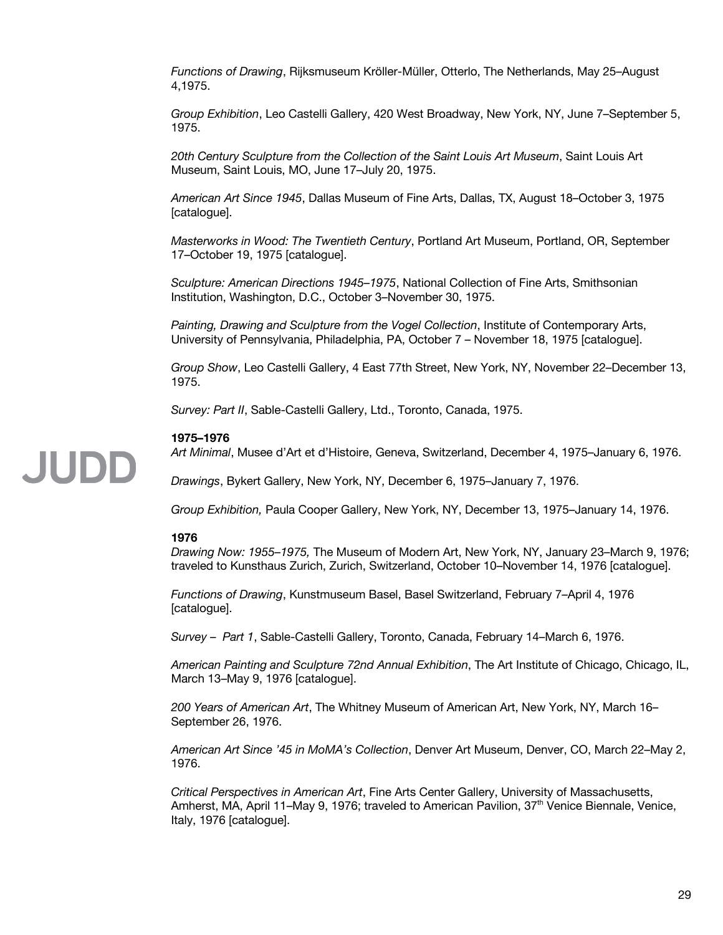*Functions of Drawing*, Rijksmuseum Kröller-Müller, Otterlo, The Netherlands, May 25–August 4,1975.

*Group Exhibition*, Leo Castelli Gallery, 420 West Broadway, New York, NY, June 7–September 5, 1975.

*20th Century Sculpture from the Collection of the Saint Louis Art Museum*, Saint Louis Art Museum, Saint Louis, MO, June 17–July 20, 1975.

*American Art Since 1945*, Dallas Museum of Fine Arts, Dallas, TX, August 18–October 3, 1975 [catalogue].

*Masterworks in Wood: The Twentieth Century*, Portland Art Museum, Portland, OR, September 17–October 19, 1975 [catalogue].

*Sculpture: American Directions 1945–1975*, National Collection of Fine Arts, Smithsonian Institution, Washington, D.C., October 3–November 30, 1975.

*Painting, Drawing and Sculpture from the Vogel Collection*, Institute of Contemporary Arts, University of Pennsylvania, Philadelphia, PA, October 7 – November 18, 1975 [catalogue].

*Group Show*, Leo Castelli Gallery, 4 East 77th Street, New York, NY, November 22–December 13, 1975.

*Survey: Part II*, Sable-Castelli Gallery, Ltd., Toronto, Canada, 1975.

#### **1975–1976**

*Art Minimal*, Musee d'Art et d'Histoire, Geneva, Switzerland, December 4, 1975–January 6, 1976.

*Drawings*, Bykert Gallery, New York, NY, December 6, 1975–January 7, 1976.

*Group Exhibition,* Paula Cooper Gallery, New York, NY, December 13, 1975–January 14, 1976.

#### **1976**

**JUDD** 

*Drawing Now: 1955–1975,* The Museum of Modern Art, New York, NY, January 23–March 9, 1976; traveled to Kunsthaus Zurich, Zurich, Switzerland, October 10–November 14, 1976 [catalogue].

*Functions of Drawing*, Kunstmuseum Basel, Basel Switzerland, February 7–April 4, 1976 [catalogue].

*Survey – Part 1*, Sable-Castelli Gallery, Toronto, Canada, February 14–March 6, 1976.

*American Painting and Sculpture 72nd Annual Exhibition*, The Art Institute of Chicago, Chicago, IL, March 13–May 9, 1976 [catalogue].

*200 Years of American Art*, The Whitney Museum of American Art, New York, NY, March 16– September 26, 1976.

*American Art Since '45 in MoMA's Collection*, Denver Art Museum, Denver, CO, March 22–May 2, 1976.

*Critical Perspectives in American Art*, Fine Arts Center Gallery, University of Massachusetts, Amherst, MA, April 11–May 9, 1976; traveled to American Pavilion, 37<sup>th</sup> Venice Biennale, Venice, Italy, 1976 [catalogue].

#### 29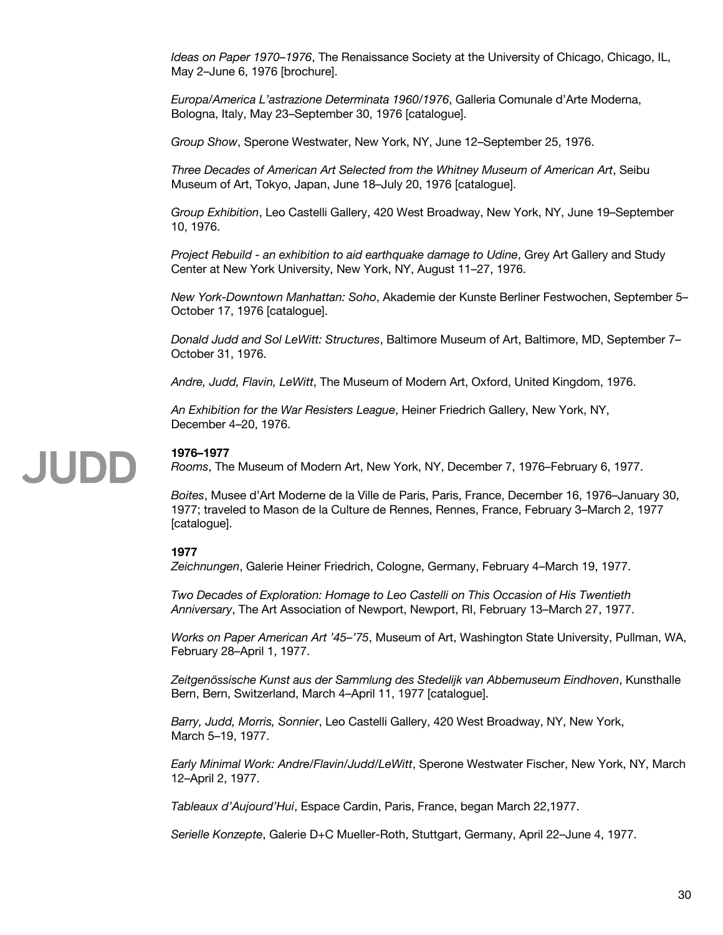*Ideas on Paper 1970–1976*, The Renaissance Society at the University of Chicago, Chicago, IL, May 2–June 6, 1976 [brochure].

*Europa/America L'astrazione Determinata 1960/1976*, Galleria Comunale d'Arte Moderna, Bologna, Italy, May 23–September 30, 1976 [catalogue].

*Group Show*, Sperone Westwater, New York, NY, June 12–September 25, 1976.

*Three Decades of American Art Selected from the Whitney Museum of American Art*, Seibu Museum of Art, Tokyo, Japan, June 18–July 20, 1976 [catalogue].

*Group Exhibition*, Leo Castelli Gallery, 420 West Broadway, New York, NY, June 19–September 10, 1976.

*Project Rebuild - an exhibition to aid earthquake damage to Udine*, Grey Art Gallery and Study Center at New York University, New York, NY, August 11–27, 1976.

*New York-Downtown Manhattan: Soho*, Akademie der Kunste Berliner Festwochen, September 5– October 17, 1976 [catalogue].

*Donald Judd and Sol LeWitt: Structures*, Baltimore Museum of Art, Baltimore, MD, September 7– October 31, 1976.

*Andre, Judd, Flavin, LeWitt*, The Museum of Modern Art, Oxford, United Kingdom, 1976.

*An Exhibition for the War Resisters League*, Heiner Friedrich Gallery, New York, NY, December 4–20, 1976.

# JUDD

#### **1976–1977**

*Rooms*, The Museum of Modern Art, New York, NY, December 7, 1976–February 6, 1977.

*Boites*, Musee d'Art Moderne de la Ville de Paris, Paris, France, December 16, 1976–January 30, 1977; traveled to Mason de la Culture de Rennes, Rennes, France, February 3–March 2, 1977 [catalogue].

#### **1977**

*Zeichnungen*, Galerie Heiner Friedrich, Cologne, Germany, February 4–March 19, 1977.

*Two Decades of Exploration: Homage to Leo Castelli on This Occasion of His Twentieth Anniversary*, The Art Association of Newport, Newport, RI, February 13–March 27, 1977.

*Works on Paper American Art '45–'75*, Museum of Art, Washington State University, Pullman, WA, February 28–April 1, 1977.

*Zeitgenössische Kunst aus der Sammlung des Stedelijk van Abbemuseum Eindhoven*, Kunsthalle Bern, Bern, Switzerland, March 4–April 11, 1977 [catalogue].

*Barry, Judd, Morris, Sonnier*, Leo Castelli Gallery, 420 West Broadway, NY, New York, March 5–19, 1977.

*Early Minimal Work: Andre/Flavin/Judd/LeWitt*, Sperone Westwater Fischer, New York, NY, March 12–April 2, 1977.

*Tableaux d'Aujourd'Hui*, Espace Cardin, Paris, France, began March 22,1977.

*Serielle Konzepte*, Galerie D+C Mueller-Roth, Stuttgart, Germany, April 22–June 4, 1977.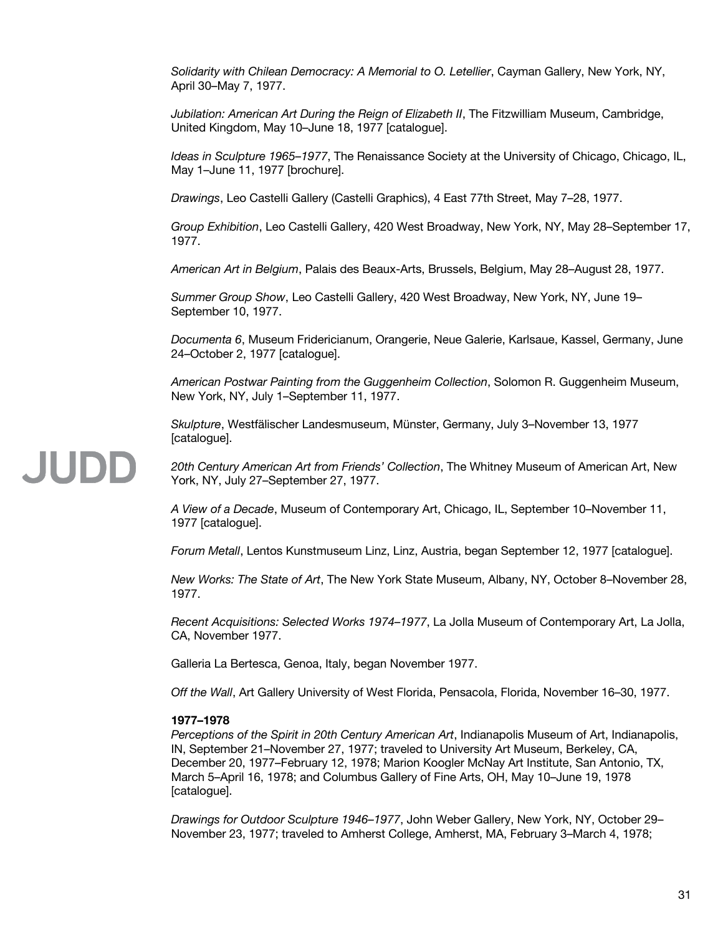*Solidarity with Chilean Democracy: A Memorial to O. Letellier*, Cayman Gallery, New York, NY, April 30–May 7, 1977.

*Jubilation: American Art During the Reign of Elizabeth II*, The Fitzwilliam Museum, Cambridge, United Kingdom, May 10–June 18, 1977 [catalogue].

*Ideas in Sculpture 1965–1977*, The Renaissance Society at the University of Chicago, Chicago, IL, May 1–June 11, 1977 [brochure].

*Drawings*, Leo Castelli Gallery (Castelli Graphics), 4 East 77th Street, May 7–28, 1977.

*Group Exhibition*, Leo Castelli Gallery, 420 West Broadway, New York, NY, May 28–September 17, 1977.

*American Art in Belgium*, Palais des Beaux-Arts, Brussels, Belgium, May 28–August 28, 1977.

*Summer Group Show*, Leo Castelli Gallery, 420 West Broadway, New York, NY, June 19– September 10, 1977.

*Documenta 6*, Museum Fridericianum, Orangerie, Neue Galerie, Karlsaue, Kassel, Germany, June 24–October 2, 1977 [catalogue].

*American Postwar Painting from the Guggenheim Collection*, Solomon R. Guggenheim Museum, New York, NY, July 1–September 11, 1977.

*Skulpture*, Westfälischer Landesmuseum, Münster, Germany, July 3–November 13, 1977 [catalogue].

*20th Century American Art from Friends' Collection*, The Whitney Museum of American Art, New York, NY, July 27–September 27, 1977.

*A View of a Decade*, Museum of Contemporary Art, Chicago, IL, September 10–November 11, 1977 [catalogue].

*Forum Metall*, Lentos Kunstmuseum Linz, Linz, Austria, began September 12, 1977 [catalogue].

*New Works: The State of Art*, The New York State Museum, Albany, NY, October 8–November 28, 1977.

*Recent Acquisitions: Selected Works 1974–1977*, La Jolla Museum of Contemporary Art, La Jolla, CA, November 1977.

Galleria La Bertesca, Genoa, Italy, began November 1977.

*Off the Wall*, Art Gallery University of West Florida, Pensacola, Florida, November 16–30, 1977.

#### **1977–1978**

JUDD

*Perceptions of the Spirit in 20th Century American Art*, Indianapolis Museum of Art, Indianapolis, IN, September 21–November 27, 1977; traveled to University Art Museum, Berkeley, CA, December 20, 1977–February 12, 1978; Marion Koogler McNay Art Institute, San Antonio, TX, March 5–April 16, 1978; and Columbus Gallery of Fine Arts, OH, May 10–June 19, 1978 [catalogue].

*Drawings for Outdoor Sculpture 1946–1977*, John Weber Gallery, New York, NY, October 29– November 23, 1977; traveled to Amherst College, Amherst, MA, February 3–March 4, 1978;

#### 31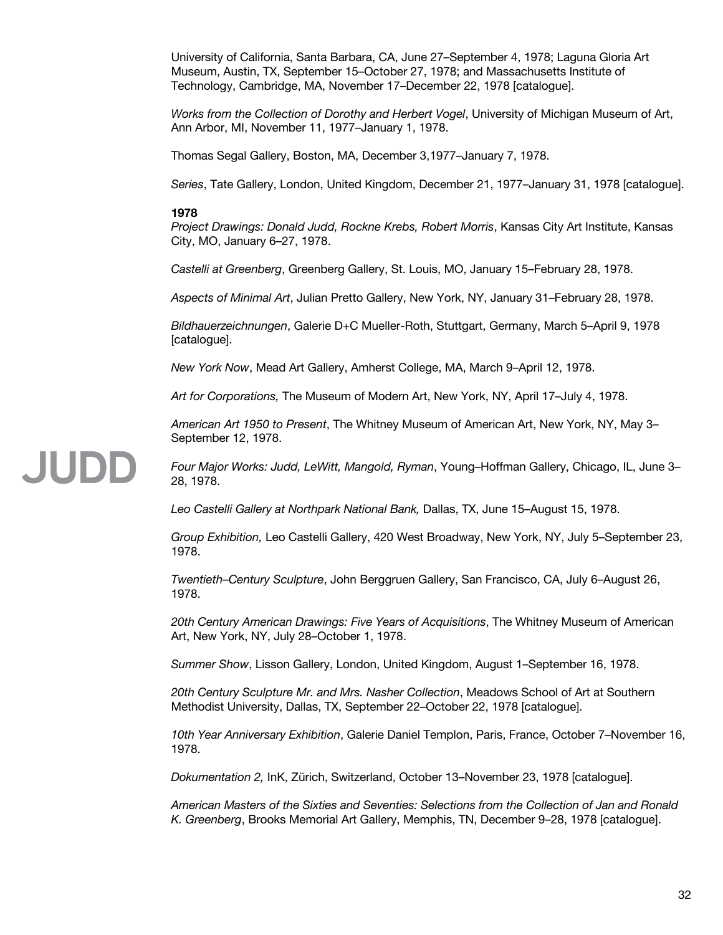University of California, Santa Barbara, CA, June 27–September 4, 1978; Laguna Gloria Art Museum, Austin, TX, September 15–October 27, 1978; and Massachusetts Institute of Technology, Cambridge, MA, November 17–December 22, 1978 [catalogue].

*Works from the Collection of Dorothy and Herbert Vogel*, University of Michigan Museum of Art, Ann Arbor, MI, November 11, 1977–January 1, 1978.

Thomas Segal Gallery, Boston, MA, December 3,1977–January 7, 1978.

*Series*, Tate Gallery, London, United Kingdom, December 21, 1977–January 31, 1978 [catalogue].

#### **1978**

*Project Drawings: Donald Judd, Rockne Krebs, Robert Morris*, Kansas City Art Institute, Kansas City, MO, January 6–27, 1978.

*Castelli at Greenberg*, Greenberg Gallery, St. Louis, MO, January 15–February 28, 1978.

*Aspects of Minimal Art*, Julian Pretto Gallery, New York, NY, January 31–February 28, 1978.

*Bildhauerzeichnungen*, Galerie D+C Mueller-Roth, Stuttgart, Germany, March 5–April 9, 1978 [catalogue].

*New York Now*, Mead Art Gallery, Amherst College, MA, March 9–April 12, 1978.

*Art for Corporations,* The Museum of Modern Art, New York, NY, April 17–July 4, 1978.

*American Art 1950 to Present*, The Whitney Museum of American Art, New York, NY, May 3– September 12, 1978.

#### JUDD *Four Major Works: Judd, LeWitt, Mangold, Ryman*, Young–Hoffman Gallery, Chicago, IL, June 3– 28, 1978.

*Leo Castelli Gallery at Northpark National Bank,* Dallas, TX, June 15–August 15, 1978.

*Group Exhibition,* Leo Castelli Gallery, 420 West Broadway, New York, NY, July 5–September 23, 1978.

*Twentieth–Century Sculpture*, John Berggruen Gallery, San Francisco, CA, July 6–August 26, 1978.

*20th Century American Drawings: Five Years of Acquisitions*, The Whitney Museum of American Art, New York, NY, July 28–October 1, 1978.

*Summer Show*, Lisson Gallery, London, United Kingdom, August 1–September 16, 1978.

*20th Century Sculpture Mr. and Mrs. Nasher Collection*, Meadows School of Art at Southern Methodist University, Dallas, TX, September 22–October 22, 1978 [catalogue].

*10th Year Anniversary Exhibition*, Galerie Daniel Templon, Paris, France, October 7–November 16, 1978.

*Dokumentation 2,* InK, Zürich, Switzerland, October 13–November 23, 1978 [catalogue].

*American Masters of the Sixties and Seventies: Selections from the Collection of Jan and Ronald K. Greenberg*, Brooks Memorial Art Gallery, Memphis, TN, December 9–28, 1978 [catalogue].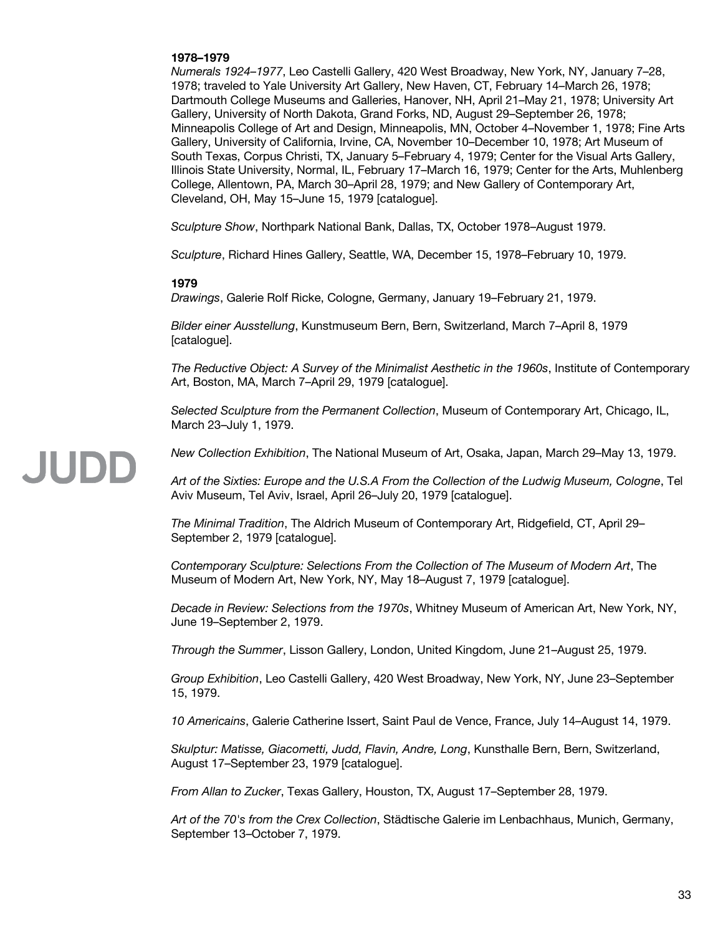#### **1978–1979**

*Numerals 1924–1977*, Leo Castelli Gallery, 420 West Broadway, New York, NY, January 7–28, 1978; traveled to Yale University Art Gallery, New Haven, CT, February 14–March 26, 1978; Dartmouth College Museums and Galleries, Hanover, NH, April 21–May 21, 1978; University Art Gallery, University of North Dakota, Grand Forks, ND, August 29–September 26, 1978; Minneapolis College of Art and Design, Minneapolis, MN, October 4–November 1, 1978; Fine Arts Gallery, University of California, Irvine, CA, November 10–December 10, 1978; Art Museum of South Texas, Corpus Christi, TX, January 5–February 4, 1979; Center for the Visual Arts Gallery, Illinois State University, Normal, IL, February 17–March 16, 1979; Center for the Arts, Muhlenberg College, Allentown, PA, March 30–April 28, 1979; and New Gallery of Contemporary Art, Cleveland, OH, May 15–June 15, 1979 [catalogue].

*Sculpture Show*, Northpark National Bank, Dallas, TX, October 1978–August 1979.

*Sculpture*, Richard Hines Gallery, Seattle, WA, December 15, 1978–February 10, 1979.

#### **1979**

*Drawings*, Galerie Rolf Ricke, Cologne, Germany, January 19–February 21, 1979.

*Bilder einer Ausstellung*, Kunstmuseum Bern, Bern, Switzerland, March 7–April 8, 1979 [catalogue].

*The Reductive Object: A Survey of the Minimalist Aesthetic in the 1960s*, Institute of Contemporary Art, Boston, MA, March 7–April 29, 1979 [catalogue].

*Selected Sculpture from the Permanent Collection*, Museum of Contemporary Art, Chicago, IL, March 23–July 1, 1979.

*New Collection Exhibition*, The National Museum of Art, Osaka, Japan, March 29–May 13, 1979.

*Art of the Sixties: Europe and the U.S.A From the Collection of the Ludwig Museum, Cologne*, Tel Aviv Museum, Tel Aviv, Israel, April 26–July 20, 1979 [catalogue].

*The Minimal Tradition*, The Aldrich Museum of Contemporary Art, Ridgefield, CT, April 29– September 2, 1979 [catalogue].

*Contemporary Sculpture: Selections From the Collection of The Museum of Modern Art*, The Museum of Modern Art, New York, NY, May 18–August 7, 1979 [catalogue].

*Decade in Review: Selections from the 1970s*, Whitney Museum of American Art, New York, NY, June 19–September 2, 1979.

*Through the Summer*, Lisson Gallery, London, United Kingdom, June 21–August 25, 1979.

*Group Exhibition*, Leo Castelli Gallery, 420 West Broadway, New York, NY, June 23–September 15, 1979.

*10 Americains*, Galerie Catherine Issert, Saint Paul de Vence, France, July 14–August 14, 1979.

*Skulptur: Matisse, Giacometti, Judd, Flavin, Andre, Long*, Kunsthalle Bern, Bern, Switzerland, August 17–September 23, 1979 [catalogue].

*From Allan to Zucker*, Texas Gallery, Houston, TX, August 17–September 28, 1979.

*Art of the 70's from the Crex Collection*, Städtische Galerie im Lenbachhaus, Munich, Germany, September 13–October 7, 1979.

### JUDD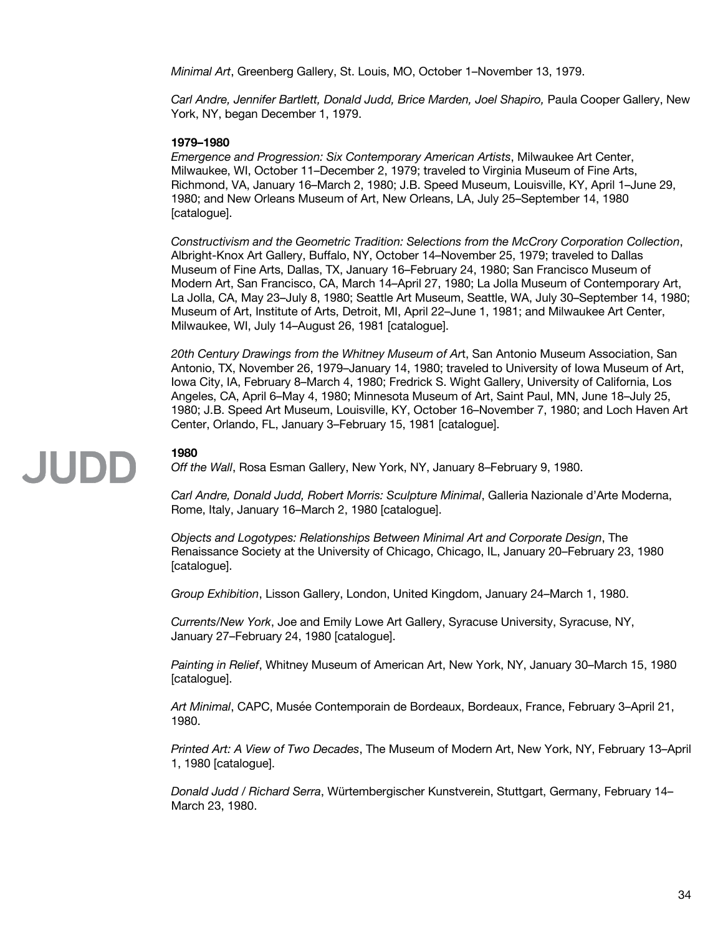*Minimal Art*, Greenberg Gallery, St. Louis, MO, October 1–November 13, 1979.

*Carl Andre, Jennifer Bartlett, Donald Judd, Brice Marden, Joel Shapiro,* Paula Cooper Gallery, New York, NY, began December 1, 1979.

#### **1979–1980**

*Emergence and Progression: Six Contemporary American Artists*, Milwaukee Art Center, Milwaukee, WI, October 11–December 2, 1979; traveled to Virginia Museum of Fine Arts, Richmond, VA, January 16–March 2, 1980; J.B. Speed Museum, Louisville, KY, April 1–June 29, 1980; and New Orleans Museum of Art, New Orleans, LA, July 25–September 14, 1980 [catalogue].

*Constructivism and the Geometric Tradition: Selections from the McCrory Corporation Collection*, Albright-Knox Art Gallery, Buffalo, NY, October 14–November 25, 1979; traveled to Dallas Museum of Fine Arts, Dallas, TX, January 16–February 24, 1980; San Francisco Museum of Modern Art, San Francisco, CA, March 14–April 27, 1980; La Jolla Museum of Contemporary Art, La Jolla, CA, May 23–July 8, 1980; Seattle Art Museum, Seattle, WA, July 30–September 14, 1980; Museum of Art, Institute of Arts, Detroit, MI, April 22–June 1, 1981; and Milwaukee Art Center, Milwaukee, WI, July 14–August 26, 1981 [catalogue].

*20th Century Drawings from the Whitney Museum of Ar*t, San Antonio Museum Association, San Antonio, TX, November 26, 1979–January 14, 1980; traveled to University of Iowa Museum of Art, Iowa City, IA, February 8–March 4, 1980; Fredrick S. Wight Gallery, University of California, Los Angeles, CA, April 6–May 4, 1980; Minnesota Museum of Art, Saint Paul, MN, June 18–July 25, 1980; J.B. Speed Art Museum, Louisville, KY, October 16–November 7, 1980; and Loch Haven Art Center, Orlando, FL, January 3–February 15, 1981 [catalogue].

#### **1980**

JUDD

*Off the Wall*, Rosa Esman Gallery, New York, NY, January 8–February 9, 1980.

*Carl Andre, Donald Judd, Robert Morris: Sculpture Minimal*, Galleria Nazionale d'Arte Moderna, Rome, Italy, January 16–March 2, 1980 [catalogue].

*Objects and Logotypes: Relationships Between Minimal Art and Corporate Design*, The Renaissance Society at the University of Chicago, Chicago, IL, January 20–February 23, 1980 [catalogue].

*Group Exhibition*, Lisson Gallery, London, United Kingdom, January 24–March 1, 1980.

*Currents/New York*, Joe and Emily Lowe Art Gallery, Syracuse University, Syracuse, NY, January 27–February 24, 1980 [catalogue].

*Painting in Relief*, Whitney Museum of American Art, New York, NY, January 30–March 15, 1980 [catalogue].

*Art Minimal*, CAPC, Musée Contemporain de Bordeaux, Bordeaux, France, February 3–April 21, 1980.

*Printed Art: A View of Two Decades*, The Museum of Modern Art, New York, NY, February 13–April 1, 1980 [catalogue].

*Donald Judd / Richard Serra*, Würtembergischer Kunstverein, Stuttgart, Germany, February 14– March 23, 1980.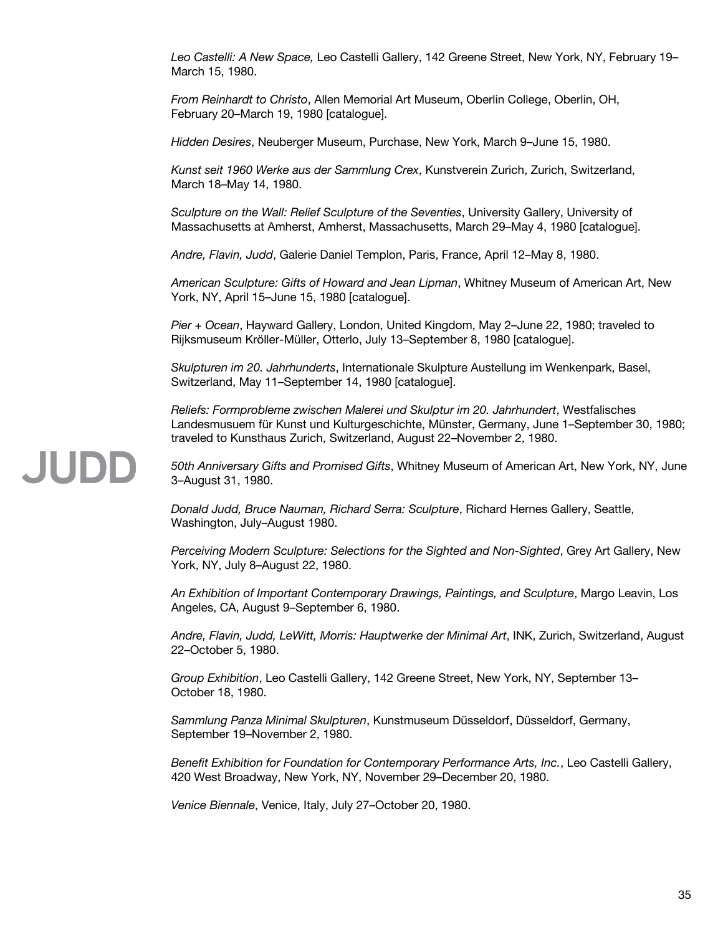*Leo Castelli: A New Space,* Leo Castelli Gallery, 142 Greene Street, New York, NY, February 19– March 15, 1980.

*From Reinhardt to Christo*, Allen Memorial Art Museum, Oberlin College, Oberlin, OH, February 20–March 19, 1980 [catalogue].

*Hidden Desires*, Neuberger Museum, Purchase, New York, March 9–June 15, 1980.

*Kunst seit 1960 Werke aus der Sammlung Crex*, Kunstverein Zurich, Zurich, Switzerland, March 18–May 14, 1980.

*Sculpture on the Wall: Relief Sculpture of the Seventies*, University Gallery, University of Massachusetts at Amherst, Amherst, Massachusetts, March 29–May 4, 1980 [catalogue].

*Andre, Flavin, Judd*, Galerie Daniel Templon, Paris, France, April 12–May 8, 1980.

*American Sculpture: Gifts of Howard and Jean Lipman*, Whitney Museum of American Art, New York, NY, April 15–June 15, 1980 [catalogue].

*Pier + Ocean*, Hayward Gallery, London, United Kingdom, May 2–June 22, 1980; traveled to Rijksmuseum Kröller-Müller, Otterlo, July 13–September 8, 1980 [catalogue].

*Skulpturen im 20. Jahrhunderts*, Internationale Skulpture Austellung im Wenkenpark, Basel, Switzerland, May 11–September 14, 1980 [catalogue].

*Reliefs: Formprobleme zwischen Malerei und Skulptur im 20. Jahrhundert*, Westfalisches Landesmusuem für Kunst und Kulturgeschichte, Münster, Germany, June 1–September 30, 1980; traveled to Kunsthaus Zurich, Switzerland, August 22–November 2, 1980.

*50th Anniversary Gifts and Promised Gifts*, Whitney Museum of American Art, New York, NY, June 3–August 31, 1980.

*Donald Judd, Bruce Nauman, Richard Serra: Sculpture*, Richard Hernes Gallery, Seattle, Washington, July–August 1980.

*Perceiving Modern Sculpture: Selections for the Sighted and Non-Sighted*, Grey Art Gallery, New York, NY, July 8–August 22, 1980.

*An Exhibition of Important Contemporary Drawings, Paintings, and Sculpture*, Margo Leavin, Los Angeles, CA, August 9–September 6, 1980.

*Andre, Flavin, Judd, LeWitt, Morris: Hauptwerke der Minimal Art*, INK, Zurich, Switzerland, August 22–October 5, 1980.

*Group Exhibition*, Leo Castelli Gallery, 142 Greene Street, New York, NY, September 13– October 18, 1980.

*Sammlung Panza Minimal Skulpturen*, Kunstmuseum Düsseldorf, Düsseldorf, Germany, September 19–November 2, 1980.

*Benefit Exhibition for Foundation for Contemporary Performance Arts, Inc.*, Leo Castelli Gallery, 420 West Broadway, New York, NY, November 29–December 20, 1980.

*Venice Biennale*, Venice, Italy, July 27–October 20, 1980.

JUDD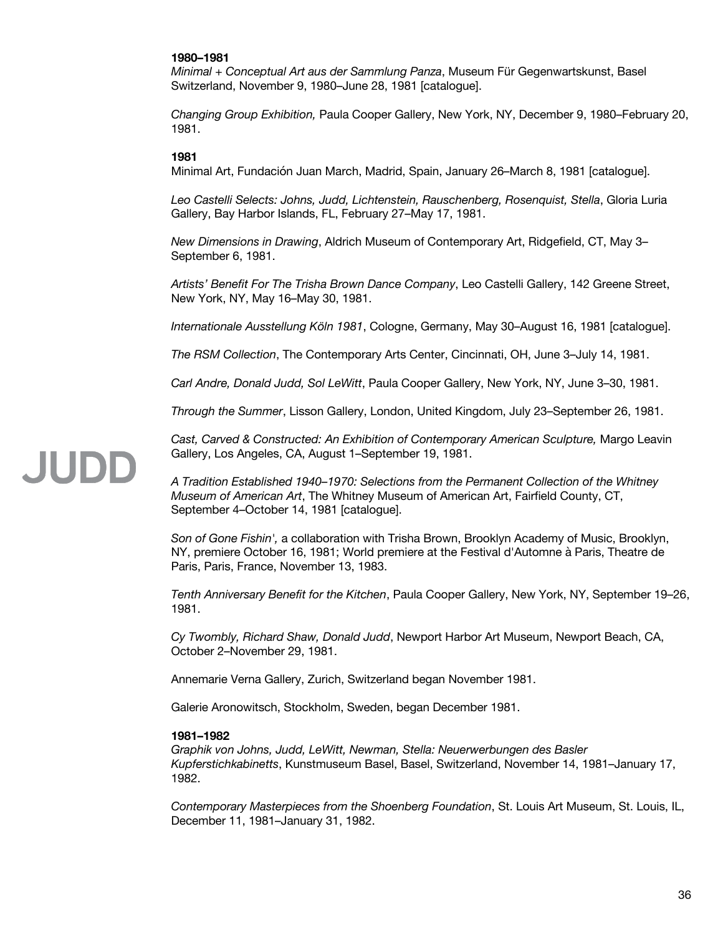#### **1980–1981**

*Minimal + Conceptual Art aus der Sammlung Panza*, Museum Für Gegenwartskunst, Basel Switzerland, November 9, 1980–June 28, 1981 [catalogue].

*Changing Group Exhibition,* Paula Cooper Gallery, New York, NY, December 9, 1980–February 20, 1981.

#### **1981**

Minimal Art, Fundación Juan March, Madrid, Spain, January 26–March 8, 1981 [catalogue].

*Leo Castelli Selects: Johns, Judd, Lichtenstein, Rauschenberg, Rosenquist, Stella*, Gloria Luria Gallery, Bay Harbor Islands, FL, February 27–May 17, 1981.

*New Dimensions in Drawing*, Aldrich Museum of Contemporary Art, Ridgefield, CT, May 3– September 6, 1981.

*Artists' Benefit For The Trisha Brown Dance Company*, Leo Castelli Gallery, 142 Greene Street, New York, NY, May 16–May 30, 1981.

*Internationale Ausstellung Köln 1981*, Cologne, Germany, May 30–August 16, 1981 [catalogue].

*The RSM Collection*, The Contemporary Arts Center, Cincinnati, OH, June 3–July 14, 1981.

*Carl Andre, Donald Judd, Sol LeWitt*, Paula Cooper Gallery, New York, NY, June 3–30, 1981.

*Through the Summer*, Lisson Gallery, London, United Kingdom, July 23–September 26, 1981.

Cast, Carved & Constructed: An Exhibition of Contemporary American Sculpture, Margo Leavin Gallery, Los Angeles, CA, August 1–September 19, 1981.

*A Tradition Established 1940–1970: Selections from the Permanent Collection of the Whitney Museum of American Art*, The Whitney Museum of American Art, Fairfield County, CT, September 4–October 14, 1981 [catalogue].

*Son of Gone Fishin',* a collaboration with Trisha Brown, Brooklyn Academy of Music, Brooklyn, NY, premiere October 16, 1981; World premiere at the Festival d'Automne à Paris, Theatre de Paris, Paris, France, November 13, 1983.

*Tenth Anniversary Benefit for the Kitchen*, Paula Cooper Gallery, New York, NY, September 19–26, 1981.

*Cy Twombly, Richard Shaw, Donald Judd*, Newport Harbor Art Museum, Newport Beach, CA, October 2–November 29, 1981.

Annemarie Verna Gallery, Zurich, Switzerland began November 1981.

Galerie Aronowitsch, Stockholm, Sweden, began December 1981.

#### **1981–1982**

*Graphik von Johns, Judd, LeWitt, Newman, Stella: Neuerwerbungen des Basler Kupferstichkabinetts*, Kunstmuseum Basel, Basel, Switzerland, November 14, 1981–January 17, 1982.

*Contemporary Masterpieces from the Shoenberg Foundation*, St. Louis Art Museum, St. Louis, IL, December 11, 1981–January 31, 1982.

### **JUDE**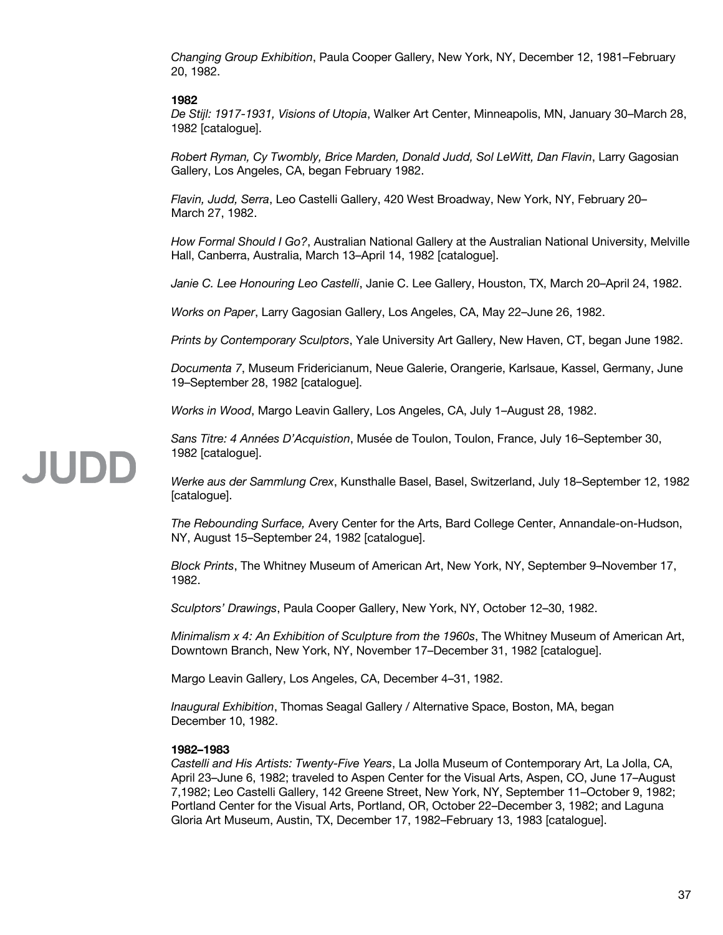*Changing Group Exhibition*, Paula Cooper Gallery, New York, NY, December 12, 1981–February 20, 1982.

# **1982**

*De Stijl: 1917-1931, Visions of Utopia*, Walker Art Center, Minneapolis, MN, January 30–March 28, 1982 [catalogue].

*Robert Ryman, Cy Twombly, Brice Marden, Donald Judd, Sol LeWitt, Dan Flavin*, Larry Gagosian Gallery, Los Angeles, CA, began February 1982.

*Flavin, Judd, Serra*, Leo Castelli Gallery, 420 West Broadway, New York, NY, February 20– March 27, 1982.

*How Formal Should I Go?*, Australian National Gallery at the Australian National University, Melville Hall, Canberra, Australia, March 13–April 14, 1982 [catalogue].

*Janie C. Lee Honouring Leo Castelli*, Janie C. Lee Gallery, Houston, TX, March 20–April 24, 1982.

*Works on Paper*, Larry Gagosian Gallery, Los Angeles, CA, May 22–June 26, 1982.

*Prints by Contemporary Sculptors*, Yale University Art Gallery, New Haven, CT, began June 1982.

*Documenta 7*, Museum Fridericianum, Neue Galerie, Orangerie, Karlsaue, Kassel, Germany, June 19–September 28, 1982 [catalogue].

*Works in Wood*, Margo Leavin Gallery, Los Angeles, CA, July 1–August 28, 1982.

*Sans Titre: 4 Années D'Acquistion*, Musée de Toulon, Toulon, France, July 16–September 30, 1982 [catalogue].

*Werke aus der Sammlung Crex*, Kunsthalle Basel, Basel, Switzerland, July 18–September 12, 1982 [catalogue].

*The Rebounding Surface,* Avery Center for the Arts, Bard College Center, Annandale-on-Hudson, NY, August 15–September 24, 1982 [catalogue].

*Block Prints*, The Whitney Museum of American Art, New York, NY, September 9–November 17, 1982.

*Sculptors' Drawings*, Paula Cooper Gallery, New York, NY, October 12–30, 1982.

*Minimalism x 4: An Exhibition of Sculpture from the 1960s*, The Whitney Museum of American Art, Downtown Branch, New York, NY, November 17–December 31, 1982 [catalogue].

Margo Leavin Gallery, Los Angeles, CA, December 4–31, 1982.

*Inaugural Exhibition*, Thomas Seagal Gallery / Alternative Space, Boston, MA, began December 10, 1982.

# **1982–1983**

*Castelli and His Artists: Twenty-Five Years*, La Jolla Museum of Contemporary Art, La Jolla, CA, April 23–June 6, 1982; traveled to Aspen Center for the Visual Arts, Aspen, CO, June 17–August 7,1982; Leo Castelli Gallery, 142 Greene Street, New York, NY, September 11–October 9, 1982; Portland Center for the Visual Arts, Portland, OR, October 22–December 3, 1982; and Laguna Gloria Art Museum, Austin, TX, December 17, 1982–February 13, 1983 [catalogue].

# **JUDE**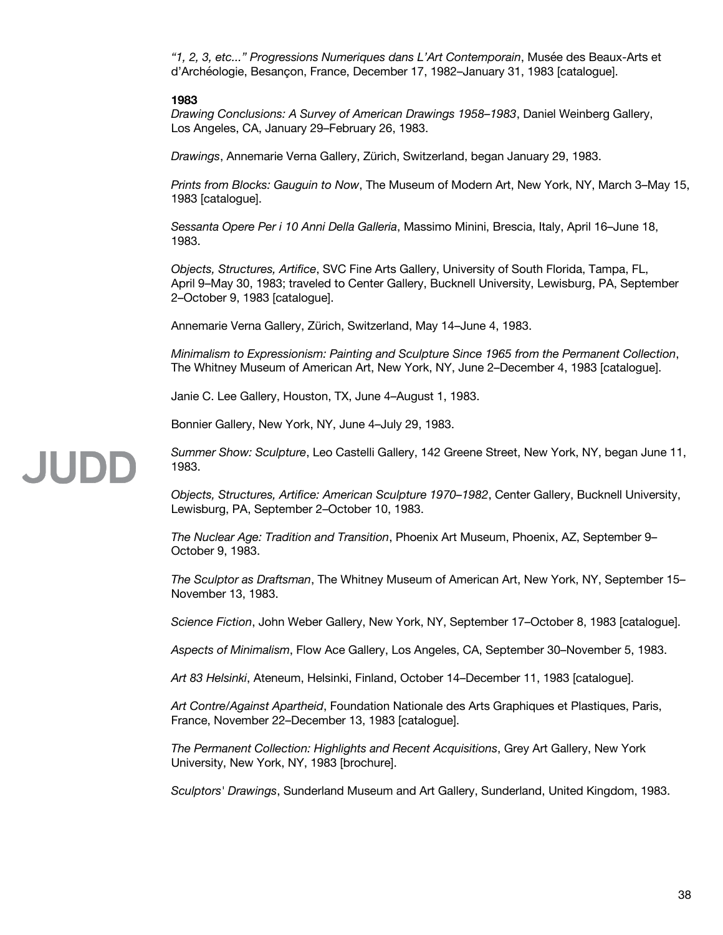*"1, 2, 3, etc..." Progressions Numeriques dans L'Art Contemporain*, Musée des Beaux-Arts et d'Archéologie, Besançon, France, December 17, 1982–January 31, 1983 [catalogue].

### **1983**

JUDD

*Drawing Conclusions: A Survey of American Drawings 1958–1983*, Daniel Weinberg Gallery, Los Angeles, CA, January 29–February 26, 1983.

*Drawings*, Annemarie Verna Gallery, Zürich, Switzerland, began January 29, 1983.

*Prints from Blocks: Gauguin to Now*, The Museum of Modern Art, New York, NY, March 3–May 15, 1983 [catalogue].

*Sessanta Opere Per i 10 Anni Della Galleria*, Massimo Minini, Brescia, Italy, April 16–June 18, 1983.

*Objects, Structures, Artifice*, SVC Fine Arts Gallery, University of South Florida, Tampa, FL, April 9–May 30, 1983; traveled to Center Gallery, Bucknell University, Lewisburg, PA, September 2–October 9, 1983 [catalogue].

Annemarie Verna Gallery, Zürich, Switzerland, May 14–June 4, 1983.

*Minimalism to Expressionism: Painting and Sculpture Since 1965 from the Permanent Collection*, The Whitney Museum of American Art, New York, NY, June 2–December 4, 1983 [catalogue].

Janie C. Lee Gallery, Houston, TX, June 4–August 1, 1983.

Bonnier Gallery, New York, NY, June 4–July 29, 1983.

# *Summer Show: Sculpture*, Leo Castelli Gallery, 142 Greene Street, New York, NY, began June 11, 1983.

*Objects, Structures, Artifice: American Sculpture 1970–1982*, Center Gallery, Bucknell University, Lewisburg, PA, September 2–October 10, 1983.

*The Nuclear Age: Tradition and Transition*, Phoenix Art Museum, Phoenix, AZ, September 9– October 9, 1983.

*The Sculptor as Draftsman*, The Whitney Museum of American Art, New York, NY, September 15– November 13, 1983.

*Science Fiction*, John Weber Gallery, New York, NY, September 17–October 8, 1983 [catalogue].

*Aspects of Minimalism*, Flow Ace Gallery, Los Angeles, CA, September 30–November 5, 1983.

*Art 83 Helsinki*, Ateneum, Helsinki, Finland, October 14–December 11, 1983 [catalogue].

*Art Contre/Against Apartheid*, Foundation Nationale des Arts Graphiques et Plastiques, Paris, France, November 22–December 13, 1983 [catalogue].

*The Permanent Collection: Highlights and Recent Acquisitions*, Grey Art Gallery, New York University, New York, NY, 1983 [brochure].

*Sculptors' Drawings*, Sunderland Museum and Art Gallery, Sunderland, United Kingdom, 1983.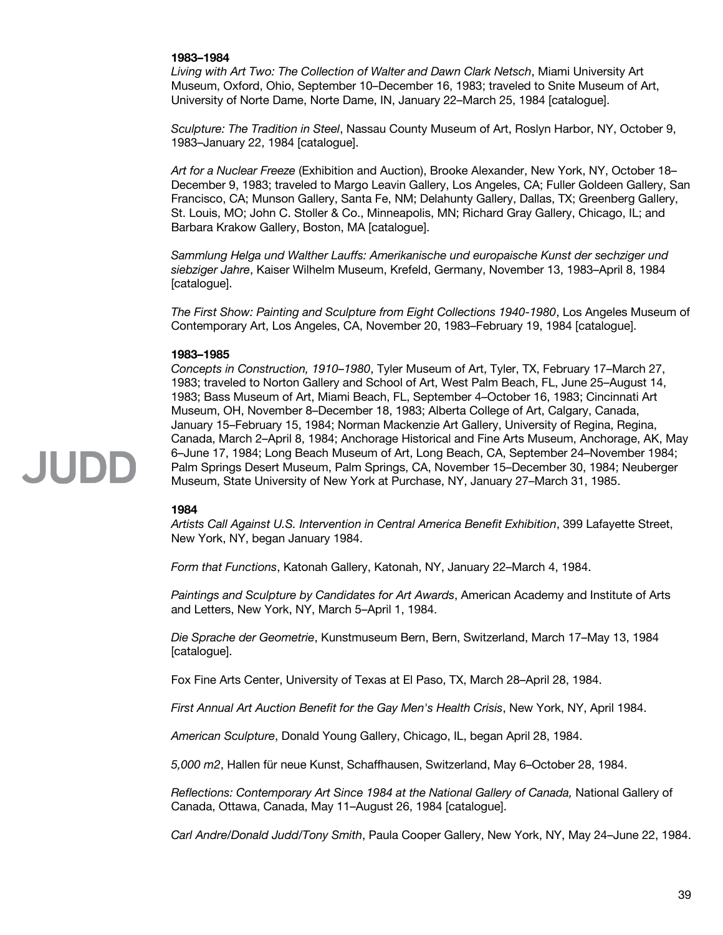# **1983–1984**

*Living with Art Two: The Collection of Walter and Dawn Clark Netsch*, Miami University Art Museum, Oxford, Ohio, September 10–December 16, 1983; traveled to Snite Museum of Art, University of Norte Dame, Norte Dame, IN, January 22–March 25, 1984 [catalogue].

*Sculpture: The Tradition in Steel*, Nassau County Museum of Art, Roslyn Harbor, NY, October 9, 1983–January 22, 1984 [catalogue].

*Art for a Nuclear Freeze* (Exhibition and Auction), Brooke Alexander, New York, NY, October 18– December 9, 1983; traveled to Margo Leavin Gallery, Los Angeles, CA; Fuller Goldeen Gallery, San Francisco, CA; Munson Gallery, Santa Fe, NM; Delahunty Gallery, Dallas, TX; Greenberg Gallery, St. Louis, MO; John C. Stoller & Co., Minneapolis, MN; Richard Gray Gallery, Chicago, IL; and Barbara Krakow Gallery, Boston, MA [catalogue].

*Sammlung Helga und Walther Lauffs: Amerikanische und europaische Kunst der sechziger und siebziger Jahre*, Kaiser Wilhelm Museum, Krefeld, Germany, November 13, 1983–April 8, 1984 [catalogue].

*The First Show: Painting and Sculpture from Eight Collections 1940-1980*, Los Angeles Museum of Contemporary Art, Los Angeles, CA, November 20, 1983–February 19, 1984 [catalogue].

### **1983–1985**

*Concepts in Construction, 1910–1980*, Tyler Museum of Art, Tyler, TX, February 17–March 27, 1983; traveled to Norton Gallery and School of Art, West Palm Beach, FL, June 25–August 14, 1983; Bass Museum of Art, Miami Beach, FL, September 4–October 16, 1983; Cincinnati Art Museum, OH, November 8–December 18, 1983; Alberta College of Art, Calgary, Canada, January 15–February 15, 1984; Norman Mackenzie Art Gallery, University of Regina, Regina, Canada, March 2–April 8, 1984; Anchorage Historical and Fine Arts Museum, Anchorage, AK, May 6–June 17, 1984; Long Beach Museum of Art, Long Beach, CA, September 24–November 1984; Palm Springs Desert Museum, Palm Springs, CA, November 15–December 30, 1984; Neuberger Museum, State University of New York at Purchase, NY, January 27–March 31, 1985.

### **1984**

*Artists Call Against U.S. Intervention in Central America Benefit Exhibition*, 399 Lafayette Street, New York, NY, began January 1984.

*Form that Functions*, Katonah Gallery, Katonah, NY, January 22–March 4, 1984.

*Paintings and Sculpture by Candidates for Art Awards*, American Academy and Institute of Arts and Letters, New York, NY, March 5–April 1, 1984.

*Die Sprache der Geometrie*, Kunstmuseum Bern, Bern, Switzerland, March 17–May 13, 1984 [catalogue].

Fox Fine Arts Center, University of Texas at El Paso, TX, March 28–April 28, 1984.

*First Annual Art Auction Benefit for the Gay Men's Health Crisis*, New York, NY, April 1984.

*American Sculpture*, Donald Young Gallery, Chicago, IL, began April 28, 1984.

*5,000 m2*, Hallen für neue Kunst, Schaffhausen, Switzerland, May 6–October 28, 1984.

*Reflections: Contemporary Art Since 1984 at the National Gallery of Canada,* National Gallery of Canada, Ottawa, Canada, May 11–August 26, 1984 [catalogue].

*Carl Andre/Donald Judd/Tony Smith*, Paula Cooper Gallery, New York, NY, May 24–June 22, 1984.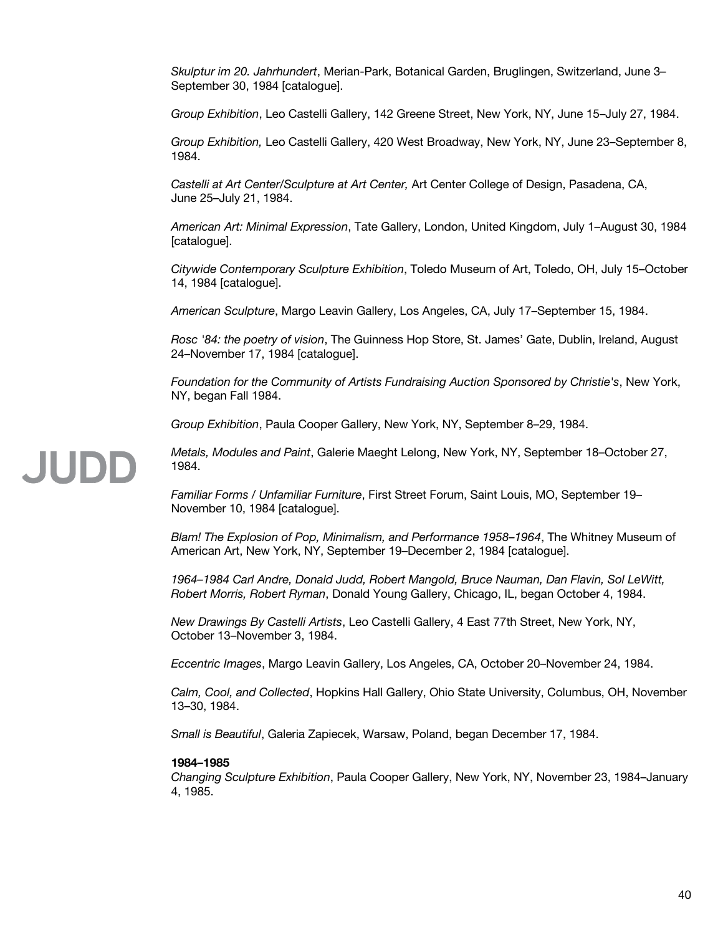*Skulptur im 20. Jahrhundert*, Merian-Park, Botanical Garden, Bruglingen, Switzerland, June 3– September 30, 1984 [catalogue].

*Group Exhibition*, Leo Castelli Gallery, 142 Greene Street, New York, NY, June 15–July 27, 1984.

*Group Exhibition,* Leo Castelli Gallery, 420 West Broadway, New York, NY, June 23–September 8, 1984.

*Castelli at Art Center/Sculpture at Art Center,* Art Center College of Design, Pasadena, CA, June 25–July 21, 1984.

*American Art: Minimal Expression*, Tate Gallery, London, United Kingdom, July 1–August 30, 1984 [catalogue].

*Citywide Contemporary Sculpture Exhibition*, Toledo Museum of Art, Toledo, OH, July 15–October 14, 1984 [catalogue].

*American Sculpture*, Margo Leavin Gallery, Los Angeles, CA, July 17–September 15, 1984.

*Rosc '84: the poetry of vision*, The Guinness Hop Store, St. James' Gate, Dublin, Ireland, August 24–November 17, 1984 [catalogue].

*Foundation for the Community of Artists Fundraising Auction Sponsored by Christie's*, New York, NY, began Fall 1984.

*Group Exhibition*, Paula Cooper Gallery, New York, NY, September 8–29, 1984.

*Metals, Modules and Paint*, Galerie Maeght Lelong, New York, NY, September 18–October 27, 1984.

*Familiar Forms / Unfamiliar Furniture*, First Street Forum, Saint Louis, MO, September 19– November 10, 1984 [catalogue].

*Blam! The Explosion of Pop, Minimalism, and Performance 1958–1964*, The Whitney Museum of American Art, New York, NY, September 19–December 2, 1984 [catalogue].

*1964–1984 Carl Andre, Donald Judd, Robert Mangold, Bruce Nauman, Dan Flavin, Sol LeWitt, Robert Morris, Robert Ryman*, Donald Young Gallery, Chicago, IL, began October 4, 1984.

*New Drawings By Castelli Artists*, Leo Castelli Gallery, 4 East 77th Street, New York, NY, October 13–November 3, 1984.

*Eccentric Images*, Margo Leavin Gallery, Los Angeles, CA, October 20–November 24, 1984.

*Calm, Cool, and Collected*, Hopkins Hall Gallery, Ohio State University, Columbus, OH, November 13–30, 1984.

*Small is Beautiful*, Galeria Zapiecek, Warsaw, Poland, began December 17, 1984.

#### **1984–1985**

*Changing Sculpture Exhibition*, Paula Cooper Gallery, New York, NY, November 23, 1984–January 4, 1985.

# **JUDE**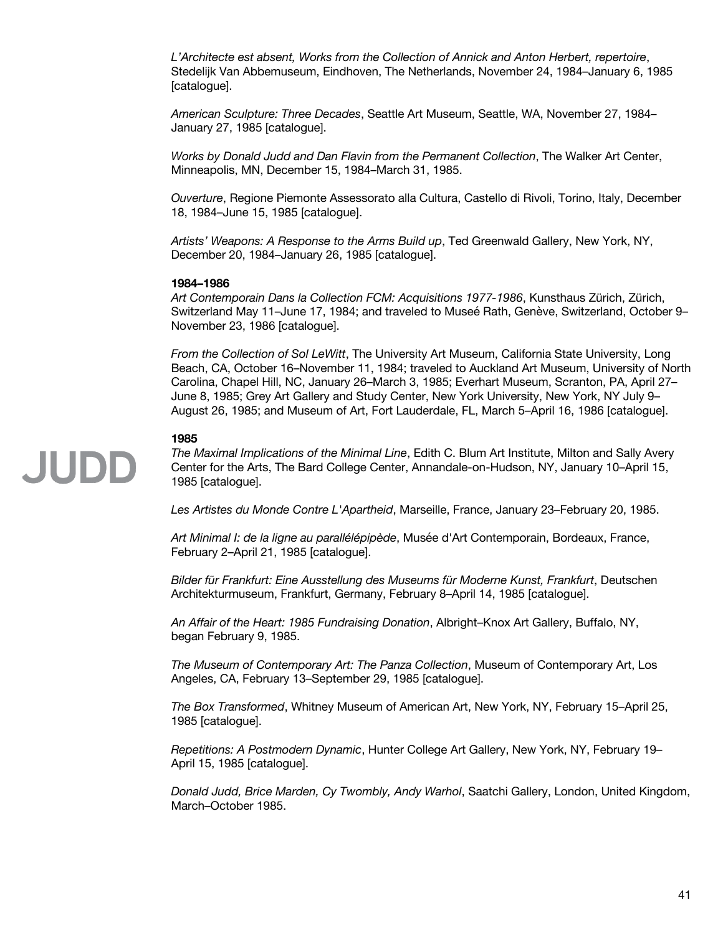*L'Architecte est absent, Works from the Collection of Annick and Anton Herbert, repertoire*, Stedelijk Van Abbemuseum, Eindhoven, The Netherlands, November 24, 1984–January 6, 1985 [catalogue].

*American Sculpture: Three Decades*, Seattle Art Museum, Seattle, WA, November 27, 1984– January 27, 1985 [catalogue].

*Works by Donald Judd and Dan Flavin from the Permanent Collection*, The Walker Art Center, Minneapolis, MN, December 15, 1984–March 31, 1985.

*Ouverture*, Regione Piemonte Assessorato alla Cultura, Castello di Rivoli, Torino, Italy, December 18, 1984–June 15, 1985 [catalogue].

*Artists' Weapons: A Response to the Arms Build up*, Ted Greenwald Gallery, New York, NY, December 20, 1984–January 26, 1985 [catalogue].

### **1984–1986**

*Art Contemporain Dans la Collection FCM: Acquisitions 1977-1986*, Kunsthaus Zürich, Zürich, Switzerland May 11–June 17, 1984; and traveled to Museé Rath, Genève, Switzerland, October 9– November 23, 1986 [catalogue].

*From the Collection of Sol LeWitt*, The University Art Museum, California State University, Long Beach, CA, October 16–November 11, 1984; traveled to Auckland Art Museum, University of North Carolina, Chapel Hill, NC, January 26–March 3, 1985; Everhart Museum, Scranton, PA, April 27– June 8, 1985; Grey Art Gallery and Study Center, New York University, New York, NY July 9– August 26, 1985; and Museum of Art, Fort Lauderdale, FL, March 5–April 16, 1986 [catalogue].

# **1985**

JUDD

*The Maximal Implications of the Minimal Line*, Edith C. Blum Art Institute, Milton and Sally Avery Center for the Arts, The Bard College Center, Annandale-on-Hudson, NY, January 10–April 15, 1985 [catalogue].

*Les Artistes du Monde Contre L'Apartheid*, Marseille, France, January 23–February 20, 1985.

*Art Minimal I: de la ligne au parallélépipède*, Musée d'Art Contemporain, Bordeaux, France, February 2–April 21, 1985 [catalogue].

*Bilder für Frankfurt: Eine Ausstellung des Museums für Moderne Kunst, Frankfurt*, Deutschen Architekturmuseum, Frankfurt, Germany, February 8–April 14, 1985 [catalogue].

*An Affair of the Heart: 1985 Fundraising Donation*, Albright–Knox Art Gallery, Buffalo, NY, began February 9, 1985.

*The Museum of Contemporary Art: The Panza Collection*, Museum of Contemporary Art, Los Angeles, CA, February 13–September 29, 1985 [catalogue].

*The Box Transformed*, Whitney Museum of American Art, New York, NY, February 15–April 25, 1985 [catalogue].

*Repetitions: A Postmodern Dynamic*, Hunter College Art Gallery, New York, NY, February 19– April 15, 1985 [catalogue].

*Donald Judd, Brice Marden, Cy Twombly, Andy Warhol*, Saatchi Gallery, London, United Kingdom, March–October 1985.

41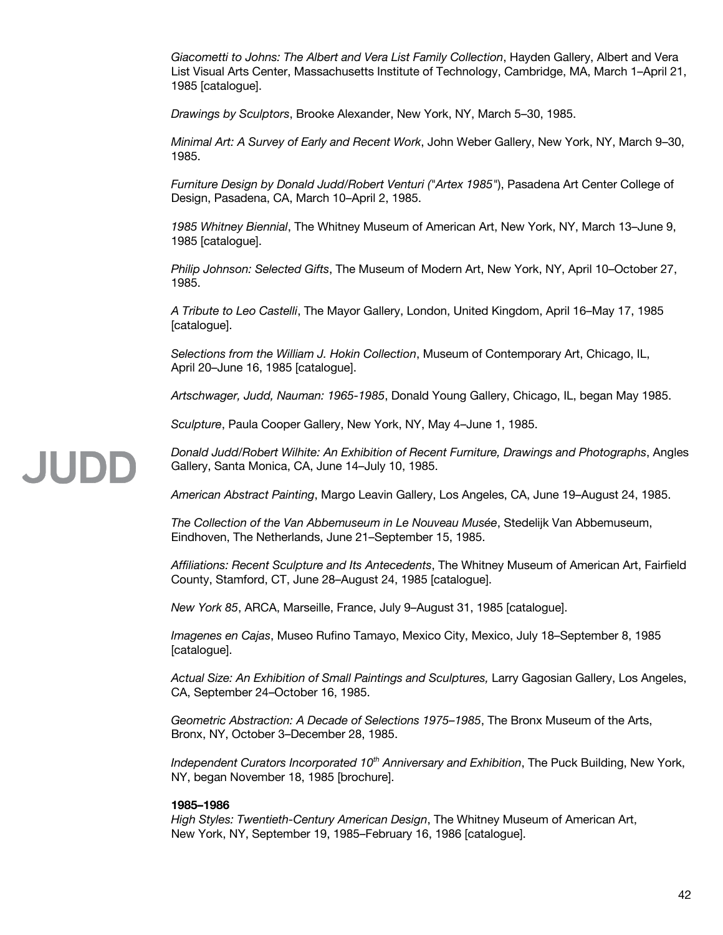*Giacometti to Johns: The Albert and Vera List Family Collection*, Hayden Gallery, Albert and Vera List Visual Arts Center, Massachusetts Institute of Technology, Cambridge, MA, March 1–April 21, 1985 [catalogue].

*Drawings by Sculptors*, Brooke Alexander, New York, NY, March 5–30, 1985.

*Minimal Art: A Survey of Early and Recent Work*, John Weber Gallery, New York, NY, March 9–30, 1985.

*Furniture Design by Donald Judd/Robert Venturi ("Artex 1985"*), Pasadena Art Center College of Design, Pasadena, CA, March 10–April 2, 1985.

*1985 Whitney Biennial*, The Whitney Museum of American Art, New York, NY, March 13–June 9, 1985 [catalogue].

*Philip Johnson: Selected Gifts*, The Museum of Modern Art, New York, NY, April 10–October 27, 1985.

*A Tribute to Leo Castelli*, The Mayor Gallery, London, United Kingdom, April 16–May 17, 1985 [catalogue].

*Selections from the William J. Hokin Collection*, Museum of Contemporary Art, Chicago, IL, April 20–June 16, 1985 [catalogue].

*Artschwager, Judd, Nauman: 1965-1985*, Donald Young Gallery, Chicago, IL, began May 1985.

*Sculpture*, Paula Cooper Gallery, New York, NY, May 4–June 1, 1985.

*Donald Judd/Robert Wilhite: An Exhibition of Recent Furniture, Drawings and Photographs*, Angles Gallery, Santa Monica, CA, June 14–July 10, 1985.

*American Abstract Painting*, Margo Leavin Gallery, Los Angeles, CA, June 19–August 24, 1985.

*The Collection of the Van Abbemuseum in Le Nouveau Musée*, Stedelijk Van Abbemuseum, Eindhoven, The Netherlands, June 21–September 15, 1985.

*Affiliations: Recent Sculpture and Its Antecedents*, The Whitney Museum of American Art, Fairfield County, Stamford, CT, June 28–August 24, 1985 [catalogue].

*New York 85*, ARCA, Marseille, France, July 9–August 31, 1985 [catalogue].

*Imagenes en Cajas*, Museo Rufino Tamayo, Mexico City, Mexico, July 18–September 8, 1985 [catalogue].

*Actual Size: An Exhibition of Small Paintings and Sculptures,* Larry Gagosian Gallery, Los Angeles, CA, September 24–October 16, 1985.

*Geometric Abstraction: A Decade of Selections 1975–1985*, The Bronx Museum of the Arts, Bronx, NY, October 3–December 28, 1985.

*Independent Curators Incorporated 10th Anniversary and Exhibition*, The Puck Building, New York, NY, began November 18, 1985 [brochure].

# **1985–1986**

*High Styles: Twentieth-Century American Design*, The Whitney Museum of American Art, New York, NY, September 19, 1985–February 16, 1986 [catalogue].

**JUDE**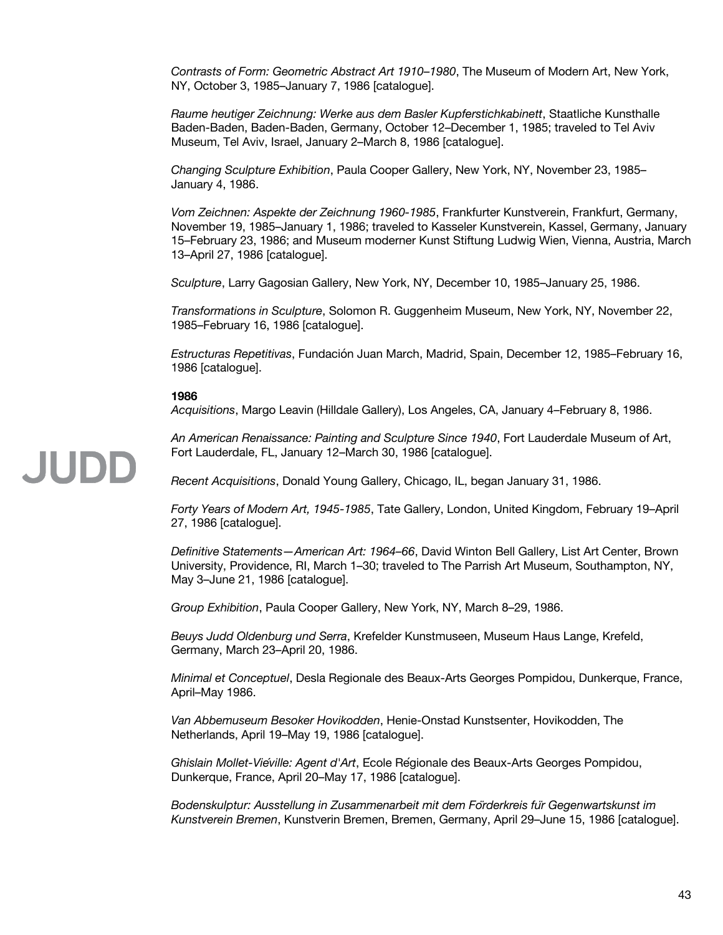*Contrasts of Form: Geometric Abstract Art 1910–1980*, The Museum of Modern Art, New York, NY, October 3, 1985–January 7, 1986 [catalogue].

*Raume heutiger Zeichnung: Werke aus dem Basler Kupferstichkabinett*, Staatliche Kunsthalle Baden-Baden, Baden-Baden, Germany, October 12–December 1, 1985; traveled to Tel Aviv Museum, Tel Aviv, Israel, January 2–March 8, 1986 [catalogue].

*Changing Sculpture Exhibition*, Paula Cooper Gallery, New York, NY, November 23, 1985– January 4, 1986.

*Vom Zeichnen: Aspekte der Zeichnung 1960-1985*, Frankfurter Kunstverein, Frankfurt, Germany, November 19, 1985–January 1, 1986; traveled to Kasseler Kunstverein, Kassel, Germany, January 15–February 23, 1986; and Museum moderner Kunst Stiftung Ludwig Wien, Vienna, Austria, March 13–April 27, 1986 [catalogue].

*Sculpture*, Larry Gagosian Gallery, New York, NY, December 10, 1985–January 25, 1986.

*Transformations in Sculpture*, Solomon R. Guggenheim Museum, New York, NY, November 22, 1985–February 16, 1986 [catalogue].

*Estructuras Repetitivas*, Fundación Juan March, Madrid, Spain, December 12, 1985–February 16, 1986 [catalogue].

#### **1986**

*Acquisitions*, Margo Leavin (Hilldale Gallery), Los Angeles, CA, January 4–February 8, 1986.

*An American Renaissance: Painting and Sculpture Since 1940*, Fort Lauderdale Museum of Art, Fort Lauderdale, FL, January 12–March 30, 1986 [catalogue].

*Recent Acquisitions*, Donald Young Gallery, Chicago, IL, began January 31, 1986.

*Forty Years of Modern Art, 1945-1985*, Tate Gallery, London, United Kingdom, February 19–April 27, 1986 [catalogue].

*Definitive Statements—American Art: 1964–66*, David Winton Bell Gallery, List Art Center, Brown University, Providence, RI, March 1–30; traveled to The Parrish Art Museum, Southampton, NY, May 3–June 21, 1986 [catalogue].

*Group Exhibition*, Paula Cooper Gallery, New York, NY, March 8–29, 1986.

*Beuys Judd Oldenburg und Serra*, Krefelder Kunstmuseen, Museum Haus Lange, Krefeld, Germany, March 23–April 20, 1986.

*Minimal et Conceptuel*, Desla Regionale des Beaux-Arts Georges Pompidou, Dunkerque, France, April–May 1986.

*Van Abbemuseum Besoker Hovikodden*, Henie-Onstad Kunstsenter, Hovikodden, The Netherlands, April 19–May 19, 1986 [catalogue].

*Ghislain Mollet-Viéville: Agent d'Art*, École Régionale des Beaux-Arts Georges Pompidou, Dunkerque, France, April 20–May 17, 1986 [catalogue].

*Bodenskulptur: Ausstellung in Zusammenarbeit mit dem Förderkreis fur Gegenwartskunst im ̈ Kunstverein Bremen*, Kunstverin Bremen, Bremen, Germany, April 29–June 15, 1986 [catalogue].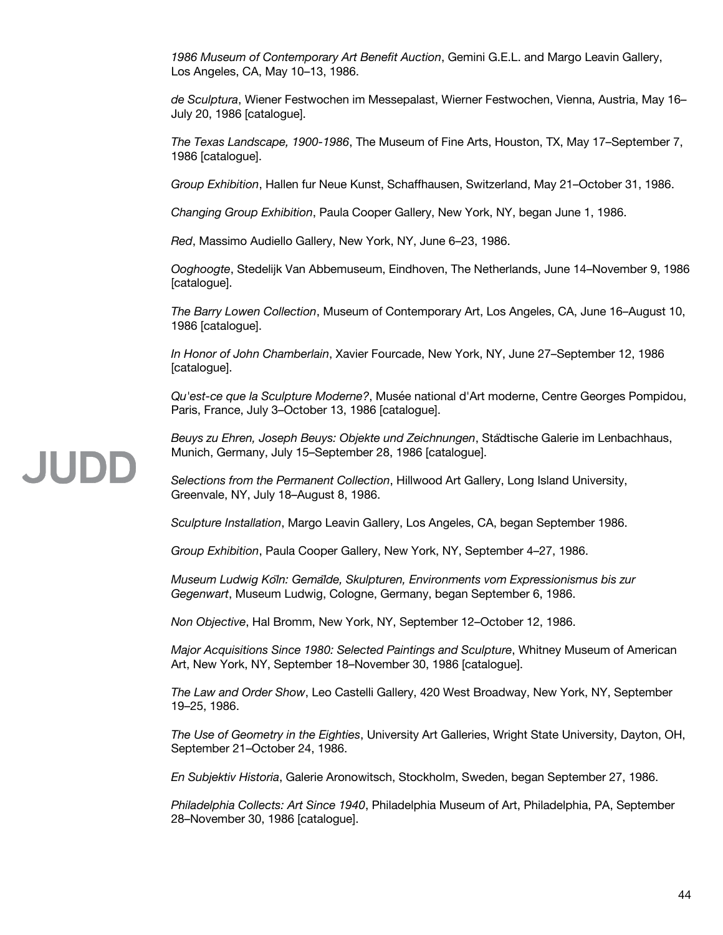*1986 Museum of Contemporary Art Benefit Auction*, Gemini G.E.L. and Margo Leavin Gallery, Los Angeles, CA, May 10–13, 1986.

*de Sculptura*, Wiener Festwochen im Messepalast, Wierner Festwochen, Vienna, Austria, May 16– July 20, 1986 [catalogue].

*The Texas Landscape, 1900-1986*, The Museum of Fine Arts, Houston, TX, May 17–September 7, 1986 [catalogue].

*Group Exhibition*, Hallen fur Neue Kunst, Schaffhausen, Switzerland, May 21–October 31, 1986.

*Changing Group Exhibition*, Paula Cooper Gallery, New York, NY, began June 1, 1986.

*Red*, Massimo Audiello Gallery, New York, NY, June 6–23, 1986.

*Ooghoogte*, Stedelijk Van Abbemuseum, Eindhoven, The Netherlands, June 14–November 9, 1986 [catalogue].

*The Barry Lowen Collection*, Museum of Contemporary Art, Los Angeles, CA, June 16–August 10, 1986 [catalogue].

*In Honor of John Chamberlain*, Xavier Fourcade, New York, NY, June 27–September 12, 1986 [catalogue].

*Qu'est-ce que la Sculpture Moderne?*, Musée national d'Art moderne, Centre Georges Pompidou, Paris, France, July 3–October 13, 1986 [catalogue].

*Beuys zu Ehren, Joseph Beuys: Objekte und Zeichnungen*, Städtische Galerie im Lenbachhaus, Munich, Germany, July 15–September 28, 1986 [catalogue].

*Selections from the Permanent Collection*, Hillwood Art Gallery, Long Island University, Greenvale, NY, July 18–August 8, 1986.

*Sculpture Installation*, Margo Leavin Gallery, Los Angeles, CA, began September 1986.

*Group Exhibition*, Paula Cooper Gallery, New York, NY, September 4–27, 1986.

*Museum Ludwig Köln: Gemalde, Skulpturen, Environments vom Expressionismus bis zur ̈ Gegenwart*, Museum Ludwig, Cologne, Germany, began September 6, 1986.

*Non Objective*, Hal Bromm, New York, NY, September 12–October 12, 1986.

*Major Acquisitions Since 1980: Selected Paintings and Sculpture*, Whitney Museum of American Art, New York, NY, September 18–November 30, 1986 [catalogue].

*The Law and Order Show*, Leo Castelli Gallery, 420 West Broadway, New York, NY, September 19–25, 1986.

*The Use of Geometry in the Eighties*, University Art Galleries, Wright State University, Dayton, OH, September 21–October 24, 1986.

*En Subjektiv Historia*, Galerie Aronowitsch, Stockholm, Sweden, began September 27, 1986.

*Philadelphia Collects: Art Since 1940*, Philadelphia Museum of Art, Philadelphia, PA, September 28–November 30, 1986 [catalogue].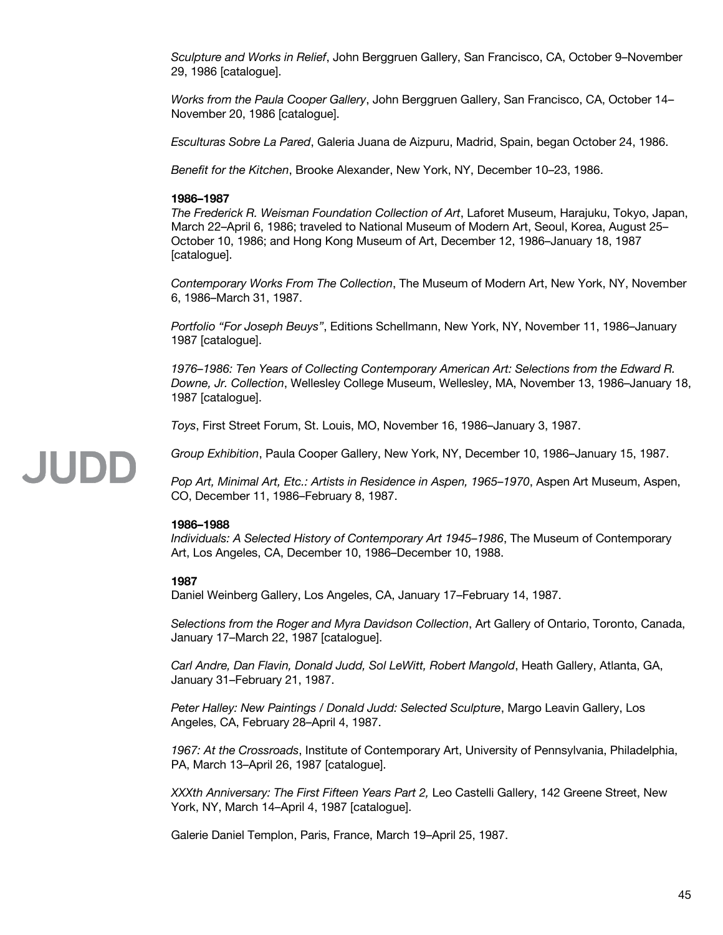*Sculpture and Works in Relief*, John Berggruen Gallery, San Francisco, CA, October 9–November 29, 1986 [catalogue].

*Works from the Paula Cooper Gallery*, John Berggruen Gallery, San Francisco, CA, October 14– November 20, 1986 [catalogue].

*Esculturas Sobre La Pared*, Galeria Juana de Aizpuru, Madrid, Spain, began October 24, 1986.

*Benefit for the Kitchen*, Brooke Alexander, New York, NY, December 10–23, 1986.

# **1986–1987**

*The Frederick R. Weisman Foundation Collection of Art*, Laforet Museum, Harajuku, Tokyo, Japan, March 22–April 6, 1986; traveled to National Museum of Modern Art, Seoul, Korea, August 25– October 10, 1986; and Hong Kong Museum of Art, December 12, 1986–January 18, 1987 [catalogue].

*Contemporary Works From The Collection*, The Museum of Modern Art, New York, NY, November 6, 1986–March 31, 1987.

*Portfolio "For Joseph Beuys"*, Editions Schellmann, New York, NY, November 11, 1986–January 1987 [catalogue].

*1976–1986: Ten Years of Collecting Contemporary American Art: Selections from the Edward R. Downe, Jr. Collection*, Wellesley College Museum, Wellesley, MA, November 13, 1986–January 18, 1987 [catalogue].

*Toys*, First Street Forum, St. Louis, MO, November 16, 1986–January 3, 1987.

*Group Exhibition*, Paula Cooper Gallery, New York, NY, December 10, 1986–January 15, 1987.

*Pop Art, Minimal Art, Etc.: Artists in Residence in Aspen, 1965–1970*, Aspen Art Museum, Aspen, CO, December 11, 1986–February 8, 1987.

### **1986–1988**

*Individuals: A Selected History of Contemporary Art 1945–1986*, The Museum of Contemporary Art, Los Angeles, CA, December 10, 1986–December 10, 1988.

### **1987**

**JUDD** 

Daniel Weinberg Gallery, Los Angeles, CA, January 17–February 14, 1987.

*Selections from the Roger and Myra Davidson Collection*, Art Gallery of Ontario, Toronto, Canada, January 17–March 22, 1987 [catalogue].

*Carl Andre, Dan Flavin, Donald Judd, Sol LeWitt, Robert Mangold*, Heath Gallery, Atlanta, GA, January 31–February 21, 1987.

*Peter Halley: New Paintings / Donald Judd: Selected Sculpture*, Margo Leavin Gallery, Los Angeles, CA, February 28–April 4, 1987.

*1967: At the Crossroads*, Institute of Contemporary Art, University of Pennsylvania, Philadelphia, PA, March 13–April 26, 1987 [catalogue].

*XXXth Anniversary: The First Fifteen Years Part 2,* Leo Castelli Gallery, 142 Greene Street, New York, NY, March 14–April 4, 1987 [catalogue].

Galerie Daniel Templon, Paris, France, March 19–April 25, 1987.

#### 45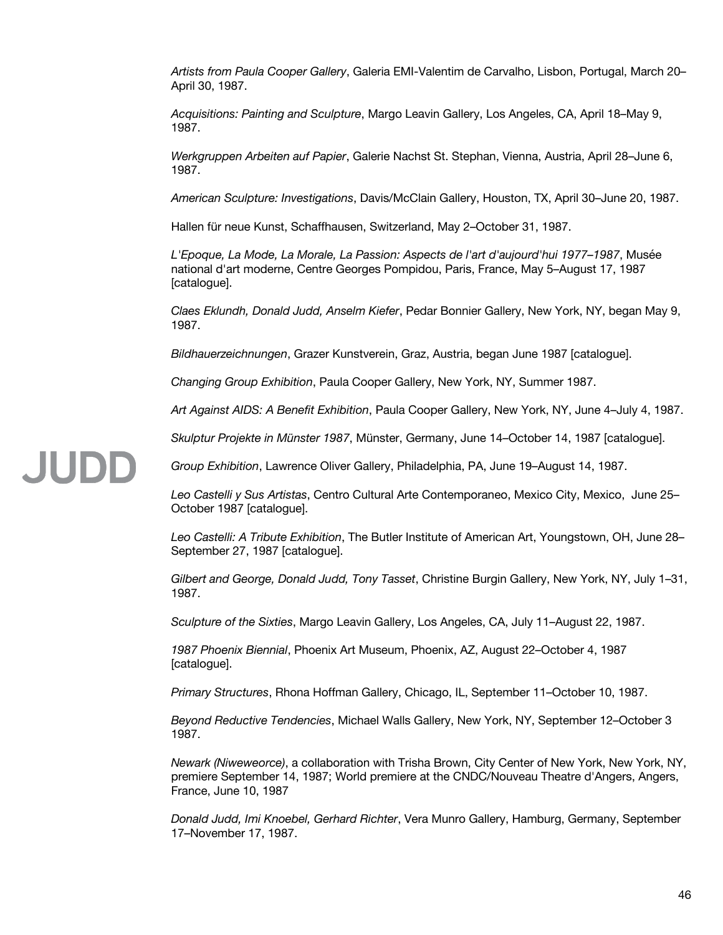*Artists from Paula Cooper Gallery*, Galeria EMI-Valentim de Carvalho, Lisbon, Portugal, March 20– April 30, 1987.

*Acquisitions: Painting and Sculpture*, Margo Leavin Gallery, Los Angeles, CA, April 18–May 9, 1987.

*Werkgruppen Arbeiten auf Papier*, Galerie Nachst St. Stephan, Vienna, Austria, April 28–June 6, 1987.

*American Sculpture: Investigations*, Davis/McClain Gallery, Houston, TX, April 30–June 20, 1987.

Hallen für neue Kunst, Schaffhausen, Switzerland, May 2–October 31, 1987.

*L'Epoque, La Mode, La Morale, La Passion: Aspects de l'art d'aujourd'hui 1977–1987*, Musée national d'art moderne, Centre Georges Pompidou, Paris, France, May 5–August 17, 1987 [catalogue].

*Claes Eklundh, Donald Judd, Anselm Kiefer*, Pedar Bonnier Gallery, New York, NY, began May 9, 1987.

*Bildhauerzeichnungen*, Grazer Kunstverein, Graz, Austria, began June 1987 [catalogue].

*Changing Group Exhibition*, Paula Cooper Gallery, New York, NY, Summer 1987.

**JUDE** 

*Art Against AIDS: A Benefit Exhibition*, Paula Cooper Gallery, New York, NY, June 4–July 4, 1987.

*Skulptur Projekte in Münster 1987*, Münster, Germany, June 14–October 14, 1987 [catalogue].

*Group Exhibition*, Lawrence Oliver Gallery, Philadelphia, PA, June 19–August 14, 1987.

*Leo Castelli y Sus Artistas*, Centro Cultural Arte Contemporaneo, Mexico City, Mexico, June 25– October 1987 [catalogue].

*Leo Castelli: A Tribute Exhibition*, The Butler Institute of American Art, Youngstown, OH, June 28– September 27, 1987 [catalogue].

*Gilbert and George, Donald Judd, Tony Tasset*, Christine Burgin Gallery, New York, NY, July 1–31, 1987.

*Sculpture of the Sixties*, Margo Leavin Gallery, Los Angeles, CA, July 11–August 22, 1987.

*1987 Phoenix Biennial*, Phoenix Art Museum, Phoenix, AZ, August 22–October 4, 1987 [catalogue].

*Primary Structures*, Rhona Hoffman Gallery, Chicago, IL, September 11–October 10, 1987.

*Beyond Reductive Tendencies*, Michael Walls Gallery, New York, NY, September 12–October 3 1987.

*Newark (Niweweorce)*, a collaboration with Trisha Brown, City Center of New York, New York, NY, premiere September 14, 1987; World premiere at the CNDC/Nouveau Theatre d'Angers, Angers, France, June 10, 1987

*Donald Judd, Imi Knoebel, Gerhard Richter*, Vera Munro Gallery, Hamburg, Germany, September 17–November 17, 1987.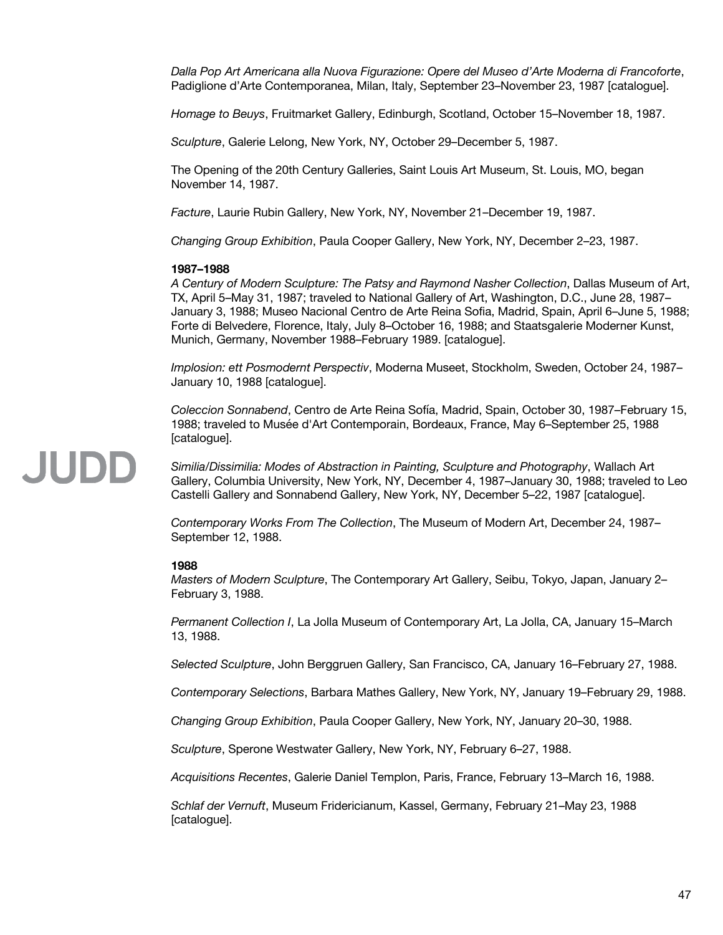*Dalla Pop Art Americana alla Nuova Figurazione: Opere del Museo d'Arte Moderna di Francoforte*, Padiglione d'Arte Contemporanea, Milan, Italy, September 23–November 23, 1987 [catalogue].

*Homage to Beuys*, Fruitmarket Gallery, Edinburgh, Scotland, October 15–November 18, 1987.

*Sculpture*, Galerie Lelong, New York, NY, October 29–December 5, 1987.

The Opening of the 20th Century Galleries, Saint Louis Art Museum, St. Louis, MO, began November 14, 1987.

*Facture*, Laurie Rubin Gallery, New York, NY, November 21–December 19, 1987.

*Changing Group Exhibition*, Paula Cooper Gallery, New York, NY, December 2–23, 1987.

# **1987–1988**

*A Century of Modern Sculpture: The Patsy and Raymond Nasher Collection*, Dallas Museum of Art, TX, April 5–May 31, 1987; traveled to National Gallery of Art, Washington, D.C., June 28, 1987– January 3, 1988; Museo Nacional Centro de Arte Reina Sofia, Madrid, Spain, April 6–June 5, 1988; Forte di Belvedere, Florence, Italy, July 8–October 16, 1988; and Staatsgalerie Moderner Kunst, Munich, Germany, November 1988–February 1989. [catalogue].

*Implosion: ett Posmodernt Perspectiv*, Moderna Museet, Stockholm, Sweden, October 24, 1987– January 10, 1988 [catalogue].

*Coleccion Sonnabend*, Centro de Arte Reina Sofía, Madrid, Spain, October 30, 1987–February 15, 1988; traveled to Musée d'Art Contemporain, Bordeaux, France, May 6–September 25, 1988 [catalogue].

# JUDD

*Similia/Dissimilia: Modes of Abstraction in Painting, Sculpture and Photography*, Wallach Art Gallery, Columbia University, New York, NY, December 4, 1987–January 30, 1988; traveled to Leo Castelli Gallery and Sonnabend Gallery, New York, NY, December 5–22, 1987 [catalogue].

*Contemporary Works From The Collection*, The Museum of Modern Art, December 24, 1987– September 12, 1988.

# **1988**

*Masters of Modern Sculpture*, The Contemporary Art Gallery, Seibu, Tokyo, Japan, January 2– February 3, 1988.

*Permanent Collection I*, La Jolla Museum of Contemporary Art, La Jolla, CA, January 15–March 13, 1988.

*Selected Sculpture*, John Berggruen Gallery, San Francisco, CA, January 16–February 27, 1988.

*Contemporary Selections*, Barbara Mathes Gallery, New York, NY, January 19–February 29, 1988.

*Changing Group Exhibition*, Paula Cooper Gallery, New York, NY, January 20–30, 1988.

*Sculpture*, Sperone Westwater Gallery, New York, NY, February 6–27, 1988.

*Acquisitions Recentes*, Galerie Daniel Templon, Paris, France, February 13–March 16, 1988.

*Schlaf der Vernuft*, Museum Fridericianum, Kassel, Germany, February 21–May 23, 1988 [catalogue].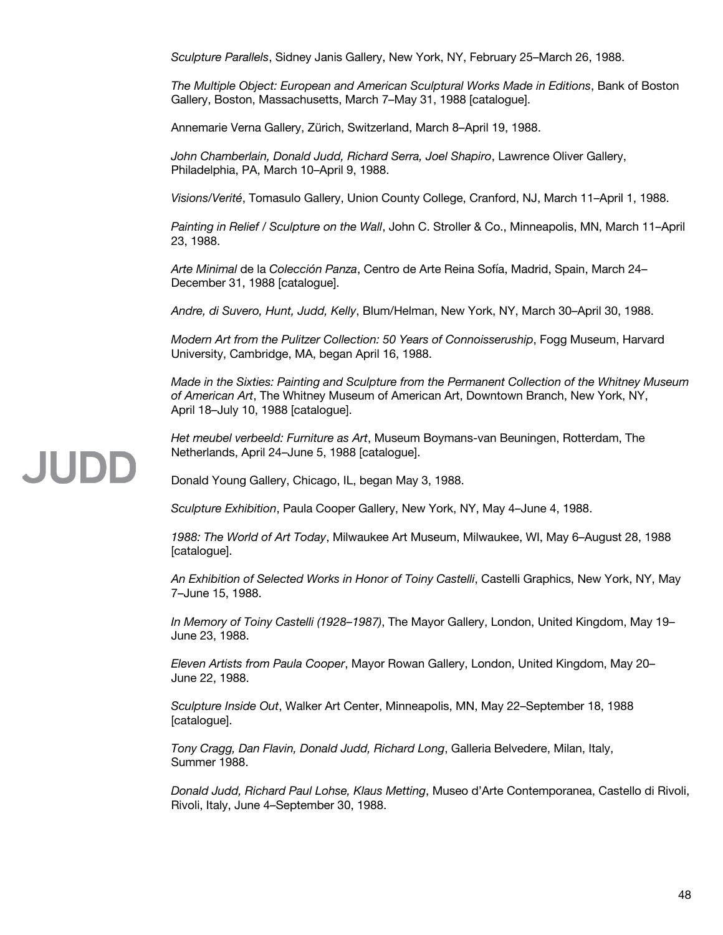*Sculpture Parallels*, Sidney Janis Gallery, New York, NY, February 25–March 26, 1988.

*The Multiple Object: European and American Sculptural Works Made in Editions*, Bank of Boston Gallery, Boston, Massachusetts, March 7–May 31, 1988 [catalogue].

Annemarie Verna Gallery, Zürich, Switzerland, March 8–April 19, 1988.

*John Chamberlain, Donald Judd, Richard Serra, Joel Shapiro*, Lawrence Oliver Gallery, Philadelphia, PA, March 10–April 9, 1988.

*Visions/Verité*, Tomasulo Gallery, Union County College, Cranford, NJ, March 11–April 1, 1988.

*Painting in Relief / Sculpture on the Wall*, John C. Stroller & Co., Minneapolis, MN, March 11–April 23, 1988.

*Arte Minimal* de la *Colección Panza*, Centro de Arte Reina Sofía, Madrid, Spain, March 24– December 31, 1988 [catalogue].

*Andre, di Suvero, Hunt, Judd, Kelly*, Blum/Helman, New York, NY, March 30–April 30, 1988.

*Modern Art from the Pulitzer Collection: 50 Years of Connoisseruship*, Fogg Museum, Harvard University, Cambridge, MA, began April 16, 1988.

*Made in the Sixties: Painting and Sculpture from the Permanent Collection of the Whitney Museum of American Art*, The Whitney Museum of American Art, Downtown Branch, New York, NY, April 18–July 10, 1988 [catalogue].

*Het meubel verbeeld: Furniture as Art*, Museum Boymans-van Beuningen, Rotterdam, The Netherlands, April 24–June 5, 1988 [catalogue].

Donald Young Gallery, Chicago, IL, began May 3, 1988.

*Sculpture Exhibition*, Paula Cooper Gallery, New York, NY, May 4–June 4, 1988.

*1988: The World of Art Today*, Milwaukee Art Museum, Milwaukee, WI, May 6–August 28, 1988 [catalogue].

*An Exhibition of Selected Works in Honor of Toiny Castelli*, Castelli Graphics, New York, NY, May 7–June 15, 1988.

*In Memory of Toiny Castelli (1928–1987)*, The Mayor Gallery, London, United Kingdom, May 19– June 23, 1988.

*Eleven Artists from Paula Cooper*, Mayor Rowan Gallery, London, United Kingdom, May 20– June 22, 1988.

*Sculpture Inside Out*, Walker Art Center, Minneapolis, MN, May 22–September 18, 1988 [catalogue].

*Tony Cragg, Dan Flavin, Donald Judd, Richard Long*, Galleria Belvedere, Milan, Italy, Summer 1988.

*Donald Judd, Richard Paul Lohse, Klaus Metting*, Museo d'Arte Contemporanea, Castello di Rivoli, Rivoli, Italy, June 4–September 30, 1988.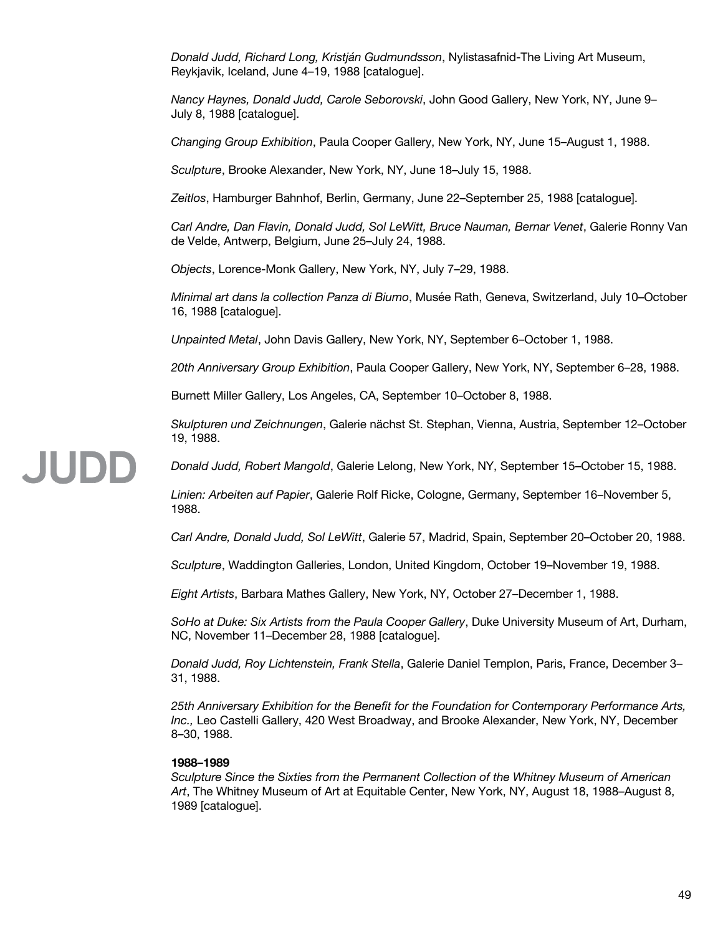*Donald Judd, Richard Long, Kristján Gudmundsson*, Nylistasafnid-The Living Art Museum, Reykjavik, Iceland, June 4–19, 1988 [catalogue].

*Nancy Haynes, Donald Judd, Carole Seborovski*, John Good Gallery, New York, NY, June 9– July 8, 1988 [catalogue].

*Changing Group Exhibition*, Paula Cooper Gallery, New York, NY, June 15–August 1, 1988.

*Sculpture*, Brooke Alexander, New York, NY, June 18–July 15, 1988.

*Zeitlos*, Hamburger Bahnhof, Berlin, Germany, June 22–September 25, 1988 [catalogue].

*Carl Andre, Dan Flavin, Donald Judd, Sol LeWitt, Bruce Nauman, Bernar Venet*, Galerie Ronny Van de Velde, Antwerp, Belgium, June 25–July 24, 1988.

*Objects*, Lorence-Monk Gallery, New York, NY, July 7–29, 1988.

*Minimal art dans la collection Panza di Biumo*, Musée Rath, Geneva, Switzerland, July 10–October 16, 1988 [catalogue].

*Unpainted Metal*, John Davis Gallery, New York, NY, September 6–October 1, 1988.

*20th Anniversary Group Exhibition*, Paula Cooper Gallery, New York, NY, September 6–28, 1988.

Burnett Miller Gallery, Los Angeles, CA, September 10–October 8, 1988.

*Skulpturen und Zeichnungen*, Galerie nächst St. Stephan, Vienna, Austria, September 12–October 19, 1988.

*Donald Judd, Robert Mangold*, Galerie Lelong, New York, NY, September 15–October 15, 1988.

*Linien: Arbeiten auf Papier*, Galerie Rolf Ricke, Cologne, Germany, September 16–November 5, 1988.

*Carl Andre, Donald Judd, Sol LeWitt*, Galerie 57, Madrid, Spain, September 20–October 20, 1988.

*Sculpture*, Waddington Galleries, London, United Kingdom, October 19–November 19, 1988.

*Eight Artists*, Barbara Mathes Gallery, New York, NY, October 27–December 1, 1988.

*SoHo at Duke: Six Artists from the Paula Cooper Gallery*, Duke University Museum of Art, Durham, NC, November 11–December 28, 1988 [catalogue].

*Donald Judd, Roy Lichtenstein, Frank Stella*, Galerie Daniel Templon, Paris, France, December 3– 31, 1988.

*25th Anniversary Exhibition for the Benefit for the Foundation for Contemporary Performance Arts, Inc.,* Leo Castelli Gallery, 420 West Broadway, and Brooke Alexander, New York, NY, December 8–30, 1988.

### **1988–1989**

JUDD

*Sculpture Since the Sixties from the Permanent Collection of the Whitney Museum of American Art*, The Whitney Museum of Art at Equitable Center, New York, NY, August 18, 1988–August 8, 1989 [catalogue].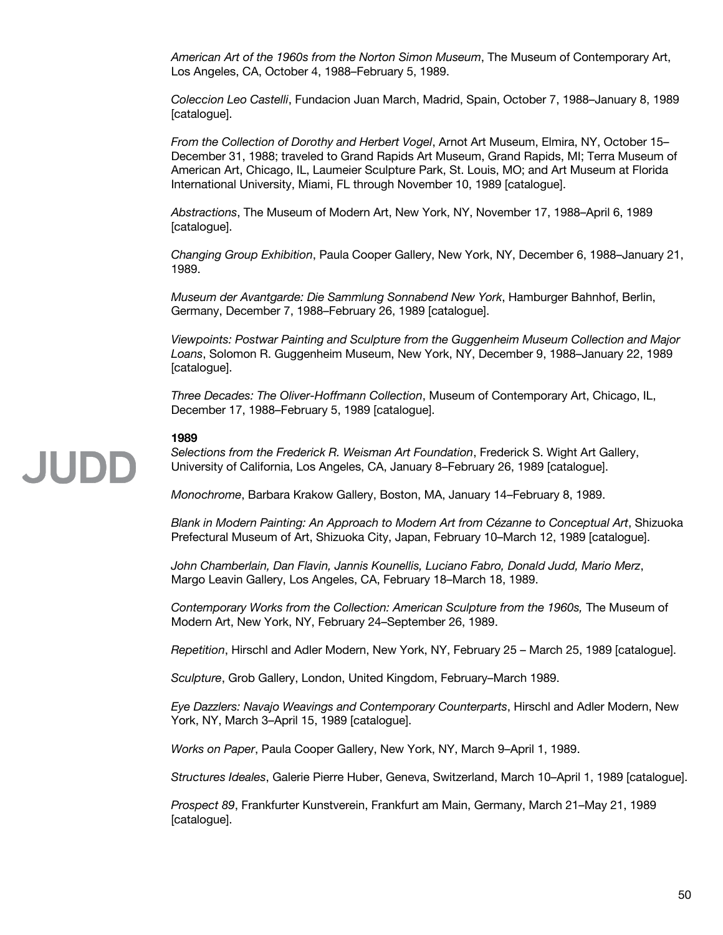*American Art of the 1960s from the Norton Simon Museum*, The Museum of Contemporary Art, Los Angeles, CA, October 4, 1988–February 5, 1989.

*Coleccion Leo Castelli*, Fundacion Juan March, Madrid, Spain, October 7, 1988–January 8, 1989 [catalogue].

*From the Collection of Dorothy and Herbert Vogel*, Arnot Art Museum, Elmira, NY, October 15– December 31, 1988; traveled to Grand Rapids Art Museum, Grand Rapids, MI; Terra Museum of American Art, Chicago, IL, Laumeier Sculpture Park, St. Louis, MO; and Art Museum at Florida International University, Miami, FL through November 10, 1989 [catalogue].

*Abstractions*, The Museum of Modern Art, New York, NY, November 17, 1988–April 6, 1989 [catalogue].

*Changing Group Exhibition*, Paula Cooper Gallery, New York, NY, December 6, 1988–January 21, 1989.

*Museum der Avantgarde: Die Sammlung Sonnabend New York*, Hamburger Bahnhof, Berlin, Germany, December 7, 1988–February 26, 1989 [catalogue].

*Viewpoints: Postwar Painting and Sculpture from the Guggenheim Museum Collection and Major Loans*, Solomon R. Guggenheim Museum, New York, NY, December 9, 1988–January 22, 1989 [catalogue].

*Three Decades: The Oliver-Hoffmann Collection*, Museum of Contemporary Art, Chicago, IL, December 17, 1988–February 5, 1989 [catalogue].

# **1989**

*Selections from the Frederick R. Weisman Art Foundation*, Frederick S. Wight Art Gallery, University of California, Los Angeles, CA, January 8–February 26, 1989 [catalogue].

*Monochrome*, Barbara Krakow Gallery, Boston, MA, January 14–February 8, 1989.

*Blank in Modern Painting: An Approach to Modern Art from Cézanne to Conceptual Art*, Shizuoka Prefectural Museum of Art, Shizuoka City, Japan, February 10–March 12, 1989 [catalogue].

*John Chamberlain, Dan Flavin, Jannis Kounellis, Luciano Fabro, Donald Judd, Mario Merz*, Margo Leavin Gallery, Los Angeles, CA, February 18–March 18, 1989.

*Contemporary Works from the Collection: American Sculpture from the 1960s,* The Museum of Modern Art, New York, NY, February 24–September 26, 1989.

*Repetition*, Hirschl and Adler Modern, New York, NY, February 25 – March 25, 1989 [catalogue].

*Sculpture*, Grob Gallery, London, United Kingdom, February–March 1989.

*Eye Dazzlers: Navajo Weavings and Contemporary Counterparts*, Hirschl and Adler Modern, New York, NY, March 3–April 15, 1989 [catalogue].

*Works on Paper*, Paula Cooper Gallery, New York, NY, March 9–April 1, 1989.

*Structures Ideales*, Galerie Pierre Huber, Geneva, Switzerland, March 10–April 1, 1989 [catalogue].

*Prospect 89*, Frankfurter Kunstverein, Frankfurt am Main, Germany, March 21–May 21, 1989 [catalogue].

# **JUDE**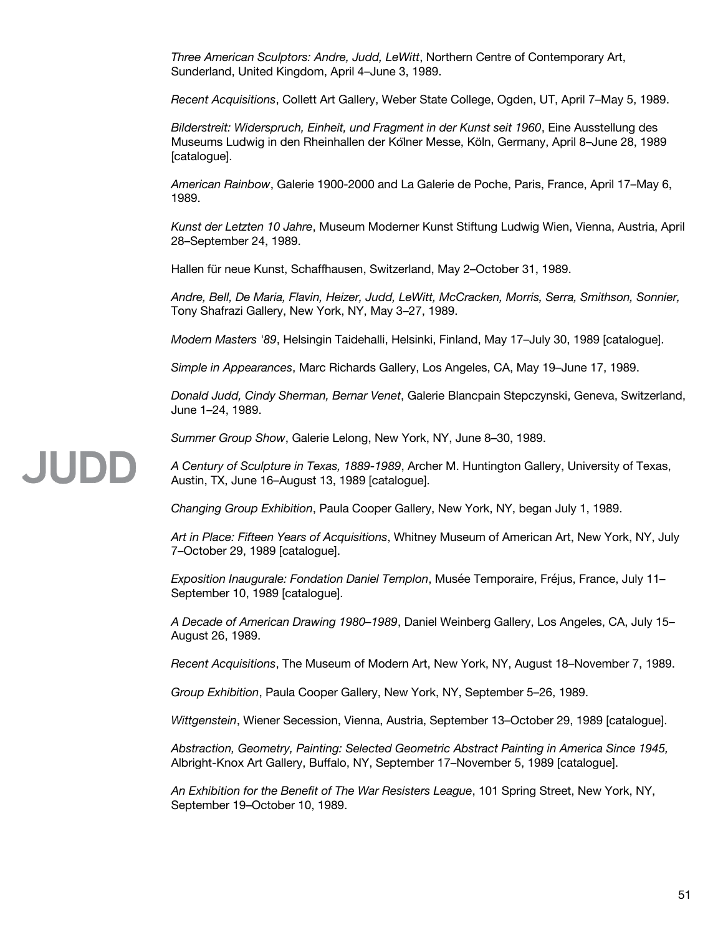*Three American Sculptors: Andre, Judd, LeWitt*, Northern Centre of Contemporary Art, Sunderland, United Kingdom, April 4–June 3, 1989.

*Recent Acquisitions*, Collett Art Gallery, Weber State College, Ogden, UT, April 7–May 5, 1989.

*Bilderstreit: Widerspruch, Einheit, und Fragment in der Kunst seit 1960*, Eine Ausstellung des Museums Ludwig in den Rheinhallen der Kölner Messe, Köln, Germany, April 8–June 28, 1989 [catalogue].

*American Rainbow*, Galerie 1900-2000 and La Galerie de Poche, Paris, France, April 17–May 6, 1989.

*Kunst der Letzten 10 Jahre*, Museum Moderner Kunst Stiftung Ludwig Wien, Vienna, Austria, April 28–September 24, 1989.

Hallen für neue Kunst, Schaffhausen, Switzerland, May 2–October 31, 1989.

*Andre, Bell, De Maria, Flavin, Heizer, Judd, LeWitt, McCracken, Morris, Serra, Smithson, Sonnier,*  Tony Shafrazi Gallery, New York, NY, May 3–27, 1989.

*Modern Masters '89*, Helsingin Taidehalli, Helsinki, Finland, May 17–July 30, 1989 [catalogue].

*Simple in Appearances*, Marc Richards Gallery, Los Angeles, CA, May 19–June 17, 1989.

*Donald Judd, Cindy Sherman, Bernar Venet*, Galerie Blancpain Stepczynski, Geneva, Switzerland, June 1–24, 1989.

*Summer Group Show*, Galerie Lelong, New York, NY, June 8–30, 1989.

JUDD *A Century of Sculpture in Texas, 1889-1989*, Archer M. Huntington Gallery, University of Texas, Austin, TX, June 16–August 13, 1989 [catalogue].

*Changing Group Exhibition*, Paula Cooper Gallery, New York, NY, began July 1, 1989.

*Art in Place: Fifteen Years of Acquisitions*, Whitney Museum of American Art, New York, NY, July 7–October 29, 1989 [catalogue].

*Exposition Inaugurale: Fondation Daniel Templon*, Musée Temporaire, Fréjus, France, July 11– September 10, 1989 [catalogue].

*A Decade of American Drawing 1980–1989*, Daniel Weinberg Gallery, Los Angeles, CA, July 15– August 26, 1989.

*Recent Acquisitions*, The Museum of Modern Art, New York, NY, August 18–November 7, 1989.

*Group Exhibition*, Paula Cooper Gallery, New York, NY, September 5–26, 1989.

*Wittgenstein*, Wiener Secession, Vienna, Austria, September 13–October 29, 1989 [catalogue].

*Abstraction, Geometry, Painting: Selected Geometric Abstract Painting in America Since 1945,*  Albright-Knox Art Gallery, Buffalo, NY, September 17–November 5, 1989 [catalogue].

*An Exhibition for the Benefit of The War Resisters League*, 101 Spring Street, New York, NY, September 19–October 10, 1989.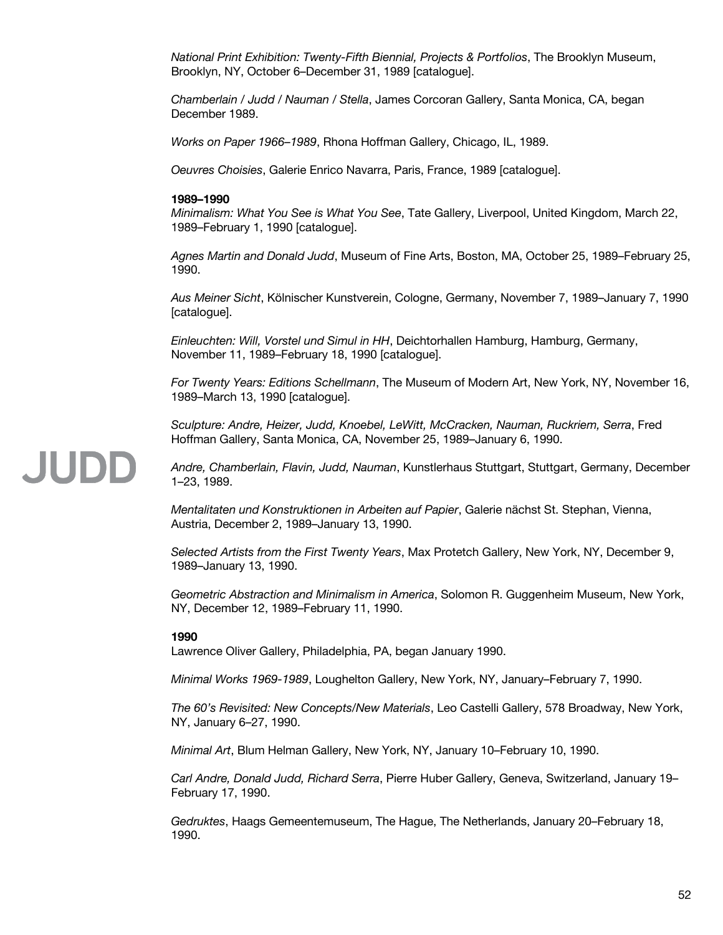*National Print Exhibition: Twenty-Fifth Biennial, Projects & Portfolios*, The Brooklyn Museum, Brooklyn, NY, October 6–December 31, 1989 [catalogue].

*Chamberlain / Judd / Nauman / Stella*, James Corcoran Gallery, Santa Monica, CA, began December 1989.

*Works on Paper 1966–1989*, Rhona Hoffman Gallery, Chicago, IL, 1989.

*Oeuvres Choisies*, Galerie Enrico Navarra, Paris, France, 1989 [catalogue].

#### **1989–1990**

*Minimalism: What You See is What You See*, Tate Gallery, Liverpool, United Kingdom, March 22, 1989–February 1, 1990 [catalogue].

*Agnes Martin and Donald Judd*, Museum of Fine Arts, Boston, MA, October 25, 1989–February 25, 1990.

*Aus Meiner Sicht*, Kölnischer Kunstverein, Cologne, Germany, November 7, 1989–January 7, 1990 [catalogue].

*Einleuchten: Will, Vorstel und Simul in HH*, Deichtorhallen Hamburg, Hamburg, Germany, November 11, 1989–February 18, 1990 [catalogue].

*For Twenty Years: Editions Schellmann*, The Museum of Modern Art, New York, NY, November 16, 1989–March 13, 1990 [catalogue].

*Sculpture: Andre, Heizer, Judd, Knoebel, LeWitt, McCracken, Nauman, Ruckriem, Serra*, Fred Hoffman Gallery, Santa Monica, CA, November 25, 1989–January 6, 1990.

### **JUDD** *Andre, Chamberlain, Flavin, Judd, Nauman*, Kunstlerhaus Stuttgart, Stuttgart, Germany, December 1–23, 1989.

*Mentalitaten und Konstruktionen in Arbeiten auf Papier*, Galerie nächst St. Stephan, Vienna, Austria, December 2, 1989–January 13, 1990.

*Selected Artists from the First Twenty Years*, Max Protetch Gallery, New York, NY, December 9, 1989–January 13, 1990.

*Geometric Abstraction and Minimalism in America*, Solomon R. Guggenheim Museum, New York, NY, December 12, 1989–February 11, 1990.

### **1990**

Lawrence Oliver Gallery, Philadelphia, PA, began January 1990.

*Minimal Works 1969-1989*, Loughelton Gallery, New York, NY, January–February 7, 1990.

*The 60's Revisited: New Concepts/New Materials*, Leo Castelli Gallery, 578 Broadway, New York, NY, January 6–27, 1990.

*Minimal Art*, Blum Helman Gallery, New York, NY, January 10–February 10, 1990.

*Carl Andre, Donald Judd, Richard Serra*, Pierre Huber Gallery, Geneva, Switzerland, January 19– February 17, 1990.

*Gedruktes*, Haags Gemeentemuseum, The Hague, The Netherlands, January 20–February 18, 1990.

#### 52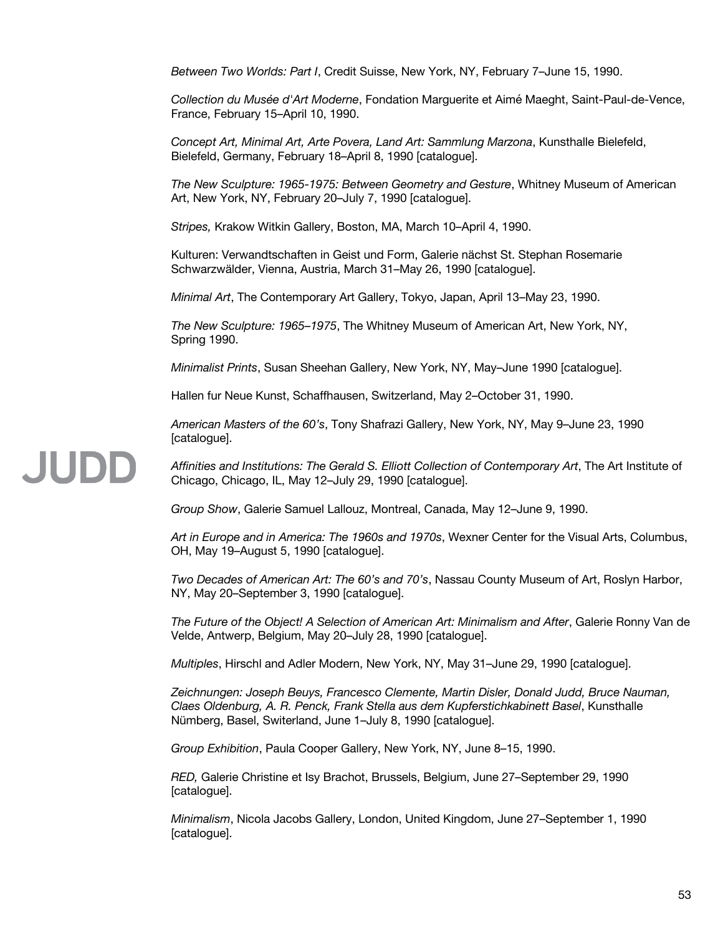*Between Two Worlds: Part I*, Credit Suisse, New York, NY, February 7–June 15, 1990.

*Collection du Musée d'Art Moderne*, Fondation Marguerite et Aimé Maeght, Saint-Paul-de-Vence, France, February 15–April 10, 1990.

*Concept Art, Minimal Art, Arte Povera, Land Art: Sammlung Marzona*, Kunsthalle Bielefeld, Bielefeld, Germany, February 18–April 8, 1990 [catalogue].

*The New Sculpture: 1965-1975: Between Geometry and Gesture*, Whitney Museum of American Art, New York, NY, February 20–July 7, 1990 [catalogue].

*Stripes,* Krakow Witkin Gallery, Boston, MA, March 10–April 4, 1990.

Kulturen: Verwandtschaften in Geist und Form, Galerie nächst St. Stephan Rosemarie Schwarzwälder, Vienna, Austria, March 31–May 26, 1990 [catalogue].

*Minimal Art*, The Contemporary Art Gallery, Tokyo, Japan, April 13–May 23, 1990.

*The New Sculpture: 1965–1975*, The Whitney Museum of American Art, New York, NY, Spring 1990.

*Minimalist Prints*, Susan Sheehan Gallery, New York, NY, May–June 1990 [catalogue].

Hallen fur Neue Kunst, Schaffhausen, Switzerland, May 2–October 31, 1990.

*American Masters of the 60's*, Tony Shafrazi Gallery, New York, NY, May 9–June 23, 1990 [catalogue].

#### JUDD *Affinities and Institutions: The Gerald S. Elliott Collection of Contemporary Art*, The Art Institute of Chicago, Chicago, IL, May 12–July 29, 1990 [catalogue].

*Group Show*, Galerie Samuel Lallouz, Montreal, Canada, May 12–June 9, 1990.

*Art in Europe and in America: The 1960s and 1970s*, Wexner Center for the Visual Arts, Columbus, OH, May 19–August 5, 1990 [catalogue].

*Two Decades of American Art: The 60's and 70's*, Nassau County Museum of Art, Roslyn Harbor, NY, May 20–September 3, 1990 [catalogue].

*The Future of the Object! A Selection of American Art: Minimalism and After*, Galerie Ronny Van de Velde, Antwerp, Belgium, May 20–July 28, 1990 [catalogue].

*Multiples*, Hirschl and Adler Modern, New York, NY, May 31–June 29, 1990 [catalogue].

*Zeichnungen: Joseph Beuys, Francesco Clemente, Martin Disler, Donald Judd, Bruce Nauman, Claes Oldenburg, A. R. Penck, Frank Stella aus dem Kupferstichkabinett Basel*, Kunsthalle Nümberg, Basel, Switerland, June 1–July 8, 1990 [catalogue].

*Group Exhibition*, Paula Cooper Gallery, New York, NY, June 8–15, 1990.

*RED,* Galerie Christine et Isy Brachot, Brussels, Belgium, June 27–September 29, 1990 [catalogue].

*Minimalism*, Nicola Jacobs Gallery, London, United Kingdom, June 27–September 1, 1990 [catalogue].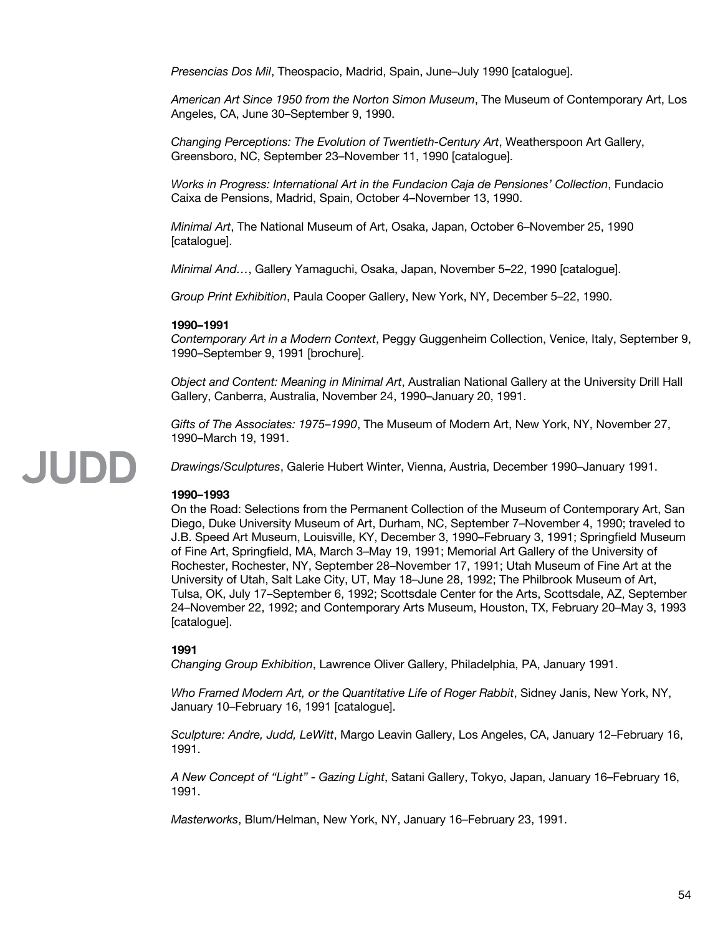*Presencias Dos Mil*, Theospacio, Madrid, Spain, June–July 1990 [catalogue].

*American Art Since 1950 from the Norton Simon Museum*, The Museum of Contemporary Art, Los Angeles, CA, June 30–September 9, 1990.

*Changing Perceptions: The Evolution of Twentieth-Century Art*, Weatherspoon Art Gallery, Greensboro, NC, September 23–November 11, 1990 [catalogue].

*Works in Progress: International Art in the Fundacion Caja de Pensiones' Collection*, Fundacio Caixa de Pensions, Madrid, Spain, October 4–November 13, 1990.

*Minimal Art*, The National Museum of Art, Osaka, Japan, October 6–November 25, 1990 [catalogue].

*Minimal And…*, Gallery Yamaguchi, Osaka, Japan, November 5–22, 1990 [catalogue].

*Group Print Exhibition*, Paula Cooper Gallery, New York, NY, December 5–22, 1990.

# **1990–1991**

*Contemporary Art in a Modern Context*, Peggy Guggenheim Collection, Venice, Italy, September 9, 1990–September 9, 1991 [brochure].

*Object and Content: Meaning in Minimal Art*, Australian National Gallery at the University Drill Hall Gallery, Canberra, Australia, November 24, 1990–January 20, 1991.

*Gifts of The Associates: 1975–1990*, The Museum of Modern Art, New York, NY, November 27, 1990–March 19, 1991.

*Drawings/Sculptures*, Galerie Hubert Winter, Vienna, Austria, December 1990–January 1991.

# **1990–1993**

JUDD

On the Road: Selections from the Permanent Collection of the Museum of Contemporary Art, San Diego, Duke University Museum of Art, Durham, NC, September 7–November 4, 1990; traveled to J.B. Speed Art Museum, Louisville, KY, December 3, 1990–February 3, 1991; Springfield Museum of Fine Art, Springfield, MA, March 3–May 19, 1991; Memorial Art Gallery of the University of Rochester, Rochester, NY, September 28–November 17, 1991; Utah Museum of Fine Art at the University of Utah, Salt Lake City, UT, May 18–June 28, 1992; The Philbrook Museum of Art, Tulsa, OK, July 17–September 6, 1992; Scottsdale Center for the Arts, Scottsdale, AZ, September 24–November 22, 1992; and Contemporary Arts Museum, Houston, TX, February 20–May 3, 1993 [catalogue].

# **1991**

*Changing Group Exhibition*, Lawrence Oliver Gallery, Philadelphia, PA, January 1991.

*Who Framed Modern Art, or the Quantitative Life of Roger Rabbit*, Sidney Janis, New York, NY, January 10–February 16, 1991 [catalogue].

*Sculpture: Andre, Judd, LeWitt*, Margo Leavin Gallery, Los Angeles, CA, January 12–February 16, 1991.

*A New Concept of "Light" - Gazing Light*, Satani Gallery, Tokyo, Japan, January 16–February 16, 1991.

*Masterworks*, Blum/Helman, New York, NY, January 16–February 23, 1991.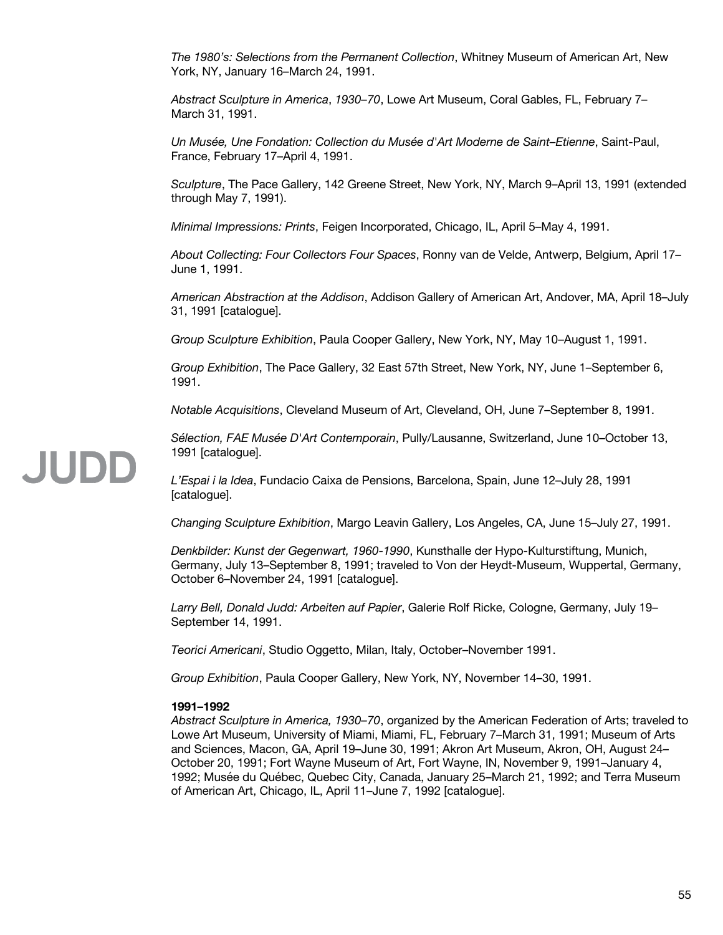*The 1980's: Selections from the Permanent Collection*, Whitney Museum of American Art, New York, NY, January 16–March 24, 1991.

*Abstract Sculpture in America*, *1930–70*, Lowe Art Museum, Coral Gables, FL, February 7– March 31, 1991.

*Un Musée, Une Fondation: Collection du Musée d'Art Moderne de Saint–Etienne*, Saint-Paul, France, February 17–April 4, 1991.

*Sculpture*, The Pace Gallery, 142 Greene Street, New York, NY, March 9–April 13, 1991 (extended through May 7, 1991).

*Minimal Impressions: Prints*, Feigen Incorporated, Chicago, IL, April 5–May 4, 1991.

*About Collecting: Four Collectors Four Spaces*, Ronny van de Velde, Antwerp, Belgium, April 17– June 1, 1991.

*American Abstraction at the Addison*, Addison Gallery of American Art, Andover, MA, April 18–July 31, 1991 [catalogue].

*Group Sculpture Exhibition*, Paula Cooper Gallery, New York, NY, May 10–August 1, 1991.

*Group Exhibition*, The Pace Gallery, 32 East 57th Street, New York, NY, June 1–September 6, 1991.

*Notable Acquisitions*, Cleveland Museum of Art, Cleveland, OH, June 7–September 8, 1991.

*Sélection, FAE Musée D'Art Contemporain*, Pully/Lausanne, Switzerland, June 10–October 13, 1991 [catalogue].

*L'Espai i la Idea*, Fundacio Caixa de Pensions, Barcelona, Spain, June 12–July 28, 1991 [catalogue].

*Changing Sculpture Exhibition*, Margo Leavin Gallery, Los Angeles, CA, June 15–July 27, 1991.

*Denkbilder: Kunst der Gegenwart, 1960-1990*, Kunsthalle der Hypo-Kulturstiftung, Munich, Germany, July 13–September 8, 1991; traveled to Von der Heydt-Museum, Wuppertal, Germany, October 6–November 24, 1991 [catalogue].

*Larry Bell, Donald Judd: Arbeiten auf Papier*, Galerie Rolf Ricke, Cologne, Germany, July 19– September 14, 1991.

*Teorici Americani*, Studio Oggetto, Milan, Italy, October–November 1991.

*Group Exhibition*, Paula Cooper Gallery, New York, NY, November 14–30, 1991.

### **1991–1992**

*Abstract Sculpture in America, 1930–70*, organized by the American Federation of Arts; traveled to Lowe Art Museum, University of Miami, Miami, FL, February 7–March 31, 1991; Museum of Arts and Sciences, Macon, GA, April 19–June 30, 1991; Akron Art Museum, Akron, OH, August 24– October 20, 1991; Fort Wayne Museum of Art, Fort Wayne, IN, November 9, 1991–January 4, 1992; Musée du Québec, Quebec City, Canada, January 25–March 21, 1992; and Terra Museum of American Art, Chicago, IL, April 11–June 7, 1992 [catalogue].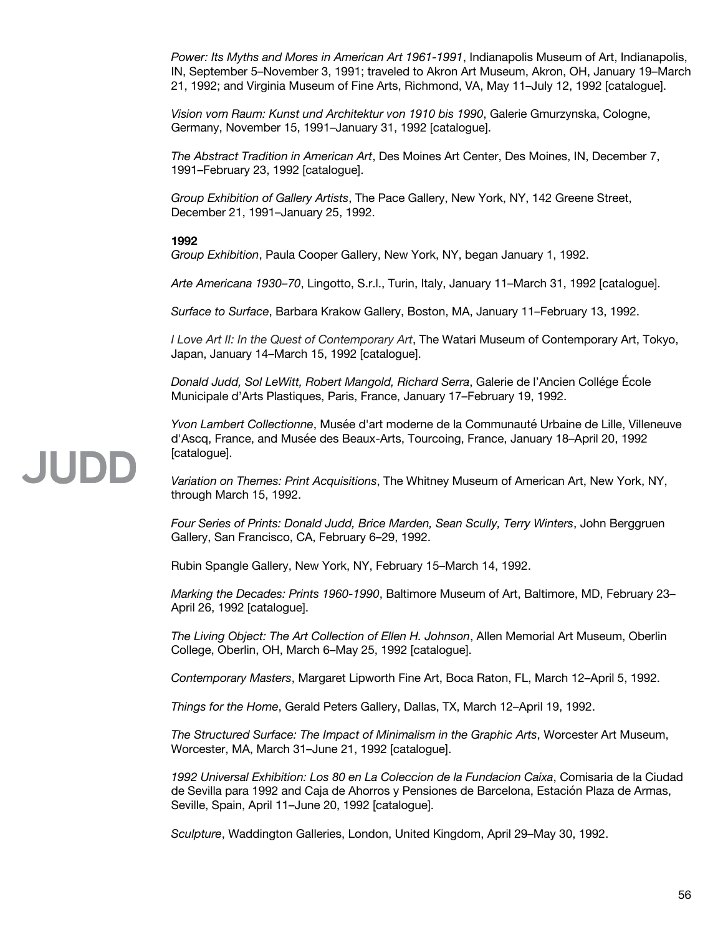*Power: Its Myths and Mores in American Art 1961-1991*, Indianapolis Museum of Art, Indianapolis, IN, September 5–November 3, 1991; traveled to Akron Art Museum, Akron, OH, January 19–March 21, 1992; and Virginia Museum of Fine Arts, Richmond, VA, May 11–July 12, 1992 [catalogue].

*Vision vom Raum: Kunst und Architektur von 1910 bis 1990*, Galerie Gmurzynska, Cologne, Germany, November 15, 1991–January 31, 1992 [catalogue].

*The Abstract Tradition in American Art*, Des Moines Art Center, Des Moines, IN, December 7, 1991–February 23, 1992 [catalogue].

*Group Exhibition of Gallery Artists*, The Pace Gallery, New York, NY, 142 Greene Street, December 21, 1991–January 25, 1992.

# **1992**

*Group Exhibition*, Paula Cooper Gallery, New York, NY, began January 1, 1992.

*Arte Americana 1930–70*, Lingotto, S.r.l., Turin, Italy, January 11–March 31, 1992 [catalogue].

*Surface to Surface*, Barbara Krakow Gallery, Boston, MA, January 11–February 13, 1992.

*I Love Art II: In the Quest of Contemporary Art*, The Watari Museum of Contemporary Art, Tokyo, Japan, January 14–March 15, 1992 [catalogue].

*Donald Judd, Sol LeWitt, Robert Mangold, Richard Serra*, Galerie de l'Ancien Collége École Municipale d'Arts Plastiques, Paris, France, January 17–February 19, 1992.

*Yvon Lambert Collectionne*, Musée d'art moderne de la Communauté Urbaine de Lille, Villeneuve d'Ascq, France, and Musée des Beaux-Arts, Tourcoing, France, January 18–April 20, 1992 [catalogue].

*Variation on Themes: Print Acquisitions*, The Whitney Museum of American Art, New York, NY, through March 15, 1992.

*Four Series of Prints: Donald Judd, Brice Marden, Sean Scully, Terry Winters*, John Berggruen Gallery, San Francisco, CA, February 6–29, 1992.

Rubin Spangle Gallery, New York, NY, February 15–March 14, 1992.

*Marking the Decades: Prints 1960-1990*, Baltimore Museum of Art, Baltimore, MD, February 23– April 26, 1992 [catalogue].

*The Living Object: The Art Collection of Ellen H. Johnson*, Allen Memorial Art Museum, Oberlin College, Oberlin, OH, March 6–May 25, 1992 [catalogue].

*Contemporary Masters*, Margaret Lipworth Fine Art, Boca Raton, FL, March 12–April 5, 1992.

*Things for the Home*, Gerald Peters Gallery, Dallas, TX, March 12–April 19, 1992.

*The Structured Surface: The Impact of Minimalism in the Graphic Arts*, Worcester Art Museum, Worcester, MA, March 31–June 21, 1992 [catalogue].

*1992 Universal Exhibition: Los 80 en La Coleccion de la Fundacion Caixa*, Comisaria de la Ciudad de Sevilla para 1992 and Caja de Ahorros y Pensiones de Barcelona, Estación Plaza de Armas, Seville, Spain, April 11–June 20, 1992 [catalogue].

*Sculpture*, Waddington Galleries, London, United Kingdom, April 29–May 30, 1992.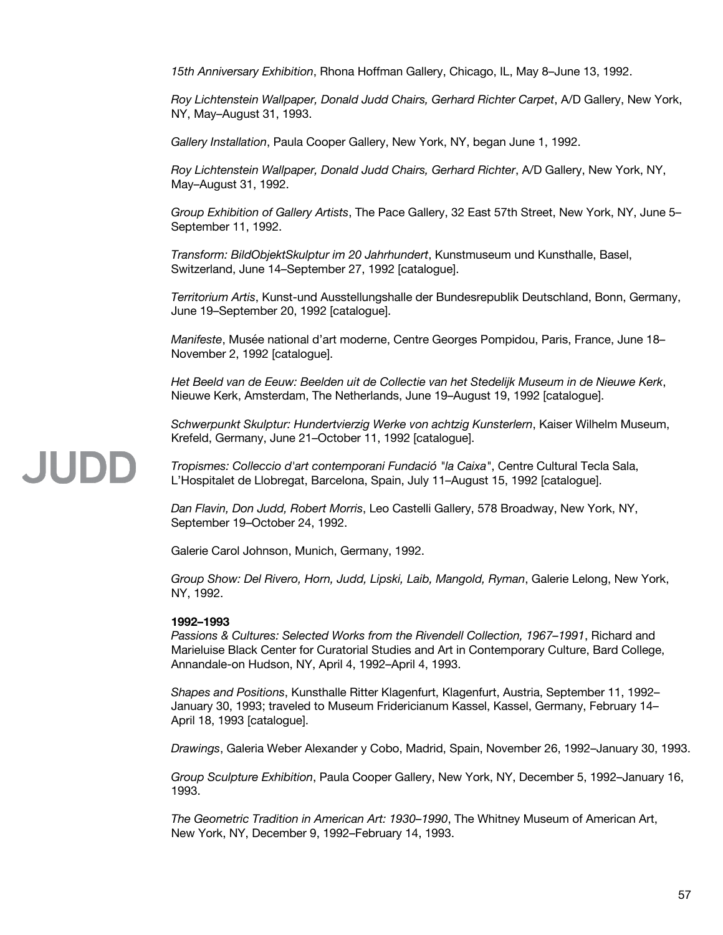*15th Anniversary Exhibition*, Rhona Hoffman Gallery, Chicago, IL, May 8–June 13, 1992.

*Roy Lichtenstein Wallpaper, Donald Judd Chairs, Gerhard Richter Carpet*, A/D Gallery, New York, NY, May–August 31, 1993.

*Gallery Installation*, Paula Cooper Gallery, New York, NY, began June 1, 1992.

*Roy Lichtenstein Wallpaper, Donald Judd Chairs, Gerhard Richter*, A/D Gallery, New York, NY, May–August 31, 1992.

*Group Exhibition of Gallery Artists*, The Pace Gallery, 32 East 57th Street, New York, NY, June 5– September 11, 1992.

*Transform: BildObjektSkulptur im 20 Jahrhundert*, Kunstmuseum und Kunsthalle, Basel, Switzerland, June 14–September 27, 1992 [catalogue].

*Territorium Artis*, Kunst-und Ausstellungshalle der Bundesrepublik Deutschland, Bonn, Germany, June 19–September 20, 1992 [catalogue].

*Manifeste*, Musée national d'art moderne, Centre Georges Pompidou, Paris, France, June 18– November 2, 1992 [catalogue].

*Het Beeld van de Eeuw: Beelden uit de Collectie van het Stedelijk Museum in de Nieuwe Kerk*, Nieuwe Kerk, Amsterdam, The Netherlands, June 19–August 19, 1992 [catalogue].

*Schwerpunkt Skulptur: Hundertvierzig Werke von achtzig Kunsterlern*, Kaiser Wilhelm Museum, Krefeld, Germany, June 21–October 11, 1992 [catalogue].

#### JUDD *Tropismes: Colleccio d'art contemporani Fundació "la Caixa"*, Centre Cultural Tecla Sala, L'Hospitalet de Llobregat, Barcelona, Spain, July 11–August 15, 1992 [catalogue].

*Dan Flavin, Don Judd, Robert Morris*, Leo Castelli Gallery, 578 Broadway, New York, NY, September 19–October 24, 1992.

Galerie Carol Johnson, Munich, Germany, 1992.

*Group Show: Del Rivero, Horn, Judd, Lipski, Laib, Mangold, Ryman*, Galerie Lelong, New York, NY, 1992.

# **1992–1993**

*Passions & Cultures: Selected Works from the Rivendell Collection, 1967–1991*, Richard and Marieluise Black Center for Curatorial Studies and Art in Contemporary Culture, Bard College, Annandale-on Hudson, NY, April 4, 1992–April 4, 1993.

*Shapes and Positions*, Kunsthalle Ritter Klagenfurt, Klagenfurt, Austria, September 11, 1992– January 30, 1993; traveled to Museum Fridericianum Kassel, Kassel, Germany, February 14– April 18, 1993 [catalogue].

*Drawings*, Galeria Weber Alexander y Cobo, Madrid, Spain, November 26, 1992–January 30, 1993.

*Group Sculpture Exhibition*, Paula Cooper Gallery, New York, NY, December 5, 1992–January 16, 1993.

*The Geometric Tradition in American Art: 1930–1990*, The Whitney Museum of American Art, New York, NY, December 9, 1992–February 14, 1993.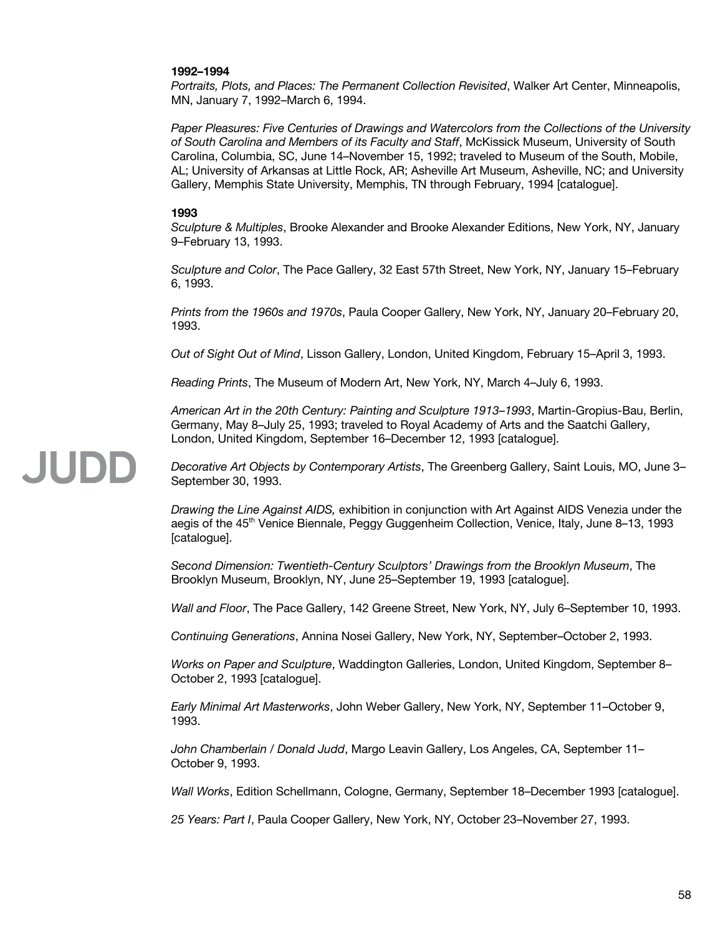# **1992–1994**

*Portraits, Plots, and Places: The Permanent Collection Revisited*, Walker Art Center, Minneapolis, MN, January 7, 1992–March 6, 1994.

*Paper Pleasures: Five Centuries of Drawings and Watercolors from the Collections of the University of South Carolina and Members of its Faculty and Staff*, McKissick Museum, University of South Carolina, Columbia, SC, June 14–November 15, 1992; traveled to Museum of the South, Mobile, AL; University of Arkansas at Little Rock, AR; Asheville Art Museum, Asheville, NC; and University Gallery, Memphis State University, Memphis, TN through February, 1994 [catalogue].

# **1993**

JUDD

*Sculpture & Multiples*, Brooke Alexander and Brooke Alexander Editions, New York, NY, January 9–February 13, 1993.

*Sculpture and Color*, The Pace Gallery, 32 East 57th Street, New York, NY, January 15–February 6, 1993.

*Prints from the 1960s and 1970s*, Paula Cooper Gallery, New York, NY, January 20–February 20, 1993.

*Out of Sight Out of Mind*, Lisson Gallery, London, United Kingdom, February 15–April 3, 1993.

*Reading Prints*, The Museum of Modern Art, New York, NY, March 4–July 6, 1993.

*American Art in the 20th Century: Painting and Sculpture 1913–1993*, Martin-Gropius-Bau, Berlin, Germany, May 8–July 25, 1993; traveled to Royal Academy of Arts and the Saatchi Gallery, London, United Kingdom, September 16–December 12, 1993 [catalogue].

# *Decorative Art Objects by Contemporary Artists*, The Greenberg Gallery, Saint Louis, MO, June 3– September 30, 1993.

*Drawing the Line Against AIDS,* exhibition in conjunction with Art Against AIDS Venezia under the aegis of the 45<sup>th</sup> Venice Biennale, Peggy Guggenheim Collection, Venice, Italy, June 8–13, 1993 [catalogue].

*Second Dimension: Twentieth-Century Sculptors' Drawings from the Brooklyn Museum*, The Brooklyn Museum, Brooklyn, NY, June 25–September 19, 1993 [catalogue].

*Wall and Floor*, The Pace Gallery, 142 Greene Street, New York, NY, July 6–September 10, 1993.

*Continuing Generations*, Annina Nosei Gallery, New York, NY, September–October 2, 1993.

*Works on Paper and Sculpture*, Waddington Galleries, London, United Kingdom, September 8– October 2, 1993 [catalogue].

*Early Minimal Art Masterworks*, John Weber Gallery, New York, NY, September 11–October 9, 1993.

*John Chamberlain / Donald Judd*, Margo Leavin Gallery, Los Angeles, CA, September 11– October 9, 1993.

*Wall Works*, Edition Schellmann, Cologne, Germany, September 18–December 1993 [catalogue].

*25 Years: Part I*, Paula Cooper Gallery, New York, NY, October 23–November 27, 1993.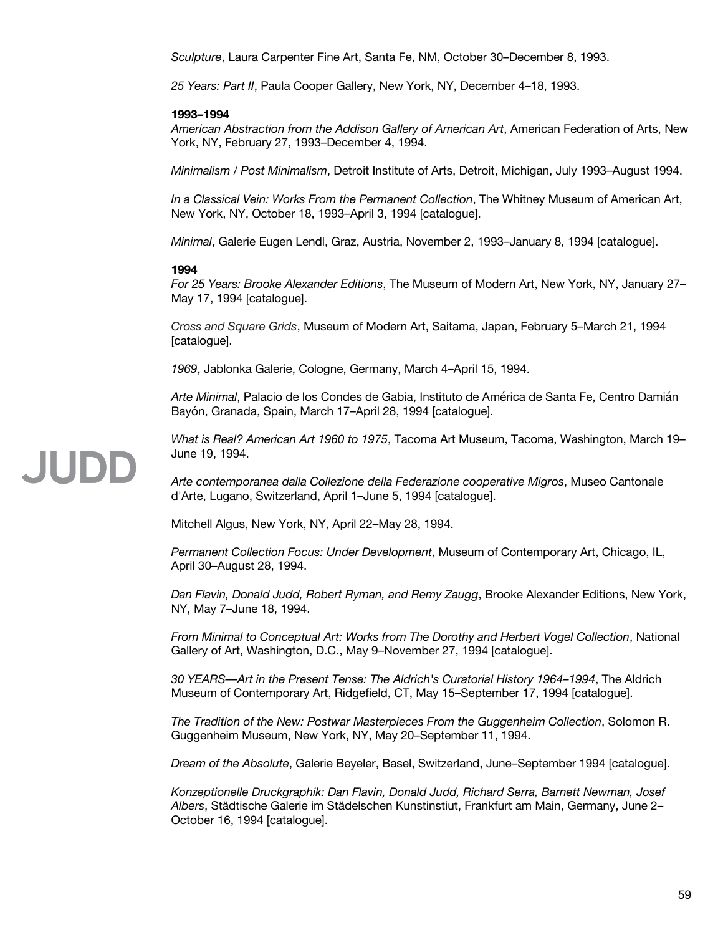*Sculpture*, Laura Carpenter Fine Art, Santa Fe, NM, October 30–December 8, 1993.

*25 Years: Part II*, Paula Cooper Gallery, New York, NY, December 4–18, 1993.

# **1993–1994**

*American Abstraction from the Addison Gallery of American Art*, American Federation of Arts, New York, NY, February 27, 1993–December 4, 1994.

*Minimalism / Post Minimalism*, Detroit Institute of Arts, Detroit, Michigan, July 1993–August 1994.

*In a Classical Vein: Works From the Permanent Collection*, The Whitney Museum of American Art, New York, NY, October 18, 1993–April 3, 1994 [catalogue].

*Minimal*, Galerie Eugen Lendl, Graz, Austria, November 2, 1993–January 8, 1994 [catalogue].

#### **1994**

*For 25 Years: Brooke Alexander Editions*, The Museum of Modern Art, New York, NY, January 27– May 17, 1994 [catalogue].

*Cross and Square Grids*, Museum of Modern Art, Saitama, Japan, February 5–March 21, 1994 [catalogue].

*1969*, Jablonka Galerie, Cologne, Germany, March 4–April 15, 1994.

*Arte Minimal*, Palacio de los Condes de Gabia, Instituto de América de Santa Fe, Centro Damián Bayón, Granada, Spain, March 17–April 28, 1994 [catalogue].

*What is Real? American Art 1960 to 1975*, Tacoma Art Museum, Tacoma, Washington, March 19– June 19, 1994.

*Arte contemporanea dalla Collezione della Federazione cooperative Migros*, Museo Cantonale d'Arte, Lugano, Switzerland, April 1–June 5, 1994 [catalogue].

Mitchell Algus, New York, NY, April 22–May 28, 1994.

*Permanent Collection Focus: Under Development*, Museum of Contemporary Art, Chicago, IL, April 30–August 28, 1994.

*Dan Flavin, Donald Judd, Robert Ryman, and Remy Zaugg*, Brooke Alexander Editions, New York, NY, May 7–June 18, 1994.

*From Minimal to Conceptual Art: Works from The Dorothy and Herbert Vogel Collection*, National Gallery of Art, Washington, D.C., May 9–November 27, 1994 [catalogue].

*30 YEARS––Art in the Present Tense: The Aldrich's Curatorial History 1964–1994*, The Aldrich Museum of Contemporary Art, Ridgefield, CT, May 15–September 17, 1994 [catalogue].

*The Tradition of the New: Postwar Masterpieces From the Guggenheim Collection*, Solomon R. Guggenheim Museum, New York, NY, May 20–September 11, 1994.

*Dream of the Absolute*, Galerie Beyeler, Basel, Switzerland, June–September 1994 [catalogue].

*Konzeptionelle Druckgraphik: Dan Flavin, Donald Judd, Richard Serra, Barnett Newman, Josef Albers*, Städtische Galerie im Städelschen Kunstinstiut, Frankfurt am Main, Germany, June 2– October 16, 1994 [catalogue].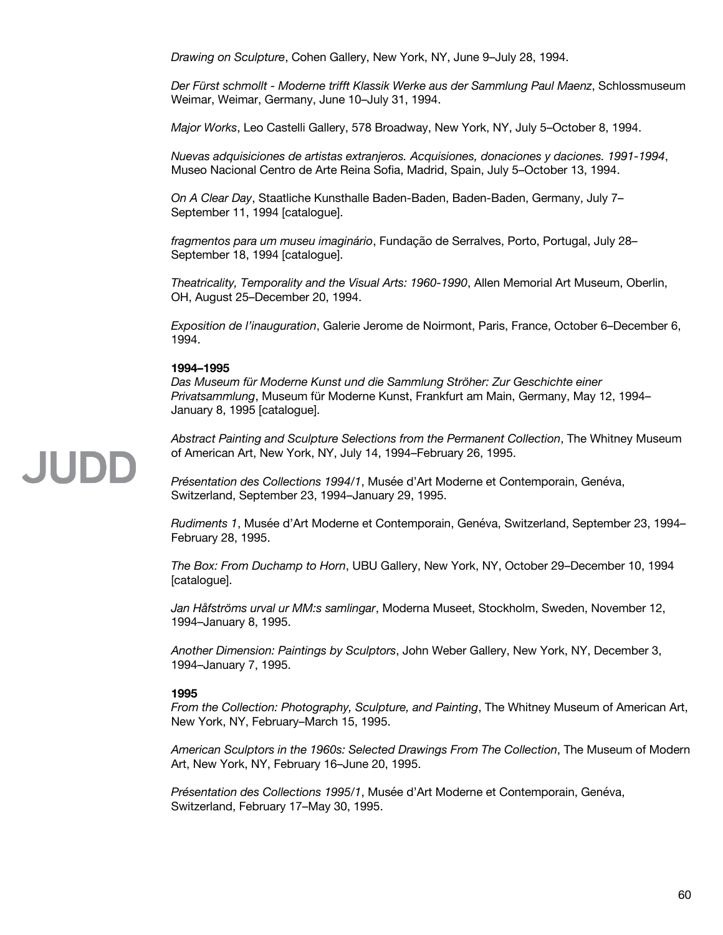*Drawing on Sculpture*, Cohen Gallery, New York, NY, June 9–July 28, 1994.

*Der Fürst schmollt - Moderne trifft Klassik Werke aus der Sammlung Paul Maenz*, Schlossmuseum Weimar, Weimar, Germany, June 10–July 31, 1994.

*Major Works*, Leo Castelli Gallery, 578 Broadway, New York, NY, July 5–October 8, 1994.

*Nuevas adquisiciones de artistas extranjeros. Acquisiones, donaciones y daciones. 1991-1994*, Museo Nacional Centro de Arte Reina Sofia, Madrid, Spain, July 5–October 13, 1994.

*On A Clear Day*, Staatliche Kunsthalle Baden-Baden, Baden-Baden, Germany, July 7– September 11, 1994 [catalogue].

*fragmentos para um museu imaginário*, Fundação de Serralves, Porto, Portugal, July 28– September 18, 1994 [catalogue].

*Theatricality, Temporality and the Visual Arts: 1960-1990*, Allen Memorial Art Museum, Oberlin, OH, August 25–December 20, 1994.

*Exposition de l'inauguration*, Galerie Jerome de Noirmont, Paris, France, October 6–December 6, 1994.

# **1994–1995**

*Das Museum für Moderne Kunst und die Sammlung Ströher: Zur Geschichte einer Privatsammlung*, Museum für Moderne Kunst, Frankfurt am Main, Germany, May 12, 1994– January 8, 1995 [catalogue].

*Abstract Painting and Sculpture Selections from the Permanent Collection*, The Whitney Museum of American Art, New York, NY, July 14, 1994–February 26, 1995.

*Présentation des Collections 1994/1*, Musée d'Art Moderne et Contemporain, Genéva, Switzerland, September 23, 1994–January 29, 1995.

*Rudiments 1*, Musée d'Art Moderne et Contemporain, Genéva, Switzerland, September 23, 1994– February 28, 1995.

*The Box: From Duchamp to Horn*, UBU Gallery, New York, NY, October 29–December 10, 1994 [catalogue].

*Jan Håfströms urval ur MM:s samlingar*, Moderna Museet, Stockholm, Sweden, November 12, 1994–January 8, 1995.

*Another Dimension: Paintings by Sculptors*, John Weber Gallery, New York, NY, December 3, 1994–January 7, 1995.

### **1995**

*From the Collection: Photography, Sculpture, and Painting*, The Whitney Museum of American Art, New York, NY, February–March 15, 1995.

*American Sculptors in the 1960s: Selected Drawings From The Collection*, The Museum of Modern Art, New York, NY, February 16–June 20, 1995.

*Présentation des Collections 1995/1*, Musée d'Art Moderne et Contemporain, Genéva, Switzerland, February 17–May 30, 1995.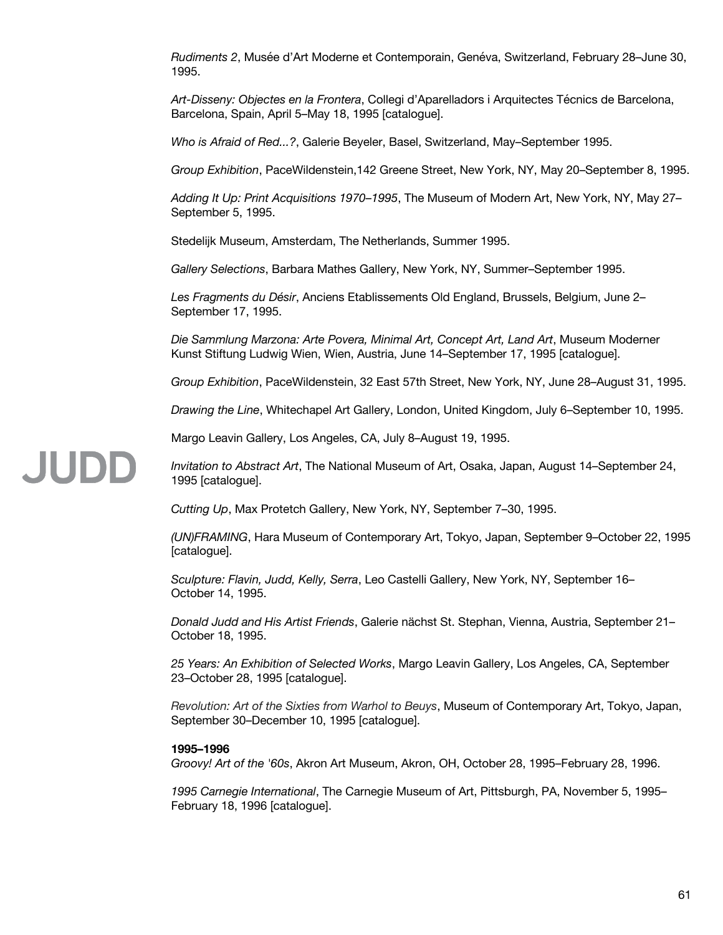*Rudiments 2*, Musée d'Art Moderne et Contemporain, Genéva, Switzerland, February 28–June 30, 1995.

*Art-Disseny: Objectes en la Frontera*, Collegi d'Aparelladors i Arquitectes Técnics de Barcelona, Barcelona, Spain, April 5–May 18, 1995 [catalogue].

*Who is Afraid of Red...?*, Galerie Beyeler, Basel, Switzerland, May–September 1995.

*Group Exhibition*, PaceWildenstein,142 Greene Street, New York, NY, May 20–September 8, 1995.

*Adding It Up: Print Acquisitions 1970–1995*, The Museum of Modern Art, New York, NY, May 27– September 5, 1995.

Stedelijk Museum, Amsterdam, The Netherlands, Summer 1995.

*Gallery Selections*, Barbara Mathes Gallery, New York, NY, Summer–September 1995.

*Les Fragments du Désir*, Anciens Etablissements Old England, Brussels, Belgium, June 2– September 17, 1995.

*Die Sammlung Marzona: Arte Povera, Minimal Art, Concept Art, Land Art*, Museum Moderner Kunst Stiftung Ludwig Wien, Wien, Austria, June 14–September 17, 1995 [catalogue].

*Group Exhibition*, PaceWildenstein, 32 East 57th Street, New York, NY, June 28–August 31, 1995.

*Drawing the Line*, Whitechapel Art Gallery, London, United Kingdom, July 6–September 10, 1995.

Margo Leavin Gallery, Los Angeles, CA, July 8–August 19, 1995.

*Invitation to Abstract Art*, The National Museum of Art, Osaka, Japan, August 14–September 24, 1995 [catalogue].

*Cutting Up*, Max Protetch Gallery, New York, NY, September 7–30, 1995.

*(UN)FRAMING*, Hara Museum of Contemporary Art, Tokyo, Japan, September 9–October 22, 1995 [catalogue].

*Sculpture: Flavin, Judd, Kelly, Serra*, Leo Castelli Gallery, New York, NY, September 16– October 14, 1995.

*Donald Judd and His Artist Friends*, Galerie nächst St. Stephan, Vienna, Austria, September 21– October 18, 1995.

*25 Years: An Exhibition of Selected Works*, Margo Leavin Gallery, Los Angeles, CA, September 23–October 28, 1995 [catalogue].

*Revolution: Art of the Sixties from Warhol to Beuys*, Museum of Contemporary Art, Tokyo, Japan, September 30–December 10, 1995 [catalogue].

### **1995–1996**

JUDD

*Groovy! Art of the '60s*, Akron Art Museum, Akron, OH, October 28, 1995–February 28, 1996.

*1995 Carnegie International*, The Carnegie Museum of Art, Pittsburgh, PA, November 5, 1995– February 18, 1996 [catalogue].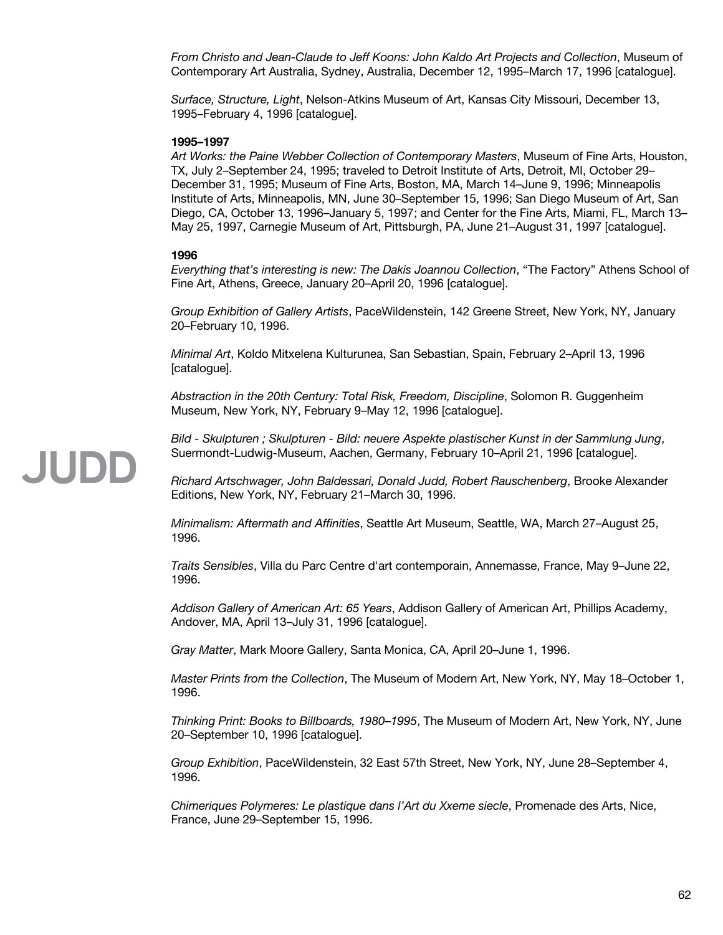*From Christo and Jean-Claude to Jeff Koons: John Kaldo Art Projects and Collection*, Museum of Contemporary Art Australia, Sydney, Australia, December 12, 1995–March 17, 1996 [catalogue].

*Surface, Structure, Light*, Nelson-Atkins Museum of Art, Kansas City Missouri, December 13, 1995–February 4, 1996 [catalogue].

### **1995–1997**

*Art Works: the Paine Webber Collection of Contemporary Masters*, Museum of Fine Arts, Houston, TX, July 2–September 24, 1995; traveled to Detroit Institute of Arts, Detroit, MI, October 29– December 31, 1995; Museum of Fine Arts, Boston, MA, March 14–June 9, 1996; Minneapolis Institute of Arts, Minneapolis, MN, June 30–September 15, 1996; San Diego Museum of Art, San Diego, CA, October 13, 1996–January 5, 1997; and Center for the Fine Arts, Miami, FL, March 13– May 25, 1997, Carnegie Museum of Art, Pittsburgh, PA, June 21–August 31, 1997 [catalogue].

# **1996**

*Everything that's interesting is new: The Dakis Joannou Collection*, "The Factory" Athens School of Fine Art, Athens, Greece, January 20–April 20, 1996 [catalogue].

*Group Exhibition of Gallery Artists*, PaceWildenstein, 142 Greene Street, New York, NY, January 20–February 10, 1996.

*Minimal Art*, Koldo Mitxelena Kulturunea, San Sebastian, Spain, February 2–April 13, 1996 [catalogue].

*Abstraction in the 20th Century: Total Risk, Freedom, Discipline*, Solomon R. Guggenheim Museum, New York, NY, February 9–May 12, 1996 [catalogue].

*Bild - Skulpturen ; Skulpturen - Bild: neuere Aspekte plastischer Kunst in der Sammlung Jung*, Suermondt-Ludwig-Museum, Aachen, Germany, February 10–April 21, 1996 [catalogue].

*Richard Artschwager, John Baldessari, Donald Judd, Robert Rauschenberg*, Brooke Alexander Editions, New York, NY, February 21–March 30, 1996.

*Minimalism: Aftermath and Affinities*, Seattle Art Museum, Seattle, WA, March 27–August 25, 1996.

*Traits Sensibles*, Villa du Parc Centre d'art contemporain, Annemasse, France, May 9–June 22, 1996.

*Addison Gallery of American Art: 65 Years*, Addison Gallery of American Art, Phillips Academy, Andover, MA, April 13–July 31, 1996 [catalogue].

*Gray Matter*, Mark Moore Gallery, Santa Monica, CA, April 20–June 1, 1996.

*Master Prints from the Collection*, The Museum of Modern Art, New York, NY, May 18–October 1, 1996.

*Thinking Print: Books to Billboards, 1980–1995*, The Museum of Modern Art, New York, NY, June 20–September 10, 1996 [catalogue].

*Group Exhibition*, PaceWildenstein, 32 East 57th Street, New York, NY, June 28–September 4, 1996.

*Chimeriques Polymeres: Le plastique dans l'Art du Xxeme siecle*, Promenade des Arts, Nice, France, June 29–September 15, 1996.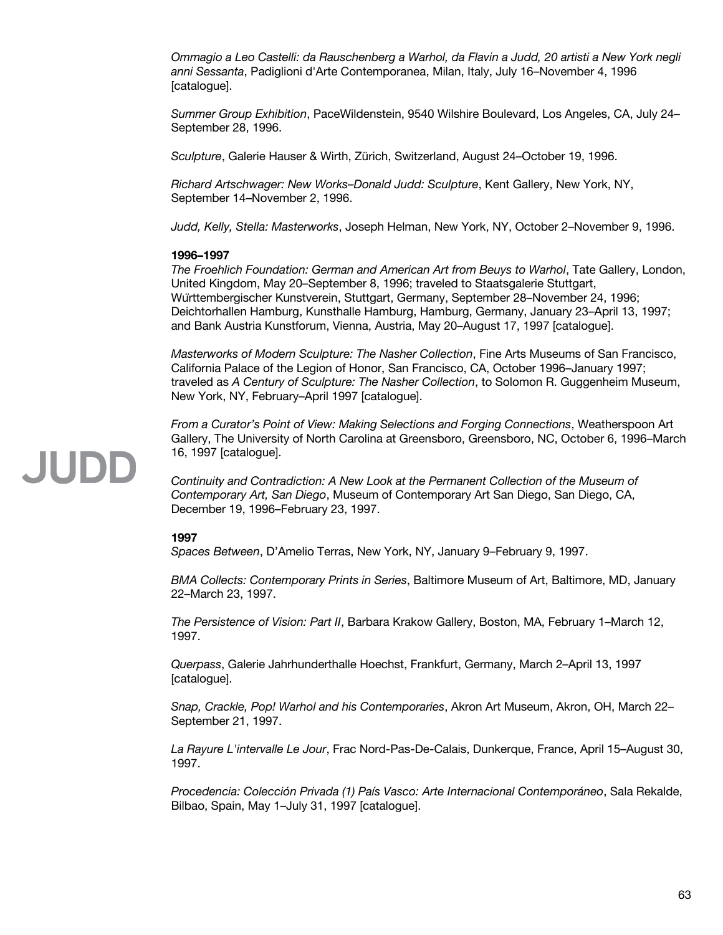*Ommagio a Leo Castelli: da Rauschenberg a Warhol, da Flavin a Judd, 20 artisti a New York negli anni Sessanta*, Padiglioni d'Arte Contemporanea, Milan, Italy, July 16–November 4, 1996 [catalogue].

*Summer Group Exhibition*, PaceWildenstein, 9540 Wilshire Boulevard, Los Angeles, CA, July 24– September 28, 1996.

*Sculpture*, Galerie Hauser & Wirth, Zürich, Switzerland, August 24–October 19, 1996.

*Richard Artschwager: New Works–Donald Judd: Sculpture*, Kent Gallery, New York, NY, September 14–November 2, 1996.

*Judd, Kelly, Stella: Masterworks*, Joseph Helman, New York, NY, October 2–November 9, 1996.

# **1996–1997**

*The Froehlich Foundation: German and American Art from Beuys to Warhol*, Tate Gallery, London, United Kingdom, May 20–September 8, 1996; traveled to Staatsgalerie Stuttgart, Württembergischer Kunstverein, Stuttgart, Germany, September 28–November 24, 1996; Deichtorhallen Hamburg, Kunsthalle Hamburg, Hamburg, Germany, January 23–April 13, 1997; and Bank Austria Kunstforum, Vienna, Austria, May 20–August 17, 1997 [catalogue].

*Masterworks of Modern Sculpture: The Nasher Collection*, Fine Arts Museums of San Francisco, California Palace of the Legion of Honor, San Francisco, CA, October 1996–January 1997; traveled as *A Century of Sculpture: The Nasher Collection*, to Solomon R. Guggenheim Museum, New York, NY, February–April 1997 [catalogue].

*From a Curator's Point of View: Making Selections and Forging Connections*, Weatherspoon Art Gallery, The University of North Carolina at Greensboro, Greensboro, NC, October 6, 1996–March 16, 1997 [catalogue].

*Continuity and Contradiction: A New Look at the Permanent Collection of the Museum of Contemporary Art, San Diego*, Museum of Contemporary Art San Diego, San Diego, CA, December 19, 1996–February 23, 1997.

### **1997**

*Spaces Between*, D'Amelio Terras, New York, NY, January 9–February 9, 1997.

*BMA Collects: Contemporary Prints in Series*, Baltimore Museum of Art, Baltimore, MD, January 22–March 23, 1997.

*The Persistence of Vision: Part II*, Barbara Krakow Gallery, Boston, MA, February 1–March 12, 1997.

*Querpass*, Galerie Jahrhunderthalle Hoechst, Frankfurt, Germany, March 2–April 13, 1997 [catalogue].

*Snap, Crackle, Pop! Warhol and his Contemporaries*, Akron Art Museum, Akron, OH, March 22– September 21, 1997.

*La Rayure L'intervalle Le Jour*, Frac Nord-Pas-De-Calais, Dunkerque, France, April 15–August 30, 1997.

*Procedencia: Colección Privada (1) País Vasco: Arte Internacional Contemporáneo*, Sala Rekalde, Bilbao, Spain, May 1–July 31, 1997 [catalogue].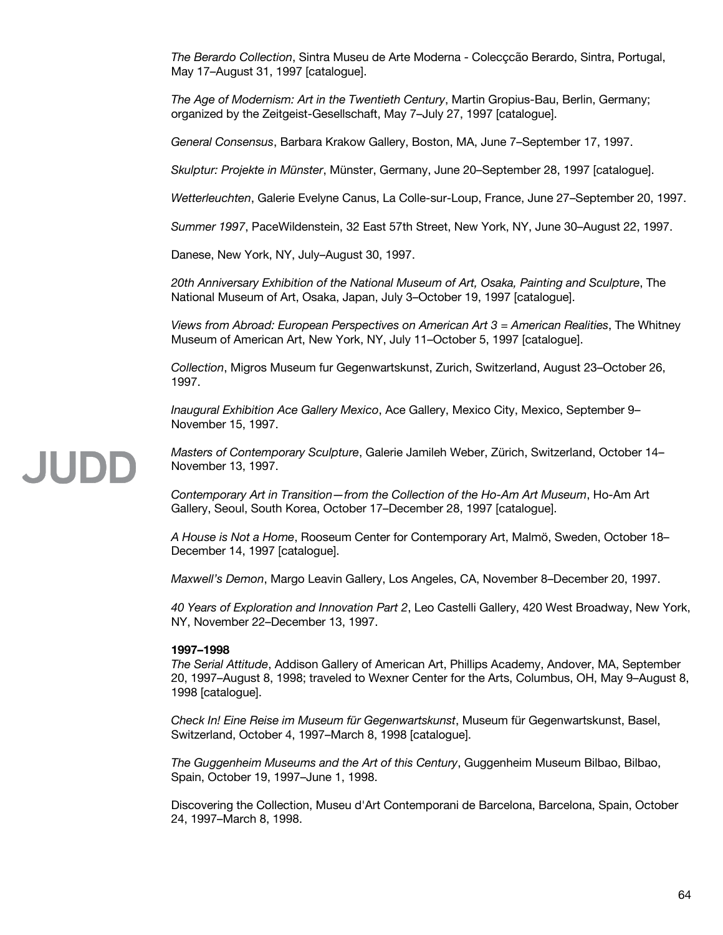*The Berardo Collection*, Sintra Museu de Arte Moderna - Colecçcão Berardo, Sintra, Portugal, May 17–August 31, 1997 [catalogue].

*The Age of Modernism: Art in the Twentieth Century*, Martin Gropius-Bau, Berlin, Germany; organized by the Zeitgeist-Gesellschaft, May 7–July 27, 1997 [catalogue].

*General Consensus*, Barbara Krakow Gallery, Boston, MA, June 7–September 17, 1997.

*Skulptur: Projekte in Münster*, Münster, Germany, June 20–September 28, 1997 [catalogue].

*Wetterleuchten*, Galerie Evelyne Canus, La Colle-sur-Loup, France, June 27–September 20, 1997.

*Summer 1997*, PaceWildenstein, 32 East 57th Street, New York, NY, June 30–August 22, 1997.

Danese, New York, NY, July–August 30, 1997.

*20th Anniversary Exhibition of the National Museum of Art, Osaka, Painting and Sculpture*, The National Museum of Art, Osaka, Japan, July 3–October 19, 1997 [catalogue].

*Views from Abroad: European Perspectives on American Art 3 = American Realities*, The Whitney Museum of American Art, New York, NY, July 11–October 5, 1997 [catalogue].

*Collection*, Migros Museum fur Gegenwartskunst, Zurich, Switzerland, August 23–October 26, 1997.

*Inaugural Exhibition Ace Gallery Mexico*, Ace Gallery, Mexico City, Mexico, September 9– November 15, 1997.

# JUDD

*Masters of Contemporary Sculpture*, Galerie Jamileh Weber, Zürich, Switzerland, October 14– November 13, 1997.

*Contemporary Art in Transition—from the Collection of the Ho-Am Art Museum*, Ho-Am Art Gallery, Seoul, South Korea, October 17–December 28, 1997 [catalogue].

*A House is Not a Home*, Rooseum Center for Contemporary Art, Malmö, Sweden, October 18– December 14, 1997 [catalogue].

*Maxwell's Demon*, Margo Leavin Gallery, Los Angeles, CA, November 8–December 20, 1997.

*40 Years of Exploration and Innovation Part 2*, Leo Castelli Gallery, 420 West Broadway, New York, NY, November 22–December 13, 1997.

### **1997–1998**

*The Serial Attitude*, Addison Gallery of American Art, Phillips Academy, Andover, MA, September 20, 1997–August 8, 1998; traveled to Wexner Center for the Arts, Columbus, OH, May 9–August 8, 1998 [catalogue].

*Check In! Eine Reise im Museum für Gegenwartskunst*, Museum für Gegenwartskunst, Basel, Switzerland, October 4, 1997–March 8, 1998 [catalogue].

*The Guggenheim Museums and the Art of this Century*, Guggenheim Museum Bilbao, Bilbao, Spain, October 19, 1997–June 1, 1998.

Discovering the Collection, Museu d'Art Contemporani de Barcelona, Barcelona, Spain, October 24, 1997–March 8, 1998.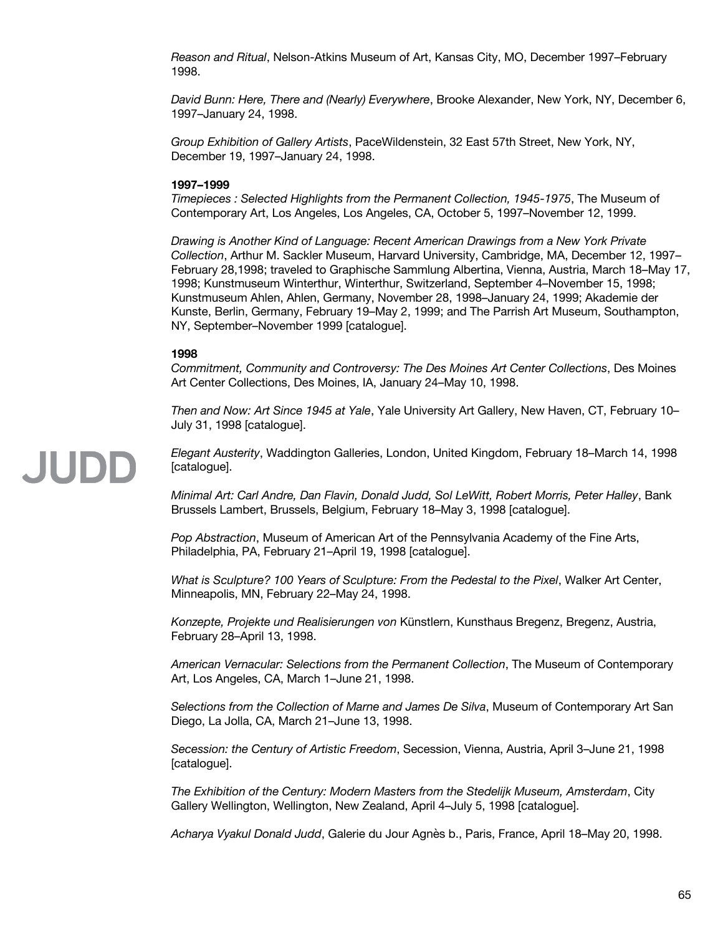*Reason and Ritual*, Nelson-Atkins Museum of Art, Kansas City, MO, December 1997–February 1998.

*David Bunn: Here, There and (Nearly) Everywhere*, Brooke Alexander, New York, NY, December 6, 1997–January 24, 1998.

*Group Exhibition of Gallery Artists*, PaceWildenstein, 32 East 57th Street, New York, NY, December 19, 1997–January 24, 1998.

# **1997–1999**

*Timepieces : Selected Highlights from the Permanent Collection, 1945-1975*, The Museum of Contemporary Art, Los Angeles, Los Angeles, CA, October 5, 1997–November 12, 1999.

*Drawing is Another Kind of Language: Recent American Drawings from a New York Private Collection*, Arthur M. Sackler Museum, Harvard University, Cambridge, MA, December 12, 1997– February 28,1998; traveled to Graphische Sammlung Albertina, Vienna, Austria, March 18–May 17, 1998; Kunstmuseum Winterthur, Winterthur, Switzerland, September 4–November 15, 1998; Kunstmuseum Ahlen, Ahlen, Germany, November 28, 1998–January 24, 1999; Akademie der Kunste, Berlin, Germany, February 19–May 2, 1999; and The Parrish Art Museum, Southampton, NY, September–November 1999 [catalogue].

# **1998**

*Commitment, Community and Controversy: The Des Moines Art Center Collections*, Des Moines Art Center Collections, Des Moines, IA, January 24–May 10, 1998.

*Then and Now: Art Since 1945 at Yale*, Yale University Art Gallery, New Haven, CT, February 10– July 31, 1998 [catalogue].

JUDD

*Elegant Austerity*, Waddington Galleries, London, United Kingdom, February 18–March 14, 1998 [catalogue].

*Minimal Art: Carl Andre, Dan Flavin, Donald Judd, Sol LeWitt, Robert Morris, Peter Halley*, Bank Brussels Lambert, Brussels, Belgium, February 18–May 3, 1998 [catalogue].

*Pop Abstraction*, Museum of American Art of the Pennsylvania Academy of the Fine Arts, Philadelphia, PA, February 21–April 19, 1998 [catalogue].

*What is Sculpture? 100 Years of Sculpture: From the Pedestal to the Pixel*, Walker Art Center, Minneapolis, MN, February 22–May 24, 1998.

*Konzepte, Projekte und Realisierungen von* Künstlern, Kunsthaus Bregenz, Bregenz, Austria, February 28–April 13, 1998.

*American Vernacular: Selections from the Permanent Collection*, The Museum of Contemporary Art, Los Angeles, CA, March 1–June 21, 1998.

*Selections from the Collection of Marne and James De Silva*, Museum of Contemporary Art San Diego, La Jolla, CA, March 21–June 13, 1998.

*Secession: the Century of Artistic Freedom*, Secession, Vienna, Austria, April 3–June 21, 1998 [catalogue].

*The Exhibition of the Century: Modern Masters from the Stedelijk Museum, Amsterdam*, City Gallery Wellington, Wellington, New Zealand, April 4–July 5, 1998 [catalogue].

*Acharya Vyakul Donald Judd*, Galerie du Jour Agnès b., Paris, France, April 18–May 20, 1998.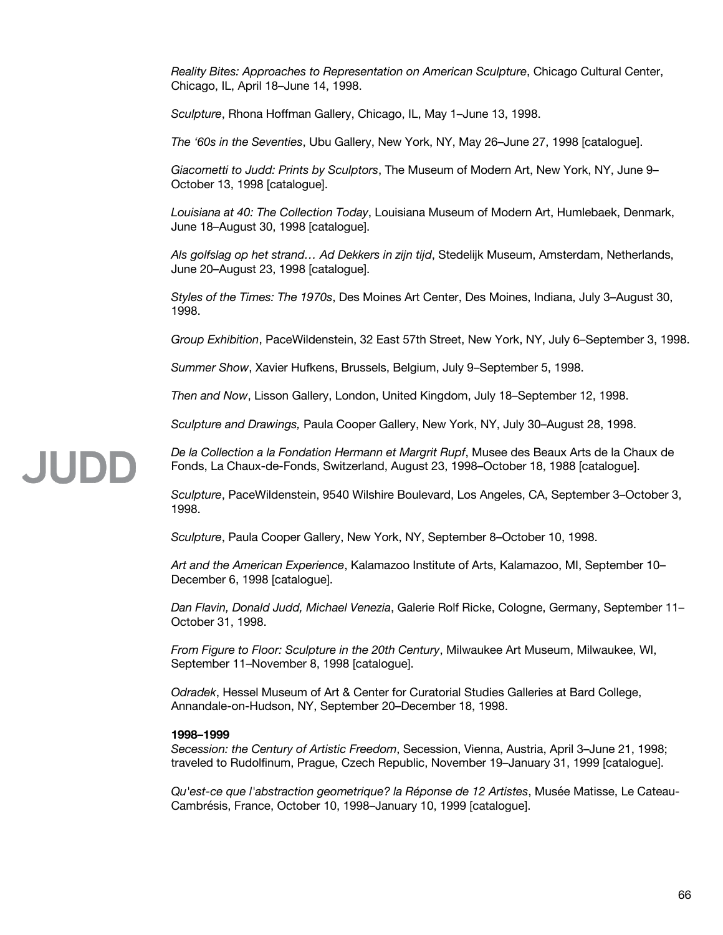*Reality Bites: Approaches to Representation on American Sculpture*, Chicago Cultural Center, Chicago, IL, April 18–June 14, 1998.

*Sculpture*, Rhona Hoffman Gallery, Chicago, IL, May 1–June 13, 1998.

*The '60s in the Seventies*, Ubu Gallery, New York, NY, May 26–June 27, 1998 [catalogue].

*Giacometti to Judd: Prints by Sculptors*, The Museum of Modern Art, New York, NY, June 9– October 13, 1998 [catalogue].

*Louisiana at 40: The Collection Today*, Louisiana Museum of Modern Art, Humlebaek, Denmark, June 18–August 30, 1998 [catalogue].

*Als golfslag op het strand… Ad Dekkers in zijn tijd*, Stedelijk Museum, Amsterdam, Netherlands, June 20–August 23, 1998 [catalogue].

*Styles of the Times: The 1970s*, Des Moines Art Center, Des Moines, Indiana, July 3–August 30, 1998.

*Group Exhibition*, PaceWildenstein, 32 East 57th Street, New York, NY, July 6–September 3, 1998.

*Summer Show*, Xavier Hufkens, Brussels, Belgium, July 9–September 5, 1998.

*Then and Now*, Lisson Gallery, London, United Kingdom, July 18–September 12, 1998.

*Sculpture and Drawings,* Paula Cooper Gallery, New York, NY, July 30–August 28, 1998.

*De la Collection a la Fondation Hermann et Margrit Rupf*, Musee des Beaux Arts de la Chaux de Fonds, La Chaux-de-Fonds, Switzerland, August 23, 1998–October 18, 1988 [catalogue].

*Sculpture*, PaceWildenstein, 9540 Wilshire Boulevard, Los Angeles, CA, September 3–October 3, 1998.

*Sculpture*, Paula Cooper Gallery, New York, NY, September 8–October 10, 1998.

*Art and the American Experience*, Kalamazoo Institute of Arts, Kalamazoo, MI, September 10– December 6, 1998 [catalogue].

*Dan Flavin, Donald Judd, Michael Venezia*, Galerie Rolf Ricke, Cologne, Germany, September 11– October 31, 1998.

*From Figure to Floor: Sculpture in the 20th Century*, Milwaukee Art Museum, Milwaukee, WI, September 11–November 8, 1998 [catalogue].

*Odradek*, Hessel Museum of Art & Center for Curatorial Studies Galleries at Bard College, Annandale-on-Hudson, NY, September 20–December 18, 1998.

# **1998–1999**

JUDD

*Secession: the Century of Artistic Freedom*, Secession, Vienna, Austria, April 3–June 21, 1998; traveled to Rudolfinum, Prague, Czech Republic, November 19–January 31, 1999 [catalogue].

*Qu'est-ce que l'abstraction geometrique? la Réponse de 12 Artistes*, Musée Matisse, Le Cateau-Cambrésis, France, October 10, 1998–January 10, 1999 [catalogue].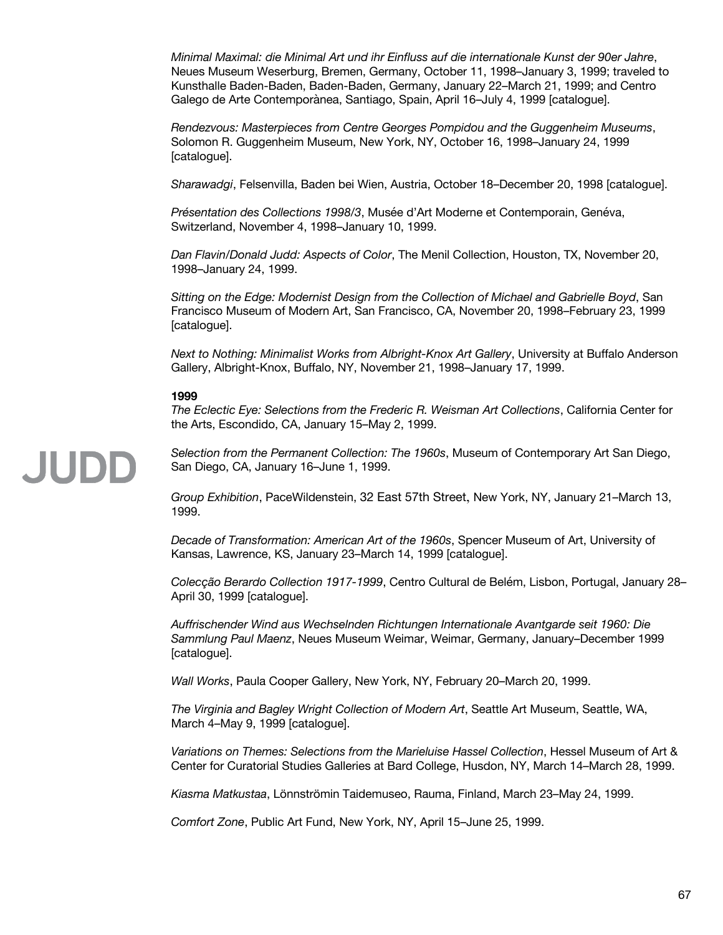*Minimal Maximal: die Minimal Art und ihr Einfluss auf die internationale Kunst der 90er Jahre*, Neues Museum Weserburg, Bremen, Germany, October 11, 1998–January 3, 1999; traveled to Kunsthalle Baden-Baden, Baden-Baden, Germany, January 22–March 21, 1999; and Centro Galego de Arte Contemporànea, Santiago, Spain, April 16–July 4, 1999 [catalogue].

*Rendezvous: Masterpieces from Centre Georges Pompidou and the Guggenheim Museums*, Solomon R. Guggenheim Museum, New York, NY, October 16, 1998–January 24, 1999 [catalogue].

*Sharawadgi*, Felsenvilla, Baden bei Wien, Austria, October 18–December 20, 1998 [catalogue].

*Présentation des Collections 1998/3*, Musée d'Art Moderne et Contemporain, Genéva, Switzerland, November 4, 1998–January 10, 1999.

*Dan Flavin/Donald Judd: Aspects of Color*, The Menil Collection, Houston, TX, November 20, 1998–January 24, 1999.

*Sitting on the Edge: Modernist Design from the Collection of Michael and Gabrielle Boyd*, San Francisco Museum of Modern Art, San Francisco, CA, November 20, 1998–February 23, 1999 [catalogue].

*Next to Nothing: Minimalist Works from Albright-Knox Art Gallery*, University at Buffalo Anderson Gallery, Albright-Knox, Buffalo, NY, November 21, 1998–January 17, 1999.

# **1999**

*The Eclectic Eye: Selections from the Frederic R. Weisman Art Collections*, California Center for the Arts, Escondido, CA, January 15–May 2, 1999.

JUDD

*Selection from the Permanent Collection: The 1960s*, Museum of Contemporary Art San Diego, San Diego, CA, January 16–June 1, 1999.

*Group Exhibition*, PaceWildenstein, 32 East 57th Street, New York, NY, January 21–March 13, 1999.

*Decade of Transformation: American Art of the 1960s*, Spencer Museum of Art, University of Kansas, Lawrence, KS, January 23–March 14, 1999 [catalogue].

*Colecção Berardo Collection 1917-1999*, Centro Cultural de Belém, Lisbon, Portugal, January 28– April 30, 1999 [catalogue].

*Auffrischender Wind aus Wechselnden Richtungen Internationale Avantgarde seit 1960: Die Sammlung Paul Maenz*, Neues Museum Weimar, Weimar, Germany, January–December 1999 [catalogue].

*Wall Works*, Paula Cooper Gallery, New York, NY, February 20–March 20, 1999.

*The Virginia and Bagley Wright Collection of Modern Art*, Seattle Art Museum, Seattle, WA, March 4–May 9, 1999 [catalogue].

*Variations on Themes: Selections from the Marieluise Hassel Collection*, Hessel Museum of Art & Center for Curatorial Studies Galleries at Bard College, Husdon, NY, March 14–March 28, 1999.

*Kiasma Matkustaa*, Lönnströmin Taidemuseo, Rauma, Finland, March 23–May 24, 1999.

*Comfort Zone*, Public Art Fund, New York, NY, April 15–June 25, 1999.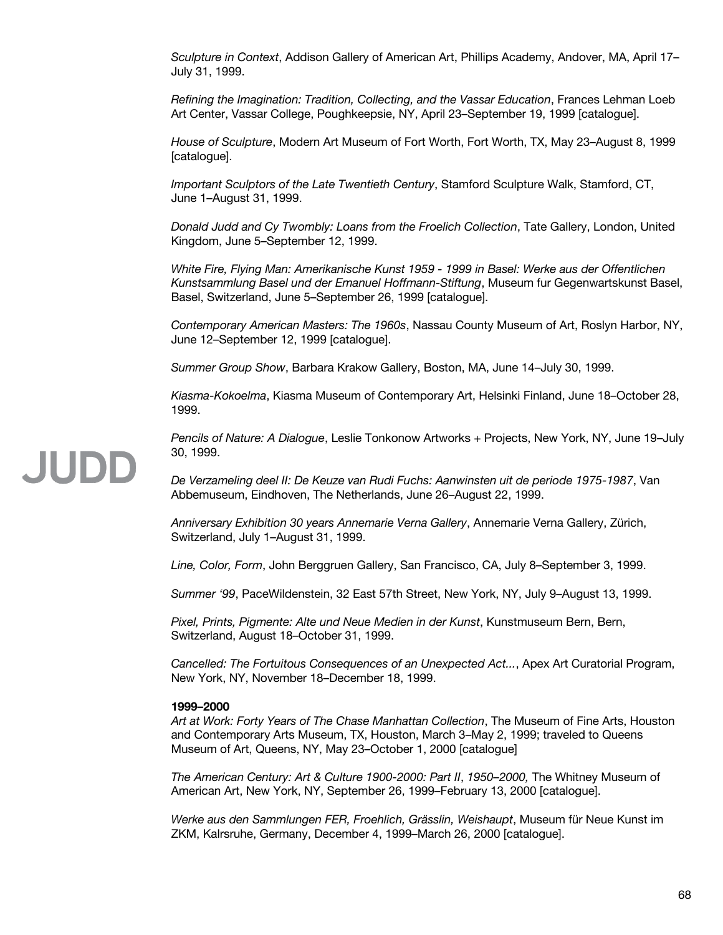*Sculpture in Context*, Addison Gallery of American Art, Phillips Academy, Andover, MA, April 17– July 31, 1999.

*Refining the Imagination: Tradition, Collecting, and the Vassar Education*, Frances Lehman Loeb Art Center, Vassar College, Poughkeepsie, NY, April 23–September 19, 1999 [catalogue].

*House of Sculpture*, Modern Art Museum of Fort Worth, Fort Worth, TX, May 23–August 8, 1999 [catalogue].

*Important Sculptors of the Late Twentieth Century*, Stamford Sculpture Walk, Stamford, CT, June 1–August 31, 1999.

*Donald Judd and Cy Twombly: Loans from the Froelich Collection*, Tate Gallery, London, United Kingdom, June 5–September 12, 1999.

*White Fire, Flying Man: Amerikanische Kunst 1959 - 1999 in Basel: Werke aus der Offentlichen Kunstsammlung Basel und der Emanuel Hoffmann-Stiftung*, Museum fur Gegenwartskunst Basel, Basel, Switzerland, June 5–September 26, 1999 [catalogue].

*Contemporary American Masters: The 1960s*, Nassau County Museum of Art, Roslyn Harbor, NY, June 12–September 12, 1999 [catalogue].

*Summer Group Show*, Barbara Krakow Gallery, Boston, MA, June 14–July 30, 1999.

*Kiasma-Kokoelma*, Kiasma Museum of Contemporary Art, Helsinki Finland, June 18–October 28, 1999.

*Pencils of Nature: A Dialogue*, Leslie Tonkonow Artworks + Projects, New York, NY, June 19–July 30, 1999.

*De Verzameling deel II: De Keuze van Rudi Fuchs: Aanwinsten uit de periode 1975-1987*, Van Abbemuseum, Eindhoven, The Netherlands, June 26–August 22, 1999.

*Anniversary Exhibition 30 years Annemarie Verna Gallery*, Annemarie Verna Gallery, Zürich, Switzerland, July 1–August 31, 1999.

*Line, Color, Form*, John Berggruen Gallery, San Francisco, CA, July 8–September 3, 1999.

*Summer '99*, PaceWildenstein, 32 East 57th Street, New York, NY, July 9–August 13, 1999.

*Pixel, Prints, Pigmente: Alte und Neue Medien in der Kunst*, Kunstmuseum Bern, Bern, Switzerland, August 18–October 31, 1999.

*Cancelled: The Fortuitous Consequences of an Unexpected Act...*, Apex Art Curatorial Program, New York, NY, November 18–December 18, 1999.

# **1999–2000**

*Art at Work: Forty Years of The Chase Manhattan Collection*, The Museum of Fine Arts, Houston and Contemporary Arts Museum, TX, Houston, March 3–May 2, 1999; traveled to Queens Museum of Art, Queens, NY, May 23–October 1, 2000 [catalogue]

*The American Century: Art & Culture 1900-2000: Part II*, *1950–2000,* The Whitney Museum of American Art, New York, NY, September 26, 1999–February 13, 2000 [catalogue].

*Werke aus den Sammlungen FER, Froehlich, Grässlin, Weishaupt*, Museum für Neue Kunst im ZKM, Kalrsruhe, Germany, December 4, 1999–March 26, 2000 [catalogue].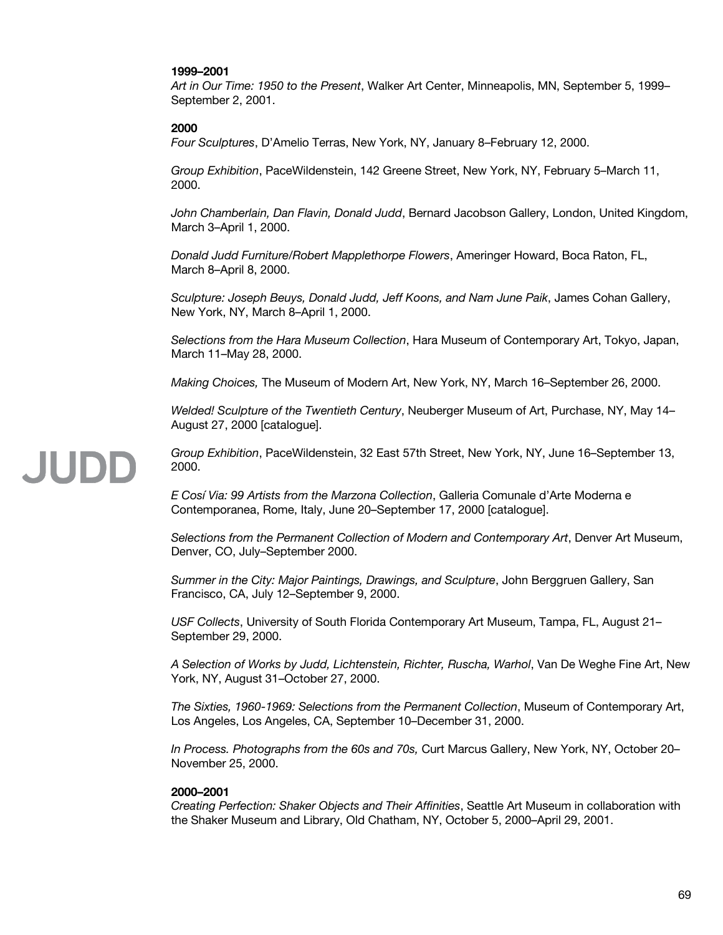# **1999–2001**

*Art in Our Time: 1950 to the Present*, Walker Art Center, Minneapolis, MN, September 5, 1999– September 2, 2001.

### **2000**

*Four Sculptures*, D'Amelio Terras, New York, NY, January 8–February 12, 2000.

*Group Exhibition*, PaceWildenstein, 142 Greene Street, New York, NY, February 5–March 11, 2000.

*John Chamberlain, Dan Flavin, Donald Judd*, Bernard Jacobson Gallery, London, United Kingdom, March 3–April 1, 2000.

*Donald Judd Furniture/Robert Mapplethorpe Flowers*, Ameringer Howard, Boca Raton, FL, March 8–April 8, 2000.

*Sculpture: Joseph Beuys, Donald Judd, Jeff Koons, and Nam June Paik*, James Cohan Gallery, New York, NY, March 8–April 1, 2000.

*Selections from the Hara Museum Collection*, Hara Museum of Contemporary Art, Tokyo, Japan, March 11–May 28, 2000.

*Making Choices,* The Museum of Modern Art, New York, NY, March 16–September 26, 2000.

*Welded! Sculpture of the Twentieth Century*, Neuberger Museum of Art, Purchase, NY, May 14– August 27, 2000 [catalogue].

# JUDD

*Group Exhibition*, PaceWildenstein, 32 East 57th Street, New York, NY, June 16–September 13, 2000.

*E Cosí Via: 99 Artists from the Marzona Collection*, Galleria Comunale d'Arte Moderna e Contemporanea, Rome, Italy, June 20–September 17, 2000 [catalogue].

*Selections from the Permanent Collection of Modern and Contemporary Art*, Denver Art Museum, Denver, CO, July–September 2000.

*Summer in the City: Major Paintings, Drawings, and Sculpture*, John Berggruen Gallery, San Francisco, CA, July 12–September 9, 2000.

*USF Collects*, University of South Florida Contemporary Art Museum, Tampa, FL, August 21– September 29, 2000.

*A Selection of Works by Judd, Lichtenstein, Richter, Ruscha, Warhol*, Van De Weghe Fine Art, New York, NY, August 31–October 27, 2000.

*The Sixties, 1960-1969: Selections from the Permanent Collection*, Museum of Contemporary Art, Los Angeles, Los Angeles, CA, September 10–December 31, 2000.

*In Process. Photographs from the 60s and 70s,* Curt Marcus Gallery, New York, NY, October 20– November 25, 2000.

# **2000–2001**

*Creating Perfection: Shaker Objects and Their Affinities*, Seattle Art Museum in collaboration with the Shaker Museum and Library, Old Chatham, NY, October 5, 2000–April 29, 2001.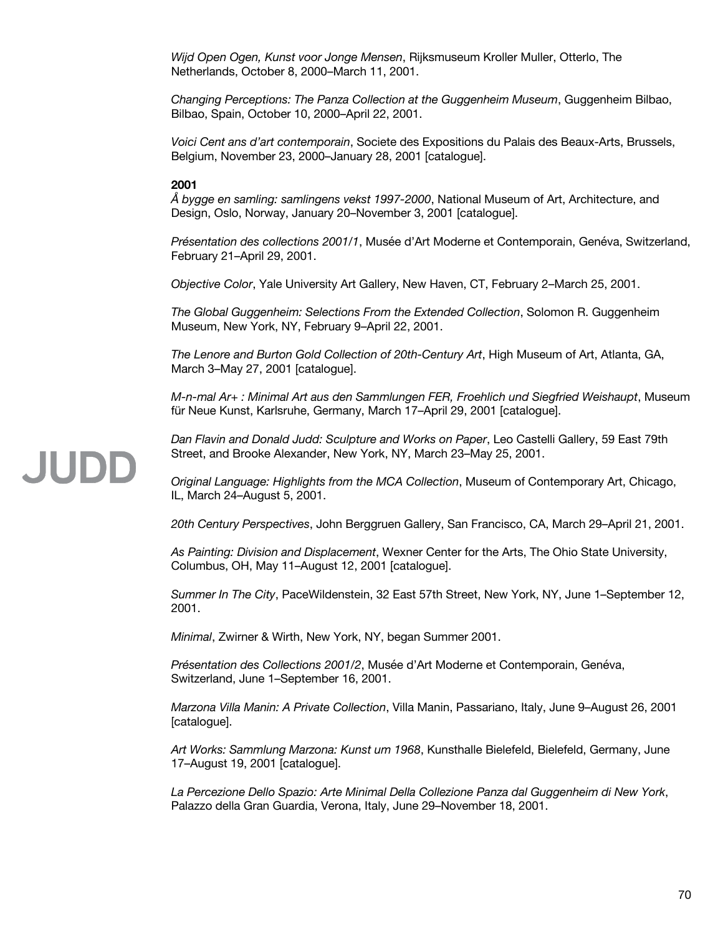*Wijd Open Ogen, Kunst voor Jonge Mensen*, Rijksmuseum Kroller Muller, Otterlo, The Netherlands, October 8, 2000–March 11, 2001.

*Changing Perceptions: The Panza Collection at the Guggenheim Museum*, Guggenheim Bilbao, Bilbao, Spain, October 10, 2000–April 22, 2001.

*Voici Cent ans d'art contemporain*, Societe des Expositions du Palais des Beaux-Arts, Brussels, Belgium, November 23, 2000–January 28, 2001 [catalogue].

# **2001**

*Å bygge en samling: samlingens vekst 1997-2000*, National Museum of Art, Architecture, and Design, Oslo, Norway, January 20–November 3, 2001 [catalogue].

*Présentation des collections 2001/1*, Musée d'Art Moderne et Contemporain, Genéva, Switzerland, February 21–April 29, 2001.

*Objective Color*, Yale University Art Gallery, New Haven, CT, February 2–March 25, 2001.

*The Global Guggenheim: Selections From the Extended Collection*, Solomon R. Guggenheim Museum, New York, NY, February 9–April 22, 2001.

*The Lenore and Burton Gold Collection of 20th-Century Art*, High Museum of Art, Atlanta, GA, March 3–May 27, 2001 [catalogue].

*M-n-mal Ar+ : Minimal Art aus den Sammlungen FER, Froehlich und Siegfried Weishaupt*, Museum für Neue Kunst, Karlsruhe, Germany, March 17–April 29, 2001 [catalogue].

*Dan Flavin and Donald Judd: Sculpture and Works on Paper*, Leo Castelli Gallery, 59 East 79th Street, and Brooke Alexander, New York, NY, March 23–May 25, 2001.

*Original Language: Highlights from the MCA Collection*, Museum of Contemporary Art, Chicago, IL, March 24–August 5, 2001.

*20th Century Perspectives*, John Berggruen Gallery, San Francisco, CA, March 29–April 21, 2001.

*As Painting: Division and Displacement*, Wexner Center for the Arts, The Ohio State University, Columbus, OH, May 11–August 12, 2001 [catalogue].

*Summer In The City*, PaceWildenstein, 32 East 57th Street, New York, NY, June 1–September 12, 2001.

*Minimal*, Zwirner & Wirth, New York, NY, began Summer 2001.

*Présentation des Collections 2001/2*, Musée d'Art Moderne et Contemporain, Genéva, Switzerland, June 1–September 16, 2001.

*Marzona Villa Manin: A Private Collection*, Villa Manin, Passariano, Italy, June 9–August 26, 2001 [catalogue].

*Art Works: Sammlung Marzona: Kunst um 1968*, Kunsthalle Bielefeld, Bielefeld, Germany, June 17–August 19, 2001 [catalogue].

*La Percezione Dello Spazio: Arte Minimal Della Collezione Panza dal Guggenheim di New York*, Palazzo della Gran Guardia, Verona, Italy, June 29–November 18, 2001.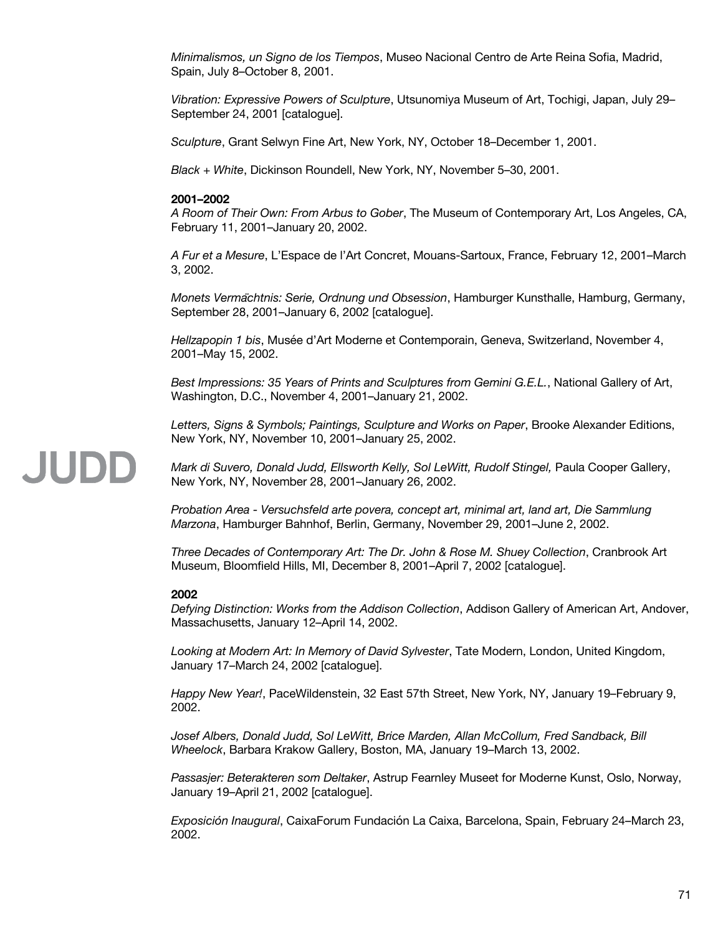*Minimalismos, un Signo de los Tiempos*, Museo Nacional Centro de Arte Reina Sofia, Madrid, Spain, July 8–October 8, 2001.

*Vibration: Expressive Powers of Sculpture*, Utsunomiya Museum of Art, Tochigi, Japan, July 29– September 24, 2001 [catalogue].

*Sculpture*, Grant Selwyn Fine Art, New York, NY, October 18–December 1, 2001.

*Black + White*, Dickinson Roundell, New York, NY, November 5–30, 2001.

# **2001–2002**

*A Room of Their Own: From Arbus to Gober*, The Museum of Contemporary Art, Los Angeles, CA, February 11, 2001–January 20, 2002.

*A Fur et a Mesure*, L'Espace de l'Art Concret, Mouans-Sartoux, France, February 12, 2001–March 3, 2002.

*Monets Vermachtnis: Serie ̈ , Ordnung und Obsession*, Hamburger Kunsthalle, Hamburg, Germany, September 28, 2001–January 6, 2002 [catalogue].

*Hellzapopin 1 bis*, Musée d'Art Moderne et Contemporain, Geneva, Switzerland, November 4, 2001–May 15, 2002.

*Best Impressions: 35 Years of Prints and Sculptures from Gemini G.E.L.*, National Gallery of Art, Washington, D.C., November 4, 2001–January 21, 2002.

*Letters, Signs & Symbols; Paintings, Sculpture and Works on Paper*, Brooke Alexander Editions, New York, NY, November 10, 2001–January 25, 2002.

Mark di Suvero, Donald Judd, Ellsworth Kelly, Sol LeWitt, Rudolf Stingel, Paula Cooper Gallery, New York, NY, November 28, 2001–January 26, 2002.

*Probation Area - Versuchsfeld arte povera, concept art, minimal art, land art, Die Sammlung Marzona*, Hamburger Bahnhof, Berlin, Germany, November 29, 2001–June 2, 2002.

*Three Decades of Contemporary Art: The Dr. John & Rose M. Shuey Collection*, Cranbrook Art Museum, Bloomfield Hills, MI, December 8, 2001–April 7, 2002 [catalogue].

# **2002**

JUDD

*Defying Distinction: Works from the Addison Collection*, Addison Gallery of American Art, Andover, Massachusetts, January 12–April 14, 2002.

*Looking at Modern Art: In Memory of David Sylvester*, Tate Modern, London, United Kingdom, January 17–March 24, 2002 [catalogue].

*Happy New Year!*, PaceWildenstein, 32 East 57th Street, New York, NY, January 19–February 9, 2002.

*Josef Albers, Donald Judd, Sol LeWitt, Brice Marden, Allan McCollum, Fred Sandback, Bill Wheelock*, Barbara Krakow Gallery, Boston, MA, January 19–March 13, 2002.

*Passasjer: Beterakteren som Deltaker*, Astrup Fearnley Museet for Moderne Kunst, Oslo, Norway, January 19–April 21, 2002 [catalogue].

*Exposición Inaugural*, CaixaForum Fundación La Caixa, Barcelona, Spain, February 24–March 23, 2002.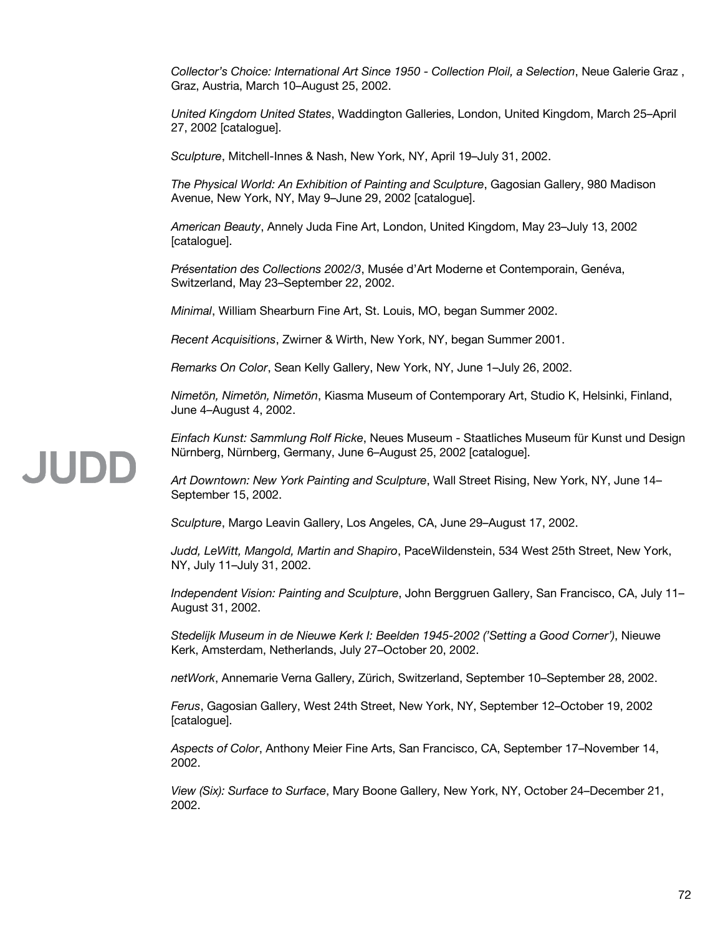*Collector's Choice: International Art Since 1950 - Collection Ploil, a Selection*, Neue Galerie Graz , Graz, Austria, March 10–August 25, 2002.

*United Kingdom United States*, Waddington Galleries, London, United Kingdom, March 25–April 27, 2002 [catalogue].

*Sculpture*, Mitchell-Innes & Nash, New York, NY, April 19–July 31, 2002.

*The Physical World: An Exhibition of Painting and Sculpture*, Gagosian Gallery, 980 Madison Avenue, New York, NY, May 9–June 29, 2002 [catalogue].

*American Beauty*, Annely Juda Fine Art, London, United Kingdom, May 23–July 13, 2002 [catalogue].

*Présentation des Collections 2002/3*, Musée d'Art Moderne et Contemporain, Genéva, Switzerland, May 23–September 22, 2002.

*Minimal*, William Shearburn Fine Art, St. Louis, MO, began Summer 2002.

*Recent Acquisitions*, Zwirner & Wirth, New York, NY, began Summer 2001.

*Remarks On Color*, Sean Kelly Gallery, New York, NY, June 1–July 26, 2002.

*Nimetön, Nimetön, Nimetön*, Kiasma Museum of Contemporary Art, Studio K, Helsinki, Finland, June 4–August 4, 2002.

*Einfach Kunst: Sammlung Rolf Ricke*, Neues Museum - Staatliches Museum für Kunst und Design Nürnberg, Nürnberg, Germany, June 6–August 25, 2002 [catalogue].

*Art Downtown: New York Painting and Sculpture*, Wall Street Rising, New York, NY, June 14– September 15, 2002.

*Sculpture*, Margo Leavin Gallery, Los Angeles, CA, June 29–August 17, 2002.

*Judd, LeWitt, Mangold, Martin and Shapiro*, PaceWildenstein, 534 West 25th Street, New York, NY, July 11–July 31, 2002.

*Independent Vision: Painting and Sculpture*, John Berggruen Gallery, San Francisco, CA, July 11– August 31, 2002.

*Stedelijk Museum in de Nieuwe Kerk I: Beelden 1945-2002 ('Setting a Good Corner')*, Nieuwe Kerk, Amsterdam, Netherlands, July 27–October 20, 2002.

*netWork*, Annemarie Verna Gallery, Zürich, Switzerland, September 10–September 28, 2002.

*Ferus*, Gagosian Gallery, West 24th Street, New York, NY, September 12–October 19, 2002 [catalogue].

*Aspects of Color*, Anthony Meier Fine Arts, San Francisco, CA, September 17–November 14, 2002.

*View (Six): Surface to Surface*, Mary Boone Gallery, New York, NY, October 24–December 21, 2002.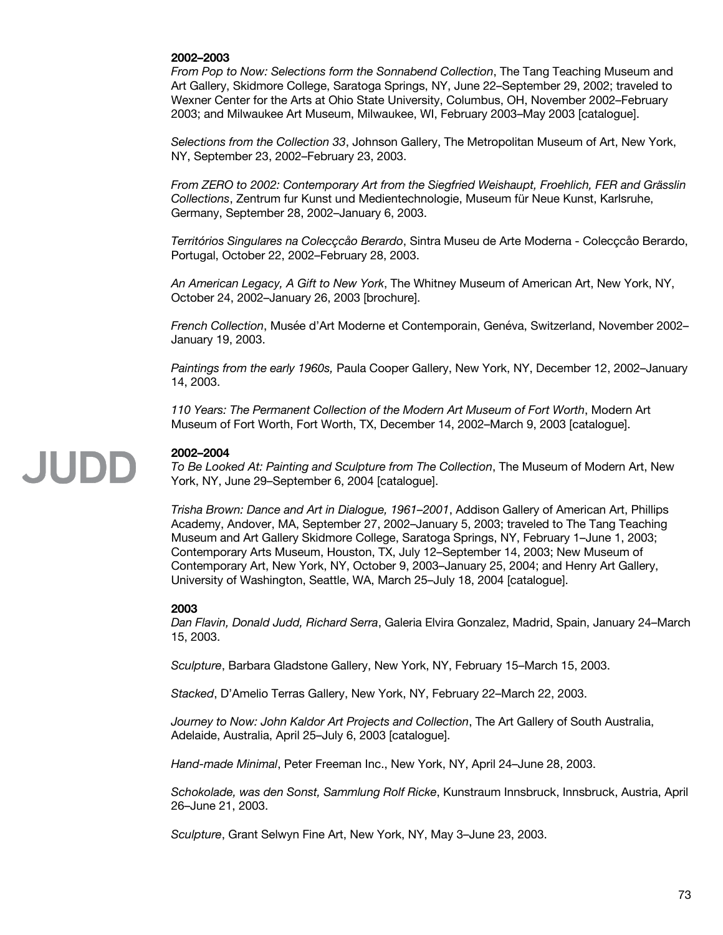#### **2002–2003**

*From Pop to Now: Selections form the Sonnabend Collection*, The Tang Teaching Museum and Art Gallery, Skidmore College, Saratoga Springs, NY, June 22–September 29, 2002; traveled to Wexner Center for the Arts at Ohio State University, Columbus, OH, November 2002–February 2003; and Milwaukee Art Museum, Milwaukee, WI, February 2003–May 2003 [catalogue].

*Selections from the Collection 33*, Johnson Gallery, The Metropolitan Museum of Art, New York, NY, September 23, 2002–February 23, 2003.

*From ZERO to 2002: Contemporary Art from the Siegfried Weishaupt, Froehlich, FER and Grässlin Collections*, Zentrum fur Kunst und Medientechnologie, Museum für Neue Kunst, Karlsruhe, Germany, September 28, 2002–January 6, 2003.

*Territórios Singulares na Colecçcåo Berardo*, Sintra Museu de Arte Moderna - Colecçcåo Berardo, Portugal, October 22, 2002–February 28, 2003.

*An American Legacy, A Gift to New York*, The Whitney Museum of American Art, New York, NY, October 24, 2002–January 26, 2003 [brochure].

*French Collection*, Musée d'Art Moderne et Contemporain, Genéva, Switzerland, November 2002– January 19, 2003.

*Paintings from the early 1960s,* Paula Cooper Gallery, New York, NY, December 12, 2002–January 14, 2003.

*110 Years: The Permanent Collection of the Modern Art Museum of Fort Worth*, Modern Art Museum of Fort Worth, Fort Worth, TX, December 14, 2002–March 9, 2003 [catalogue].

### **2002–2004**

JUDD

*To Be Looked At: Painting and Sculpture from The Collection*, The Museum of Modern Art, New York, NY, June 29–September 6, 2004 [catalogue].

*Trisha Brown: Dance and Art in Dialogue, 1961–2001*, Addison Gallery of American Art, Phillips Academy, Andover, MA, September 27, 2002–January 5, 2003; traveled to The Tang Teaching Museum and Art Gallery Skidmore College, Saratoga Springs, NY, February 1–June 1, 2003; Contemporary Arts Museum, Houston, TX, July 12–September 14, 2003; New Museum of Contemporary Art, New York, NY, October 9, 2003–January 25, 2004; and Henry Art Gallery, University of Washington, Seattle, WA, March 25–July 18, 2004 [catalogue].

#### **2003**

*Dan Flavin, Donald Judd, Richard Serra*, Galeria Elvira Gonzalez, Madrid, Spain, January 24–March 15, 2003.

*Sculpture*, Barbara Gladstone Gallery, New York, NY, February 15–March 15, 2003.

*Stacked*, D'Amelio Terras Gallery, New York, NY, February 22–March 22, 2003.

*Journey to Now: John Kaldor Art Projects and Collection*, The Art Gallery of South Australia, Adelaide, Australia, April 25–July 6, 2003 [catalogue].

*Hand-made Minimal*, Peter Freeman Inc., New York, NY, April 24–June 28, 2003.

*Schokolade, was den Sonst, Sammlung Rolf Ricke*, Kunstraum Innsbruck, Innsbruck, Austria, April 26–June 21, 2003.

*Sculpture*, Grant Selwyn Fine Art, New York, NY, May 3–June 23, 2003.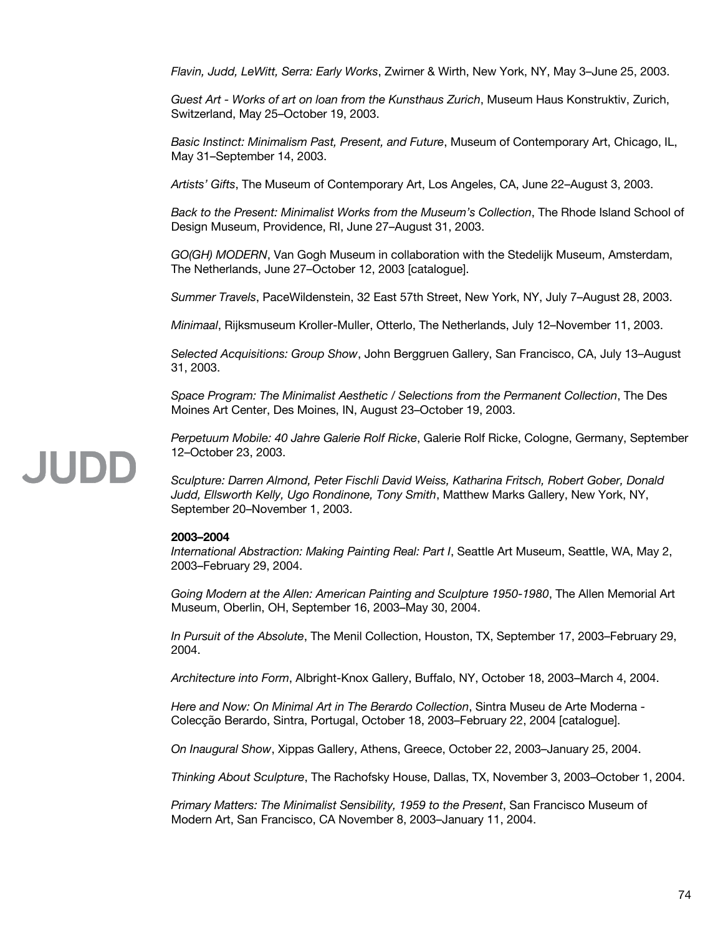*Flavin, Judd, LeWitt, Serra: Early Works*, Zwirner & Wirth, New York, NY, May 3–June 25, 2003.

*Guest Art - Works of art on loan from the Kunsthaus Zurich*, Museum Haus Konstruktiv, Zurich, Switzerland, May 25–October 19, 2003.

*Basic Instinct: Minimalism Past, Present, and Future*, Museum of Contemporary Art, Chicago, IL, May 31–September 14, 2003.

*Artists' Gifts*, The Museum of Contemporary Art, Los Angeles, CA, June 22–August 3, 2003.

*Back to the Present: Minimalist Works from the Museum's Collection*, The Rhode Island School of Design Museum, Providence, RI, June 27–August 31, 2003.

*GO(GH) MODERN*, Van Gogh Museum in collaboration with the Stedelijk Museum, Amsterdam, The Netherlands, June 27–October 12, 2003 [catalogue].

*Summer Travels*, PaceWildenstein, 32 East 57th Street, New York, NY, July 7–August 28, 2003.

*Minimaal*, Rijksmuseum Kroller-Muller, Otterlo, The Netherlands, July 12–November 11, 2003.

*Selected Acquisitions: Group Show*, John Berggruen Gallery, San Francisco, CA, July 13–August 31, 2003.

*Space Program: The Minimalist Aesthetic / Selections from the Permanent Collection*, The Des Moines Art Center, Des Moines, IN, August 23–October 19, 2003.

*Perpetuum Mobile: 40 Jahre Galerie Rolf Ricke*, Galerie Rolf Ricke, Cologne, Germany, September 12–October 23, 2003.

*Sculpture: Darren Almond, Peter Fischli David Weiss, Katharina Fritsch, Robert Gober, Donald Judd, Ellsworth Kelly, Ugo Rondinone, Tony Smith*, Matthew Marks Gallery, New York, NY, September 20–November 1, 2003.

#### **2003–2004**

*International Abstraction: Making Painting Real: Part I*, Seattle Art Museum, Seattle, WA, May 2, 2003–February 29, 2004.

*Going Modern at the Allen: American Painting and Sculpture 1950-1980*, The Allen Memorial Art Museum, Oberlin, OH, September 16, 2003–May 30, 2004.

*In Pursuit of the Absolute*, The Menil Collection, Houston, TX, September 17, 2003–February 29, 2004.

*Architecture into Form*, Albright-Knox Gallery, Buffalo, NY, October 18, 2003–March 4, 2004.

*Here and Now: On Minimal Art in The Berardo Collection*, Sintra Museu de Arte Moderna - Colecção Berardo, Sintra, Portugal, October 18, 2003–February 22, 2004 [catalogue].

*On Inaugural Show*, Xippas Gallery, Athens, Greece, October 22, 2003–January 25, 2004.

*Thinking About Sculpture*, The Rachofsky House, Dallas, TX, November 3, 2003–October 1, 2004.

*Primary Matters: The Minimalist Sensibility, 1959 to the Present*, San Francisco Museum of Modern Art, San Francisco, CA November 8, 2003–January 11, 2004.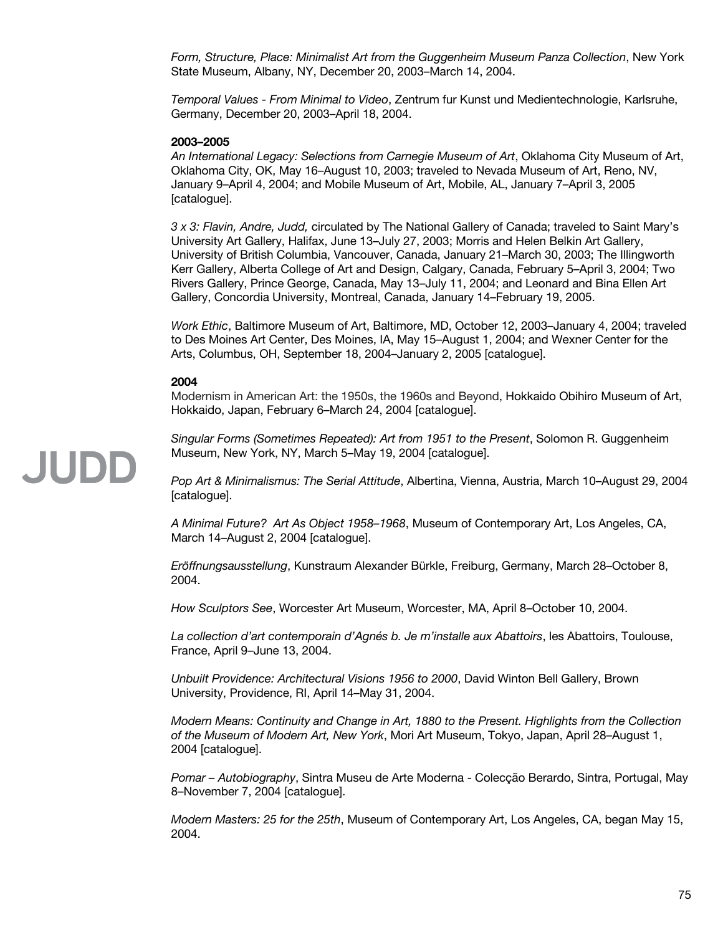*Form, Structure, Place: Minimalist Art from the Guggenheim Museum Panza Collection*, New York State Museum, Albany, NY, December 20, 2003–March 14, 2004.

*Temporal Values - From Minimal to Video*, Zentrum fur Kunst und Medientechnologie, Karlsruhe, Germany, December 20, 2003–April 18, 2004.

#### **2003–2005**

*An International Legacy: Selections from Carnegie Museum of Art*, Oklahoma City Museum of Art, Oklahoma City, OK, May 16–August 10, 2003; traveled to Nevada Museum of Art, Reno, NV, January 9–April 4, 2004; and Mobile Museum of Art, Mobile, AL, January 7–April 3, 2005 [catalogue].

*3 x 3: Flavin, Andre, Judd,* circulated by The National Gallery of Canada; traveled to Saint Mary's University Art Gallery, Halifax, June 13–July 27, 2003; Morris and Helen Belkin Art Gallery, University of British Columbia, Vancouver, Canada, January 21–March 30, 2003; The Illingworth Kerr Gallery, Alberta College of Art and Design, Calgary, Canada, February 5–April 3, 2004; Two Rivers Gallery, Prince George, Canada, May 13–July 11, 2004; and Leonard and Bina Ellen Art Gallery, Concordia University, Montreal, Canada, January 14–February 19, 2005.

*Work Ethic*, Baltimore Museum of Art, Baltimore, MD, October 12, 2003–January 4, 2004; traveled to Des Moines Art Center, Des Moines, IA, May 15–August 1, 2004; and Wexner Center for the Arts, Columbus, OH, September 18, 2004–January 2, 2005 [catalogue].

#### **2004**

Modernism in American Art: the 1950s, the 1960s and Beyond, Hokkaido Obihiro Museum of Art, Hokkaido, Japan, February 6–March 24, 2004 [catalogue].

*Singular Forms (Sometimes Repeated): Art from 1951 to the Present*, Solomon R. Guggenheim Museum, New York, NY, March 5–May 19, 2004 [catalogue].

*Pop Art & Minimalismus: The Serial Attitude*, Albertina, Vienna, Austria, March 10–August 29, 2004 [catalogue].

*A Minimal Future? Art As Object 1958–1968*, Museum of Contemporary Art, Los Angeles, CA, March 14–August 2, 2004 [catalogue].

*Eröffnungsausstellung*, Kunstraum Alexander Bürkle, Freiburg, Germany, March 28–October 8, 2004.

*How Sculptors See*, Worcester Art Museum, Worcester, MA, April 8–October 10, 2004.

*La collection d'art contemporain d'Agnés b. Je m'installe aux Abattoirs*, les Abattoirs, Toulouse, France, April 9–June 13, 2004.

*Unbuilt Providence: Architectural Visions 1956 to 2000*, David Winton Bell Gallery, Brown University, Providence, RI, April 14–May 31, 2004.

*Modern Means: Continuity and Change in Art, 1880 to the Present. Highlights from the Collection of the Museum of Modern Art, New York*, Mori Art Museum, Tokyo, Japan, April 28–August 1, 2004 [catalogue].

*Pomar – Autobiography*, Sintra Museu de Arte Moderna - Colecção Berardo, Sintra, Portugal, May 8–November 7, 2004 [catalogue].

*Modern Masters: 25 for the 25th*, Museum of Contemporary Art, Los Angeles, CA, began May 15, 2004.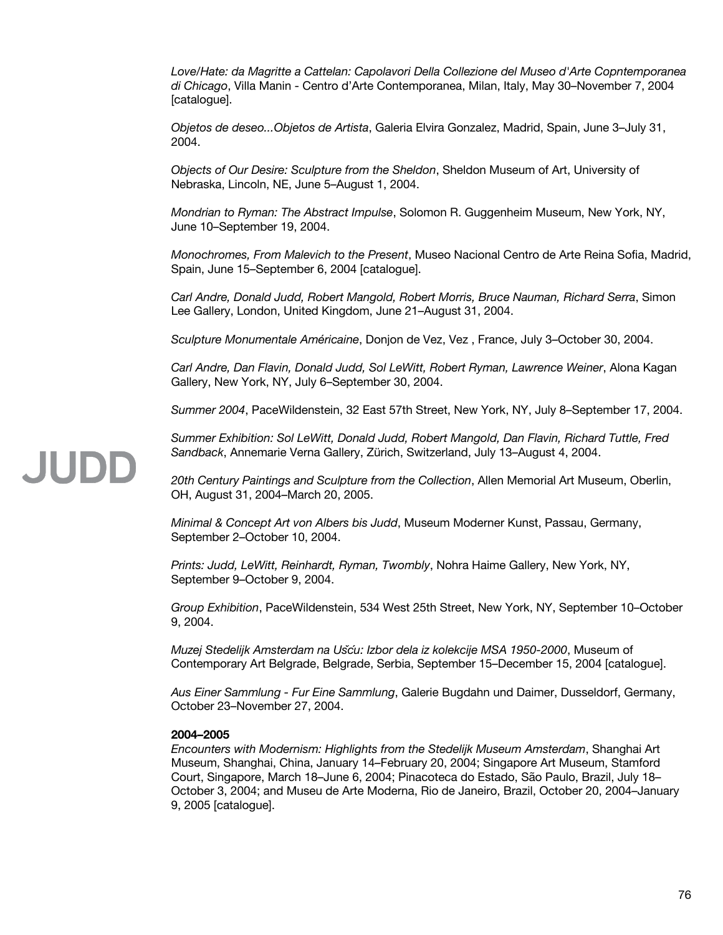*Love/Hate: da Magritte a Cattelan: Capolavori Della Collezione del Museo d'Arte Copntemporanea di Chicago*, Villa Manin - Centro d'Arte Contemporanea, Milan, Italy, May 30–November 7, 2004 [catalogue].

*Objetos de deseo...Objetos de Artista*, Galeria Elvira Gonzalez, Madrid, Spain, June 3–July 31, 2004.

*Objects of Our Desire: Sculpture from the Sheldon*, Sheldon Museum of Art, University of Nebraska, Lincoln, NE, June 5–August 1, 2004.

*Mondrian to Ryman: The Abstract Impulse*, Solomon R. Guggenheim Museum, New York, NY, June 10–September 19, 2004.

*Monochromes, From Malevich to the Present*, Museo Nacional Centro de Arte Reina Sofia, Madrid, Spain, June 15–September 6, 2004 [catalogue].

*Carl Andre, Donald Judd, Robert Mangold, Robert Morris, Bruce Nauman, Richard Serra*, Simon Lee Gallery, London, United Kingdom, June 21–August 31, 2004.

*Sculpture Monumentale Américaine*, Donjon de Vez, Vez , France, July 3–October 30, 2004.

*Carl Andre, Dan Flavin, Donald Judd, Sol LeWitt, Robert Ryman, Lawrence Weiner*, Alona Kagan Gallery, New York, NY, July 6–September 30, 2004.

*Summer 2004*, PaceWildenstein, 32 East 57th Street, New York, NY, July 8–September 17, 2004.

*Summer Exhibition: Sol LeWitt, Donald Judd, Robert Mangold, Dan Flavin, Richard Tuttle, Fred Sandback*, Annemarie Verna Gallery, Zürich, Switzerland, July 13–August 4, 2004.

*20th Century Paintings and Sculpture from the Collection*, Allen Memorial Art Museum, Oberlin, OH, August 31, 2004–March 20, 2005.

*Minimal & Concept Art von Albers bis Judd*, Museum Moderner Kunst, Passau, Germany, September 2–October 10, 2004.

*Prints: Judd, LeWitt, Reinhardt, Ryman, Twombly*, Nohra Haime Gallery, New York, NY, September 9–October 9, 2004.

*Group Exhibition*, PaceWildenstein, 534 West 25th Street, New York, NY, September 10–October 9, 2004.

*Muzej Stedelijk Amsterdam na Usč ́u: Izbor dela iz kolekcije MSA 1950-2000*, Museum of Contemporary Art Belgrade, Belgrade, Serbia, September 15–December 15, 2004 [catalogue].

*Aus Einer Sammlung - Fur Eine Sammlung*, Galerie Bugdahn und Daimer, Dusseldorf, Germany, October 23–November 27, 2004.

#### **2004–2005**

*Encounters with Modernism: Highlights from the Stedelijk Museum Amsterdam*, Shanghai Art Museum, Shanghai, China, January 14–February 20, 2004; Singapore Art Museum, Stamford Court, Singapore, March 18–June 6, 2004; Pinacoteca do Estado, São Paulo, Brazil, July 18– October 3, 2004; and Museu de Arte Moderna, Rio de Janeiro, Brazil, October 20, 2004–January 9, 2005 [catalogue].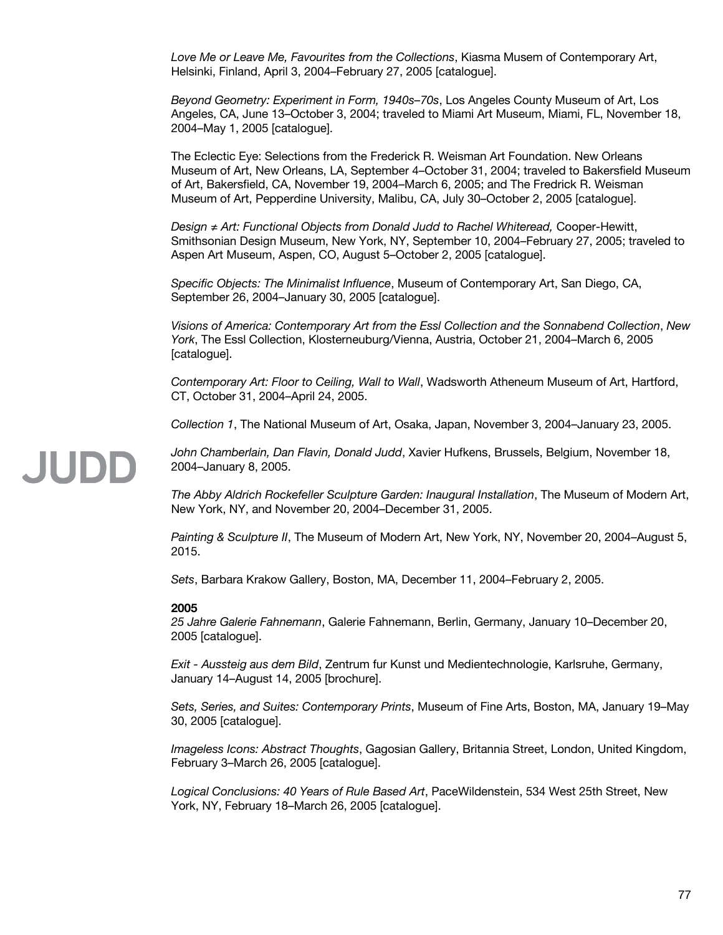*Love Me or Leave Me, Favourites from the Collections*, Kiasma Musem of Contemporary Art, Helsinki, Finland, April 3, 2004–February 27, 2005 [catalogue].

*Beyond Geometry: Experiment in Form, 1940s–70s*, Los Angeles County Museum of Art, Los Angeles, CA, June 13–October 3, 2004; traveled to Miami Art Museum, Miami, FL, November 18, 2004–May 1, 2005 [catalogue].

The Eclectic Eye: Selections from the Frederick R. Weisman Art Foundation. New Orleans Museum of Art, New Orleans, LA, September 4–October 31, 2004; traveled to Bakersfield Museum of Art, Bakersfield, CA, November 19, 2004–March 6, 2005; and The Fredrick R. Weisman Museum of Art, Pepperdine University, Malibu, CA, July 30–October 2, 2005 [catalogue].

*Design ≠ Art: Functional Objects from Donald Judd to Rachel Whiteread,* Cooper-Hewitt, Smithsonian Design Museum, New York, NY, September 10, 2004–February 27, 2005; traveled to Aspen Art Museum, Aspen, CO, August 5–October 2, 2005 [catalogue].

*Specific Objects: The Minimalist Influence*, Museum of Contemporary Art, San Diego, CA, September 26, 2004–January 30, 2005 [catalogue].

*Visions of America: Contemporary Art from the Essl Collection and the Sonnabend Collection*, *New York*, The Essl Collection, Klosterneuburg/Vienna, Austria, October 21, 2004–March 6, 2005 [catalogue].

*Contemporary Art: Floor to Ceiling, Wall to Wall*, Wadsworth Atheneum Museum of Art, Hartford, CT, October 31, 2004–April 24, 2005.

*Collection 1*, The National Museum of Art, Osaka, Japan, November 3, 2004–January 23, 2005.

*John Chamberlain, Dan Flavin, Donald Judd*, Xavier Hufkens, Brussels, Belgium, November 18, 2004–January 8, 2005.

*The Abby Aldrich Rockefeller Sculpture Garden: Inaugural Installation*, The Museum of Modern Art, New York, NY, and November 20, 2004–December 31, 2005.

*Painting & Sculpture II*, The Museum of Modern Art, New York, NY, November 20, 2004–August 5, 2015.

*Sets*, Barbara Krakow Gallery, Boston, MA, December 11, 2004–February 2, 2005.

#### **2005**

JUDD

*25 Jahre Galerie Fahnemann*, Galerie Fahnemann, Berlin, Germany, January 10–December 20, 2005 [catalogue].

*Exit - Aussteig aus dem Bild*, Zentrum fur Kunst und Medientechnologie, Karlsruhe, Germany, January 14–August 14, 2005 [brochure].

*Sets, Series, and Suites: Contemporary Prints*, Museum of Fine Arts, Boston, MA, January 19–May 30, 2005 [catalogue].

*Imageless Icons: Abstract Thoughts*, Gagosian Gallery, Britannia Street, London, United Kingdom, February 3–March 26, 2005 [catalogue].

*Logical Conclusions: 40 Years of Rule Based Art*, PaceWildenstein, 534 West 25th Street, New York, NY, February 18–March 26, 2005 [catalogue].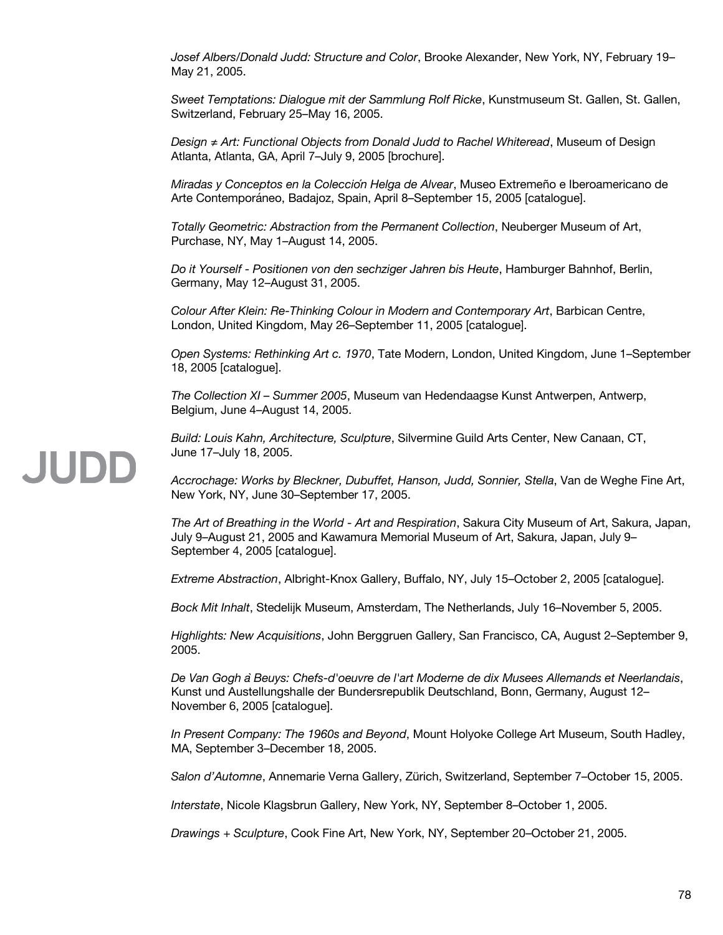*Josef Albers/Donald Judd: Structure and Color*, Brooke Alexander, New York, NY, February 19– May 21, 2005.

*Sweet Temptations: Dialogue mit der Sammlung Rolf Ricke*, Kunstmuseum St. Gallen, St. Gallen, Switzerland, February 25–May 16, 2005.

*Design ≠ Art: Functional Objects from Donald Judd to Rachel Whiteread*, Museum of Design Atlanta, Atlanta, GA, April 7–July 9, 2005 [brochure].

*Miradas y Conceptos en la Colección Helga de Alvear*, Museo Extremeño e Iberoamericano de Arte Contemporáneo, Badajoz, Spain, April 8–September 15, 2005 [catalogue].

*Totally Geometric: Abstraction from the Permanent Collection*, Neuberger Museum of Art, Purchase, NY, May 1–August 14, 2005.

*Do it Yourself - Positionen von den sechziger Jahren bis Heute*, Hamburger Bahnhof, Berlin, Germany, May 12–August 31, 2005.

*Colour After Klein: Re-Thinking Colour in Modern and Contemporary Art*, Barbican Centre, London, United Kingdom, May 26–September 11, 2005 [catalogue].

*Open Systems: Rethinking Art c. 1970*, Tate Modern, London, United Kingdom, June 1–September 18, 2005 [catalogue].

*The Collection XI – Summer 2005*, Museum van Hedendaagse Kunst Antwerpen, Antwerp, Belgium, June 4–August 14, 2005.

*Build: Louis Kahn, Architecture, Sculpture*, Silvermine Guild Arts Center, New Canaan, CT, June 17–July 18, 2005.

*Accrochage: Works by Bleckner, Dubuffet, Hanson, Judd, Sonnier, Stella*, Van de Weghe Fine Art, New York, NY, June 30–September 17, 2005.

*The Art of Breathing in the World - Art and Respiration*, Sakura City Museum of Art, Sakura, Japan, July 9–August 21, 2005 and Kawamura Memorial Museum of Art, Sakura, Japan, July 9– September 4, 2005 [catalogue].

*Extreme Abstraction*, Albright-Knox Gallery, Buffalo, NY, July 15–October 2, 2005 [catalogue].

*Bock Mit Inhalt*, Stedelijk Museum, Amsterdam, The Netherlands, July 16–November 5, 2005.

*Highlights: New Acquisitions*, John Berggruen Gallery, San Francisco, CA, August 2–September 9, 2005.

*De Van Gogh àBeuys: Chefs-d'oeuvre de l'art Moderne de dix Musees Allemands et Neerlandais*, Kunst und Austellungshalle der Bundersrepublik Deutschland, Bonn, Germany, August 12– November 6, 2005 [catalogue].

*In Present Company: The 1960s and Beyond*, Mount Holyoke College Art Museum, South Hadley, MA, September 3–December 18, 2005.

*Salon d'Automne*, Annemarie Verna Gallery, Zürich, Switzerland, September 7–October 15, 2005.

*Interstate*, Nicole Klagsbrun Gallery, New York, NY, September 8–October 1, 2005.

*Drawings + Sculpture*, Cook Fine Art, New York, NY, September 20–October 21, 2005.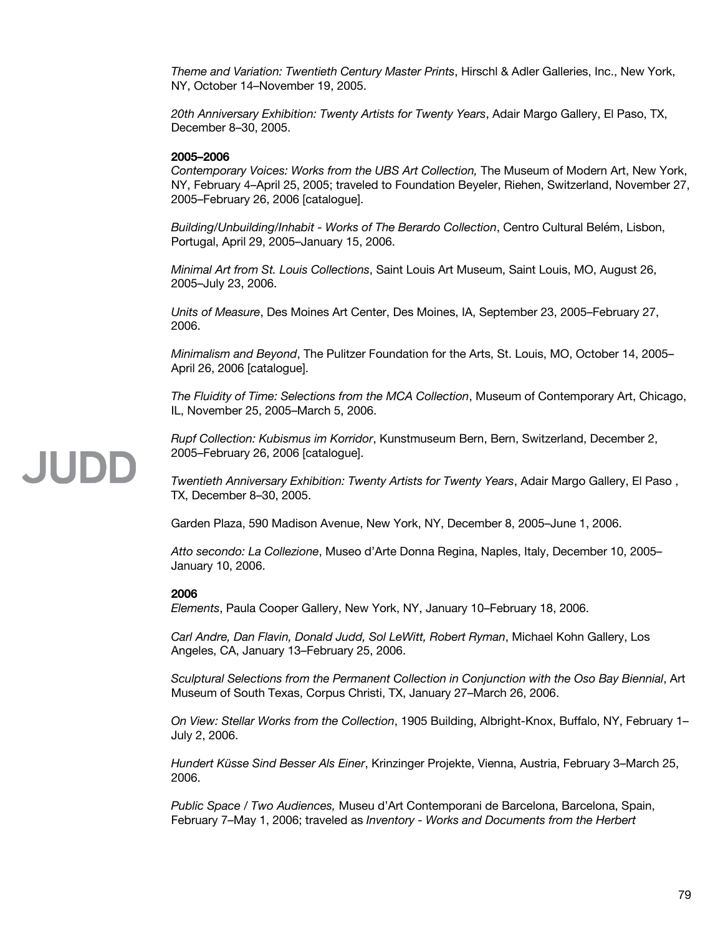*Theme and Variation: Twentieth Century Master Prints*, Hirschl & Adler Galleries, Inc., New York, NY, October 14–November 19, 2005.

*20th Anniversary Exhibition: Twenty Artists for Twenty Years*, Adair Margo Gallery, El Paso, TX, December 8–30, 2005.

#### **2005–2006**

*Contemporary Voices: Works from the UBS Art Collection,* The Museum of Modern Art, New York, NY, February 4–April 25, 2005; traveled to Foundation Beyeler, Riehen, Switzerland, November 27, 2005–February 26, 2006 [catalogue].

*Building/Unbuilding/Inhabit - Works of The Berardo Collection*, Centro Cultural Belém, Lisbon, Portugal, April 29, 2005–January 15, 2006.

*Minimal Art from St. Louis Collections*, Saint Louis Art Museum, Saint Louis, MO, August 26, 2005–July 23, 2006.

*Units of Measure*, Des Moines Art Center, Des Moines, IA, September 23, 2005–February 27, 2006.

*Minimalism and Beyond*, The Pulitzer Foundation for the Arts, St. Louis, MO, October 14, 2005– April 26, 2006 [catalogue].

*The Fluidity of Time: Selections from the MCA Collection*, Museum of Contemporary Art, Chicago, IL, November 25, 2005–March 5, 2006.

*Rupf Collection: Kubismus im Korridor*, Kunstmuseum Bern, Bern, Switzerland, December 2, 2005–February 26, 2006 [catalogue].

*Twentieth Anniversary Exhibition: Twenty Artists for Twenty Years*, Adair Margo Gallery, El Paso , TX, December 8–30, 2005.

Garden Plaza, 590 Madison Avenue, New York, NY, December 8, 2005–June 1, 2006.

*Atto secondo: La Collezione*, Museo d'Arte Donna Regina, Naples, Italy, December 10, 2005– January 10, 2006.

#### **2006**

*Elements*, Paula Cooper Gallery, New York, NY, January 10–February 18, 2006.

*Carl Andre, Dan Flavin, Donald Judd, Sol LeWitt, Robert Ryman*, Michael Kohn Gallery, Los Angeles, CA, January 13–February 25, 2006.

*Sculptural Selections from the Permanent Collection in Conjunction with the Oso Bay Biennial*, Art Museum of South Texas, Corpus Christi, TX, January 27–March 26, 2006.

*On View: Stellar Works from the Collection*, 1905 Building, Albright-Knox, Buffalo, NY, February 1– July 2, 2006.

*Hundert Küsse Sind Besser Als Einer*, Krinzinger Projekte, Vienna, Austria, February 3–March 25, 2006.

*Public Space / Two Audiences,* Museu d'Art Contemporani de Barcelona, Barcelona, Spain, February 7–May 1, 2006; traveled as *Inventory - Works and Documents from the Herbert*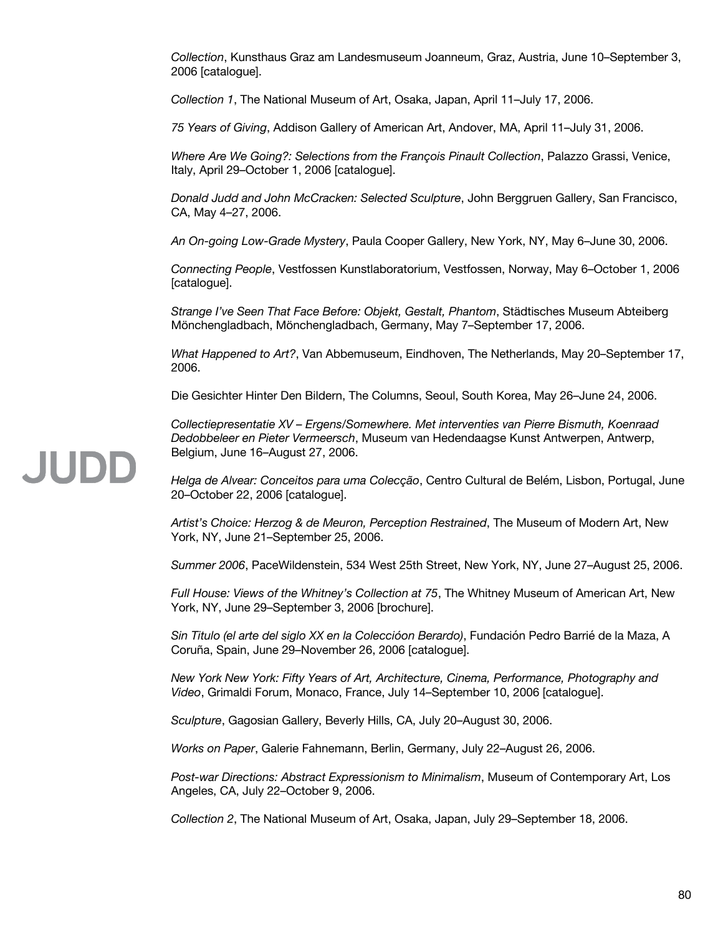*Collection*, Kunsthaus Graz am Landesmuseum Joanneum, Graz, Austria, June 10–September 3, 2006 [catalogue].

*Collection 1*, The National Museum of Art, Osaka, Japan, April 11–July 17, 2006.

*75 Years of Giving*, Addison Gallery of American Art, Andover, MA, April 11–July 31, 2006.

*Where Are We Going?: Selections from the François Pinault Collection*, Palazzo Grassi, Venice, Italy, April 29–October 1, 2006 [catalogue].

*Donald Judd and John McCracken: Selected Sculpture*, John Berggruen Gallery, San Francisco, CA, May 4–27, 2006.

*An On-going Low-Grade Mystery*, Paula Cooper Gallery, New York, NY, May 6–June 30, 2006.

*Connecting People*, Vestfossen Kunstlaboratorium, Vestfossen, Norway, May 6–October 1, 2006 [catalogue].

*Strange I've Seen That Face Before: Objekt, Gestalt, Phantom*, Städtisches Museum Abteiberg Mönchengladbach, Mönchengladbach, Germany, May 7–September 17, 2006.

*What Happened to Art?*, Van Abbemuseum, Eindhoven, The Netherlands, May 20–September 17, 2006.

Die Gesichter Hinter Den Bildern, The Columns, Seoul, South Korea, May 26–June 24, 2006.

*Collectiepresentatie XV – Ergens/Somewhere. Met interventies van Pierre Bismuth, Koenraad Dedobbeleer en Pieter Vermeersch*, Museum van Hedendaagse Kunst Antwerpen, Antwerp, Belgium, June 16–August 27, 2006.

*Helga de Alvear: Conceitos para uma Colecção*, Centro Cultural de Belém, Lisbon, Portugal, June 20–October 22, 2006 [catalogue].

*Artist's Choice: Herzog & de Meuron, Perception Restrained*, The Museum of Modern Art, New York, NY, June 21–September 25, 2006.

*Summer 2006*, PaceWildenstein, 534 West 25th Street, New York, NY, June 27–August 25, 2006.

*Full House: Views of the Whitney's Collection at 75*, The Whitney Museum of American Art, New York, NY, June 29–September 3, 2006 [brochure].

*Sin Titulo (el arte del siglo XX en la Coleccióon Berardo)*, Fundación Pedro Barrié de la Maza, A Coruña, Spain, June 29–November 26, 2006 [catalogue].

*New York New York: Fifty Years of Art, Architecture, Cinema, Performance, Photography and Video*, Grimaldi Forum, Monaco, France, July 14–September 10, 2006 [catalogue].

*Sculpture*, Gagosian Gallery, Beverly Hills, CA, July 20–August 30, 2006.

*Works on Paper*, Galerie Fahnemann, Berlin, Germany, July 22–August 26, 2006.

*Post-war Directions: Abstract Expressionism to Minimalism*, Museum of Contemporary Art, Los Angeles, CA, July 22–October 9, 2006.

*Collection 2*, The National Museum of Art, Osaka, Japan, July 29–September 18, 2006.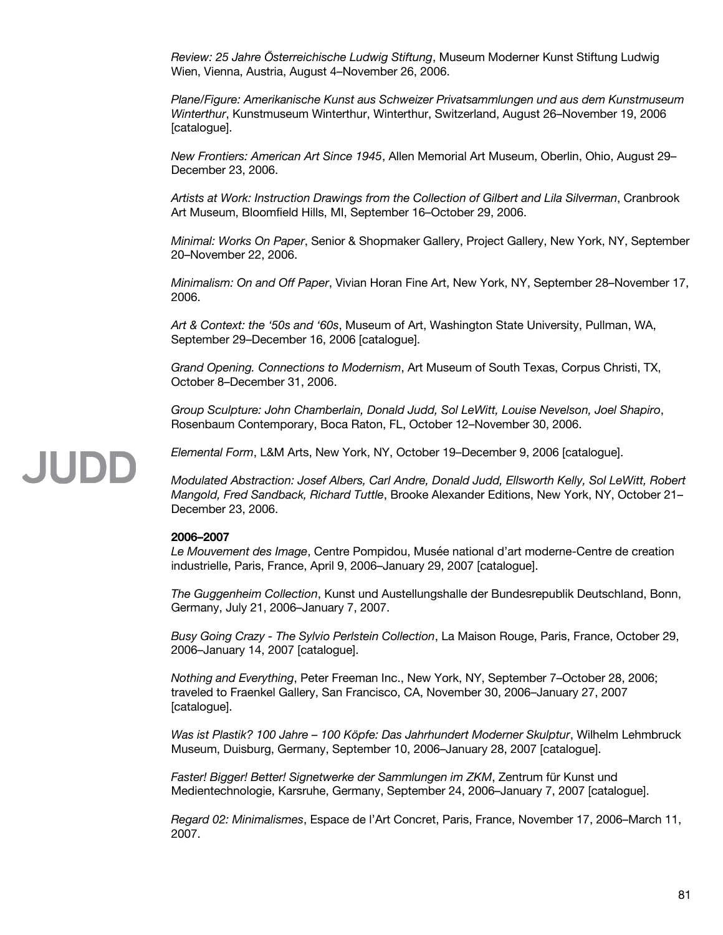*Review: 25 Jahre Österreichische Ludwig Stiftung*, Museum Moderner Kunst Stiftung Ludwig Wien, Vienna, Austria, August 4–November 26, 2006.

*Plane/Figure: Amerikanische Kunst aus Schweizer Privatsammlungen und aus dem Kunstmuseum Winterthur*, Kunstmuseum Winterthur, Winterthur, Switzerland, August 26–November 19, 2006 [catalogue].

*New Frontiers: American Art Since 1945*, Allen Memorial Art Museum, Oberlin, Ohio, August 29– December 23, 2006.

*Artists at Work: Instruction Drawings from the Collection of Gilbert and Lila Silverman*, Cranbrook Art Museum, Bloomfield Hills, MI, September 16–October 29, 2006.

*Minimal: Works On Paper*, Senior & Shopmaker Gallery, Project Gallery, New York, NY, September 20–November 22, 2006.

*Minimalism: On and Off Paper*, Vivian Horan Fine Art, New York, NY, September 28–November 17, 2006.

*Art & Context: the '50s and '60s*, Museum of Art, Washington State University, Pullman, WA, September 29–December 16, 2006 [catalogue].

*Grand Opening. Connections to Modernism*, Art Museum of South Texas, Corpus Christi, TX, October 8–December 31, 2006.

*Group Sculpture: John Chamberlain, Donald Judd, Sol LeWitt, Louise Nevelson, Joel Shapiro*, Rosenbaum Contemporary, Boca Raton, FL, October 12–November 30, 2006.

### *Elemental Form*, L&M Arts, New York, NY, October 19–December 9, 2006 [catalogue].

*Modulated Abstraction: Josef Albers, Carl Andre, Donald Judd, Ellsworth Kelly, Sol LeWitt, Robert Mangold, Fred Sandback, Richard Tuttle*, Brooke Alexander Editions, New York, NY, October 21– December 23, 2006.

#### **2006–2007**

*Le Mouvement des Image*, Centre Pompidou, Musée national d'art moderne-Centre de creation industrielle, Paris, France, April 9, 2006–January 29, 2007 [catalogue].

*The Guggenheim Collection*, Kunst und Austellungshalle der Bundesrepublik Deutschland, Bonn, Germany, July 21, 2006–January 7, 2007.

*Busy Going Crazy - The Sylvio Perlstein Collection*, La Maison Rouge, Paris, France, October 29, 2006–January 14, 2007 [catalogue].

*Nothing and Everything*, Peter Freeman Inc., New York, NY, September 7–October 28, 2006; traveled to Fraenkel Gallery, San Francisco, CA, November 30, 2006–January 27, 2007 [catalogue].

*Was ist Plastik? 100 Jahre – 100 Köpfe: Das Jahrhundert Moderner Skulptur*, Wilhelm Lehmbruck Museum, Duisburg, Germany, September 10, 2006–January 28, 2007 [catalogue].

*Faster! Bigger! Better! Signetwerke der Sammlungen im ZKM*, Zentrum für Kunst und Medientechnologie, Karsruhe, Germany, September 24, 2006–January 7, 2007 [catalogue].

*Regard 02: Minimalismes*, Espace de l'Art Concret, Paris, France, November 17, 2006–March 11, 2007.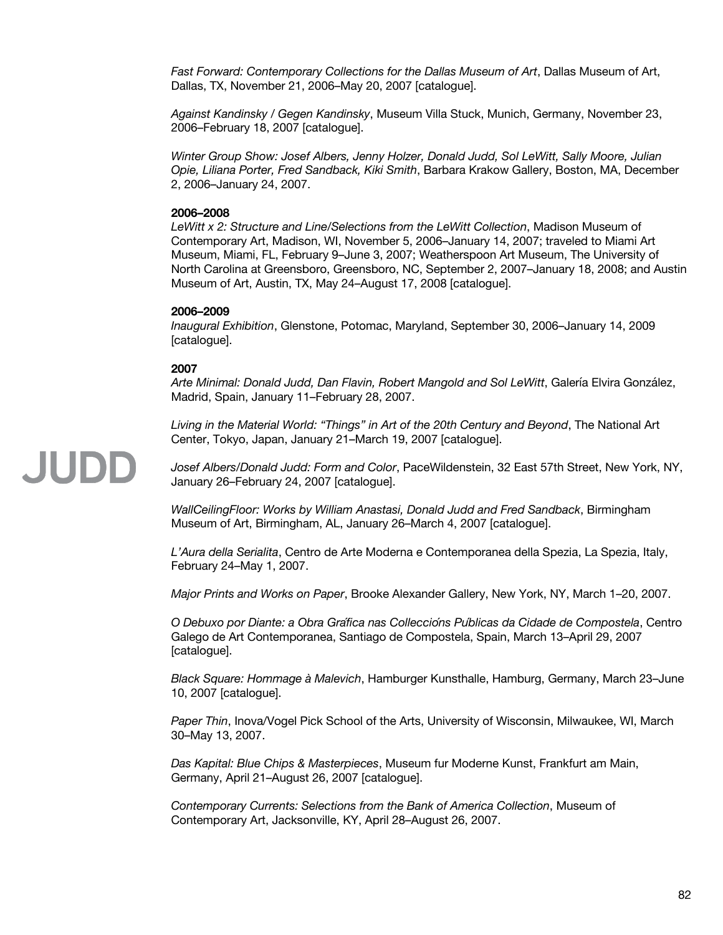*Fast Forward: Contemporary Collections for the Dallas Museum of Art*, Dallas Museum of Art, Dallas, TX, November 21, 2006–May 20, 2007 [catalogue].

*Against Kandinsky / Gegen Kandinsky*, Museum Villa Stuck, Munich, Germany, November 23, 2006–February 18, 2007 [catalogue].

*Winter Group Show: Josef Albers, Jenny Holzer, Donald Judd, Sol LeWitt, Sally Moore, Julian Opie, Liliana Porter, Fred Sandback, Kiki Smith*, Barbara Krakow Gallery, Boston, MA, December 2, 2006–January 24, 2007.

#### **2006–2008**

*LeWitt x 2: Structure and Line/Selections from the LeWitt Collection*, Madison Museum of Contemporary Art, Madison, WI, November 5, 2006–January 14, 2007; traveled to Miami Art Museum, Miami, FL, February 9–June 3, 2007; Weatherspoon Art Museum, The University of North Carolina at Greensboro, Greensboro, NC, September 2, 2007–January 18, 2008; and Austin Museum of Art, Austin, TX, May 24–August 17, 2008 [catalogue].

#### **2006–2009**

*Inaugural Exhibition*, Glenstone, Potomac, Maryland, September 30, 2006–January 14, 2009 [catalogue].

#### **2007**

JUDD

*Arte Minimal: Donald Judd, Dan Flavin, Robert Mangold and Sol LeWitt*, Galería Elvira González, Madrid, Spain, January 11–February 28, 2007.

*Living in the Material World: "Things" in Art of the 20th Century and Beyond*, The National Art Center, Tokyo, Japan, January 21–March 19, 2007 [catalogue].

*Josef Albers/Donald Judd: Form and Color*, PaceWildenstein, 32 East 57th Street, New York, NY, January 26–February 24, 2007 [catalogue].

*WallCeilingFloor: Works by William Anastasi, Donald Judd and Fred Sandback*, Birmingham Museum of Art, Birmingham, AL, January 26–March 4, 2007 [catalogue].

*L'Aura della Serialita*, Centro de Arte Moderna e Contemporanea della Spezia, La Spezia, Italy, February 24–May 1, 2007.

*Major Prints and Works on Paper*, Brooke Alexander Gallery, New York, NY, March 1–20, 2007.

*O Debuxo por Diante: a Obra Grafica nas Collecci ́ óns Publicas da Cidade de Compostela ́* , Centro Galego de Art Contemporanea, Santiago de Compostela, Spain, March 13–April 29, 2007 [catalogue].

*Black Square: Hommage à Malevich*, Hamburger Kunsthalle, Hamburg, Germany, March 23–June 10, 2007 [catalogue].

*Paper Thin*, Inova/Vogel Pick School of the Arts, University of Wisconsin, Milwaukee, WI, March 30–May 13, 2007.

*Das Kapital: Blue Chips & Masterpieces*, Museum fur Moderne Kunst, Frankfurt am Main, Germany, April 21–August 26, 2007 [catalogue].

*Contemporary Currents: Selections from the Bank of America Collection*, Museum of Contemporary Art, Jacksonville, KY, April 28–August 26, 2007.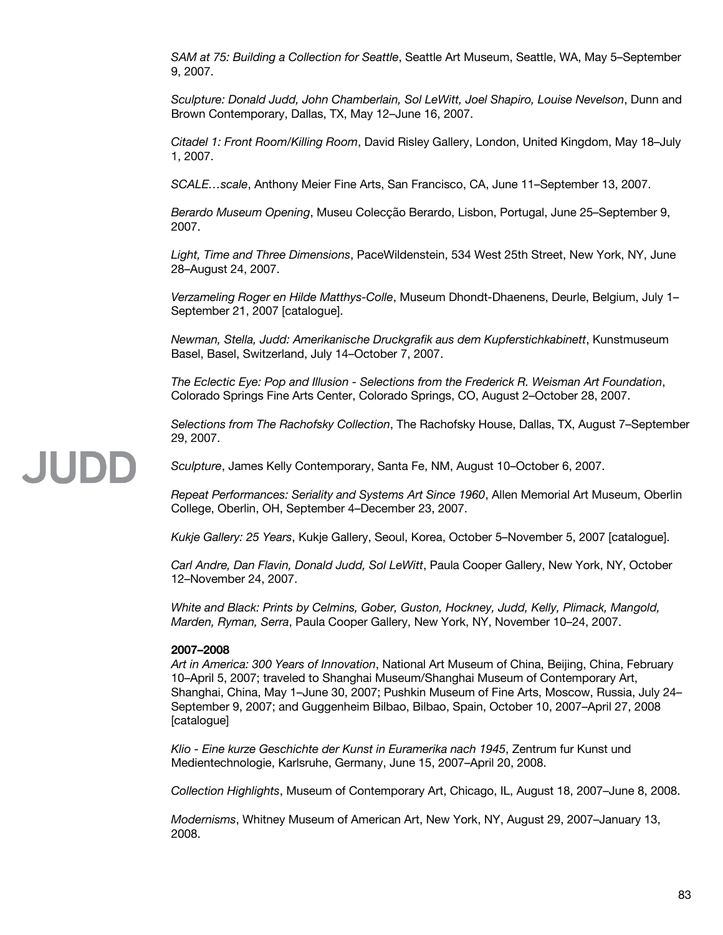*SAM at 75: Building a Collection for Seattle*, Seattle Art Museum, Seattle, WA, May 5–September 9, 2007.

*Sculpture: Donald Judd, John Chamberlain, Sol LeWitt, Joel Shapiro, Louise Nevelson*, Dunn and Brown Contemporary, Dallas, TX, May 12–June 16, 2007.

*Citadel 1: Front Room/Killing Room*, David Risley Gallery, London, United Kingdom, May 18–July 1, 2007.

*SCALE…scale*, Anthony Meier Fine Arts, San Francisco, CA, June 11–September 13, 2007.

*Berardo Museum Opening*, Museu Colecção Berardo, Lisbon, Portugal, June 25–September 9, 2007.

*Light, Time and Three Dimensions*, PaceWildenstein, 534 West 25th Street, New York, NY, June 28–August 24, 2007.

*Verzameling Roger en Hilde Matthys-Colle*, Museum Dhondt-Dhaenens, Deurle, Belgium, July 1– September 21, 2007 [catalogue].

*Newman, Stella, Judd: Amerikanische Druckgrafik aus dem Kupferstichkabinett*, Kunstmuseum Basel, Basel, Switzerland, July 14–October 7, 2007.

*The Eclectic Eye: Pop and Illusion - Selections from the Frederick R. Weisman Art Foundation*, Colorado Springs Fine Arts Center, Colorado Springs, CO, August 2–October 28, 2007.

*Selections from The Rachofsky Collection*, The Rachofsky House, Dallas, TX, August 7–September 29, 2007.

### JUDD

*Sculpture*, James Kelly Contemporary, Santa Fe, NM, August 10–October 6, 2007.

*Repeat Performances: Seriality and Systems Art Since 1960*, Allen Memorial Art Museum, Oberlin College, Oberlin, OH, September 4–December 23, 2007.

*Kukje Gallery: 25 Years*, Kukje Gallery, Seoul, Korea, October 5–November 5, 2007 [catalogue].

*Carl Andre, Dan Flavin, Donald Judd, Sol LeWitt*, Paula Cooper Gallery, New York, NY, October 12–November 24, 2007.

*White and Black: Prints by Celmins, Gober, Guston, Hockney, Judd, Kelly, Plimack, Mangold, Marden, Ryman, Serra*, Paula Cooper Gallery, New York, NY, November 10–24, 2007.

#### **2007–2008**

*Art in America: 300 Years of Innovation*, National Art Museum of China, Beijing, China, February 10–April 5, 2007; traveled to Shanghai Museum/Shanghai Museum of Contemporary Art, Shanghai, China, May 1–June 30, 2007; Pushkin Museum of Fine Arts, Moscow, Russia, July 24– September 9, 2007; and Guggenheim Bilbao, Bilbao, Spain, October 10, 2007–April 27, 2008 [catalogue]

*Klio - Eine kurze Geschichte der Kunst in Euramerika nach 1945*, Zentrum fur Kunst und Medientechnologie, Karlsruhe, Germany, June 15, 2007–April 20, 2008.

*Collection Highlights*, Museum of Contemporary Art, Chicago, IL, August 18, 2007–June 8, 2008.

*Modernisms*, Whitney Museum of American Art, New York, NY, August 29, 2007–January 13, 2008.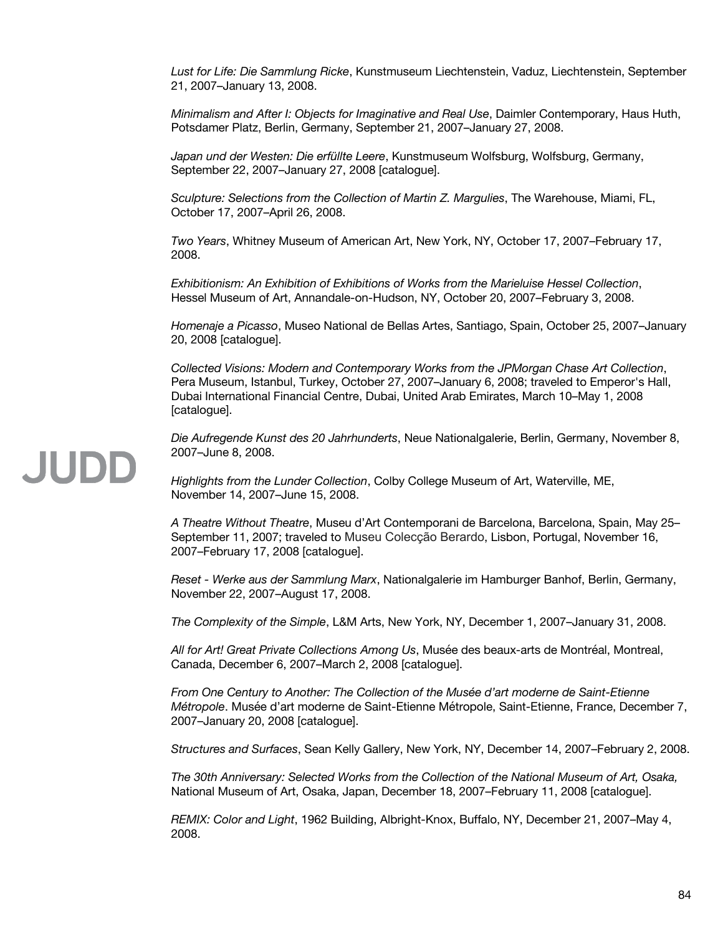*Lust for Life: Die Sammlung Ricke*, Kunstmuseum Liechtenstein, Vaduz, Liechtenstein, September 21, 2007–January 13, 2008.

*Minimalism and After I: Objects for Imaginative and Real Use*, Daimler Contemporary, Haus Huth, Potsdamer Platz, Berlin, Germany, September 21, 2007–January 27, 2008.

*Japan und der Westen: Die erfüllte Leere*, Kunstmuseum Wolfsburg, Wolfsburg, Germany, September 22, 2007–January 27, 2008 [catalogue].

*Sculpture: Selections from the Collection of Martin Z. Margulies*, The Warehouse, Miami, FL, October 17, 2007–April 26, 2008.

*Two Years*, Whitney Museum of American Art, New York, NY, October 17, 2007–February 17, 2008.

*Exhibitionism: An Exhibition of Exhibitions of Works from the Marieluise Hessel Collection*, Hessel Museum of Art, Annandale-on-Hudson, NY, October 20, 2007–February 3, 2008.

*Homenaje a Picasso*, Museo National de Bellas Artes, Santiago, Spain, October 25, 2007–January 20, 2008 [catalogue].

*Collected Visions: Modern and Contemporary Works from the JPMorgan Chase Art Collection*, Pera Museum, Istanbul, Turkey, October 27, 2007–January 6, 2008; traveled to Emperor's Hall, Dubai International Financial Centre, Dubai, United Arab Emirates, March 10–May 1, 2008 [catalogue].

*Die Aufregende Kunst des 20 Jahrhunderts*, Neue Nationalgalerie, Berlin, Germany, November 8, 2007–June 8, 2008.

*Highlights from the Lunder Collection*, Colby College Museum of Art, Waterville, ME, November 14, 2007–June 15, 2008.

*A Theatre Without Theatre*, Museu d'Art Contemporani de Barcelona, Barcelona, Spain, May 25– September 11, 2007; traveled to Museu Colecção Berardo, Lisbon, Portugal, November 16, 2007–February 17, 2008 [catalogue].

*Reset - Werke aus der Sammlung Marx*, Nationalgalerie im Hamburger Banhof, Berlin, Germany, November 22, 2007–August 17, 2008.

*The Complexity of the Simple*, L&M Arts, New York, NY, December 1, 2007–January 31, 2008.

*All for Art! Great Private Collections Among Us*, Musée des beaux-arts de Montréal, Montreal, Canada, December 6, 2007–March 2, 2008 [catalogue].

*From One Century to Another: The Collection of the Musée d'art moderne de Saint-Etienne Métropole*. Musée d'art moderne de Saint-Etienne Métropole, Saint-Etienne, France, December 7, 2007–January 20, 2008 [catalogue].

*Structures and Surfaces*, Sean Kelly Gallery, New York, NY, December 14, 2007–February 2, 2008.

*The 30th Anniversary: Selected Works from the Collection of the National Museum of Art, Osaka,* National Museum of Art, Osaka, Japan, December 18, 2007–February 11, 2008 [catalogue].

*REMIX: Color and Light*, 1962 Building, Albright-Knox, Buffalo, NY, December 21, 2007–May 4, 2008.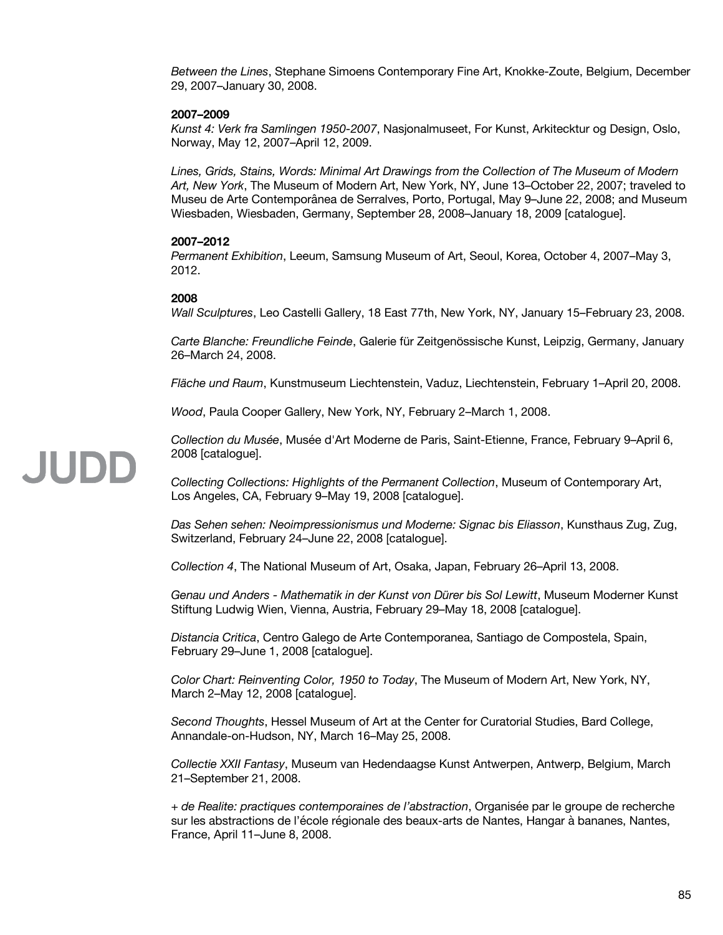*Between the Lines*, Stephane Simoens Contemporary Fine Art, Knokke-Zoute, Belgium, December 29, 2007–January 30, 2008.

#### **2007–2009**

*Kunst 4: Verk fra Samlingen 1950-2007*, Nasjonalmuseet, For Kunst, Arkitecktur og Design, Oslo, Norway, May 12, 2007–April 12, 2009.

*Lines, Grids, Stains, Words: Minimal Art Drawings from the Collection of The Museum of Modern Art, New York*, The Museum of Modern Art, New York, NY, June 13–October 22, 2007; traveled to Museu de Arte Contemporânea de Serralves, Porto, Portugal, May 9–June 22, 2008; and Museum Wiesbaden, Wiesbaden, Germany, September 28, 2008–January 18, 2009 [catalogue].

#### **2007–2012**

*Permanent Exhibition*, Leeum, Samsung Museum of Art, Seoul, Korea, October 4, 2007–May 3, 2012.

#### **2008**

*Wall Sculptures*, Leo Castelli Gallery, 18 East 77th, New York, NY, January 15–February 23, 2008.

*Carte Blanche: Freundliche Feinde*, Galerie für Zeitgenössische Kunst, Leipzig, Germany, January 26–March 24, 2008.

*Fläche und Raum*, Kunstmuseum Liechtenstein, Vaduz, Liechtenstein, February 1–April 20, 2008.

*Wood*, Paula Cooper Gallery, New York, NY, February 2–March 1, 2008.

*Collection du Musée*, Musée d'Art Moderne de Paris, Saint-Etienne, France, February 9–April 6, 2008 [catalogue].

*Collecting Collections: Highlights of the Permanent Collection*, Museum of Contemporary Art, Los Angeles, CA, February 9–May 19, 2008 [catalogue].

*Das Sehen sehen: Neoimpressionismus und Moderne: Signac bis Eliasson*, Kunsthaus Zug, Zug, Switzerland, February 24–June 22, 2008 [catalogue].

*Collection 4*, The National Museum of Art, Osaka, Japan, February 26–April 13, 2008.

*Genau und Anders - Mathematik in der Kunst von Dürer bis Sol Lewitt*, Museum Moderner Kunst Stiftung Ludwig Wien, Vienna, Austria, February 29–May 18, 2008 [catalogue].

*Distancia Critica*, Centro Galego de Arte Contemporanea, Santiago de Compostela, Spain, February 29–June 1, 2008 [catalogue].

*Color Chart: Reinventing Color, 1950 to Today*, The Museum of Modern Art, New York, NY, March 2–May 12, 2008 [catalogue].

*Second Thoughts*, Hessel Museum of Art at the Center for Curatorial Studies, Bard College, Annandale-on-Hudson, NY, March 16–May 25, 2008.

*Collectie XXII Fantasy*, Museum van Hedendaagse Kunst Antwerpen, Antwerp, Belgium, March 21–September 21, 2008.

*+ de Realite: practiques contemporaines de l'abstraction*, Organisée par le groupe de recherche sur les abstractions de l'école régionale des beaux-arts de Nantes, Hangar à bananes, Nantes, France, April 11–June 8, 2008.

## **JUDE**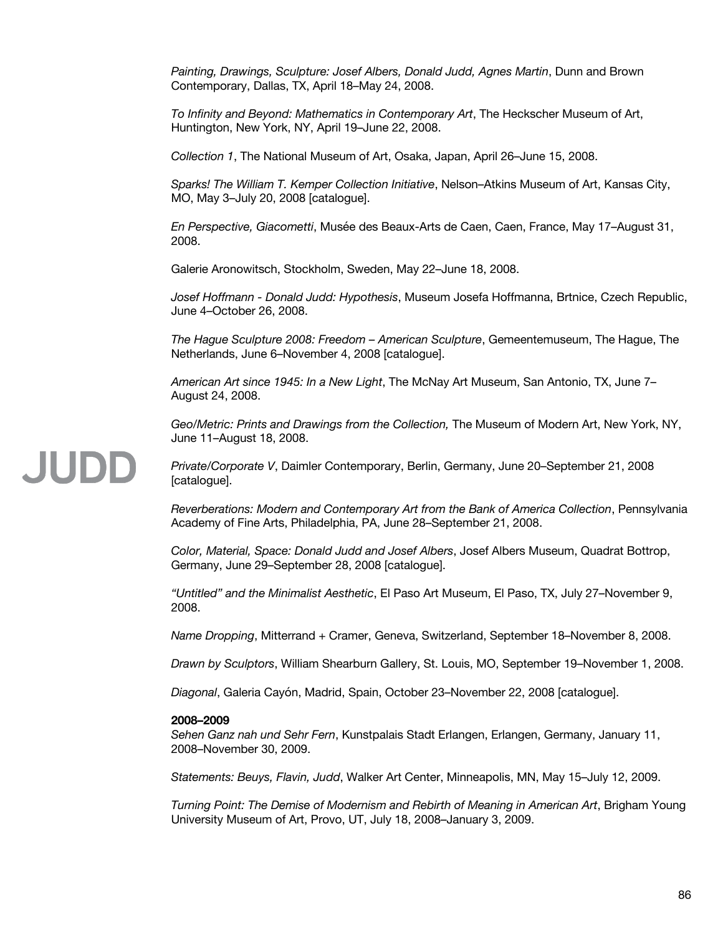*Painting, Drawings, Sculpture: Josef Albers, Donald Judd, Agnes Martin*, Dunn and Brown Contemporary, Dallas, TX, April 18–May 24, 2008.

*To Infinity and Beyond: Mathematics in Contemporary Art*, The Heckscher Museum of Art, Huntington, New York, NY, April 19–June 22, 2008.

*Collection 1*, The National Museum of Art, Osaka, Japan, April 26–June 15, 2008.

*Sparks! The William T. Kemper Collection Initiative*, Nelson–Atkins Museum of Art, Kansas City, MO, May 3–July 20, 2008 [catalogue].

*En Perspective, Giacometti*, Musée des Beaux-Arts de Caen, Caen, France, May 17–August 31, 2008.

Galerie Aronowitsch, Stockholm, Sweden, May 22–June 18, 2008.

*Josef Hoffmann - Donald Judd: Hypothesis*, Museum Josefa Hoffmanna, Brtnice, Czech Republic, June 4–October 26, 2008.

*The Hague Sculpture 2008: Freedom – American Sculpture*, Gemeentemuseum, The Hague, The Netherlands, June 6–November 4, 2008 [catalogue].

*American Art since 1945: In a New Light*, The McNay Art Museum, San Antonio, TX, June 7– August 24, 2008.

*Geo/Metric: Prints and Drawings from the Collection,* The Museum of Modern Art, New York, NY, June 11–August 18, 2008.

# JUDD

*Private/Corporate V*, Daimler Contemporary, Berlin, Germany, June 20–September 21, 2008 [catalogue].

*Reverberations: Modern and Contemporary Art from the Bank of America Collection*, Pennsylvania Academy of Fine Arts, Philadelphia, PA, June 28–September 21, 2008.

*Color, Material, Space: Donald Judd and Josef Albers*, Josef Albers Museum, Quadrat Bottrop, Germany, June 29–September 28, 2008 [catalogue].

*"Untitled" and the Minimalist Aesthetic*, El Paso Art Museum, El Paso, TX, July 27–November 9, 2008.

*Name Dropping*, Mitterrand + Cramer, Geneva, Switzerland, September 18–November 8, 2008.

*Drawn by Sculptors*, William Shearburn Gallery, St. Louis, MO, September 19–November 1, 2008.

*Diagonal*, Galeria Cayón, Madrid, Spain, October 23–November 22, 2008 [catalogue].

#### **2008–2009**

*Sehen Ganz nah und Sehr Fern*, Kunstpalais Stadt Erlangen, Erlangen, Germany, January 11, 2008–November 30, 2009.

*Statements: Beuys, Flavin, Judd*, Walker Art Center, Minneapolis, MN, May 15–July 12, 2009.

*Turning Point: The Demise of Modernism and Rebirth of Meaning in American Art*, Brigham Young University Museum of Art, Provo, UT, July 18, 2008–January 3, 2009.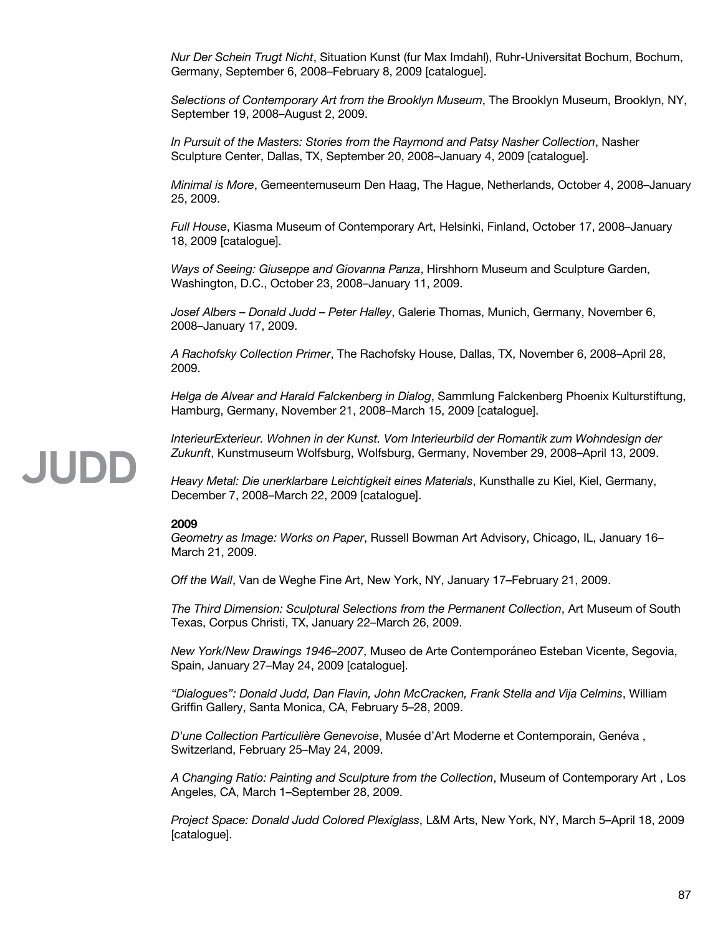*Nur Der Schein Trugt Nicht*, Situation Kunst (fur Max Imdahl), Ruhr-Universitat Bochum, Bochum, Germany, September 6, 2008–February 8, 2009 [catalogue].

*Selections of Contemporary Art from the Brooklyn Museum*, The Brooklyn Museum, Brooklyn, NY, September 19, 2008–August 2, 2009.

*In Pursuit of the Masters: Stories from the Raymond and Patsy Nasher Collection*, Nasher Sculpture Center, Dallas, TX, September 20, 2008–January 4, 2009 [catalogue].

*Minimal is More*, Gemeentemuseum Den Haag, The Hague, Netherlands, October 4, 2008–January 25, 2009.

*Full House*, Kiasma Museum of Contemporary Art, Helsinki, Finland, October 17, 2008–January 18, 2009 [catalogue].

*Ways of Seeing: Giuseppe and Giovanna Panza*, Hirshhorn Museum and Sculpture Garden, Washington, D.C., October 23, 2008–January 11, 2009.

*Josef Albers – Donald Judd – Peter Halley*, Galerie Thomas, Munich, Germany, November 6, 2008–January 17, 2009.

*A Rachofsky Collection Primer*, The Rachofsky House, Dallas, TX, November 6, 2008–April 28, 2009.

*Helga de Alvear and Harald Falckenberg in Dialog*, Sammlung Falckenberg Phoenix Kulturstiftung, Hamburg, Germany, November 21, 2008–March 15, 2009 [catalogue].

*InterieurExterieur. Wohnen in der Kunst. Vom Interieurbild der Romantik zum Wohndesign der Zukunft*, Kunstmuseum Wolfsburg, Wolfsburg, Germany, November 29, 2008–April 13, 2009.

*Heavy Metal: Die unerklarbare Leichtigkeit eines Materials*, Kunsthalle zu Kiel, Kiel, Germany, December 7, 2008–March 22, 2009 [catalogue].

#### **2009**

*Geometry as Image: Works on Paper*, Russell Bowman Art Advisory, Chicago, IL, January 16– March 21, 2009.

*Off the Wall*, Van de Weghe Fine Art, New York, NY, January 17–February 21, 2009.

*The Third Dimension: Sculptural Selections from the Permanent Collection*, Art Museum of South Texas, Corpus Christi, TX, January 22–March 26, 2009.

*New York/New Drawings 1946–2007*, Museo de Arte Contemporáneo Esteban Vicente, Segovia, Spain, January 27–May 24, 2009 [catalogue].

*"Dialogues": Donald Judd, Dan Flavin, John McCracken, Frank Stella and Vija Celmins*, William Griffin Gallery, Santa Monica, CA, February 5–28, 2009.

*D'une Collection Particulière Genevoise*, Musée d'Art Moderne et Contemporain, Genéva , Switzerland, February 25–May 24, 2009.

*A Changing Ratio: Painting and Sculpture from the Collection*, Museum of Contemporary Art , Los Angeles, CA, March 1–September 28, 2009.

*Project Space: Donald Judd Colored Plexiglass*, L&M Arts, New York, NY, March 5–April 18, 2009 [catalogue].

## **JUDE**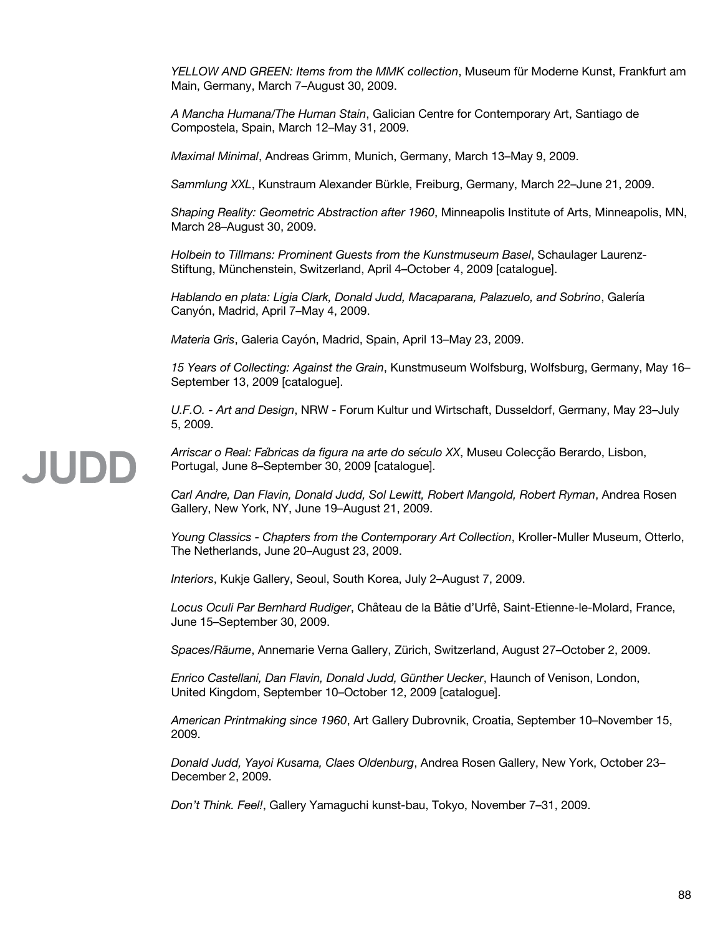*YELLOW AND GREEN: Items from the MMK collection*, Museum für Moderne Kunst, Frankfurt am Main, Germany, March 7–August 30, 2009.

*A Mancha Humana/The Human Stain*, Galician Centre for Contemporary Art, Santiago de Compostela, Spain, March 12–May 31, 2009.

*Maximal Minimal*, Andreas Grimm, Munich, Germany, March 13–May 9, 2009.

*Sammlung XXL*, Kunstraum Alexander Bürkle, Freiburg, Germany, March 22–June 21, 2009.

*Shaping Reality: Geometric Abstraction after 1960*, Minneapolis Institute of Arts, Minneapolis, MN, March 28–August 30, 2009.

*Holbein to Tillmans: Prominent Guests from the Kunstmuseum Basel*, Schaulager Laurenz-Stiftung, Münchenstein, Switzerland, April 4–October 4, 2009 [catalogue].

*Hablando en plata: Ligia Clark, Donald Judd, Macaparana, Palazuelo, and Sobrino*, Galería Canyón, Madrid, April 7–May 4, 2009.

*Materia Gris*, Galeria Cayón, Madrid, Spain, April 13–May 23, 2009.

*15 Years of Collecting: Against the Grain*, Kunstmuseum Wolfsburg, Wolfsburg, Germany, May 16– September 13, 2009 [catalogue].

*U.F.O. - Art and Design*, NRW - Forum Kultur und Wirtschaft, Dusseldorf, Germany, May 23–July 5, 2009.

JUDD

*Arriscar o Real: Fabricas da figura na arte do s ́ éculo XX*, Museu Colecção Berardo, Lisbon, Portugal, June 8–September 30, 2009 [catalogue].

*Carl Andre, Dan Flavin, Donald Judd, Sol Lewitt, Robert Mangold, Robert Ryman*, Andrea Rosen Gallery, New York, NY, June 19–August 21, 2009.

*Young Classics - Chapters from the Contemporary Art Collection*, Kroller-Muller Museum, Otterlo, The Netherlands, June 20–August 23, 2009.

*Interiors*, Kukje Gallery, Seoul, South Korea, July 2–August 7, 2009.

*Locus Oculi Par Bernhard Rudiger*, Château de la Bâtie d'Urfê, Saint-Etienne-le-Molard, France, June 15–September 30, 2009.

*Spaces/Räume*, Annemarie Verna Gallery, Zürich, Switzerland, August 27–October 2, 2009.

*Enrico Castellani, Dan Flavin, Donald Judd, Günther Uecker*, Haunch of Venison, London, United Kingdom, September 10–October 12, 2009 [catalogue].

*American Printmaking since 1960*, Art Gallery Dubrovnik, Croatia, September 10–November 15, 2009.

*Donald Judd, Yayoi Kusama, Claes Oldenburg*, Andrea Rosen Gallery, New York, October 23– December 2, 2009.

*Don't Think. Feel!*, Gallery Yamaguchi kunst-bau, Tokyo, November 7–31, 2009.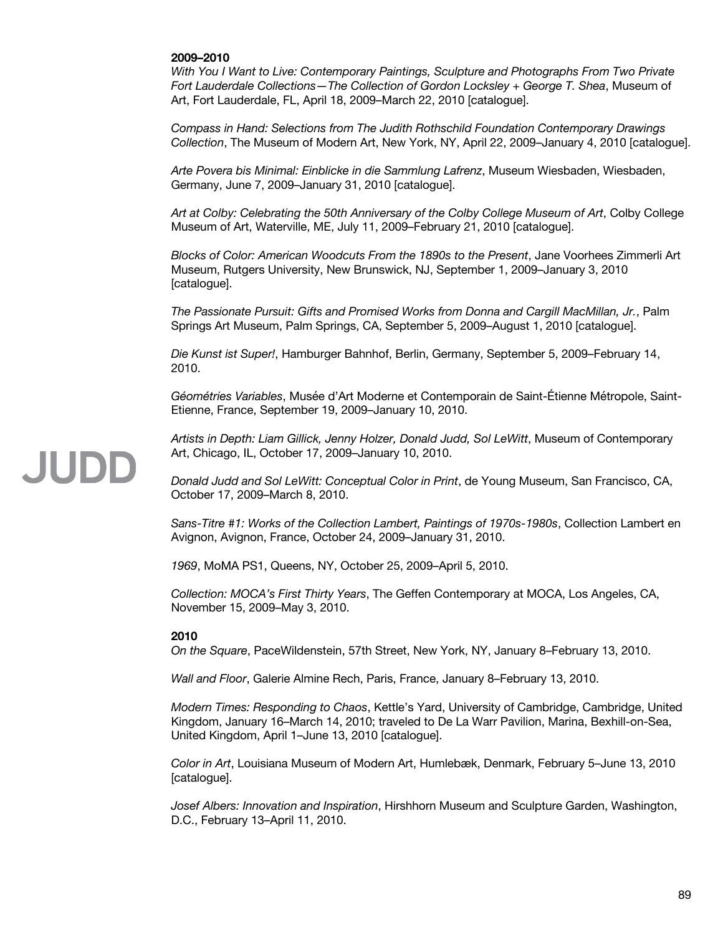#### **2009–2010**

*With You I Want to Live: Contemporary Paintings, Sculpture and Photographs From Two Private Fort Lauderdale Collections—The Collection of Gordon Locksley + George T. Shea*, Museum of Art, Fort Lauderdale, FL, April 18, 2009–March 22, 2010 [catalogue].

*Compass in Hand: Selections from The Judith Rothschild Foundation Contemporary Drawings Collection*, The Museum of Modern Art, New York, NY, April 22, 2009–January 4, 2010 [catalogue].

*Arte Povera bis Minimal: Einblicke in die Sammlung Lafrenz*, Museum Wiesbaden, Wiesbaden, Germany, June 7, 2009–January 31, 2010 [catalogue].

*Art at Colby: Celebrating the 50th Anniversary of the Colby College Museum of Art*, Colby College Museum of Art, Waterville, ME, July 11, 2009–February 21, 2010 [catalogue].

*Blocks of Color: American Woodcuts From the 1890s to the Present*, Jane Voorhees Zimmerli Art Museum, Rutgers University, New Brunswick, NJ, September 1, 2009–January 3, 2010 [catalogue].

*The Passionate Pursuit: Gifts and Promised Works from Donna and Cargill MacMillan, Jr.*, Palm Springs Art Museum, Palm Springs, CA, September 5, 2009–August 1, 2010 [catalogue].

*Die Kunst ist Super!*, Hamburger Bahnhof, Berlin, Germany, September 5, 2009–February 14, 2010.

*Géométries Variables*, Musée d'Art Moderne et Contemporain de Saint-Étienne Métropole, Saint-Etienne, France, September 19, 2009–January 10, 2010.

*Artists in Depth: Liam Gillick, Jenny Holzer, Donald Judd, Sol LeWitt*, Museum of Contemporary Art, Chicago, IL, October 17, 2009–January 10, 2010.

*Donald Judd and Sol LeWitt: Conceptual Color in Print*, de Young Museum, San Francisco, CA, October 17, 2009–March 8, 2010.

*Sans-Titre #1: Works of the Collection Lambert, Paintings of 1970s-1980s*, Collection Lambert en Avignon, Avignon, France, October 24, 2009–January 31, 2010.

*1969*, MoMA PS1, Queens, NY, October 25, 2009–April 5, 2010.

*Collection: MOCA's First Thirty Years*, The Geffen Contemporary at MOCA, Los Angeles, CA, November 15, 2009–May 3, 2010.

#### **2010**

*On the Square*, PaceWildenstein, 57th Street, New York, NY, January 8–February 13, 2010.

*Wall and Floor*, Galerie Almine Rech, Paris, France, January 8–February 13, 2010.

*Modern Times: Responding to Chaos*, Kettle's Yard, University of Cambridge, Cambridge, United Kingdom, January 16–March 14, 2010; traveled to De La Warr Pavilion, Marina, Bexhill-on-Sea, United Kingdom, April 1–June 13, 2010 [catalogue].

*Color in Art*, Louisiana Museum of Modern Art, Humlebæk, Denmark, February 5–June 13, 2010 [catalogue].

*Josef Albers: Innovation and Inspiration*, Hirshhorn Museum and Sculpture Garden, Washington, D.C., February 13–April 11, 2010.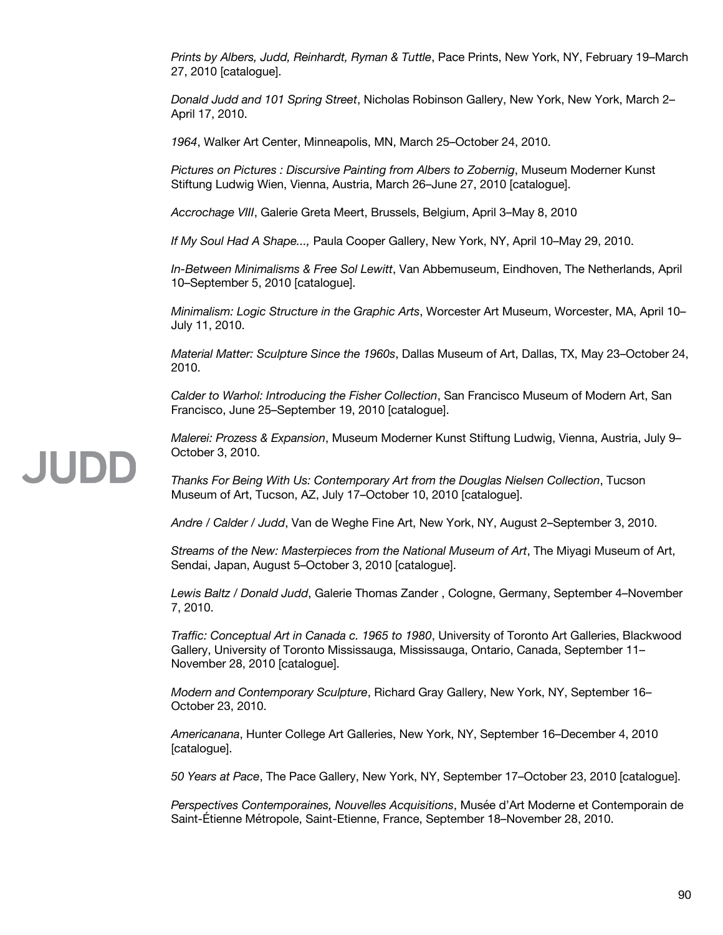*Prints by Albers, Judd, Reinhardt, Ryman & Tuttle*, Pace Prints, New York, NY, February 19–March 27, 2010 [catalogue].

*Donald Judd and 101 Spring Street*, Nicholas Robinson Gallery, New York, New York, March 2– April 17, 2010.

*1964*, Walker Art Center, Minneapolis, MN, March 25–October 24, 2010.

*Pictures on Pictures : Discursive Painting from Albers to Zobernig*, Museum Moderner Kunst Stiftung Ludwig Wien, Vienna, Austria, March 26–June 27, 2010 [catalogue].

*Accrochage VIII*, Galerie Greta Meert, Brussels, Belgium, April 3–May 8, 2010

*If My Soul Had A Shape...,* Paula Cooper Gallery, New York, NY, April 10–May 29, 2010.

*In-Between Minimalisms & Free Sol Lewitt*, Van Abbemuseum, Eindhoven, The Netherlands, April 10–September 5, 2010 [catalogue].

*Minimalism: Logic Structure in the Graphic Arts*, Worcester Art Museum, Worcester, MA, April 10– July 11, 2010.

*Material Matter: Sculpture Since the 1960s*, Dallas Museum of Art, Dallas, TX, May 23–October 24, 2010.

*Calder to Warhol: Introducing the Fisher Collection*, San Francisco Museum of Modern Art, San Francisco, June 25–September 19, 2010 [catalogue].

*Malerei: Prozess & Expansion*, Museum Moderner Kunst Stiftung Ludwig, Vienna, Austria, July 9– October 3, 2010.

*Thanks For Being With Us: Contemporary Art from the Douglas Nielsen Collection*, Tucson Museum of Art, Tucson, AZ, July 17–October 10, 2010 [catalogue].

*Andre / Calder / Judd*, Van de Weghe Fine Art, New York, NY, August 2–September 3, 2010.

*Streams of the New: Masterpieces from the National Museum of Art*, The Miyagi Museum of Art, Sendai, Japan, August 5–October 3, 2010 [catalogue].

*Lewis Baltz / Donald Judd*, Galerie Thomas Zander , Cologne, Germany, September 4–November 7, 2010.

*Traffic: Conceptual Art in Canada c. 1965 to 1980*, University of Toronto Art Galleries, Blackwood Gallery, University of Toronto Mississauga, Mississauga, Ontario, Canada, September 11– November 28, 2010 [catalogue].

*Modern and Contemporary Sculpture*, Richard Gray Gallery, New York, NY, September 16– October 23, 2010.

*Americanana*, Hunter College Art Galleries, New York, NY, September 16–December 4, 2010 [catalogue].

*50 Years at Pace*, The Pace Gallery, New York, NY, September 17–October 23, 2010 [catalogue].

*Perspectives Contemporaines, Nouvelles Acquisitions*, Musée d'Art Moderne et Contemporain de Saint-Étienne Métropole, Saint-Etienne, France, September 18–November 28, 2010.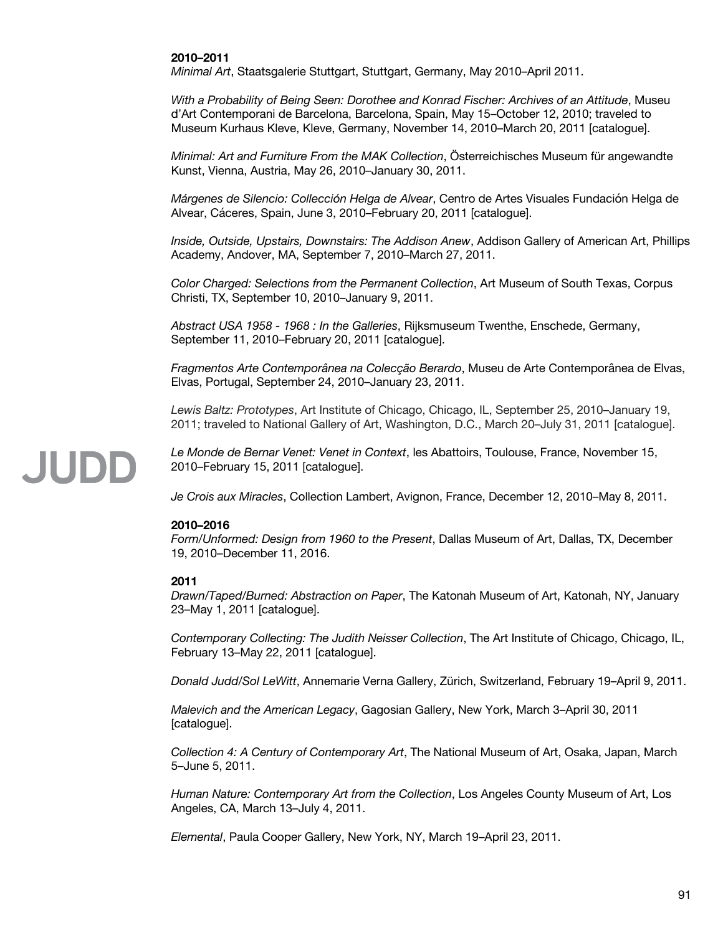#### **2010–2011**

*Minimal Art*, Staatsgalerie Stuttgart, Stuttgart, Germany, May 2010–April 2011.

*With a Probability of Being Seen: Dorothee and Konrad Fischer: Archives of an Attitude*, Museu d'Art Contemporani de Barcelona, Barcelona, Spain, May 15–October 12, 2010; traveled to Museum Kurhaus Kleve, Kleve, Germany, November 14, 2010–March 20, 2011 [catalogue].

*Minimal: Art and Furniture From the MAK Collection*, Österreichisches Museum für angewandte Kunst, Vienna, Austria, May 26, 2010–January 30, 2011.

*Márgenes de Silencio: Collección Helga de Alvear*, Centro de Artes Visuales Fundación Helga de Alvear, Cáceres, Spain, June 3, 2010–February 20, 2011 [catalogue].

*Inside, Outside, Upstairs, Downstairs: The Addison Anew*, Addison Gallery of American Art, Phillips Academy, Andover, MA, September 7, 2010–March 27, 2011.

*Color Charged: Selections from the Permanent Collection*, Art Museum of South Texas, Corpus Christi, TX, September 10, 2010–January 9, 2011.

*Abstract USA 1958 - 1968 : In the Galleries*, Rijksmuseum Twenthe, Enschede, Germany, September 11, 2010–February 20, 2011 [catalogue].

*Fragmentos Arte Contemporânea na Colecção Berardo*, Museu de Arte Contemporânea de Elvas, Elvas, Portugal, September 24, 2010–January 23, 2011.

*Lewis Baltz: Prototypes*, Art Institute of Chicago, Chicago, IL, September 25, 2010–January 19, 2011; traveled to National Gallery of Art, Washington, D.C., March 20–July 31, 2011 [catalogue].

*Le Monde de Bernar Venet: Venet in Context*, les Abattoirs, Toulouse, France, November 15, 2010–February 15, 2011 [catalogue].

*Je Crois aux Miracles*, Collection Lambert, Avignon, France, December 12, 2010–May 8, 2011.

#### **2010–2016**

*Form/Unformed: Design from 1960 to the Present*, Dallas Museum of Art, Dallas, TX, December 19, 2010–December 11, 2016.

#### **2011**

JUDD

*Drawn/Taped/Burned: Abstraction on Paper*, The Katonah Museum of Art, Katonah, NY, January 23–May 1, 2011 [catalogue].

*Contemporary Collecting: The Judith Neisser Collection*, The Art Institute of Chicago, Chicago, IL, February 13–May 22, 2011 [catalogue].

*Donald Judd/Sol LeWitt*, Annemarie Verna Gallery, Zürich, Switzerland, February 19–April 9, 2011.

*Malevich and the American Legacy*, Gagosian Gallery, New York, March 3–April 30, 2011 [catalogue].

*Collection 4: A Century of Contemporary Art*, The National Museum of Art, Osaka, Japan, March 5–June 5, 2011.

*Human Nature: Contemporary Art from the Collection*, Los Angeles County Museum of Art, Los Angeles, CA, March 13–July 4, 2011.

*Elemental*, Paula Cooper Gallery, New York, NY, March 19–April 23, 2011.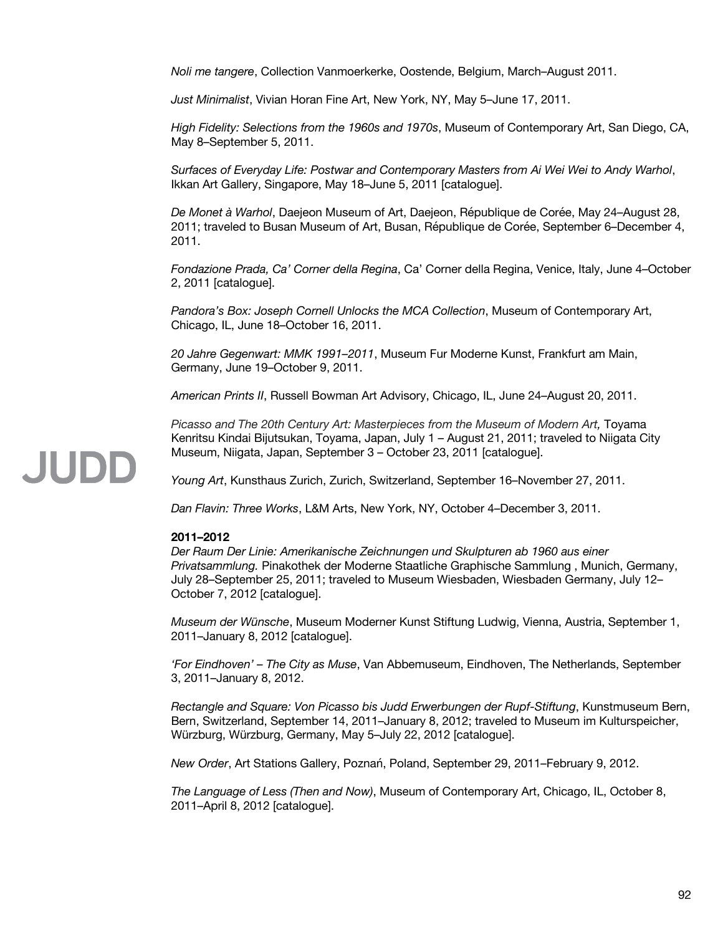*Noli me tangere*, Collection Vanmoerkerke, Oostende, Belgium, March–August 2011.

*Just Minimalist*, Vivian Horan Fine Art, New York, NY, May 5–June 17, 2011.

*High Fidelity: Selections from the 1960s and 1970s*, Museum of Contemporary Art, San Diego, CA, May 8–September 5, 2011.

*Surfaces of Everyday Life: Postwar and Contemporary Masters from Ai Wei Wei to Andy Warhol*, Ikkan Art Gallery, Singapore, May 18–June 5, 2011 [catalogue].

*De Monet à Warhol*, Daejeon Museum of Art, Daejeon, République de Corée, May 24–August 28, 2011; traveled to Busan Museum of Art, Busan, République de Corée, September 6–December 4, 2011.

*Fondazione Prada, Ca' Corner della Regina*, Ca' Corner della Regina, Venice, Italy, June 4–October 2, 2011 [catalogue].

*Pandora's Box: Joseph Cornell Unlocks the MCA Collection*, Museum of Contemporary Art, Chicago, IL, June 18–October 16, 2011.

*20 Jahre Gegenwart: MMK 1991–2011*, Museum Fur Moderne Kunst, Frankfurt am Main, Germany, June 19–October 9, 2011.

*American Prints II*, Russell Bowman Art Advisory, Chicago, IL, June 24–August 20, 2011.

*Picasso and The 20th Century Art: Masterpieces from the Museum of Modern Art,* Toyama Kenritsu Kindai Bijutsukan, Toyama, Japan, July 1 – August 21, 2011; traveled to Niigata City Museum, Niigata, Japan, September 3 – October 23, 2011 [catalogue].

*Young Art*, Kunsthaus Zurich, Zurich, Switzerland, September 16–November 27, 2011.

*Dan Flavin: Three Works*, L&M Arts, New York, NY, October 4–December 3, 2011.

#### **2011–2012**

*Der Raum Der Linie: Amerikanische Zeichnungen und Skulpturen ab 1960 aus einer Privatsammlung.* Pinakothek der Moderne Staatliche Graphische Sammlung , Munich, Germany, July 28–September 25, 2011; traveled to Museum Wiesbaden, Wiesbaden Germany, July 12– October 7, 2012 [catalogue].

*Museum der Wünsche*, Museum Moderner Kunst Stiftung Ludwig, Vienna, Austria, September 1, 2011–January 8, 2012 [catalogue].

*'For Eindhoven' – The City as Muse*, Van Abbemuseum, Eindhoven, The Netherlands, September 3, 2011–January 8, 2012.

*Rectangle and Square: Von Picasso bis Judd Erwerbungen der Rupf-Stiftung*, Kunstmuseum Bern, Bern, Switzerland, September 14, 2011–January 8, 2012; traveled to Museum im Kulturspeicher, Würzburg, Würzburg, Germany, May 5–July 22, 2012 [catalogue].

*New Order*, Art Stations Gallery, Poznań, Poland, September 29, 2011–February 9, 2012.

*The Language of Less (Then and Now)*, Museum of Contemporary Art, Chicago, IL, October 8, 2011–April 8, 2012 [catalogue].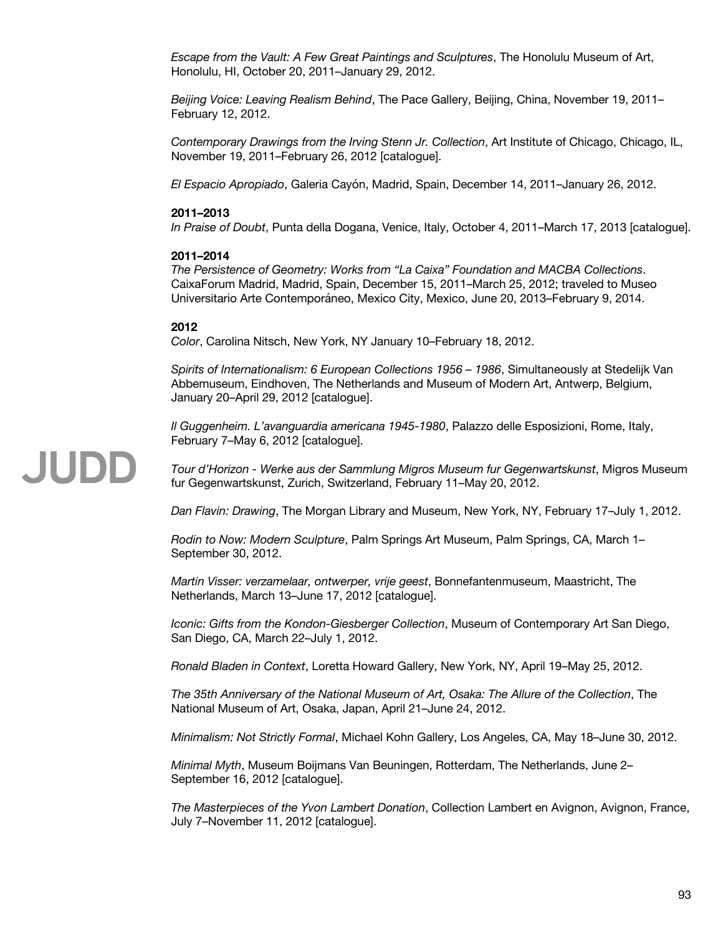*Escape from the Vault: A Few Great Paintings and Sculptures*, The Honolulu Museum of Art, Honolulu, HI, October 20, 2011–January 29, 2012.

*Beijing Voice: Leaving Realism Behind*, The Pace Gallery, Beijing, China, November 19, 2011– February 12, 2012.

*Contemporary Drawings from the Irving Stenn Jr. Collection*, Art Institute of Chicago, Chicago, IL, November 19, 2011–February 26, 2012 [catalogue].

*El Espacio Apropiado*, Galeria Cayón, Madrid, Spain, December 14, 2011–January 26, 2012.

#### **2011–2013**

*In Praise of Doubt*, Punta della Dogana, Venice, Italy, October 4, 2011–March 17, 2013 [catalogue].

#### **2011–2014**

*The Persistence of Geometry: Works from "La Caixa" Foundation and MACBA Collections*. CaixaForum Madrid, Madrid, Spain, December 15, 2011–March 25, 2012; traveled to Museo Universitario Arte Contemporáneo, Mexico City, Mexico, June 20, 2013–February 9, 2014.

#### **2012**

JUDD

*Color*, Carolina Nitsch, New York, NY January 10–February 18, 2012.

*Spirits of Internationalism: 6 European Collections 1956 – 1986*, Simultaneously at Stedelijk Van Abbemuseum, Eindhoven, The Netherlands and Museum of Modern Art, Antwerp, Belgium, January 20–April 29, 2012 [catalogue].

*Il Guggenheim. L'avanguardia americana 1945-1980*, Palazzo delle Esposizioni, Rome, Italy, February 7–May 6, 2012 [catalogue].

*Tour d'Horizon - Werke aus der Sammlung Migros Museum fur Gegenwartskunst*, Migros Museum fur Gegenwartskunst, Zurich, Switzerland, February 11–May 20, 2012.

*Dan Flavin: Drawing*, The Morgan Library and Museum, New York, NY, February 17–July 1, 2012.

*Rodin to Now: Modern Sculpture*, Palm Springs Art Museum, Palm Springs, CA, March 1– September 30, 2012.

*Martin Visser: verzamelaar, ontwerper, vrije geest*, Bonnefantenmuseum, Maastricht, The Netherlands, March 13–June 17, 2012 [catalogue].

*Iconic: Gifts from the Kondon-Giesberger Collection*, Museum of Contemporary Art San Diego, San Diego, CA, March 22–July 1, 2012.

*Ronald Bladen in Context*, Loretta Howard Gallery, New York, NY, April 19–May 25, 2012.

*The 35th Anniversary of the National Museum of Art, Osaka: The Allure of the Collection*, The National Museum of Art, Osaka, Japan, April 21–June 24, 2012.

*Minimalism: Not Strictly Formal*, Michael Kohn Gallery, Los Angeles, CA, May 18–June 30, 2012.

*Minimal Myth*, Museum Boijmans Van Beuningen, Rotterdam, The Netherlands, June 2– September 16, 2012 [catalogue].

*The Masterpieces of the Yvon Lambert Donation*, Collection Lambert en Avignon, Avignon, France, July 7–November 11, 2012 [catalogue].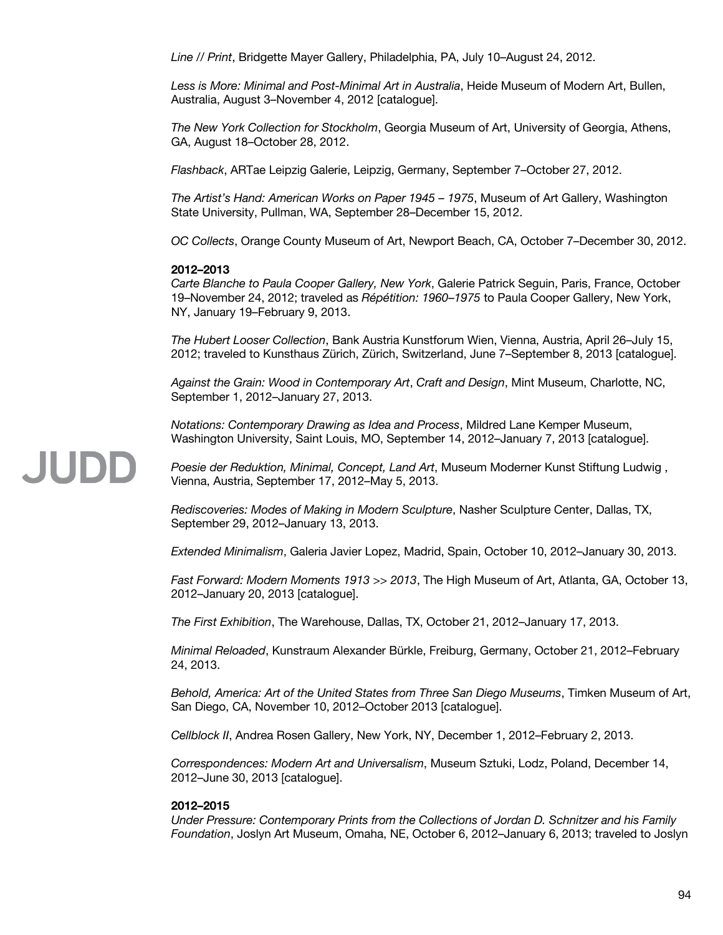*Line // Print*, Bridgette Mayer Gallery, Philadelphia, PA, July 10–August 24, 2012.

*Less is More: Minimal and Post-Minimal Art in Australia*, Heide Museum of Modern Art, Bullen, Australia, August 3–November 4, 2012 [catalogue].

*The New York Collection for Stockholm*, Georgia Museum of Art, University of Georgia, Athens, GA, August 18–October 28, 2012.

*Flashback*, ARTae Leipzig Galerie, Leipzig, Germany, September 7–October 27, 2012.

*The Artist's Hand: American Works on Paper 1945 – 1975*, Museum of Art Gallery, Washington State University, Pullman, WA, September 28–December 15, 2012.

*OC Collects*, Orange County Museum of Art, Newport Beach, CA, October 7–December 30, 2012.

### **2012–2013**

JUDD

*Carte Blanche to Paula Cooper Gallery, New York*, Galerie Patrick Seguin, Paris, France, October 19–November 24, 2012; traveled as *Répétition: 1960*–*1975* to Paula Cooper Gallery, New York, NY, January 19–February 9, 2013.

*The Hubert Looser Collection*, Bank Austria Kunstforum Wien, Vienna, Austria, April 26–July 15, 2012; traveled to Kunsthaus Zürich, Zürich, Switzerland, June 7–September 8, 2013 [catalogue].

*Against the Grain: Wood in Contemporary Art*, *Craft and Design*, Mint Museum, Charlotte, NC, September 1, 2012–January 27, 2013.

*Notations: Contemporary Drawing as Idea and Process*, Mildred Lane Kemper Museum, Washington University, Saint Louis, MO, September 14, 2012–January 7, 2013 [catalogue].

*Poesie der Reduktion, Minimal, Concept, Land Art*, Museum Moderner Kunst Stiftung Ludwig , Vienna, Austria, September 17, 2012–May 5, 2013.

*Rediscoveries: Modes of Making in Modern Sculpture*, Nasher Sculpture Center, Dallas, TX, September 29, 2012–January 13, 2013.

*Extended Minimalism*, Galeria Javier Lopez, Madrid, Spain, October 10, 2012–January 30, 2013.

*Fast Forward: Modern Moments 1913 >> 2013*, The High Museum of Art, Atlanta, GA, October 13, 2012–January 20, 2013 [catalogue].

*The First Exhibition*, The Warehouse, Dallas, TX, October 21, 2012–January 17, 2013.

*Minimal Reloaded*, Kunstraum Alexander Bürkle, Freiburg, Germany, October 21, 2012–February 24, 2013.

*Behold, America: Art of the United States from Three San Diego Museums*, Timken Museum of Art, San Diego, CA, November 10, 2012–October 2013 [catalogue].

*Cellblock II*, Andrea Rosen Gallery, New York, NY, December 1, 2012–February 2, 2013.

*Correspondences: Modern Art and Universalism*, Museum Sztuki, Lodz, Poland, December 14, 2012–June 30, 2013 [catalogue].

### **2012–2015**

*Under Pressure: Contemporary Prints from the Collections of Jordan D. Schnitzer and his Family Foundation*, Joslyn Art Museum, Omaha, NE, October 6, 2012–January 6, 2013; traveled to Joslyn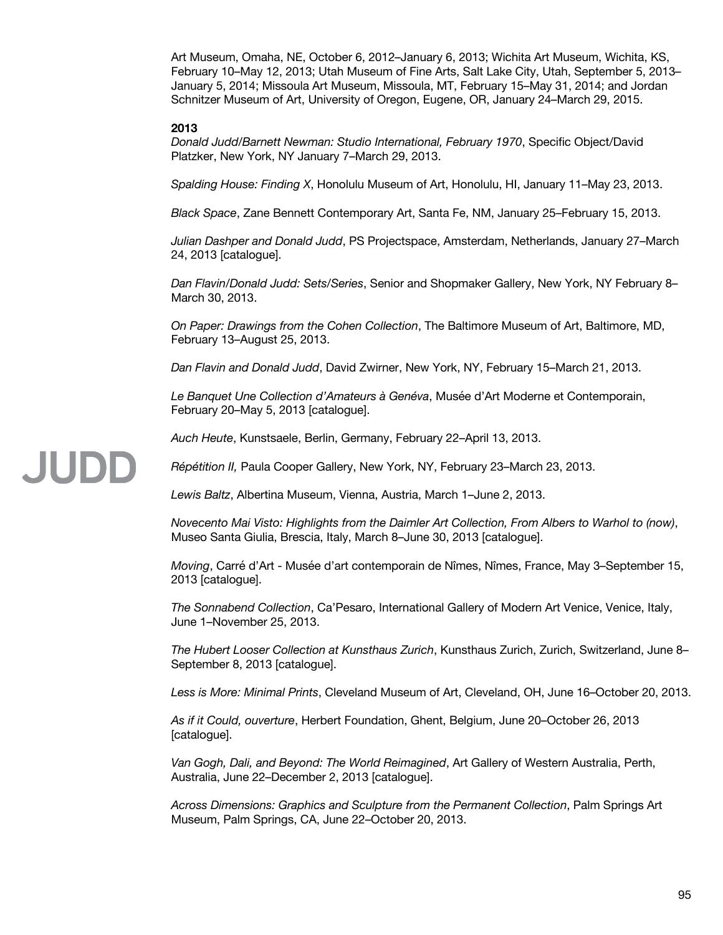Art Museum, Omaha, NE, October 6, 2012–January 6, 2013; Wichita Art Museum, Wichita, KS, February 10–May 12, 2013; Utah Museum of Fine Arts, Salt Lake City, Utah, September 5, 2013– January 5, 2014; Missoula Art Museum, Missoula, MT, February 15–May 31, 2014; and Jordan Schnitzer Museum of Art, University of Oregon, Eugene, OR, January 24–March 29, 2015.

#### **2013**

JUDD

*Donald Judd/Barnett Newman: Studio International, February 1970*, Specific Object/David Platzker, New York, NY January 7–March 29, 2013.

*Spalding House: Finding X*, Honolulu Museum of Art, Honolulu, HI, January 11–May 23, 2013.

*Black Space*, Zane Bennett Contemporary Art, Santa Fe, NM, January 25–February 15, 2013.

*Julian Dashper and Donald Judd*, PS Projectspace, Amsterdam, Netherlands, January 27–March 24, 2013 [catalogue].

*Dan Flavin/Donald Judd: Sets/Series*, Senior and Shopmaker Gallery, New York, NY February 8– March 30, 2013.

*On Paper: Drawings from the Cohen Collection*, The Baltimore Museum of Art, Baltimore, MD, February 13–August 25, 2013.

*Dan Flavin and Donald Judd*, David Zwirner, New York, NY, February 15–March 21, 2013.

*Le Banquet Une Collection d'Amateurs à Genéva*, Musée d'Art Moderne et Contemporain, February 20–May 5, 2013 [catalogue].

*Auch Heute*, Kunstsaele, Berlin, Germany, February 22–April 13, 2013.

*Répétition II,* Paula Cooper Gallery, New York, NY, February 23–March 23, 2013.

*Lewis Baltz*, Albertina Museum, Vienna, Austria, March 1–June 2, 2013.

*Novecento Mai Visto: Highlights from the Daimler Art Collection, From Albers to Warhol to (now)*, Museo Santa Giulia, Brescia, Italy, March 8–June 30, 2013 [catalogue].

*Moving*, Carré d'Art - Musée d'art contemporain de Nîmes, Nîmes, France, May 3–September 15, 2013 [catalogue].

*The Sonnabend Collection*, Ca'Pesaro, International Gallery of Modern Art Venice, Venice, Italy, June 1–November 25, 2013.

*The Hubert Looser Collection at Kunsthaus Zurich*, Kunsthaus Zurich, Zurich, Switzerland, June 8– September 8, 2013 [catalogue].

*Less is More: Minimal Prints*, Cleveland Museum of Art, Cleveland, OH, June 16–October 20, 2013.

*As if it Could, ouverture*, Herbert Foundation, Ghent, Belgium, June 20–October 26, 2013 [catalogue].

*Van Gogh, Dali, and Beyond: The World Reimagined*, Art Gallery of Western Australia, Perth, Australia, June 22–December 2, 2013 [catalogue].

*Across Dimensions: Graphics and Sculpture from the Permanent Collection*, Palm Springs Art Museum, Palm Springs, CA, June 22–October 20, 2013.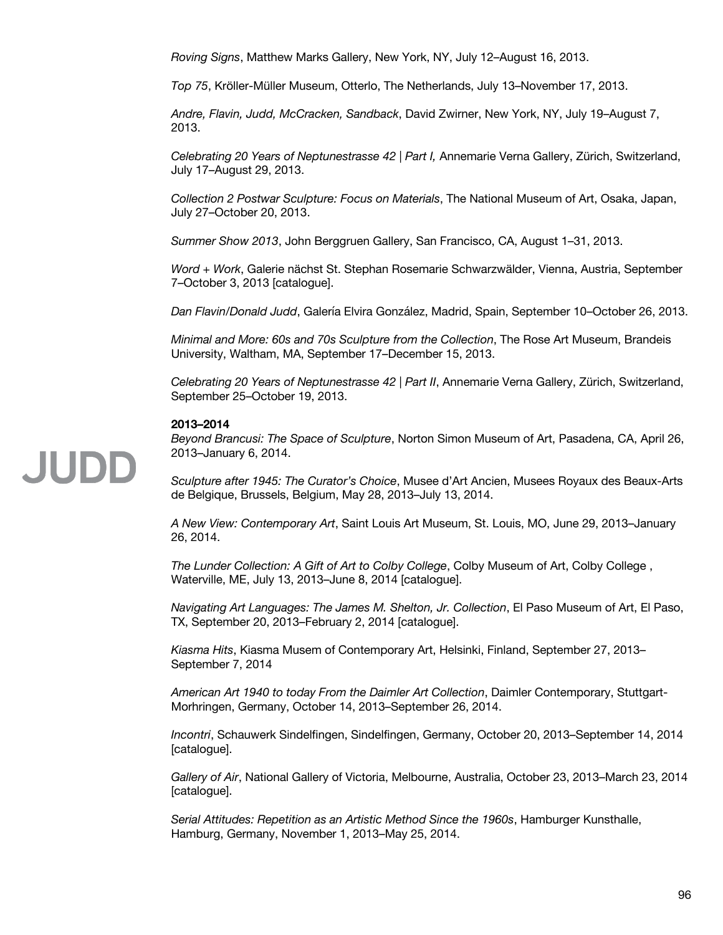*Roving Signs*, Matthew Marks Gallery, New York, NY, July 12–August 16, 2013.

*Top 75*, Kröller-Müller Museum, Otterlo, The Netherlands, July 13–November 17, 2013.

*Andre, Flavin, Judd, McCracken, Sandback*, David Zwirner, New York, NY, July 19–August 7, 2013.

*Celebrating 20 Years of Neptunestrasse 42 | Part I,* Annemarie Verna Gallery, Zürich, Switzerland, July 17–August 29, 2013.

*Collection 2 Postwar Sculpture: Focus on Materials*, The National Museum of Art, Osaka, Japan, July 27–October 20, 2013.

*Summer Show 2013*, John Berggruen Gallery, San Francisco, CA, August 1–31, 2013.

*Word + Work*, Galerie nächst St. Stephan Rosemarie Schwarzwälder, Vienna, Austria, September 7–October 3, 2013 [catalogue].

*Dan Flavin/Donald Judd*, Galería Elvira González, Madrid, Spain, September 10–October 26, 2013.

*Minimal and More: 60s and 70s Sculpture from the Collection*, The Rose Art Museum, Brandeis University, Waltham, MA, September 17–December 15, 2013.

*Celebrating 20 Years of Neptunestrasse 42 | Part II*, Annemarie Verna Gallery, Zürich, Switzerland, September 25–October 19, 2013.

#### **2013–2014**

*Beyond Brancusi: The Space of Sculpture*, Norton Simon Museum of Art, Pasadena, CA, April 26, 2013–January 6, 2014.

*Sculpture after 1945: The Curator's Choice*, Musee d'Art Ancien, Musees Royaux des Beaux-Arts de Belgique, Brussels, Belgium, May 28, 2013–July 13, 2014.

*A New View: Contemporary Art*, Saint Louis Art Museum, St. Louis, MO, June 29, 2013–January 26, 2014.

*The Lunder Collection: A Gift of Art to Colby College*, Colby Museum of Art, Colby College , Waterville, ME, July 13, 2013–June 8, 2014 [catalogue].

*Navigating Art Languages: The James M. Shelton, Jr. Collection*, El Paso Museum of Art, El Paso, TX, September 20, 2013–February 2, 2014 [catalogue].

*Kiasma Hits*, Kiasma Musem of Contemporary Art, Helsinki, Finland, September 27, 2013– September 7, 2014

*American Art 1940 to today From the Daimler Art Collection*, Daimler Contemporary, Stuttgart-Morhringen, Germany, October 14, 2013–September 26, 2014.

*Incontri*, Schauwerk Sindelfingen, Sindelfingen, Germany, October 20, 2013–September 14, 2014 [catalogue].

*Gallery of Air*, National Gallery of Victoria, Melbourne, Australia, October 23, 2013–March 23, 2014 [catalogue].

*Serial Attitudes: Repetition as an Artistic Method Since the 1960s*, Hamburger Kunsthalle, Hamburg, Germany, November 1, 2013–May 25, 2014.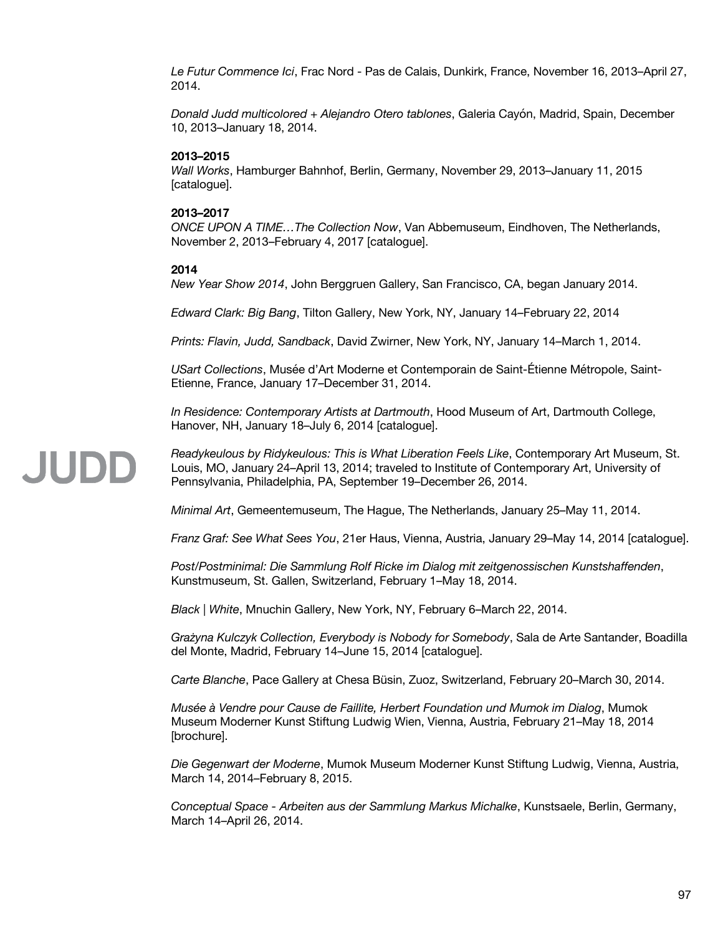*Le Futur Commence Ici*, Frac Nord - Pas de Calais, Dunkirk, France, November 16, 2013–April 27, 2014.

*Donald Judd multicolored + Alejandro Otero tablones*, Galeria Cayón, Madrid, Spain, December 10, 2013–January 18, 2014.

#### **2013–2015**

*Wall Works*, Hamburger Bahnhof, Berlin, Germany, November 29, 2013–January 11, 2015 [catalogue].

#### **2013–2017**

*ONCE UPON A TIME…The Collection Now*, Van Abbemuseum, Eindhoven, The Netherlands, November 2, 2013–February 4, 2017 [catalogue].

#### **2014**

*New Year Show 2014*, John Berggruen Gallery, San Francisco, CA, began January 2014.

*Edward Clark: Big Bang*, Tilton Gallery, New York, NY, January 14–February 22, 2014

*Prints: Flavin, Judd, Sandback*, David Zwirner, New York, NY, January 14–March 1, 2014.

*USart Collections*, Musée d'Art Moderne et Contemporain de Saint-Étienne Métropole, Saint-Etienne, France, January 17–December 31, 2014.

*In Residence: Contemporary Artists at Dartmouth*, Hood Museum of Art, Dartmouth College, Hanover, NH, January 18–July 6, 2014 [catalogue].

*Readykeulous by Ridykeulous: This is What Liberation Feels Like*, Contemporary Art Museum, St. JUDD Louis, MO, January 24–April 13, 2014; traveled to Institute of Contemporary Art, University of Pennsylvania, Philadelphia, PA, September 19–December 26, 2014.

*Minimal Art*, Gemeentemuseum, The Hague, The Netherlands, January 25–May 11, 2014.

*Franz Graf: See What Sees You*, 21er Haus, Vienna, Austria, January 29–May 14, 2014 [catalogue].

*Post/Postminimal: Die Sammlung Rolf Ricke im Dialog mit zeitgenossischen Kunstshaffenden*, Kunstmuseum, St. Gallen, Switzerland, February 1–May 18, 2014.

*Black | White*, Mnuchin Gallery, New York, NY, February 6–March 22, 2014.

*Grażyna Kulczyk Collection, Everybody is Nobody for Somebody*, Sala de Arte Santander, Boadilla del Monte, Madrid, February 14–June 15, 2014 [catalogue].

*Carte Blanche*, Pace Gallery at Chesa Büsin, Zuoz, Switzerland, February 20–March 30, 2014.

*Musée à Vendre pour Cause de Faillite, Herbert Foundation und Mumok im Dialog*, Mumok Museum Moderner Kunst Stiftung Ludwig Wien, Vienna, Austria, February 21–May 18, 2014 [brochure].

*Die Gegenwart der Moderne*, Mumok Museum Moderner Kunst Stiftung Ludwig, Vienna, Austria, March 14, 2014–February 8, 2015.

*Conceptual Space - Arbeiten aus der Sammlung Markus Michalke*, Kunstsaele, Berlin, Germany, March 14–April 26, 2014.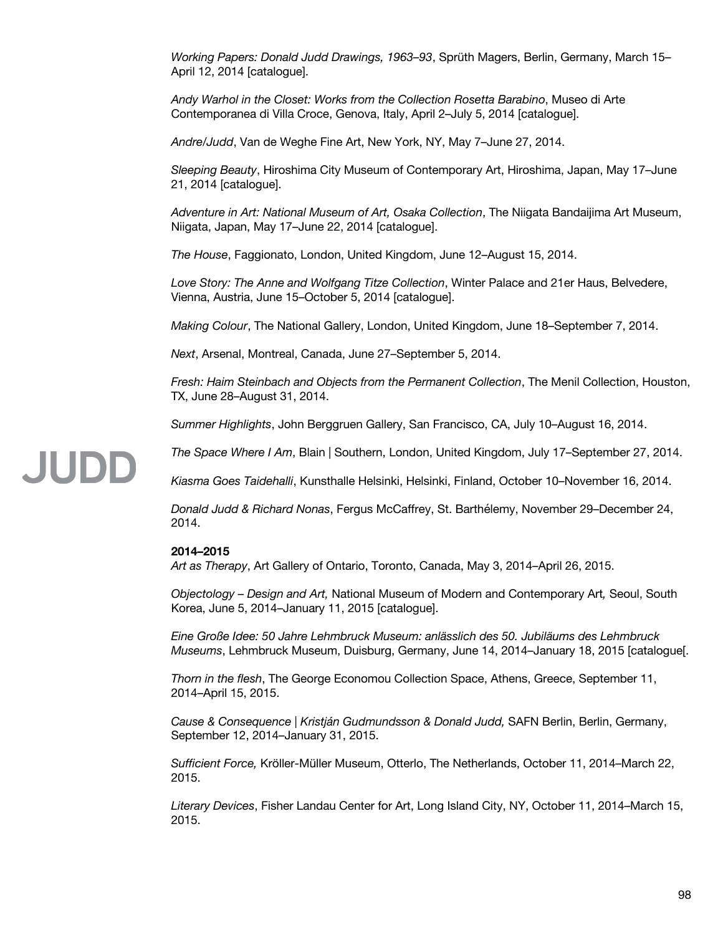*Working Papers: Donald Judd Drawings, 1963–93*, Sprüth Magers, Berlin, Germany, March 15– April 12, 2014 [catalogue].

*Andy Warhol in the Closet: Works from the Collection Rosetta Barabino*, Museo di Arte Contemporanea di Villa Croce, Genova, Italy, April 2–July 5, 2014 [catalogue].

*Andre/Judd*, Van de Weghe Fine Art, New York, NY, May 7–June 27, 2014.

*Sleeping Beauty*, Hiroshima City Museum of Contemporary Art, Hiroshima, Japan, May 17–June 21, 2014 [catalogue].

*Adventure in Art: National Museum of Art, Osaka Collection*, The Niigata Bandaijima Art Museum, Niigata, Japan, May 17–June 22, 2014 [catalogue].

*The House*, Faggionato, London, United Kingdom, June 12–August 15, 2014.

*Love Story: The Anne and Wolfgang Titze Collection*, Winter Palace and 21er Haus, Belvedere, Vienna, Austria, June 15–October 5, 2014 [catalogue].

*Making Colour*, The National Gallery, London, United Kingdom, June 18–September 7, 2014.

*Next*, Arsenal, Montreal, Canada, June 27–September 5, 2014.

*Fresh: Haim Steinbach and Objects from the Permanent Collection*, The Menil Collection, Houston, TX, June 28–August 31, 2014.

*Summer Highlights*, John Berggruen Gallery, San Francisco, CA, July 10–August 16, 2014.

*The Space Where I Am*, Blain | Southern, London, United Kingdom, July 17–September 27, 2014.

*Kiasma Goes Taidehalli*, Kunsthalle Helsinki, Helsinki, Finland, October 10–November 16, 2014.

*Donald Judd & Richard Nonas*, Fergus McCaffrey, St. Barthélemy, November 29–December 24, 2014.

#### **2014–2015**

JUDD

*Art as Therapy*, Art Gallery of Ontario, Toronto, Canada, May 3, 2014–April 26, 2015.

*Objectology – Design and Art,* National Museum of Modern and Contemporary Art*,* Seoul, South Korea, June 5, 2014–January 11, 2015 [catalogue].

*Eine Große Idee: 50 Jahre Lehmbruck Museum: anlässlich des 50. Jubiläums des Lehmbruck Museums*, Lehmbruck Museum, Duisburg, Germany, June 14, 2014–January 18, 2015 [catalogue[.

*Thorn in the flesh*, The George Economou Collection Space, Athens, Greece, September 11, 2014–April 15, 2015.

*Cause & Consequence | Kristján Gudmundsson & Donald Judd,* SAFN Berlin, Berlin, Germany, September 12, 2014–January 31, 2015.

*Sufficient Force,* Kröller-Müller Museum, Otterlo, The Netherlands, October 11, 2014–March 22, 2015.

*Literary Devices*, Fisher Landau Center for Art, Long Island City, NY, October 11, 2014–March 15, 2015.

98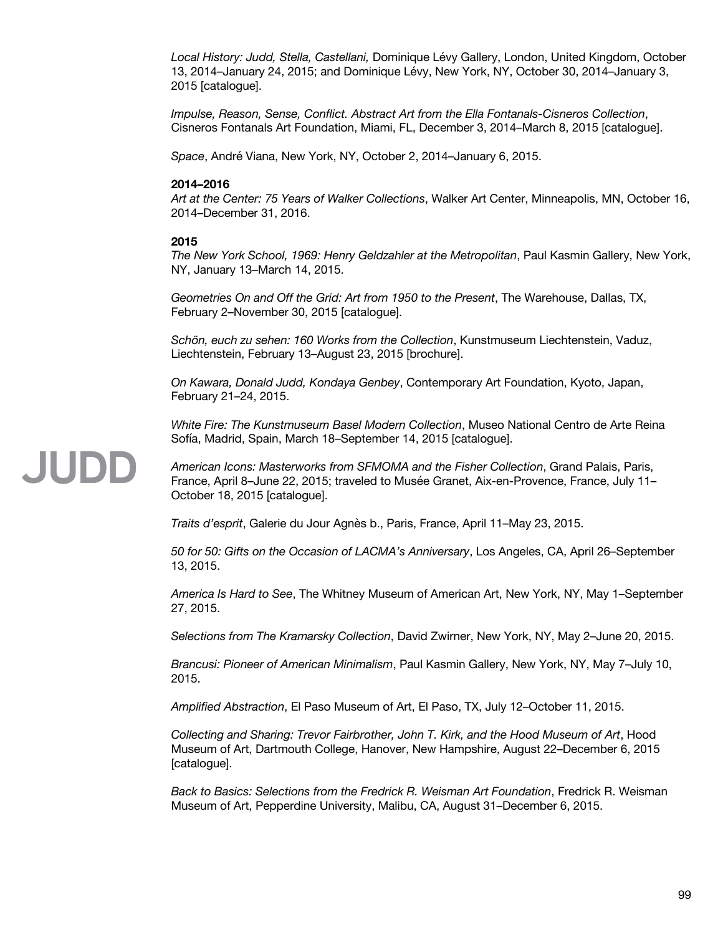*Local History: Judd, Stella, Castellani,* Dominique Lévy Gallery, London, United Kingdom, October 13, 2014–January 24, 2015; and Dominique Lévy, New York, NY, October 30, 2014–January 3, 2015 [catalogue].

*Impulse, Reason, Sense, Conflict. Abstract Art from the Ella Fontanals-Cisneros Collection*, Cisneros Fontanals Art Foundation, Miami, FL, December 3, 2014–March 8, 2015 [catalogue].

*Space*, André Viana, New York, NY, October 2, 2014–January 6, 2015.

#### **2014–2016**

*Art at the Center: 75 Years of Walker Collections*, Walker Art Center, Minneapolis, MN, October 16, 2014–December 31, 2016.

#### **2015**

JUDD

*The New York School, 1969: Henry Geldzahler at the Metropolitan*, Paul Kasmin Gallery, New York, NY, January 13–March 14, 2015.

*Geometries On and Off the Grid: Art from 1950 to the Present*, The Warehouse, Dallas, TX, February 2–November 30, 2015 [catalogue].

*Schön, euch zu sehen: 160 Works from the Collection*, Kunstmuseum Liechtenstein, Vaduz, Liechtenstein, February 13–August 23, 2015 [brochure].

*On Kawara, Donald Judd, Kondaya Genbey*, Contemporary Art Foundation, Kyoto, Japan, February 21–24, 2015.

*White Fire: The Kunstmuseum Basel Modern Collection*, Museo National Centro de Arte Reina Sofía, Madrid, Spain, March 18–September 14, 2015 [catalogue].

#### *American Icons: Masterworks from SFMOMA and the Fisher Collection*, Grand Palais, Paris, France, April 8–June 22, 2015; traveled to Musée Granet, Aix-en-Provence, France, July 11– October 18, 2015 [catalogue].

*Traits d'esprit*, Galerie du Jour Agnès b., Paris, France, April 11–May 23, 2015.

*50 for 50: Gifts on the Occasion of LACMA's Anniversary*, Los Angeles, CA, April 26–September 13, 2015.

*America Is Hard to See*, The Whitney Museum of American Art, New York, NY, May 1–September 27, 2015.

*Selections from The Kramarsky Collection*, David Zwirner, New York, NY, May 2–June 20, 2015.

*Brancusi: Pioneer of American Minimalism*, Paul Kasmin Gallery, New York, NY, May 7–July 10, 2015.

*Amplified Abstraction*, El Paso Museum of Art, El Paso, TX, July 12–October 11, 2015.

*Collecting and Sharing: Trevor Fairbrother, John T. Kirk, and the Hood Museum of Art*, Hood Museum of Art, Dartmouth College, Hanover, New Hampshire, August 22–December 6, 2015 [catalogue].

*Back to Basics: Selections from the Fredrick R. Weisman Art Foundation*, Fredrick R. Weisman Museum of Art, Pepperdine University, Malibu, CA, August 31–December 6, 2015.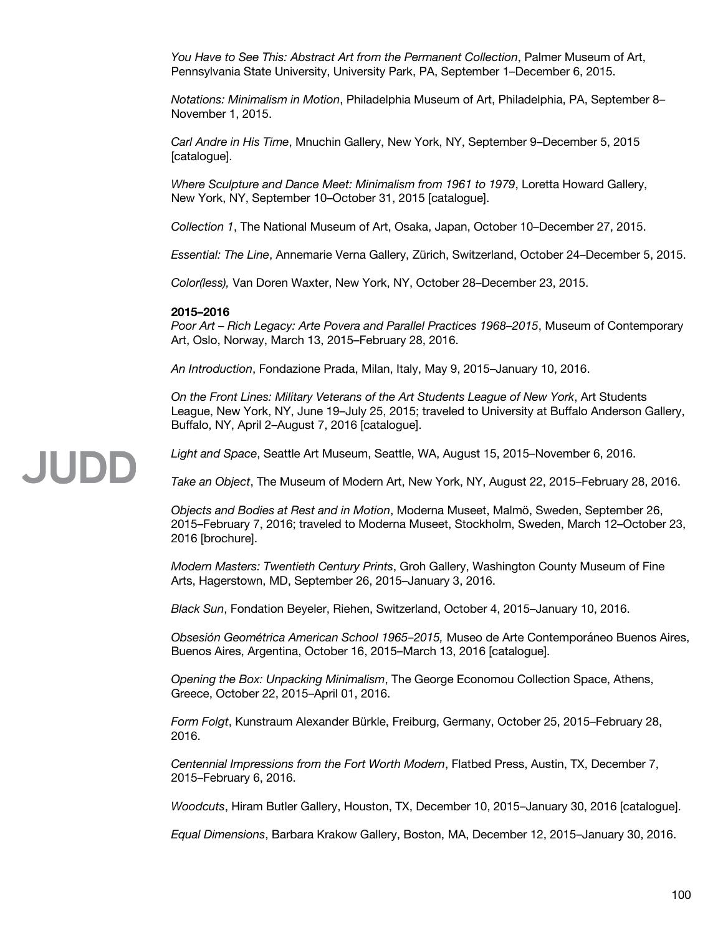*You Have to See This: Abstract Art from the Permanent Collection*, Palmer Museum of Art, Pennsylvania State University, University Park, PA, September 1–December 6, 2015.

*Notations: Minimalism in Motion*, Philadelphia Museum of Art, Philadelphia, PA, September 8– November 1, 2015.

*Carl Andre in His Time*, Mnuchin Gallery, New York, NY, September 9–December 5, 2015 [catalogue].

*Where Sculpture and Dance Meet: Minimalism from 1961 to 1979*, Loretta Howard Gallery, New York, NY, September 10–October 31, 2015 [catalogue].

*Collection 1*, The National Museum of Art, Osaka, Japan, October 10–December 27, 2015.

*Essential: The Line*, Annemarie Verna Gallery, Zürich, Switzerland, October 24–December 5, 2015.

*Color(less),* Van Doren Waxter, New York, NY, October 28–December 23, 2015.

#### **2015–2016**

JUDD

*Poor Art – Rich Legacy: Arte Povera and Parallel Practices 1968–2015*, Museum of Contemporary Art, Oslo, Norway, March 13, 2015–February 28, 2016.

*An Introduction*, Fondazione Prada, Milan, Italy, May 9, 2015–January 10, 2016.

*On the Front Lines: Military Veterans of the Art Students League of New York*, Art Students League, New York, NY, June 19–July 25, 2015; traveled to University at Buffalo Anderson Gallery, Buffalo, NY, April 2–August 7, 2016 [catalogue].

#### *Light and Space*, Seattle Art Museum, Seattle, WA, August 15, 2015–November 6, 2016.

*Take an Object*, The Museum of Modern Art, New York, NY, August 22, 2015–February 28, 2016.

*Objects and Bodies at Rest and in Motion*, Moderna Museet, Malmö, Sweden, September 26, 2015–February 7, 2016; traveled to Moderna Museet, Stockholm, Sweden, March 12–October 23, 2016 [brochure].

*Modern Masters: Twentieth Century Prints*, Groh Gallery, Washington County Museum of Fine Arts, Hagerstown, MD, September 26, 2015–January 3, 2016.

*Black Sun*, Fondation Beyeler, Riehen, Switzerland, October 4, 2015–January 10, 2016.

*Obsesión Geométrica American School 1965–2015,* Museo de Arte Contemporáneo Buenos Aires, Buenos Aires, Argentina, October 16, 2015–March 13, 2016 [catalogue].

*Opening the Box: Unpacking Minimalism*, The George Economou Collection Space, Athens, Greece, October 22, 2015–April 01, 2016.

*Form Folgt*, Kunstraum Alexander Bürkle, Freiburg, Germany, October 25, 2015–February 28, 2016.

*Centennial Impressions from the Fort Worth Modern*, Flatbed Press, Austin, TX, December 7, 2015–February 6, 2016.

*Woodcuts*, Hiram Butler Gallery, Houston, TX, December 10, 2015–January 30, 2016 [catalogue].

*Equal Dimensions*, Barbara Krakow Gallery, Boston, MA, December 12, 2015–January 30, 2016.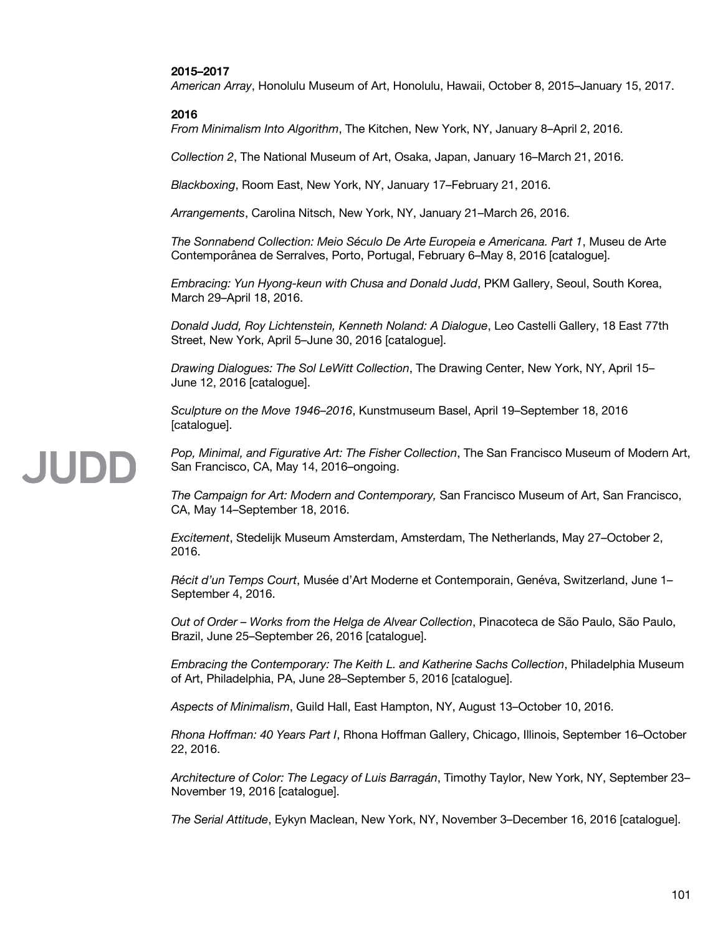#### **2015–2017**

*American Array*, Honolulu Museum of Art, Honolulu, Hawaii, October 8, 2015–January 15, 2017.

#### **2016**

*From Minimalism Into Algorithm*, The Kitchen, New York, NY, January 8–April 2, 2016.

*Collection 2*, The National Museum of Art, Osaka, Japan, January 16–March 21, 2016.

*Blackboxing*, Room East, New York, NY, January 17–February 21, 2016.

*Arrangements*, Carolina Nitsch, New York, NY, January 21–March 26, 2016.

*The Sonnabend Collection: Meio Século De Arte Europeia e Americana. Part 1*, Museu de Arte Contemporânea de Serralves, Porto, Portugal, February 6–May 8, 2016 [catalogue].

*Embracing: Yun Hyong-keun with Chusa and Donald Judd*, PKM Gallery, Seoul, South Korea, March 29–April 18, 2016.

*Donald Judd, Roy Lichtenstein, Kenneth Noland: A Dialogue*, Leo Castelli Gallery, 18 East 77th Street, New York, April 5–June 30, 2016 [catalogue].

*Drawing Dialogues: The Sol LeWitt Collection*, The Drawing Center, New York, NY, April 15– June 12, 2016 [catalogue].

*Sculpture on the Move 1946–2016*, Kunstmuseum Basel, April 19–September 18, 2016 [catalogue].

**JUDD** 

*Pop, Minimal, and Figurative Art: The Fisher Collection*, The San Francisco Museum of Modern Art, San Francisco, CA, May 14, 2016–ongoing.

*The Campaign for Art: Modern and Contemporary,* San Francisco Museum of Art, San Francisco, CA, May 14–September 18, 2016.

*Excitement*, Stedelijk Museum Amsterdam, Amsterdam, The Netherlands, May 27–October 2, 2016.

*Récit d'un Temps Court*, Musée d'Art Moderne et Contemporain, Genéva, Switzerland, June 1– September 4, 2016.

*Out of Order – Works from the Helga de Alvear Collection*, Pinacoteca de São Paulo, São Paulo, Brazil, June 25–September 26, 2016 [catalogue].

*Embracing the Contemporary: The Keith L. and Katherine Sachs Collection*, Philadelphia Museum of Art, Philadelphia, PA, June 28–September 5, 2016 [catalogue].

*Aspects of Minimalism*, Guild Hall, East Hampton, NY, August 13–October 10, 2016.

*Rhona Hoffman: 40 Years Part I*, Rhona Hoffman Gallery, Chicago, Illinois, September 16–October 22, 2016.

*Architecture of Color: The Legacy of Luis Barragán*, Timothy Taylor, New York, NY, September 23– November 19, 2016 [catalogue].

*The Serial Attitude*, Eykyn Maclean, New York, NY, November 3–December 16, 2016 [catalogue].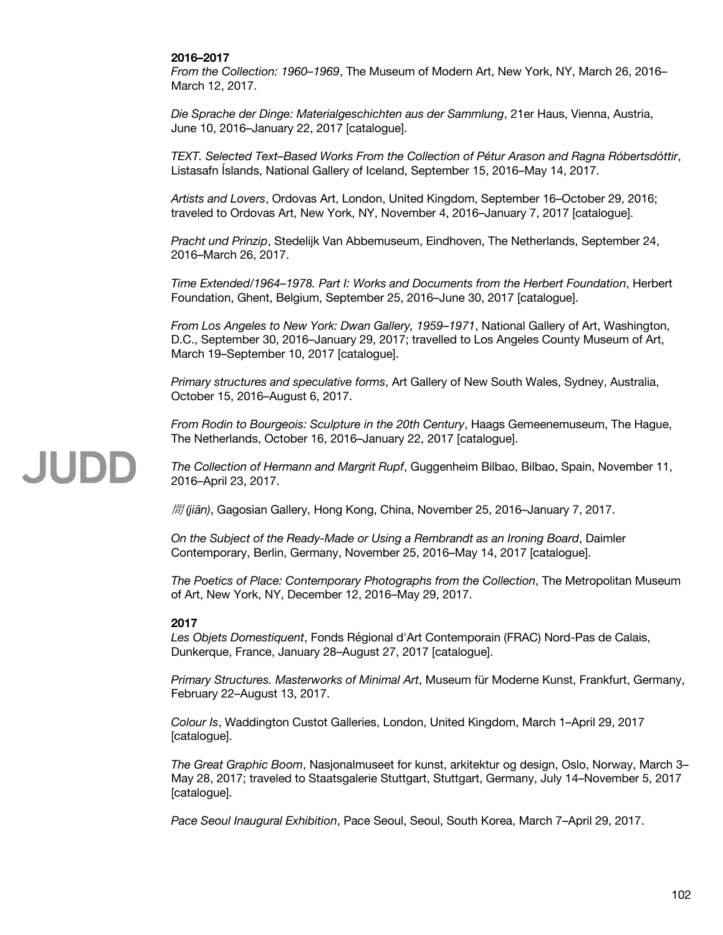#### **2016–2017**

*From the Collection: 1960–1969*, The Museum of Modern Art, New York, NY, March 26, 2016– March 12, 2017.

*Die Sprache der Dinge: Materialgeschichten aus der Sammlung*, 21er Haus, Vienna, Austria, June 10, 2016–January 22, 2017 [catalogue].

*TEXT. Selected Text–Based Works From the Collection of Pétur Arason and Ragna Róbertsdóttir*, Listasafn Íslands, National Gallery of Iceland, September 15, 2016–May 14, 2017.

*Artists and Lovers*, Ordovas Art, London, United Kingdom, September 16–October 29, 2016; traveled to Ordovas Art, New York, NY, November 4, 2016–January 7, 2017 [catalogue].

*Pracht und Prinzip*, Stedelijk Van Abbemuseum, Eindhoven, The Netherlands, September 24, 2016–March 26, 2017.

*Time Extended/1964–1978. Part I: Works and Documents from the Herbert Foundation*, Herbert Foundation, Ghent, Belgium, September 25, 2016–June 30, 2017 [catalogue].

*From Los Angeles to New York: Dwan Gallery, 1959–1971*, National Gallery of Art, Washington, D.C., September 30, 2016–January 29, 2017; travelled to Los Angeles County Museum of Art, March 19–September 10, 2017 [catalogue].

*Primary structures and speculative forms*, Art Gallery of New South Wales, Sydney, Australia, October 15, 2016–August 6, 2017.

*From Rodin to Bourgeois: Sculpture in the 20th Century*, Haags Gemeenemuseum, The Hague, The Netherlands, October 16, 2016–January 22, 2017 [catalogue].

*The Collection of Hermann and Margrit Rupf*, Guggenheim Bilbao, Bilbao, Spain, November 11, 2016–April 23, 2017.

間 *(jiān)*, Gagosian Gallery, Hong Kong, China, November 25, 2016–January 7, 2017.

*On the Subject of the Ready-Made or Using a Rembrandt as an Ironing Board*, Daimler Contemporary, Berlin, Germany, November 25, 2016–May 14, 2017 [catalogue].

*The Poetics of Place: Contemporary Photographs from the Collection*, The Metropolitan Museum of Art, New York, NY, December 12, 2016–May 29, 2017.

#### **2017**

JUDD

*Les Objets Domestiquent*, Fonds Régional d'Art Contemporain (FRAC) Nord-Pas de Calais, Dunkerque, France, January 28–August 27, 2017 [catalogue].

*Primary Structures. Masterworks of Minimal Art*, Museum für Moderne Kunst, Frankfurt, Germany, February 22–August 13, 2017.

*Colour Is*, Waddington Custot Galleries, London, United Kingdom, March 1–April 29, 2017 [catalogue].

*The Great Graphic Boom*, Nasjonalmuseet for kunst, arkitektur og design, Oslo, Norway, March 3– May 28, 2017; traveled to Staatsgalerie Stuttgart, Stuttgart, Germany, July 14–November 5, 2017 [catalogue].

*Pace Seoul Inaugural Exhibition*, Pace Seoul, Seoul, South Korea, March 7–April 29, 2017.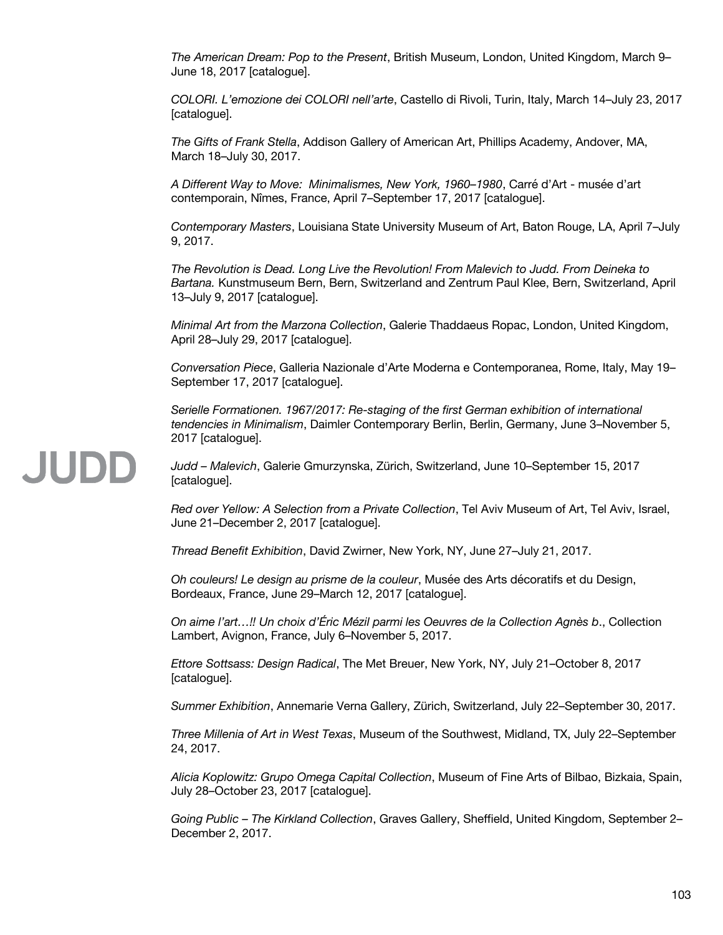*The American Dream: Pop to the Present*, British Museum, London, United Kingdom, March 9– June 18, 2017 [catalogue].

*COLORI. L'emozione dei COLORI nell'arte*, Castello di Rivoli, Turin, Italy, March 14–July 23, 2017 [catalogue].

*The Gifts of Frank Stella*, Addison Gallery of American Art, Phillips Academy, Andover, MA, March 18–July 30, 2017.

*A Different Way to Move: Minimalismes, New York, 1960–1980*, Carré d'Art - musée d'art contemporain, Nîmes, France, April 7–September 17, 2017 [catalogue].

*Contemporary Masters*, Louisiana State University Museum of Art, Baton Rouge, LA, April 7–July 9, 2017.

*The Revolution is Dead. Long Live the Revolution! From Malevich to Judd. From Deineka to Bartana.* Kunstmuseum Bern, Bern, Switzerland and Zentrum Paul Klee, Bern, Switzerland, April 13–July 9, 2017 [catalogue].

*Minimal Art from the Marzona Collection*, Galerie Thaddaeus Ropac, London, United Kingdom, April 28–July 29, 2017 [catalogue].

*Conversation Piece*, Galleria Nazionale d'Arte Moderna e Contemporanea, Rome, Italy, May 19– September 17, 2017 [catalogue].

*Serielle Formationen. 1967/2017: Re-staging of the first German exhibition of international tendencies in Minimalism*, Daimler Contemporary Berlin, Berlin, Germany, June 3–November 5, 2017 [catalogue].

# JUDD

*Judd – Malevich*, Galerie Gmurzynska, Zürich, Switzerland, June 10–September 15, 2017 [catalogue].

*Red over Yellow: A Selection from a Private Collection*, Tel Aviv Museum of Art, Tel Aviv, Israel, June 21–December 2, 2017 [catalogue].

*Thread Benefit Exhibition*, David Zwirner, New York, NY, June 27–July 21, 2017.

*Oh couleurs! Le design au prisme de la couleur*, Musée des Arts décoratifs et du Design, Bordeaux, France, June 29–March 12, 2017 [catalogue].

*On aime l'art…!! Un choix d'Éric Mézil parmi les Oeuvres de la Collection Agnès b*., Collection Lambert, Avignon, France, July 6–November 5, 2017.

*Ettore Sottsass: Design Radical*, The Met Breuer, New York, NY, July 21–October 8, 2017 [catalogue].

*Summer Exhibition*, Annemarie Verna Gallery, Zürich, Switzerland, July 22–September 30, 2017.

*Three Millenia of Art in West Texas*, Museum of the Southwest, Midland, TX, July 22–September 24, 2017.

*Alicia Koplowitz: Grupo Omega Capital Collection*, Museum of Fine Arts of Bilbao, Bizkaia, Spain, July 28–October 23, 2017 [catalogue].

*Going Public – The Kirkland Collection*, Graves Gallery, Sheffield, United Kingdom, September 2– December 2, 2017.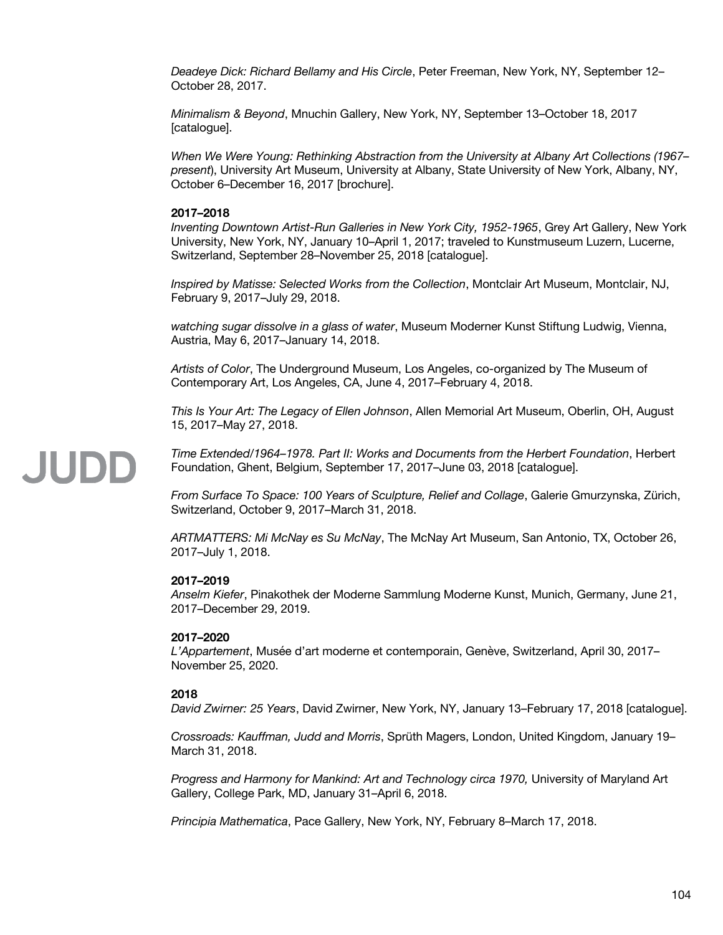*Deadeye Dick: Richard Bellamy and His Circle*, Peter Freeman, New York, NY, September 12– October 28, 2017.

*Minimalism & Beyond*, Mnuchin Gallery, New York, NY, September 13–October 18, 2017 [catalogue].

*When We Were Young: Rethinking Abstraction from the University at Albany Art Collections (1967– present*), University Art Museum, University at Albany, State University of New York, Albany, NY, October 6–December 16, 2017 [brochure].

#### **2017–2018**

*Inventing Downtown Artist-Run Galleries in New York City, 1952-1965*, Grey Art Gallery, New York University, New York, NY, January 10–April 1, 2017; traveled to Kunstmuseum Luzern, Lucerne, Switzerland, September 28–November 25, 2018 [catalogue].

*Inspired by Matisse: Selected Works from the Collection*, Montclair Art Museum, Montclair, NJ, February 9, 2017–July 29, 2018.

*watching sugar dissolve in a glass of water*, Museum Moderner Kunst Stiftung Ludwig, Vienna, Austria, May 6, 2017–January 14, 2018.

*Artists of Color*, The Underground Museum, Los Angeles, co-organized by The Museum of Contemporary Art, Los Angeles, CA, June 4, 2017–February 4, 2018.

*This Is Your Art: The Legacy of Ellen Johnson*, Allen Memorial Art Museum, Oberlin, OH, August 15, 2017–May 27, 2018.

*Time Extended/1964–1978. Part II: Works and Documents from the Herbert Foundation*, Herbert Foundation, Ghent, Belgium, September 17, 2017–June 03, 2018 [catalogue].

*From Surface To Space: 100 Years of Sculpture, Relief and Collage*, Galerie Gmurzynska, Zürich, Switzerland, October 9, 2017–March 31, 2018.

*ARTMATTERS: Mi McNay es Su McNay*, The McNay Art Museum, San Antonio, TX, October 26, 2017–July 1, 2018.

#### **2017–2019**

JUDD

*Anselm Kiefer*, Pinakothek der Moderne Sammlung Moderne Kunst, Munich, Germany, June 21, 2017–December 29, 2019.

#### **2017–2020**

*L'Appartement*, Musée d'art moderne et contemporain, Genève, Switzerland, April 30, 2017– November 25, 2020.

#### **2018**

*David Zwirner: 25 Years*, David Zwirner, New York, NY, January 13–February 17, 2018 [catalogue].

*Crossroads: Kauffman, Judd and Morris*, Sprüth Magers, London, United Kingdom, January 19– March 31, 2018.

*Progress and Harmony for Mankind: Art and Technology circa 1970,* University of Maryland Art Gallery, College Park, MD, January 31–April 6, 2018.

*Principia Mathematica*, Pace Gallery, New York, NY, February 8–March 17, 2018.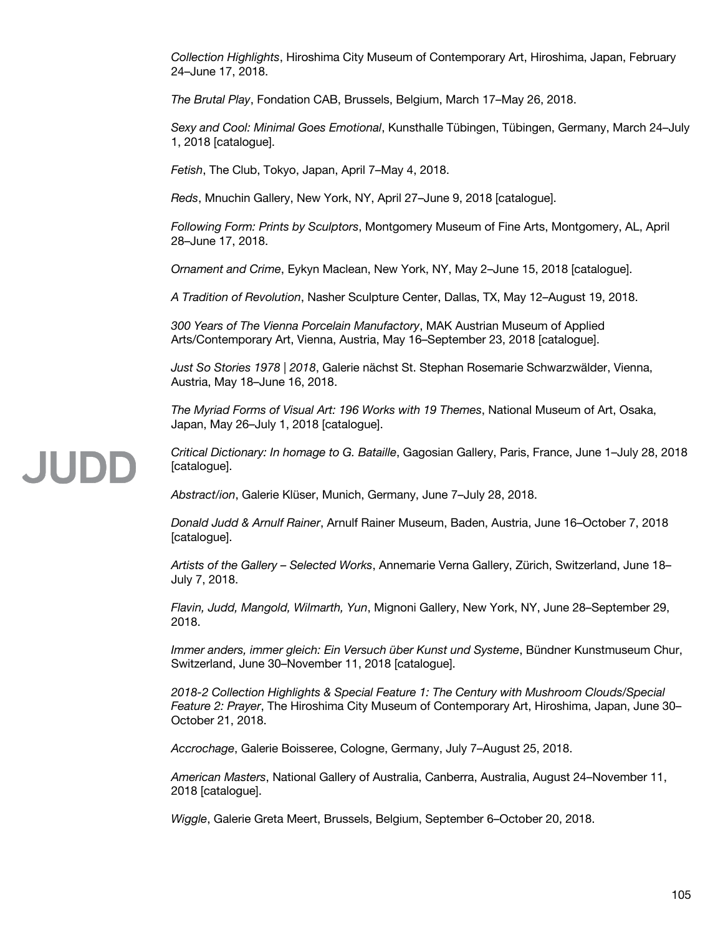*Collection Highlights*, Hiroshima City Museum of Contemporary Art, Hiroshima, Japan, February 24–June 17, 2018.

*The Brutal Play*, Fondation CAB, Brussels, Belgium, March 17–May 26, 2018.

*Sexy and Cool: Minimal Goes Emotional*, Kunsthalle Tübingen, Tübingen, Germany, March 24–July 1, 2018 [catalogue].

*Fetish*, The Club, Tokyo, Japan, April 7–May 4, 2018.

*Reds*, Mnuchin Gallery, New York, NY, April 27–June 9, 2018 [catalogue].

*Following Form: Prints by Sculptors*, Montgomery Museum of Fine Arts, Montgomery, AL, April 28–June 17, 2018.

*Ornament and Crime*, Eykyn Maclean, New York, NY, May 2–June 15, 2018 [catalogue].

*A Tradition of Revolution*, Nasher Sculpture Center, Dallas, TX, May 12–August 19, 2018.

*300 Years of The Vienna Porcelain Manufactory*, MAK Austrian Museum of Applied Arts/Contemporary Art, Vienna, Austria, May 16–September 23, 2018 [catalogue].

*Just So Stories 1978 | 2018*, Galerie nächst St. Stephan Rosemarie Schwarzwälder, Vienna, Austria, May 18–June 16, 2018.

*The Myriad Forms of Visual Art: 196 Works with 19 Themes*, National Museum of Art, Osaka, Japan, May 26–July 1, 2018 [catalogue].

*Critical Dictionary: In homage to G. Bataille*, Gagosian Gallery, Paris, France, June 1–July 28, 2018 [catalogue].

*Abstract/ion*, Galerie Klüser, Munich, Germany, June 7–July 28, 2018.

**JUDE** 

*Donald Judd & Arnulf Rainer*, Arnulf Rainer Museum, Baden, Austria, June 16–October 7, 2018 [catalogue].

*Artists of the Gallery – Selected Works*, Annemarie Verna Gallery, Zürich, Switzerland, June 18– July 7, 2018.

*Flavin, Judd, Mangold, Wilmarth, Yun*, Mignoni Gallery, New York, NY, June 28–September 29, 2018.

*Immer anders, immer gleich: Ein Versuch über Kunst und Systeme*, Bündner Kunstmuseum Chur, Switzerland, June 30–November 11, 2018 [catalogue].

*2018-2 Collection Highlights & Special Feature 1: The Century with Mushroom Clouds/Special Feature 2: Prayer*, The Hiroshima City Museum of Contemporary Art, Hiroshima, Japan, June 30– October 21, 2018.

*Accrochage*, Galerie Boisseree, Cologne, Germany, July 7–August 25, 2018.

*American Masters*, National Gallery of Australia, Canberra, Australia, August 24–November 11, 2018 [catalogue].

*Wiggle*, Galerie Greta Meert, Brussels, Belgium, September 6–October 20, 2018.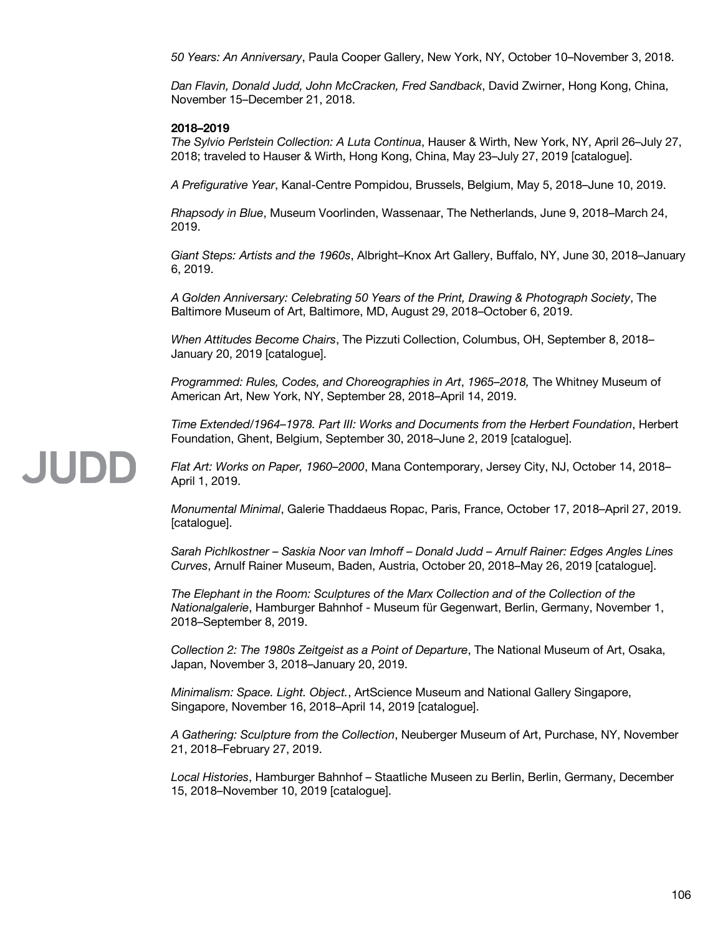*50 Years: An Anniversary*, Paula Cooper Gallery, New York, NY, October 10–November 3, 2018.

*Dan Flavin, Donald Judd, John McCracken, Fred Sandback*, David Zwirner, Hong Kong, China, November 15–December 21, 2018.

#### **2018–2019**

JUDD

*The Sylvio Perlstein Collection: A Luta Continua*, Hauser & Wirth, New York, NY, April 26–July 27, 2018; traveled to Hauser & Wirth, Hong Kong, China, May 23–July 27, 2019 [catalogue].

*A Prefigurative Year*, Kanal-Centre Pompidou, Brussels, Belgium, May 5, 2018–June 10, 2019.

*Rhapsody in Blue*, Museum Voorlinden, Wassenaar, The Netherlands, June 9, 2018–March 24, 2019.

*Giant Steps: Artists and the 1960s*, Albright–Knox Art Gallery, Buffalo, NY, June 30, 2018–January 6, 2019.

*A Golden Anniversary: Celebrating 50 Years of the Print, Drawing & Photograph Society*, The Baltimore Museum of Art, Baltimore, MD, August 29, 2018–October 6, 2019.

*When Attitudes Become Chairs*, The Pizzuti Collection, Columbus, OH, September 8, 2018– January 20, 2019 [catalogue].

*Programmed: Rules, Codes, and Choreographies in Art*, *1965–2018,* The Whitney Museum of American Art, New York, NY, September 28, 2018–April 14, 2019.

*Time Extended/1964–1978. Part III: Works and Documents from the Herbert Foundation*, Herbert Foundation, Ghent, Belgium, September 30, 2018–June 2, 2019 [catalogue].

#### *Flat Art: Works on Paper, 1960–2000*, Mana Contemporary, Jersey City, NJ, October 14, 2018– April 1, 2019.

*Monumental Minimal*, Galerie Thaddaeus Ropac, Paris, France, October 17, 2018–April 27, 2019. [catalogue].

*Sarah Pichlkostner – Saskia Noor van Imhoff – Donald Judd – Arnulf Rainer: Edges Angles Lines Curves*, Arnulf Rainer Museum, Baden, Austria, October 20, 2018–May 26, 2019 [catalogue].

*The Elephant in the Room: Sculptures of the Marx Collection and of the Collection of the Nationalgalerie*, Hamburger Bahnhof - Museum für Gegenwart, Berlin, Germany, November 1, 2018–September 8, 2019.

*Collection 2: The 1980s Zeitgeist as a Point of Departure*, The National Museum of Art, Osaka, Japan, November 3, 2018–January 20, 2019.

*Minimalism: Space. Light. Object.*, ArtScience Museum and National Gallery Singapore, Singapore, November 16, 2018–April 14, 2019 [catalogue].

*A Gathering: Sculpture from the Collection*, Neuberger Museum of Art, Purchase, NY, November 21, 2018–February 27, 2019.

*Local Histories*, Hamburger Bahnhof – Staatliche Museen zu Berlin, Berlin, Germany, December 15, 2018–November 10, 2019 [catalogue].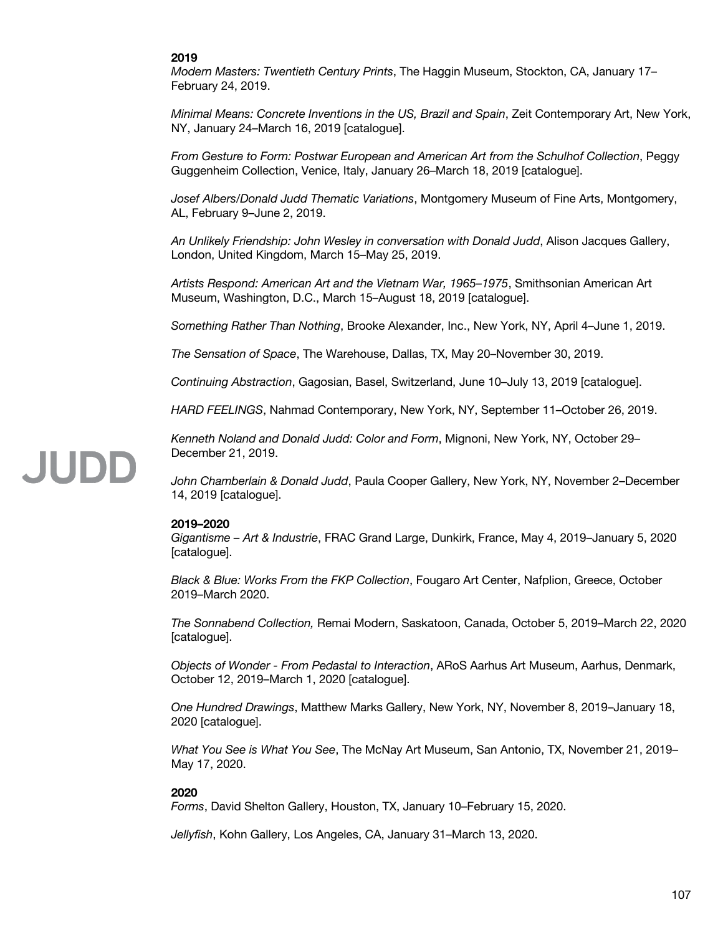#### **2019**

*Modern Masters: Twentieth Century Prints*, The Haggin Museum, Stockton, CA, January 17– February 24, 2019.

*Minimal Means: Concrete Inventions in the US, Brazil and Spain*, Zeit Contemporary Art, New York, NY, January 24–March 16, 2019 [catalogue].

*From Gesture to Form: Postwar European and American Art from the Schulhof Collection*, Peggy Guggenheim Collection, Venice, Italy, January 26–March 18, 2019 [catalogue].

*Josef Albers/Donald Judd Thematic Variations*, Montgomery Museum of Fine Arts, Montgomery, AL, February 9–June 2, 2019.

*An Unlikely Friendship: John Wesley in conversation with Donald Judd*, Alison Jacques Gallery, London, United Kingdom, March 15–May 25, 2019.

*Artists Respond: American Art and the Vietnam War, 1965–1975*, Smithsonian American Art Museum, Washington, D.C., March 15–August 18, 2019 [catalogue].

*Something Rather Than Nothing*, Brooke Alexander, Inc., New York, NY, April 4–June 1, 2019.

*The Sensation of Space*, The Warehouse, Dallas, TX, May 20–November 30, 2019.

*Continuing Abstraction*, Gagosian, Basel, Switzerland, June 10–July 13, 2019 [catalogue].

*HARD FEELINGS*, Nahmad Contemporary, New York, NY, September 11–October 26, 2019.

*Kenneth Noland and Donald Judd: Color and Form*, Mignoni, New York, NY, October 29– December 21, 2019.

*John Chamberlain & Donald Judd*, Paula Cooper Gallery, New York, NY, November 2–December 14, 2019 [catalogue].

#### **2019–2020**

*Gigantisme – Art & Industrie*, FRAC Grand Large, Dunkirk, France, May 4, 2019–January 5, 2020 [catalogue].

*Black & Blue: Works From the FKP Collection*, Fougaro Art Center, Nafplion, Greece, October 2019–March 2020.

*The Sonnabend Collection,* Remai Modern, Saskatoon, Canada, October 5, 2019–March 22, 2020 [catalogue].

*Objects of Wonder - From Pedastal to Interaction*, ARoS Aarhus Art Museum, Aarhus, Denmark, October 12, 2019–March 1, 2020 [catalogue].

*One Hundred Drawings*, Matthew Marks Gallery, New York, NY, November 8, 2019–January 18, 2020 [catalogue].

*What You See is What You See*, The McNay Art Museum, San Antonio, TX, November 21, 2019– May 17, 2020.

#### **2020**

*Forms*, David Shelton Gallery, Houston, TX, January 10–February 15, 2020.

*Jellyfish*, Kohn Gallery, Los Angeles, CA, January 31–March 13, 2020.

### **JUDE**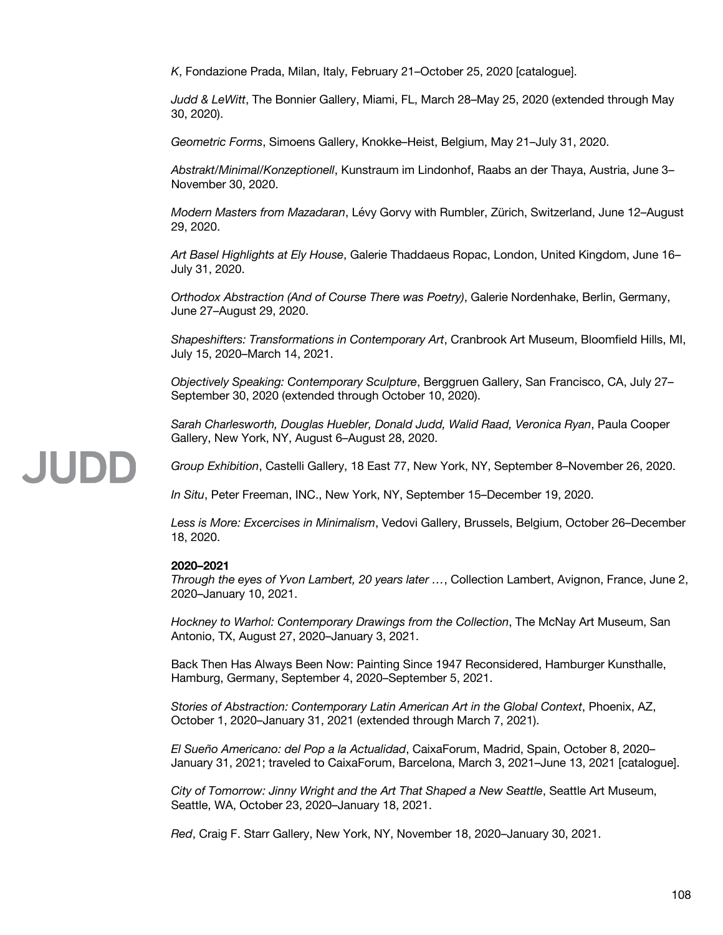*K*, Fondazione Prada, Milan, Italy, February 21–October 25, 2020 [catalogue].

*Judd & LeWitt*, The Bonnier Gallery, Miami, FL, March 28–May 25, 2020 (extended through May 30, 2020).

*Geometric Forms*, Simoens Gallery, Knokke–Heist, Belgium, May 21–July 31, 2020.

*Abstrakt/Minimal/Konzeptionell*, Kunstraum im Lindonhof, Raabs an der Thaya, Austria, June 3– November 30, 2020.

*Modern Masters from Mazadaran*, Lévy Gorvy with Rumbler, Zürich, Switzerland, June 12–August 29, 2020.

*Art Basel Highlights at Ely House*, Galerie Thaddaeus Ropac, London, United Kingdom, June 16– July 31, 2020.

*Orthodox Abstraction (And of Course There was Poetry)*, Galerie Nordenhake, Berlin, Germany, June 27–August 29, 2020.

*Shapeshifters: Transformations in Contemporary Art*, Cranbrook Art Museum, Bloomfield Hills, MI, July 15, 2020–March 14, 2021.

*Objectively Speaking: Contemporary Sculpture*, Berggruen Gallery, San Francisco, CA, July 27– September 30, 2020 (extended through October 10, 2020).

*Sarah Charlesworth, Douglas Huebler, Donald Judd, Walid Raad, Veronica Ryan*, Paula Cooper Gallery, New York, NY, August 6–August 28, 2020.

*Group Exhibition*, Castelli Gallery, 18 East 77, New York, NY, September 8–November 26, 2020.

*In Situ*, Peter Freeman, INC., New York, NY, September 15–December 19, 2020.

*Less is More: Excercises in Minimalism*, Vedovi Gallery, Brussels, Belgium, October 26–December 18, 2020.

#### **2020–2021**

*Through the eyes of Yvon Lambert, 20 years later …*, Collection Lambert, Avignon, France, June 2, 2020–January 10, 2021.

*Hockney to Warhol: Contemporary Drawings from the Collection*, The McNay Art Museum, San Antonio, TX, August 27, 2020–January 3, 2021.

Back Then Has Always Been Now: Painting Since 1947 Reconsidered, Hamburger Kunsthalle, Hamburg, Germany, September 4, 2020–September 5, 2021.

*Stories of Abstraction: Contemporary Latin American Art in the Global Context*, Phoenix, AZ, October 1, 2020–January 31, 2021 (extended through March 7, 2021).

*El Sueño Americano: del Pop a la Actualidad*, CaixaForum, Madrid, Spain, October 8, 2020– January 31, 2021; traveled to CaixaForum, Barcelona, March 3, 2021–June 13, 2021 [catalogue].

*City of Tomorrow: Jinny Wright and the Art That Shaped a New Seattle*, Seattle Art Museum, Seattle, WA, October 23, 2020–January 18, 2021.

*Red*, Craig F. Starr Gallery, New York, NY, November 18, 2020–January 30, 2021.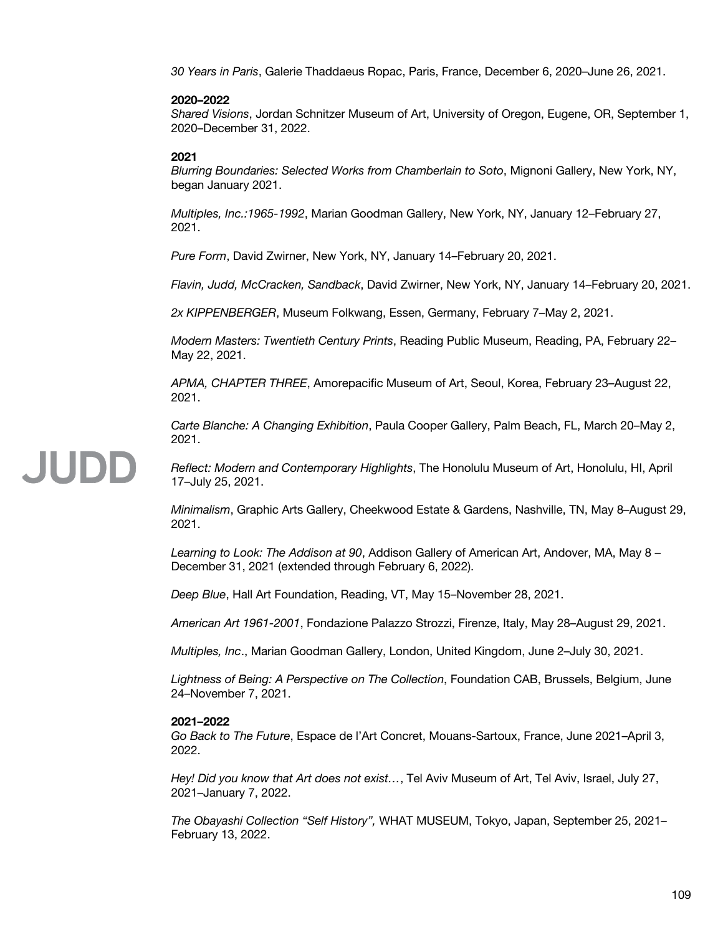*30 Years in Paris*, Galerie Thaddaeus Ropac, Paris, France, December 6, 2020–June 26, 2021.

## **2020–2022**

*Shared Visions*, Jordan Schnitzer Museum of Art, University of Oregon, Eugene, OR, September 1, 2020–December 31, 2022.

## **2021**

JUDD

*Blurring Boundaries: Selected Works from Chamberlain to Soto*, Mignoni Gallery, New York, NY, began January 2021.

*Multiples, Inc.:1965-1992*, Marian Goodman Gallery, New York, NY, January 12–February 27, 2021.

*Pure Form*, David Zwirner, New York, NY, January 14–February 20, 2021.

*Flavin, Judd, McCracken, Sandback*, David Zwirner, New York, NY, January 14–February 20, 2021.

*2x KIPPENBERGER*, Museum Folkwang, Essen, Germany, February 7–May 2, 2021.

*Modern Masters: Twentieth Century Prints*, Reading Public Museum, Reading, PA, February 22– May 22, 2021.

*APMA, CHAPTER THREE*, Amorepacific Museum of Art, Seoul, Korea, February 23–August 22, 2021.

*Carte Blanche: A Changing Exhibition*, Paula Cooper Gallery, Palm Beach, FL, March 20–May 2, 2021.

# *Reflect: Modern and Contemporary Highlights*, The Honolulu Museum of Art, Honolulu, HI, April 17–July 25, 2021.

*Minimalism*, Graphic Arts Gallery, Cheekwood Estate & Gardens, Nashville, TN, May 8–August 29, 2021.

*Learning to Look: The Addison at 90*, Addison Gallery of American Art, Andover, MA, May 8 – December 31, 2021 (extended through February 6, 2022).

*Deep Blue*, Hall Art Foundation, Reading, VT, May 15–November 28, 2021.

*American Art 1961-2001*, Fondazione Palazzo Strozzi, Firenze, Italy, May 28–August 29, 2021.

*Multiples, Inc*., Marian Goodman Gallery, London, United Kingdom, June 2–July 30, 2021.

*Lightness of Being: A Perspective on The Collection*, Foundation CAB, Brussels, Belgium, June 24–November 7, 2021.

#### **2021–2022**

*Go Back to The Future*, Espace de l'Art Concret, Mouans-Sartoux, France, June 2021–April 3, 2022.

*Hey! Did you know that Art does not exist…*, Tel Aviv Museum of Art, Tel Aviv, Israel, July 27, 2021–January 7, 2022.

*The Obayashi Collection "Self History",* WHAT MUSEUM, Tokyo, Japan, September 25, 2021– February 13, 2022.